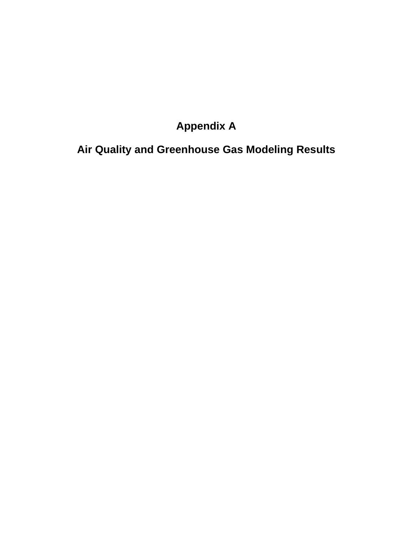# **Appendix A**

**Air Quality and Greenhouse Gas Modeling Results**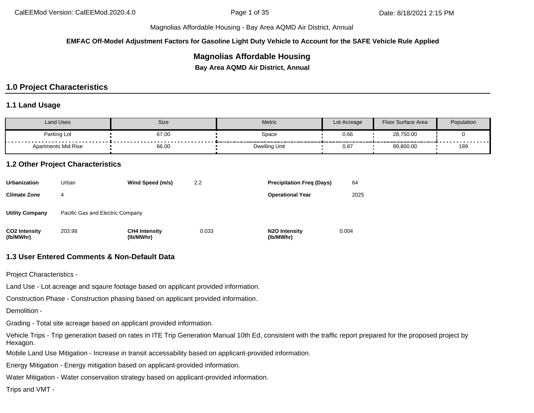**EMFAC Off-Model Adjustment Factors for Gasoline Light Duty Vehicle to Account for the SAFE Vehicle Rule Applied**

### **Magnolias Affordable Housing**

**Bay Area AQMD Air District, Annual**

# **1.0 Project Characteristics**

### **1.1 Land Usage**

| Land Uses                  | Size                  | <b>Metric</b> | Lot Acreage | <b>Floor Surface Area</b> | Population |
|----------------------------|-----------------------|---------------|-------------|---------------------------|------------|
| Parking Lot                | 67.00<br>------------ | Space         | 0.66        | 28,750.00                 | .          |
| <b>Apartments Mid Rise</b> | 66.00                 | Dwelling Unit | 0.87        | 89,800.00                 | 189        |

### **1.2 Other Project Characteristics**

| <b>Urbanization</b>               | Urban                            | Wind Speed (m/s)                  | 2.2   | <b>Precipitation Freg (Days)</b>        | 64    |
|-----------------------------------|----------------------------------|-----------------------------------|-------|-----------------------------------------|-------|
| <b>Climate Zone</b>               | 4                                |                                   |       | <b>Operational Year</b>                 | 2025  |
| <b>Utility Company</b>            | Pacific Gas and Electric Company |                                   |       |                                         |       |
| <b>CO2 Intensity</b><br>(lb/MWhr) | 203.98                           | <b>CH4 Intensity</b><br>(lb/MWhr) | 0.033 | N <sub>2</sub> O Intensity<br>(lb/MWhr) | 0.004 |

### **1.3 User Entered Comments & Non-Default Data**

Project Characteristics -

Land Use - Lot acreage and sqaure footage based on applicant provided information.

Construction Phase - Construction phasing based on applicant provided information.

Demolition -

Grading - Total site acreage based on applicant provided information.

Vehicle Trips - Trip generation based on rates in ITE Trip Generation Manual 10th Ed, consistent with the traffic report prepared for the proposed project by Hexagon.

Mobile Land Use Mitigation - Increase in transit accessability based on applicant-provided information.

Energy Mitigation - Energy mitigation based on applicant-provided information.

Water Mitigation - Water conservation strategy based on applicant-provided information.

Trips and VMT -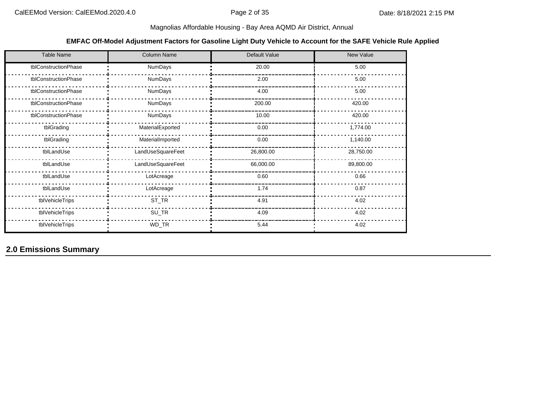### **EMFAC Off-Model Adjustment Factors for Gasoline Light Duty Vehicle to Account for the SAFE Vehicle Rule Applied**

| <b>Table Name</b>    | <b>Column Name</b> | Default Value | New Value |
|----------------------|--------------------|---------------|-----------|
| tblConstructionPhase | <b>NumDays</b>     | 20.00         | 5.00      |
| tblConstructionPhase | <b>NumDays</b>     | 2.00          | 5.00      |
| tblConstructionPhase | NumDays            | 4.00          | 5.00      |
| tblConstructionPhase | <b>NumDays</b>     | 200.00        | 420.00    |
| tblConstructionPhase | NumDays            | 10.00         | 420.00    |
| tblGrading           | MaterialExported   | 0.00          | 1,774.00  |
| tblGrading           | MaterialImported   | 0.00          | 1,140.00  |
| tblLandUse           | LandUseSquareFeet  | 26,800.00     | 28,750.00 |
| tblLandUse           | LandUseSquareFeet  | 66,000.00     | 89,800.00 |
| tblLandUse           | LotAcreage         | 0.60          | 0.66      |
| tblLandUse           | LotAcreage         | 1.74          | 0.87      |
| tblVehicleTrips      | ST_TR              | 4.91          | 4.02      |
| tblVehicleTrips      | SU_TR              | 4.09          | 4.02      |
| tblVehicleTrips      | WD_TR              | 5.44          | 4.02      |

**2.0 Emissions Summary**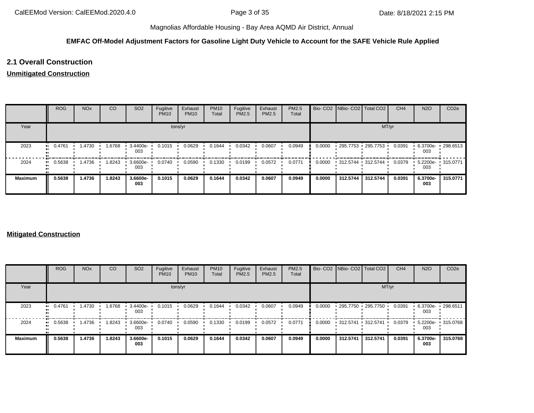### **EMFAC Off-Model Adjustment Factors for Gasoline Light Duty Vehicle to Account for the SAFE Vehicle Rule Applied**

### **2.1 Overall Construction**

### **Unmitigated Construction**

|                | <b>ROG</b> | <b>NO<sub>x</sub></b> | CO     | SO <sub>2</sub> | Fugitive<br><b>PM10</b> | Exhaust<br><b>PM10</b> | <b>PM10</b><br>Total | Fugitive<br>PM2.5 | Exhaust<br><b>PM2.5</b> | PM2.5<br>Total |        | Bio- CO2   NBio- CO2   Total CO2 |                   | CH <sub>4</sub> | <b>N2O</b>      | CO <sub>2e</sub>    |
|----------------|------------|-----------------------|--------|-----------------|-------------------------|------------------------|----------------------|-------------------|-------------------------|----------------|--------|----------------------------------|-------------------|-----------------|-----------------|---------------------|
| Year           |            |                       |        |                 |                         | tons/yr                |                      |                   |                         |                |        |                                  | MT/yr             |                 |                 |                     |
| 2023           | 0.4761     | .4730                 | 1.6768 | 3.4400e-<br>003 | 0.1015                  | 0.0629                 | 0.1644               | 0.0342            | 0.0607                  | 0.0949         | 0.0000 |                                  | 295.7753 295.7753 | 0.0391          | 6.3700e-<br>003 | .298.6513           |
| 2024           | 0.5638     | .4736                 | 1.8243 | 3.6600e-<br>003 | 0.0740                  | 0.0590                 | 0.1330               | 0.0199            | 0.0572                  | 0.0771         | 0.0000 | $-312.5744 - 312.5744$           |                   | 0.0379          | 003             | 5.2200e- 1 315.0771 |
| <b>Maximum</b> | 0.5638     | 1.4736                | 1.8243 | 3.6600e-<br>003 | 0.1015                  | 0.0629                 | 0.1644               | 0.0342            | 0.0607                  | 0.0949         | 0.0000 | 312.5744                         | 312.5744          | 0.0391          | 6.3700e-<br>003 | 315.0771            |

### **Mitigated Construction**

|                | <b>ROG</b> | <b>NO<sub>x</sub></b> | CO     | SO <sub>2</sub> | Fugitive<br><b>PM10</b> | Exhaust<br><b>PM10</b> | <b>PM10</b><br>Total | Fugitive<br>PM2.5 | Exhaust<br>PM2.5 | PM2.5<br>Total |        | Bio- CO2 NBio- CO2 Total CO2 |             | CH <sub>4</sub> | <b>N2O</b>      | CO <sub>2e</sub>  |
|----------------|------------|-----------------------|--------|-----------------|-------------------------|------------------------|----------------------|-------------------|------------------|----------------|--------|------------------------------|-------------|-----------------|-----------------|-------------------|
| Year           |            |                       |        |                 |                         | tons/yr                |                      |                   |                  |                |        |                              | MT/yr       |                 |                 |                   |
| 2023           | 0.4761     | 1.4730                | 1.6768 | 3.4400e-<br>003 | 0.1015                  | 0.0629                 | 0.1644               | 0.0342            | 0.0607           | 0.0949         | 0.0000 | 295.7750 295.7750            |             | 0.0391          | 6.3700e-<br>003 | 298.6511          |
| 2024           | 0.5638     | 1.4736                | 1.8243 | 3.6600e-<br>003 | 0.0740                  | 0.0590                 | 0.1330               | 0.0199            | 0.0572           | 0.0771         | 0.0000 | $-312.5741$                  | $-312.5741$ | 0.0379          | 003             | 5.2200e- 315.0768 |
| <b>Maximum</b> | 0.5638     | 1.4736                | 1.8243 | 3.6600e-<br>003 | 0.1015                  | 0.0629                 | 0.1644               | 0.0342            | 0.0607           | 0.0949         | 0.0000 | 312,5741                     | 312.5741    | 0.0391          | 6.3700e-<br>003 | 315.0768          |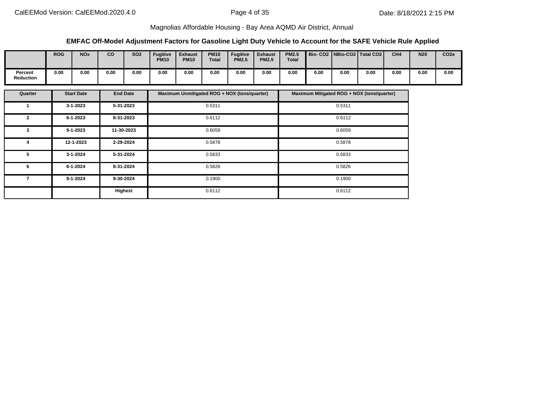### **EMFAC Off-Model Adjustment Factors for Gasoline Light Duty Vehicle to Account for the SAFE Vehicle Rule Applied**

|                             | <b>ROG</b> | <b>NO<sub>x</sub></b> | co   | <b>SO2</b> | <b>Fugitive</b><br><b>PM10</b> | <b>Exhaust</b><br><b>PM10</b> | <b>PM10</b><br><b>Total</b> | <b>Fugitive</b><br><b>PM2.5</b> | <b>Exhaust</b><br><b>PM2.5</b> | <b>PM2.5</b><br><b>Total</b> |      |      | Bio- CO2   NBio-CO2   Total CO2 | CH <sub>4</sub> | <b>N20</b> | CO <sub>2e</sub> |
|-----------------------------|------------|-----------------------|------|------------|--------------------------------|-------------------------------|-----------------------------|---------------------------------|--------------------------------|------------------------------|------|------|---------------------------------|-----------------|------------|------------------|
| Percent<br><b>Reduction</b> | 0.00       | 0.00                  | 0.00 | 0.00       | 0.00                           | 0.00                          | 0.00                        | 0.00                            | 0.00                           | 0.00                         | 0.00 | 0.00 | 0.00                            | 0.00            | 0.00       | 0.00             |

| Quarter        | <b>Start Date</b> | <b>End Date</b> | Maximum Unmitigated ROG + NOX (tons/quarter) | Maximum Mitigated ROG + NOX (tons/quarter) |
|----------------|-------------------|-----------------|----------------------------------------------|--------------------------------------------|
|                | 3-1-2023          | 5-31-2023       | 0.5311                                       | 0.5311                                     |
| $\overline{2}$ | 6-1-2023          | 8-31-2023       | 0.6112                                       | 0.6112                                     |
| 3              | $9 - 1 - 2023$    | 11-30-2023      | 0.6059                                       | 0.6059                                     |
| 4              | 12-1-2023         | 2-29-2024       | 0.5878                                       | 0.5878                                     |
| 5              | $3 - 1 - 2024$    | 5-31-2024       | 0.5833                                       | 0.5833                                     |
| 6              | 6-1-2024          | 8-31-2024       | 0.5826                                       | 0.5826                                     |
| 7              | $9 - 1 - 2024$    | 9-30-2024       | 0.1900                                       | 0.1900                                     |
|                |                   | Highest         | 0.6112                                       | 0.6112                                     |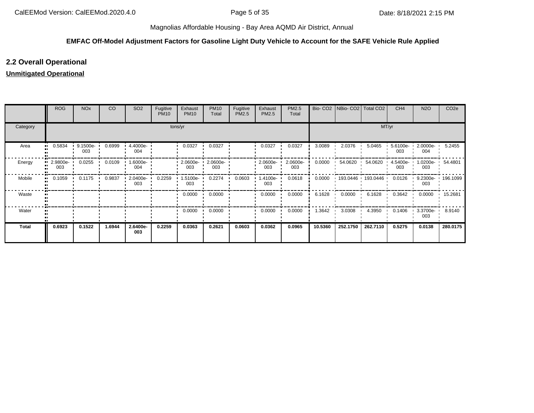### **EMFAC Off-Model Adjustment Factors for Gasoline Light Duty Vehicle to Account for the SAFE Vehicle Rule Applied**

### **2.2 Overall Operational**

### **Unmitigated Operational**

|              | <b>ROG</b>          | <b>NO<sub>x</sub></b> | CO     | SO <sub>2</sub> | Fugitive<br><b>PM10</b> | Exhaust<br><b>PM10</b> | <b>PM10</b><br>Total | Fugitive<br>PM2.5 | Exhaust<br>PM2.5 | PM2.5<br>Total  | Bio-CO <sub>2</sub> | NBio- CO2   Total CO2 |                   | CH <sub>4</sub> | <b>N2O</b>           | CO <sub>2e</sub> |
|--------------|---------------------|-----------------------|--------|-----------------|-------------------------|------------------------|----------------------|-------------------|------------------|-----------------|---------------------|-----------------------|-------------------|-----------------|----------------------|------------------|
| Category     |                     |                       |        |                 | tons/yr                 |                        |                      |                   |                  |                 |                     |                       | MT/yr             |                 |                      |                  |
| Area         | 0.5834<br>ш.        | 9.1500e-<br>003       | 0.6999 | 4.4000e-<br>004 |                         | 0.0327                 | 0.0327               |                   | 0.0327           | 0.0327          | 3.0089              | 2.0376                | 5.0465            | 5.6100e-<br>003 | 2.0000e-<br>004      | 5.2455           |
| Energy       | 2.9800e-<br><br>003 | 0.0255                | 0.0109 | 1.6000e-<br>004 |                         | $2.0600e-$<br>003      | 2.0600e-<br>003      |                   | 2.0600e-<br>003  | 2.0600e-<br>003 | 0.0000              | 54.0620               | 54.0620           | 4.5400e-<br>003 | $1.0200e - 1$<br>003 | 54.4801          |
| Mobile       | 0.1059<br>          | 0.1175                | 0.9837 | 2.0400e-<br>003 | 0.2259                  | .5100e-<br>003         | 0.2274               | 0.0603            | .4100e-<br>003   | 0.0618          | 0.0000              |                       | 193.0446 193.0446 | 0.0126          | 9.2300e-<br>003      | $\cdot$ 196.1099 |
| Waste        |                     |                       |        |                 |                         | 0.0000                 | 0.0000               |                   | 0.0000           | 0.0000          | 6.1628              | 0.0000                | 6.1628            | 0.3642          | 0.0000               | 15.2681          |
| Water        |                     |                       |        |                 |                         | 0.0000                 | 0.0000               |                   | 0.0000           | 0.0000          | 1.3642              | 3.0308                | 4.3950            | 0.1406          | $3.3700e -$<br>003   | 8.9140           |
| <b>Total</b> | 0.6923              | 0.1522                | 1.6944 | 2.6400e-<br>003 | 0.2259                  | 0.0363                 | 0.2621               | 0.0603            | 0.0362           | 0.0965          | 10.5360             | 252.1750              | 262.7110          | 0.5275          | 0.0138               | 280.0175         |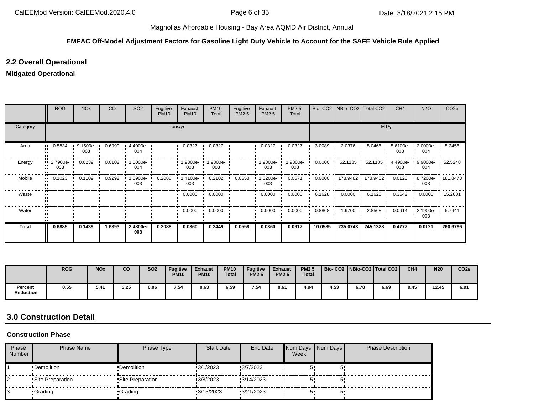#### **EMFAC Off-Model Adjustment Factors for Gasoline Light Duty Vehicle to Account for the SAFE Vehicle Rule Applied**

### **2.2 Overall Operational**

### **Mitigated Operational**

|          | <b>ROG</b>      | <b>NO<sub>x</sub></b> | CO     | SO <sub>2</sub>    | Fugitive<br><b>PM10</b> | Exhaust<br><b>PM10</b> | <b>PM10</b><br>Total | Fugitive<br>PM2.5 | Exhaust<br>PM2.5 | PM2.5<br>Total  | Bio-CO <sub>2</sub> | NBio- CO2   Total CO2 |          | CH <sub>4</sub> | <b>N2O</b>      | CO <sub>2e</sub> |
|----------|-----------------|-----------------------|--------|--------------------|-------------------------|------------------------|----------------------|-------------------|------------------|-----------------|---------------------|-----------------------|----------|-----------------|-----------------|------------------|
| Category |                 |                       |        |                    | tons/yr                 |                        |                      |                   |                  |                 |                     |                       | MT/yr    |                 |                 |                  |
| Area     | 0.5834          | 9.1500e-<br>003       | 0.6999 | 4.4000e-<br>004    |                         | 0.0327                 | 0.0327               |                   | 0.0327           | 0.0327          | 3.0089              | 2.0376                | 5.0465   | 5.6100e-<br>003 | 2.0000e-<br>004 | 5.2455           |
| Energy   | 2.7900e-<br>003 | 0.0239                | 0.0102 | $1.5000e -$<br>004 |                         | -9300e-<br>003         | 1.9300e-<br>003      |                   | 1.9300e-<br>003  | 1.9300e-<br>003 | 0.0000              | 52.1185               | 52.1185  | 4.4900e-<br>003 | 9.9000e-<br>004 | 52.5248          |
| Mobile   | 0.1023          | 0.1109                | 0.9292 | 1.8900e-<br>003    | 0.2088                  | .4100e-<br>003         | 0.2102               | 0.0558            | .3200e-<br>003   | 0.0571          | 0.0000              | 178.9482              | 178.9482 | 0.0120          | 8.7200e-<br>003 | $\cdot$ 181.8473 |
| Waste    |                 |                       |        |                    |                         | 0.0000                 | 0.0000               |                   | 0.0000           | 0.0000          | 6.1628              | 0.0000                | 6.1628   | 0.3642          | 0.0000          | 15.2681          |
| Water    |                 |                       |        |                    |                         | 0.0000                 | 0.0000               |                   | 0.0000           | 0.0000          | 0.8868              | 1.9700                | 2.8568   | 0.0914          | 2.1900e-<br>003 | 5.7941           |
| Total    | 0.6885          | 0.1439                | 1.6393 | 2.4800e-<br>003    | 0.2088                  | 0.0360                 | 0.2449               | 0.0558            | 0.0360           | 0.0917          | 10.0585             | 235.0743              | 245.1328 | 0.4777          | 0.0121          | 260.6796         |

|                             | <b>ROG</b> | <b>NOx</b> | co   | <b>SO2</b> | <b>Fugitive</b><br><b>PM10</b> | <b>Exhaust</b><br><b>PM10</b> | <b>PM10</b><br><b>Total</b> | <b>Fugitive</b><br><b>PM2.5</b> | <b>Exhaust</b><br><b>PM2.5</b> | <b>PM2.5</b><br><b>Total</b> |      |      | Bio-CO2 NBio-CO2 Total CO2 | CH <sub>4</sub> | <b>N20</b> | CO <sub>2e</sub> |
|-----------------------------|------------|------------|------|------------|--------------------------------|-------------------------------|-----------------------------|---------------------------------|--------------------------------|------------------------------|------|------|----------------------------|-----------------|------------|------------------|
| Percent<br><b>Reduction</b> | 0.55       | 5.41       | 3.25 | 6.06       | 7.54                           | 0.63                          | 6.59                        | 7.54                            | 0.61                           | 4.94                         | 4.53 | 6.78 | 6.69                       | 9.45            | 12.45      | 6.91             |

# **3.0 Construction Detail**

### **Construction Phase**

| Phase<br>Number | <b>Phase Name</b> | Phase Type        | <b>Start Date</b> | End Date  | Week | Num Days Num Days | <b>Phase Description</b> |
|-----------------|-------------------|-------------------|-------------------|-----------|------|-------------------|--------------------------|
|                 | •Demolition       | •Demolition       | 3/1/2023          | 3/7/2023  |      |                   |                          |
|                 | •Site Preparation | •Site Preparation | 3/8/2023          | 3/14/2023 |      |                   |                          |
|                 | •Grading          | •Grading          | 3/15/2023         | 3/21/2023 |      |                   |                          |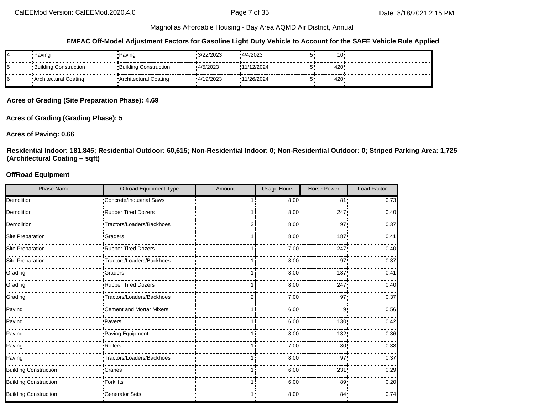#### **EMFAC Off-Model Adjustment Factors for Gasoline Light Duty Vehicle to Account for the SAFE Vehicle Rule Applied**

|    | •Paving                | ∙Pavinq                 | 3/22/2023 | 4/4/2023   | 10  |  |
|----|------------------------|-------------------------|-----------|------------|-----|--|
|    | ■Building Construction | ■Building Construction  | 4/5/2023  | 11/12/2024 | 420 |  |
| 16 | Architectural Coating  | • Architectural Coating | 4/19/2023 | 11/26/2024 | 420 |  |

**Acres of Grading (Site Preparation Phase): 4.69**

**Acres of Grading (Grading Phase): 5**

#### **Acres of Paving: 0.66**

**Residential Indoor: 181,845; Residential Outdoor: 60,615; Non-Residential Indoor: 0; Non-Residential Outdoor: 0; Striped Parking Area: 1,725 (Architectural Coating – sqft)**

#### **OffRoad Equipment**

| <b>Phase Name</b>            | Offroad Equipment Type     | Amount | <b>Usage Hours</b> | <b>Horse Power</b> | Load Factor |
|------------------------------|----------------------------|--------|--------------------|--------------------|-------------|
| Demolition                   | Concrete/Industrial Saws   |        | $8.00$ !           | 81 <sub>1</sub>    | 0.73        |
| Demolition                   | Rubber Tired Dozers        |        | 8.00               | 247                | 0.40        |
| Demolition                   | -Tractors/Loaders/Backhoes |        | 8.00               | 97                 | 0.37        |
| Site Preparation             | -Graders                   |        | 8.00               | 187                | 0.41        |
| Site Preparation             | Rubber Tired Dozers        |        | 7.00               | 247                | 0.40        |
| Site Preparation             | -Tractors/Loaders/Backhoes |        | 8.00               | 97 <sub>1</sub>    | 0.37        |
| Grading                      | <b>Craders</b>             |        | $8.00$ !           | 187 <sub>1</sub>   | 0.41        |
| Grading                      | Rubber Tired Dozers        |        | 8.00               | 247                | 0.40        |
| Grading                      | -Tractors/Loaders/Backhoes |        | 7.00               | 97'                | 0.37        |
| Paving                       | Cement and Mortar Mixers   |        | 6.00               | 9'                 | 0.56        |
| Paving                       | -Pavers                    |        | 6.00:              | 130                | 0.42        |
| Paving                       | Paving Equipment           |        | $8.00$ !           | 132                | 0.36        |
| Paving                       | -Rollers                   |        | 7.00:              | 80 <sub>1</sub>    | 0.38        |
| Paving                       | -Tractors/Loaders/Backhoes |        | 8.00               | 97'                | 0.37        |
| <b>Building Construction</b> | -Cranes                    |        | 6.00               | 231                | 0.29        |
| <b>Building Construction</b> | -Forklifts                 |        | 6.00:              | 89                 | 0.20        |
| <b>Building Construction</b> | -Generator Sets            |        | 8.00:              | 84                 | 0.74        |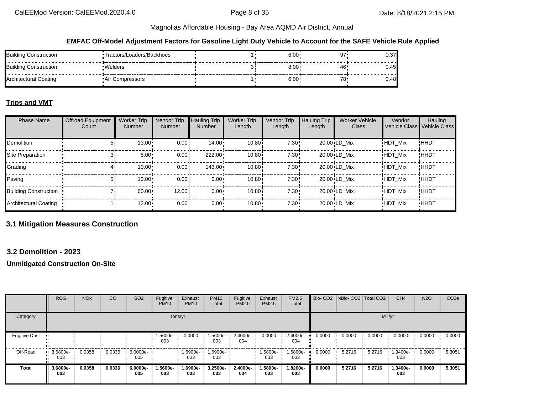#### **EMFAC Off-Model Adjustment Factors for Gasoline Light Duty Vehicle to Account for the SAFE Vehicle Rule Applied**

| <b>Building Construction</b> | Tractors/Loaders/Backhoes | $6.00 \cdot$      |          | ∪.∪  |
|------------------------------|---------------------------|-------------------|----------|------|
| Building Construction        | ∙Welders                  | 8.00 <sub>1</sub> | 46       | 0.45 |
| Architectural Coating        | Air Compressors           | 6.00              | 78.<br>ັ | 0.48 |

### **Trips and VMT**

| <b>Phase Name</b>            | <b>Offroad Equipment</b><br>Count | <b>Worker Trip</b><br>Number | Vendor Trip<br>Number | <b>Hauling Trip</b><br><b>Number</b> | <b>Worker Trip</b><br>Length | Vendor Trip<br>Length | <b>Hauling Trip</b><br>Length | <b>Worker Vehicle</b><br><b>Class</b> | Vendor         | Hauling<br>Vehicle Class Vehicle Class |
|------------------------------|-----------------------------------|------------------------------|-----------------------|--------------------------------------|------------------------------|-----------------------|-------------------------------|---------------------------------------|----------------|----------------------------------------|
| Demolition                   | 51                                | $13.00 \cdot$                | 0.00!                 | $14.00 \cdot$                        | 10.80i                       | 7.30!                 |                               | $20.00 \cdot LD$ Mix                  | <b>HDT Mix</b> | !HHDT                                  |
| Site Preparation             |                                   | 8.00                         | 0.00!                 | 222.00                               | 10.80i                       | 7.30:                 |                               | $20.00 \cdot LD$ Mix                  | <b>HDT Mix</b> | !HHDT                                  |
| Grading                      | 41                                | 10.00                        | 0.00!                 | $143.00 -$                           | 10.80i                       | 7.30:                 |                               | $20.00 \cdot LD$ Mix                  | <b>HDT Mix</b> | !HHDT                                  |
| Paving                       | 51                                | $13.00 \cdot$                | 0.00!                 | $0.00 \cdot$                         | 10.80i                       | 7.30!                 |                               | $20.00 \cdot LD$ Mix                  | <b>HDT Mix</b> | !HHDT                                  |
| <b>Building Construction</b> |                                   | 60.00                        | 12.00                 | $0.00 -$                             | 10.80i                       | 7.30!                 |                               | 20.00 LD Mix                          | <b>HDT Mix</b> | !HHDT                                  |
| <b>Architectural Coating</b> |                                   | 12.00                        | $0.00 \cdot$          | $0.00 \cdot$                         | 10.80                        | $7.30 -$              |                               | 20.00 LD Mix                          | <b>HDT Mix</b> | <b>HHDT</b>                            |

### **3.1 Mitigation Measures Construction**

### **3.2 Demolition - 2023**

|                      | <b>ROG</b>      | <b>NO<sub>x</sub></b> | CO     | SO <sub>2</sub> | Fugitive<br><b>PM10</b> | Exhaust<br><b>PM10</b> | <b>PM10</b><br>Total | Fugitive<br><b>PM2.5</b> | Exhaust<br>PM2.5 | PM2.5<br>Total  |        | Bio- CO2   NBio- CO2   Total CO2 |        | CH <sub>4</sub> | <b>N2O</b> | CO <sub>2e</sub> |
|----------------------|-----------------|-----------------------|--------|-----------------|-------------------------|------------------------|----------------------|--------------------------|------------------|-----------------|--------|----------------------------------|--------|-----------------|------------|------------------|
| Category             |                 |                       |        |                 |                         | tons/yr                |                      |                          |                  |                 |        |                                  | MT/yr  |                 |            |                  |
| <b>Fugitive Dust</b> |                 |                       |        |                 | .5600e-<br>003          | 0.0000                 | 1.5600e-<br>003      | 2.4000e-<br>004          | 0.0000           | 2.4000e-<br>004 | 0.0000 | 0.0000                           | 0.0000 | 0.0000          | 0.0000     | 0.0000           |
| Off-Road             | 3.6800e-<br>003 | 0.0358                | 0.0336 | 6.0000e-<br>005 |                         | 1.6900e-<br>003        | 1.6900e-<br>003      |                          | 1.5800e-<br>003  | 1.5800e-<br>003 | 0.0000 | 5.2716                           | 5.2716 | 1.3400e-<br>003 | 0.0000     | 5.3051           |
| Total                | 3.6800e-<br>003 | 0.0358                | 0.0336 | 6.0000e-<br>005 | 1.5600e-<br>003         | 1.6900e-<br>003        | 3.2500e-<br>003      | 2.4000e-<br>004          | -.5800e<br>003   | 1.8200e-<br>003 | 0.0000 | 5.2716                           | 5.2716 | 1.3400e-<br>003 | 0.0000     | 5.3051           |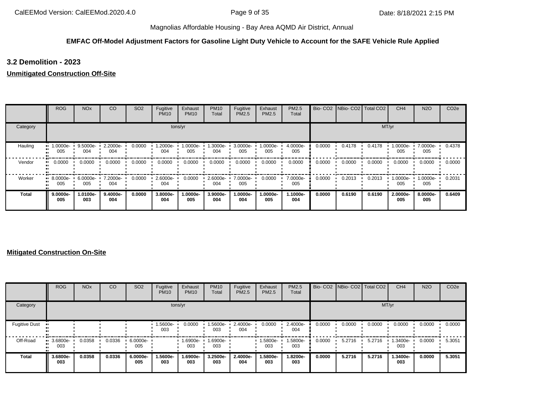#### **EMFAC Off-Model Adjustment Factors for Gasoline Light Duty Vehicle to Account for the SAFE Vehicle Rule Applied**

### **3.2 Demolition - 2023**

### **Unmitigated Construction Off-Site**

|          | <b>ROG</b>                     | <b>NO<sub>x</sub></b> | CO              | SO <sub>2</sub> | Fugitive<br><b>PM10</b> | Exhaust<br><b>PM10</b> | <b>PM10</b><br>Total | Fugitive<br>PM2.5 | Exhaust<br><b>PM2.5</b> | PM2.5<br>Total  | Bio-CO <sub>2</sub> | NBio-CO2   Total CO2 |        | CH <sub>4</sub> | <b>N2O</b>        | CO <sub>2e</sub> |
|----------|--------------------------------|-----------------------|-----------------|-----------------|-------------------------|------------------------|----------------------|-------------------|-------------------------|-----------------|---------------------|----------------------|--------|-----------------|-------------------|------------------|
| Category |                                |                       |                 |                 |                         | tons/yr                |                      |                   |                         |                 |                     |                      |        | MT/yr           |                   |                  |
| Hauling  | $\blacksquare$ 1.0000e-<br>005 | 9.5000e-<br>004       | 2.2000e-<br>004 | 0.0000          | 1.2000e-<br>004         | 1.0000e-<br>005        | .3000e-<br>004       | 3.0000e-<br>005   | 1.0000e-<br>005         | 4.0000e-<br>005 | 0.0000              | 0.4178               | 0.4178 | 1.0000e-<br>005 | 7.0000e-<br>005   | 0.4378           |
| Vendor   | 0.0000<br>                     | 0.0000                | 0.0000          | 0.0000          | 0.0000                  | 0.0000                 | 0.0000               | 0.0000            | 0.0000                  | 0.0000          | 0.0000              | 0.0000               | 0.0000 | 0.0000          | 0.0000            | 0.0000           |
| Worker   | $\blacksquare$ 8.0000e-<br>005 | 6.0000e-<br>005       | 7.2000e-<br>004 | 0.0000          | 2.6000e-<br>004         | 0.0000                 | 2.6000e-<br>004      | 7.0000e-<br>005   | 0.0000                  | 7.0000e-<br>005 | 0.0000              | 0.2013               | 0.2013 | 1.0000e-<br>005 | $1.0000e-$<br>005 | 0.2031           |
| Total    | $9.0000e -$<br>005             | 1.0100e-<br>003       | 9.4000e-<br>004 | 0.0000          | 3.8000e-<br>004         | 1.0000e-<br>005        | 3.9000e-<br>004      | 1.0000e-<br>004   | 1.0000e-<br>005         | 1.1000e-<br>004 | 0.0000              | 0.6190               | 0.6190 | 2.0000e-<br>005 | 8.0000e-<br>005   | 0.6409           |

|                      | <b>ROG</b>                         | <b>NO<sub>x</sub></b> | <b>CO</b> | SO <sub>2</sub> | Fugitive<br><b>PM10</b> | Exhaust<br><b>PM10</b> | <b>PM10</b><br>Total | Fugitive<br>PM2.5 | Exhaust<br>PM2.5 | PM2.5<br>Total  |        | Bio- CO2   NBio- CO2   Total CO2 |        | CH <sub>4</sub> | <b>N2O</b> | CO <sub>2e</sub> |
|----------------------|------------------------------------|-----------------------|-----------|-----------------|-------------------------|------------------------|----------------------|-------------------|------------------|-----------------|--------|----------------------------------|--------|-----------------|------------|------------------|
| Category             |                                    |                       |           |                 | tons/yr                 |                        |                      |                   |                  |                 |        |                                  |        | MT/yr           |            |                  |
| <b>Fugitive Dust</b> |                                    |                       |           |                 | .5600e-<br>003          | 0.0000                 | 1.5600e-<br>003      | 2.4000e-<br>004   | 0.0000           | 2.4000e-<br>004 | 0.0000 | 0.0000                           | 0.0000 | 0.0000          | 0.0000     | 0.0000           |
| Off-Road             | $\blacksquare$ 3.6800e-<br><br>003 | 0.0358                | 0.0336    | 6.0000e-<br>005 |                         | 1.6900e-<br>003        | 1.6900e-<br>003      |                   | 1.5800e-<br>003  | 1.5800e-<br>003 | 0.0000 | 5.2716                           | 5.2716 | 1.3400e-<br>003 | 0.0000     | 5.3051           |
| <b>Total</b>         | 3.6800e-<br>003                    | 0.0358                | 0.0336    | 6.0000e-<br>005 | 1.5600e-<br>003         | 1.6900e-<br>003        | 3.2500e-<br>003      | 2.4000e-<br>004   | 1.5800e-<br>003  | 1.8200e-<br>003 | 0.0000 | 5.2716                           | 5.2716 | 1.3400e-<br>003 | 0.0000     | 5.3051           |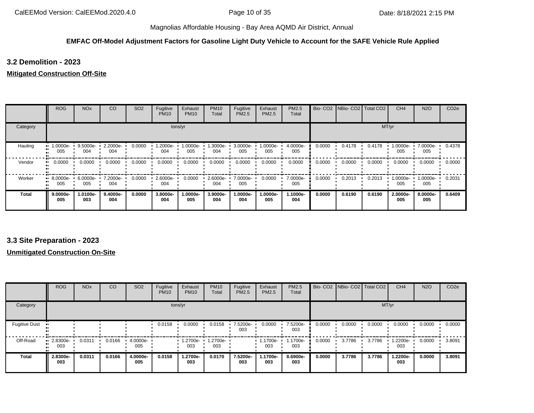#### **EMFAC Off-Model Adjustment Factors for Gasoline Light Duty Vehicle to Account for the SAFE Vehicle Rule Applied**

**3.2 Demolition - 2023**

### **Mitigated Construction Off-Site**

|              | <b>ROG</b>                     | <b>NO<sub>x</sub></b> | CO              | SO <sub>2</sub> | Fugitive<br><b>PM10</b> | Exhaust<br><b>PM10</b> | <b>PM10</b><br>Total | Fugitive<br>PM2.5 | Exhaust<br>PM2.5 | PM2.5<br>Total  |        | Bio- CO2   NBio- CO2   Total CO2 |        | CH <sub>4</sub> | <b>N2O</b>        | CO <sub>2e</sub> |
|--------------|--------------------------------|-----------------------|-----------------|-----------------|-------------------------|------------------------|----------------------|-------------------|------------------|-----------------|--------|----------------------------------|--------|-----------------|-------------------|------------------|
| Category     |                                |                       |                 |                 |                         | tons/yr                |                      |                   |                  |                 |        |                                  |        | MT/yr           |                   |                  |
| Hauling      | 1.0000e-<br>005                | 9.5000e-<br>004       | 2.2000e-<br>004 | 0.0000          | .2000e-<br>004          | 1.0000e-<br>005        | 1.3000e-<br>004      | 3.0000e-<br>005   | -.0000e<br>005   | 4.0000e-<br>005 | 0.0000 | 0.4178                           | 0.4178 | 1.0000e-<br>005 | 7.0000e-<br>005   | 0.4378           |
| Vendor       | 0.0000                         | 0.0000                | 0.0000          | 0.0000          | 0.0000                  | 0.0000                 | 0.0000               | 0.0000            | 0.0000           | 0.0000          | 0.0000 | 0.0000                           | 0.0000 | 0.0000          | 0.0000            | 0.0000           |
| Worker       | $\blacksquare$ 8.0000e-<br>005 | 6.0000e-<br>005       | 7.2000e-<br>004 | 0.0000          | 2.6000e-<br>004         | 0.0000                 | 2.6000e-<br>004      | 7.0000e-<br>005   | 0.0000           | 7.0000e-<br>005 | 0.0000 | 0.2013                           | 0.2013 | 1.0000e-<br>005 | 1.0000e- •<br>005 | 0.2031           |
| <b>Total</b> | $9.0000e -$<br>005             | 1.0100e-<br>003       | 9.4000e-<br>004 | 0.0000          | 3.8000e-<br>004         | 1.0000e-<br>005        | 3.9000e-<br>004      | 1.0000e-<br>004   | 1.0000e-<br>005  | 1.1000e-<br>004 | 0.0000 | 0.6190                           | 0.6190 | 2.0000e-<br>005 | 8.0000e-<br>005   | 0.6409           |

### **3.3 Site Preparation - 2023**

|                      | ROG               | <b>NO<sub>x</sub></b> | CO     | SO <sub>2</sub> | Fugitive<br><b>PM10</b> | Exhaust<br><b>PM10</b> | <b>PM10</b><br>Total | Fugitive<br>PM2.5 | Exhaust<br>PM2.5 | PM2.5<br>Total  |        | Bio- CO2 NBio- CO2 Total CO2 |        | CH <sub>4</sub> | <b>N2O</b> | CO <sub>2e</sub> |
|----------------------|-------------------|-----------------------|--------|-----------------|-------------------------|------------------------|----------------------|-------------------|------------------|-----------------|--------|------------------------------|--------|-----------------|------------|------------------|
| Category             |                   |                       |        |                 |                         | tons/yr                |                      |                   |                  |                 |        |                              | MT/yr  |                 |            |                  |
| <b>Fugitive Dust</b> |                   |                       |        |                 | 0.0158                  | 0.0000                 | 0.0158               | 7.5200e-<br>003   | 0.0000           | 7.5200e-<br>003 | 0.0000 | 0.0000                       | 0.0000 | 0.0000          | 0.0000     | 0.0000           |
| Off-Road             | " 2.8300e-<br>003 | 0.0311                | 0.0166 | 4.0000e-<br>005 |                         | 1.2700e-<br>003        | 1.2700e-<br>003      |                   | 1.1700e-<br>003  | 1.1700e-<br>003 | 0.0000 | 3.7786                       | 3.7786 | 1.2200e-<br>003 | 0.0000     | 3.8091           |
| <b>Total</b>         | 2.8300e-<br>003   | 0.0311                | 0.0166 | 4.0000e-<br>005 | 0.0158                  | 1.2700e-<br>003        | 0.0170               | 7.5200e-<br>003   | 1.1700e-<br>003  | 8.6900e-<br>003 | 0.0000 | 3.7786                       | 3.7786 | 1.2200e-<br>003 | 0.0000     | 3.8091           |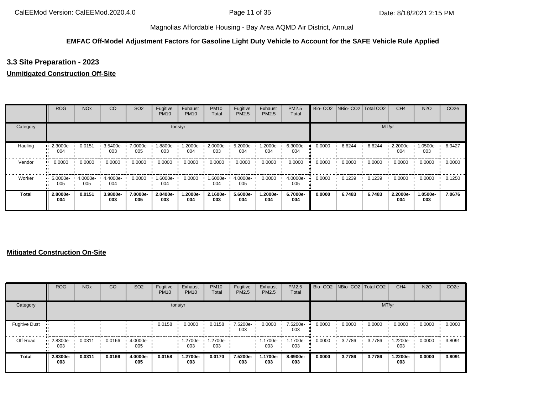### **EMFAC Off-Model Adjustment Factors for Gasoline Light Duty Vehicle to Account for the SAFE Vehicle Rule Applied**

# **3.3 Site Preparation - 2023**

### **Unmitigated Construction Off-Site**

|          | <b>ROG</b>                     | <b>NO<sub>x</sub></b> | CO              | SO <sub>2</sub> | Fugitive<br><b>PM10</b> | Exhaust<br><b>PM10</b> | <b>PM10</b><br>Total | Fugitive<br>PM2.5 | Exhaust<br>PM2.5 | <b>PM2.5</b><br>Total | Bio-CO <sub>2</sub> | NBio-CO2 Total CO2 |        | CH <sub>4</sub> | <b>N2O</b>      | CO <sub>2e</sub> |
|----------|--------------------------------|-----------------------|-----------------|-----------------|-------------------------|------------------------|----------------------|-------------------|------------------|-----------------------|---------------------|--------------------|--------|-----------------|-----------------|------------------|
| Category |                                |                       |                 |                 |                         | tons/yr                |                      |                   |                  |                       |                     |                    | MT/yr  |                 |                 |                  |
| Hauling  | $\cdot$ 2.3000e-<br>004        | 0.0151                | 3.5400e-<br>003 | 7.0000e-<br>005 | .8800e-<br>003          | 1.2000e-<br>004        | 2.0000e-<br>003      | 5.2000e-<br>004   | .2000e-<br>004   | 6.3000e-<br>004       | 0.0000              | 6.6244             | 6.6244 | 2.2000e-<br>004 | 1.0500e-<br>003 | 6.9427           |
| Vendor   | 0.0000<br>                     | 0.0000                | 0.0000          | 0.0000          | 0.0000                  | 0.0000                 | 0.0000               | 0.0000            | 0.0000           | 0.0000                | 0.0000              | 0.0000             | 0.0000 | 0.0000          | 0.0000          | 0.0000           |
| Worker   | $\blacksquare$ 5.0000e-<br>005 | 4.0000e-<br>005       | 4.4000e-<br>004 | 0.0000          | .6000e-<br>004          | 0.0000                 | 1.6000e-<br>004      | 4.0000e-<br>005   | 0.0000           | 4.0000e-<br>005       | 0.0000              | 0.1239             | 0.1239 | 0.0000          | 0.0000          | 0.1250           |
| Total    | 2.8000e-<br>004                | 0.0151                | 3.9800e-<br>003 | 7.0000e-<br>005 | 2.0400e-<br>003         | 1.2000e-<br>004        | 2.1600e-<br>003      | 5.6000e-<br>004   | -2000e.<br>004   | 6.7000e-<br>004       | 0.0000              | 6.7483             | 6.7483 | 2.2000e-<br>004 | 1.0500e-<br>003 | 7.0676           |

|                      | <b>ROG</b>         | <b>NO<sub>x</sub></b> | CO     | SO <sub>2</sub> | Fugitive<br><b>PM10</b> | Exhaust<br><b>PM10</b> | <b>PM10</b><br>Total | Fugitive<br>PM2.5 | Exhaust<br>PM2.5 | PM2.5<br>Total  |        | Bio- CO2 NBio- CO2 Total CO2 |        | CH <sub>4</sub> | <b>N2O</b> | CO <sub>2e</sub> |
|----------------------|--------------------|-----------------------|--------|-----------------|-------------------------|------------------------|----------------------|-------------------|------------------|-----------------|--------|------------------------------|--------|-----------------|------------|------------------|
| Category             |                    |                       |        |                 |                         | tons/yr                |                      |                   |                  |                 |        |                              | MT/yr  |                 |            |                  |
| <b>Fugitive Dust</b> |                    |                       |        |                 | 0.0158                  | 0.0000                 | 0.0158               | 7.5200e-<br>003   | 0.0000           | 7.5200e-<br>003 | 0.0000 | 0.0000                       | 0.0000 | 0.0000          | 0.0000     | 0.0000           |
| Off-Road             | $-2.8300e-$<br>003 | 0.0311                | 0.0166 | 4.0000e-<br>005 |                         | 1.2700e-<br>003        | 1.2700e-<br>003      |                   | 1.1700e-<br>003  | 1.1700e-<br>003 | 0.0000 | 3.7786                       | 3.7786 | -2200e.<br>003  | 0.0000     | 3.8091           |
| Total                | 2.8300e-<br>003    | 0.0311                | 0.0166 | 4.0000e-<br>005 | 0.0158                  | 1.2700e-<br>003        | 0.0170               | 7.5200e-<br>003   | 1.1700e-<br>003  | 8.6900e-<br>003 | 0.0000 | 3.7786                       | 3.7786 | 1.2200e-<br>003 | 0.0000     | 3.8091           |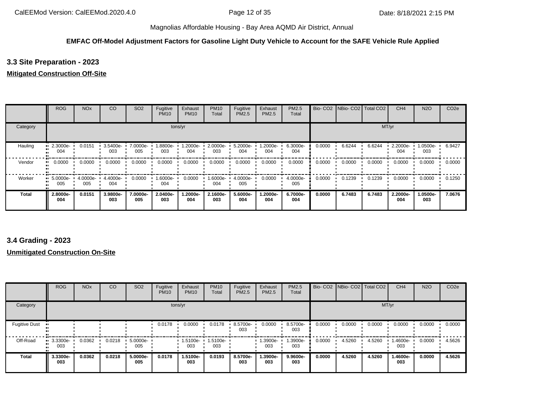### **EMFAC Off-Model Adjustment Factors for Gasoline Light Duty Vehicle to Account for the SAFE Vehicle Rule Applied**

# **3.3 Site Preparation - 2023**

### **Mitigated Construction Off-Site**

|              | <b>ROG</b>                     | <b>NO<sub>x</sub></b> | CO              | SO <sub>2</sub> | Fugitive<br><b>PM10</b> | Exhaust<br><b>PM10</b> | <b>PM10</b><br>Total | Fugitive<br>PM2.5 | Exhaust<br>PM2.5 | PM2.5<br>Total  |        | Bio- CO2 NBio- CO2 Total CO2 |        | CH <sub>4</sub> | <b>N2O</b>       | CO <sub>2e</sub> |
|--------------|--------------------------------|-----------------------|-----------------|-----------------|-------------------------|------------------------|----------------------|-------------------|------------------|-----------------|--------|------------------------------|--------|-----------------|------------------|------------------|
| Category     |                                |                       |                 |                 |                         | tons/yr                |                      |                   |                  |                 |        |                              |        | MT/yr           |                  |                  |
| Hauling      | 2.3000e-<br>004                | 0.0151                | 3.5400e-<br>003 | 7.0000e-<br>005 | .8800e-<br>003          | 1.2000e-<br>004        | 2.0000e-<br>003      | 5.2000e-<br>004   | -2000e.<br>004   | 6.3000e-<br>004 | 0.0000 | 6.6244                       | 6.6244 | 2.2000e-<br>004 | $.0500e-$<br>003 | 6.9427           |
| Vendor       | 0.0000<br>                     | 0.0000                | 0.0000          | 0.0000          | 0.0000                  | 0.0000                 | 0.0000               | 0.0000            | 0.0000           | 0.0000          | 0.0000 | 0.0000                       | 0.0000 | 0.0000          | 0.0000           | 0.0000           |
| Worker       | $\blacksquare$ 5.0000e-<br>005 | 4.0000e-<br>005       | 4.4000e-<br>004 | 0.0000          | -:0000 M<br>004         | 0.0000                 | 1.6000e-<br>004      | 4.0000e-<br>005   | 0.0000           | 4.0000e-<br>005 | 0.0000 | 0.1239                       | 0.1239 | 0.0000          | 0.0000           | 0.1250           |
| <b>Total</b> | 2.8000e-<br>004                | 0.0151                | 3.9800e-<br>003 | 7.0000e-<br>005 | 2.0400e-<br>003         | 1.2000e-<br>004        | 2.1600e-<br>003      | 5.6000e-<br>004   | 1.2000e-<br>004  | 6.7000e-<br>004 | 0.0000 | 6.7483                       | 6.7483 | 2.2000e-<br>004 | 1.0500e-<br>003  | 7.0676           |

### **3.4 Grading - 2023**

|                      | <b>ROG</b>                     | <b>NO<sub>x</sub></b> | CO     | SO <sub>2</sub>    | Fugitive<br><b>PM10</b> | Exhaust<br><b>PM10</b> | <b>PM10</b><br>Total | Fugitive<br>PM2.5 | Exhaust<br><b>PM2.5</b> | PM2.5<br>Total  |        | Bio- CO2 NBio- CO2 Total CO2 |        | CH <sub>4</sub> | <b>N2O</b> | CO <sub>2e</sub> |
|----------------------|--------------------------------|-----------------------|--------|--------------------|-------------------------|------------------------|----------------------|-------------------|-------------------------|-----------------|--------|------------------------------|--------|-----------------|------------|------------------|
| Category             |                                |                       |        |                    |                         | tons/yr                |                      |                   |                         |                 |        |                              | MT/yr  |                 |            |                  |
| <b>Fugitive Dust</b> |                                |                       |        |                    | 0.0178                  | 0.0000                 | 0.0178               | 8.5700e-<br>003   | 0.0000                  | 8.5700e-<br>003 | 0.0000 | 0.0000                       | 0.0000 | 0.0000          | 0.0000     | 0.0000           |
| Off-Road             | $\blacksquare$ 3.3300e-<br>003 | 0.0362                | 0.0218 | $5.0000e -$<br>005 |                         | 1.5100e-<br>003        | 1.5100e-<br>003      |                   | 1.3900e-<br>003         | 1.3900e-<br>003 | 0.0000 | 4.5260                       | 4.5260 | .4600e-<br>003  | 0.0000     | 4.5626           |
| <b>Total</b>         | 3.3300e-<br>003                | 0.0362                | 0.0218 | 5.0000e-<br>005    | 0.0178                  | 1.5100e-<br>003        | 0.0193               | 8.5700e-<br>003   | 1.3900e-<br>003         | 9.9600e-<br>003 | 0.0000 | 4.5260                       | 4.5260 | 1.4600e-<br>003 | 0.0000     | 4.5626           |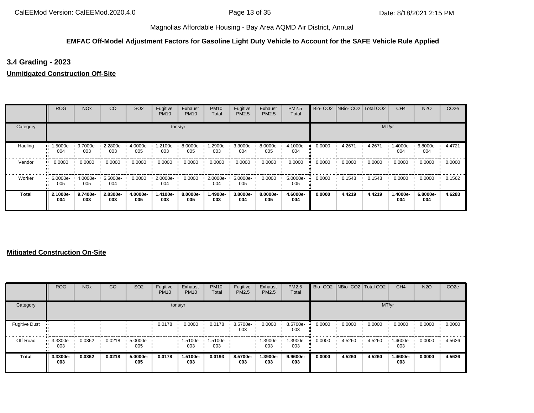### **EMFAC Off-Model Adjustment Factors for Gasoline Light Duty Vehicle to Account for the SAFE Vehicle Rule Applied**

## **3.4 Grading - 2023**

**Unmitigated Construction Off-Site**

|          | <b>ROG</b>         | <b>NO<sub>x</sub></b> | CO              | SO <sub>2</sub> | Fugitive<br><b>PM10</b> | Exhaust<br><b>PM10</b> | <b>PM10</b><br>Total | Fugitive<br>PM2.5 | Exhaust<br><b>PM2.5</b> | PM2.5<br>Total  |        | Bio- CO2 NBio- CO2 Total CO2 |        | CH <sub>4</sub> | <b>N2O</b>      | CO <sub>2e</sub> |
|----------|--------------------|-----------------------|-----------------|-----------------|-------------------------|------------------------|----------------------|-------------------|-------------------------|-----------------|--------|------------------------------|--------|-----------------|-----------------|------------------|
| Category |                    |                       |                 |                 |                         | tons/yr                |                      |                   |                         |                 |        |                              | MT/yr  |                 |                 |                  |
| Hauling  | 1.5000e-<br>004    | 9.7000e-<br>003       | 2.2800e-<br>003 | 4.0000e-<br>005 | -2100e-<br>003          | 8.0000e-<br>005        | 1.2900e-<br>003      | 3.3000e-<br>004   | 8.0000e-<br>005         | 4.1000e-<br>004 | 0.0000 | 4.2671                       | 4.2671 | 1.4000e-<br>004 | 6.8000e-<br>004 | 4.4721           |
| Vendor   | 0.0000<br>         | 0.0000                | 0.0000          | 0.0000          | 0.0000                  | 0.0000                 | 0.0000               | 0.0000            | 0.0000                  | 0.0000          | 0.0000 | 0.0000                       | 0.0000 | 0.0000          | 0.0000          | 0.0000           |
| Worker   | $-6.0000e-$<br>005 | $4.0000e -$<br>005    | 5.5000e-<br>004 | 0.0000          | 2.0000e-<br>004         | 0.0000                 | 2.0000e-<br>004      | 5.0000e-<br>005   | 0.0000                  | 5.0000e-<br>005 | 0.0000 | 0.1548                       | 0.1548 | 0.0000          | 0.0000          | 0.1562           |
| Total    | 2.1000e-<br>004    | 9.7400e-<br>003       | 2.8300e-<br>003 | 4.0000e-<br>005 | 1.4100e-<br>003         | 8.0000e-<br>005        | 1.4900e-<br>003      | 3.8000e-<br>004   | 8.0000e-<br>005         | 4.6000e-<br>004 | 0.0000 | 4.4219                       | 4.4219 | 1.4000e-<br>004 | 6.8000e-<br>004 | 4.6283           |

|                      | <b>ROG</b>                     | <b>NO<sub>x</sub></b> | CO     | SO <sub>2</sub> | Fugitive<br><b>PM10</b> | Exhaust<br><b>PM10</b> | <b>PM10</b><br>Total | Fugitive<br>PM2.5 | Exhaust<br><b>PM2.5</b> | <b>PM2.5</b><br>Total |        | Bio- CO2   NBio- CO2   Total CO2 |        | CH <sub>4</sub> | <b>N2O</b> | CO <sub>2e</sub> |
|----------------------|--------------------------------|-----------------------|--------|-----------------|-------------------------|------------------------|----------------------|-------------------|-------------------------|-----------------------|--------|----------------------------------|--------|-----------------|------------|------------------|
| Category             |                                |                       |        |                 |                         | tons/yr                |                      |                   |                         |                       |        |                                  | MT/yr  |                 |            |                  |
| <b>Fugitive Dust</b> |                                |                       |        |                 | 0.0178                  | 0.0000                 | 0.0178               | 8.5700e-<br>003   | 0.0000                  | 8.5700e-<br>003       | 0.0000 | 0.0000                           | 0.0000 | 0.0000          | 0.0000     | 0.0000           |
| Off-Road             | $\blacksquare$ 3.3300e-<br>003 | 0.0362                | 0.0218 | 5.0000e-<br>005 |                         | 1.5100e-<br>003        | 1.5100e-<br>003      |                   | .3900e-<br>003          | 1.3900e-<br>003       | 0.0000 | 4.5260                           | 4.5260 | 1.4600e-<br>003 | 0.0000     | 4.5626           |
| <b>Total</b>         | 3.3300e-<br>003                | 0.0362                | 0.0218 | 5.0000e-<br>005 | 0.0178                  | 1.5100e-<br>003        | 0.0193               | 8.5700e-<br>003   | 1.3900e-<br>003         | 9.9600e-<br>003       | 0.0000 | 4.5260                           | 4.5260 | 1.4600e-<br>003 | 0.0000     | 4.5626           |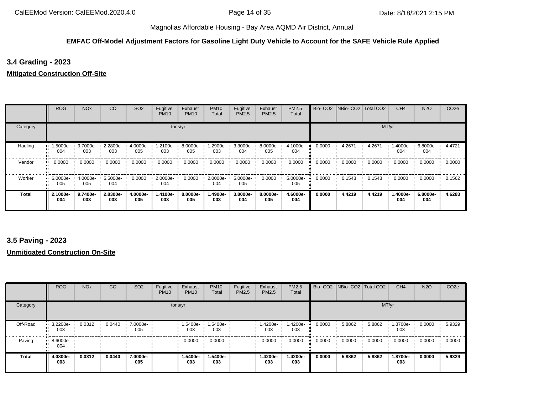### **EMFAC Off-Model Adjustment Factors for Gasoline Light Duty Vehicle to Account for the SAFE Vehicle Rule Applied**

## **3.4 Grading - 2023**

### **Mitigated Construction Off-Site**

|              | <b>ROG</b>         | <b>NO<sub>x</sub></b> | CO              | SO <sub>2</sub> | Fugitive<br><b>PM10</b> | Exhaust<br><b>PM10</b> | <b>PM10</b><br>Total | Fugitive<br>PM2.5 | Exhaust<br>PM2.5 | PM2.5<br>Total  |        | Bio- CO2 NBio- CO2 Total CO2 |        | CH <sub>4</sub> | <b>N2O</b>      | CO <sub>2e</sub> |
|--------------|--------------------|-----------------------|-----------------|-----------------|-------------------------|------------------------|----------------------|-------------------|------------------|-----------------|--------|------------------------------|--------|-----------------|-----------------|------------------|
| Category     |                    |                       |                 |                 |                         | tons/yr                |                      |                   |                  |                 |        |                              |        | MT/yr           |                 |                  |
| Hauling      | 1.5000e-<br>004    | 9.7000e-<br>003       | 2.2800e-<br>003 | 4.0000e-<br>005 | -2100e-<br>003          | 8.0000e-<br>005        | .2900e-<br>003       | 3.3000e-<br>004   | 8.0000e-<br>005  | 4.1000e-<br>004 | 0.0000 | 4.2671                       | 4.2671 | 1.4000e-<br>004 | 6.8000e-<br>004 | 4.4721           |
| Vendor       | 0.0000<br>         | 0.0000                | 0.0000          | 0.0000          | 0.0000                  | 0.0000                 | 0.0000               | 0.0000            | 0.0000           | 0.0000          | 0.0000 | 0.0000                       | 0.0000 | 0.0000          | 0.0000          | 0.0000           |
| Worker       | $-6.0000e-$<br>005 | 4.0000e-<br>005       | 5.5000e-<br>004 | 0.0000          | 2.0000e-<br>004         | 0.0000                 | 2.0000e-<br>004      | 5.0000e-<br>005   | 0.0000           | 5.0000e-<br>005 | 0.0000 | 0.1548                       | 0.1548 | 0.0000          | 0.0000          | 0.1562           |
| <b>Total</b> | 2.1000e-<br>004    | 9.7400e-<br>003       | 2.8300e-<br>003 | 4.0000e-<br>005 | 1.4100e-<br>003         | 8.0000e-<br>005        | 1.4900e-<br>003      | 3.8000e-<br>004   | 8.0000e-<br>005  | 4.6000e-<br>004 | 0.0000 | 4.4219                       | 4.4219 | 1.4000e-<br>004 | 6.8000e-<br>004 | 4.6283           |

### **3.5 Paving - 2023**

|              | <b>ROG</b>                     | <b>NO<sub>x</sub></b> | CO     | SO <sub>2</sub> | Fugitive<br><b>PM10</b> | Exhaust<br><b>PM10</b> | <b>PM10</b><br>Total | Fugitive<br>PM2.5 | Exhaust<br>PM2.5 | PM2.5<br>Total  |        | Bio- CO2 NBio- CO2 Total CO2 |        | CH <sub>4</sub> | <b>N2O</b> | CO <sub>2e</sub> |
|--------------|--------------------------------|-----------------------|--------|-----------------|-------------------------|------------------------|----------------------|-------------------|------------------|-----------------|--------|------------------------------|--------|-----------------|------------|------------------|
| Category     |                                |                       |        |                 | tons/yr                 |                        |                      |                   |                  |                 |        |                              | MT/yr  |                 |            |                  |
| Off-Road     | $\blacksquare$ 3.2200e-<br>003 | 0.0312                | 0.0440 | 7.0000e-<br>005 |                         | 1.5400e-<br>003        | 1.5400e-<br>003      |                   | 1.4200e-<br>003  | 1.4200e-<br>003 | 0.0000 | 5.8862                       | 5.8862 | 1.8700e-<br>003 | 0.0000     | 5.9329           |
| Paving       | $\blacksquare$ 8.6000e-<br>004 |                       |        |                 |                         | 0.0000                 | 0.0000               |                   | 0.0000           | 0.0000          | 0.0000 | 0.0000                       | 0.0000 | 0.0000          | 0.0000     | 0.0000           |
| <b>Total</b> | 4.0800e-<br>003                | 0.0312                | 0.0440 | 7.0000e-<br>005 |                         | 1.5400e-<br>003        | 1.5400e-<br>003      |                   | 1.4200e-<br>003  | 1.4200e-<br>003 | 0.0000 | 5.8862                       | 5.8862 | 1.8700e-<br>003 | 0.0000     | 5.9329           |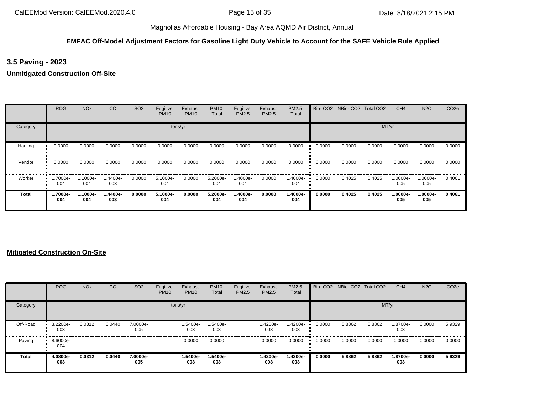### **EMFAC Off-Model Adjustment Factors for Gasoline Light Duty Vehicle to Account for the SAFE Vehicle Rule Applied**

**3.5 Paving - 2023**

**Unmitigated Construction Off-Site**

|              | <b>ROG</b>                     | <b>NO<sub>x</sub></b> | CO              | SO <sub>2</sub> | Fugitive<br><b>PM10</b> | Exhaust<br><b>PM10</b> | <b>PM10</b><br>Total | Fugitive<br>PM2.5 | Exhaust<br><b>PM2.5</b> | PM2.5<br>Total  |        | Bio- CO2 NBio- CO2 Total CO2 |        | CH <sub>4</sub> | <b>N2O</b>      | CO <sub>2e</sub> |
|--------------|--------------------------------|-----------------------|-----------------|-----------------|-------------------------|------------------------|----------------------|-------------------|-------------------------|-----------------|--------|------------------------------|--------|-----------------|-----------------|------------------|
| Category     |                                |                       |                 |                 |                         | tons/yr                |                      |                   |                         |                 |        |                              |        | MT/yr           |                 |                  |
| Hauling      | 0.0000<br>                     | 0.0000                | 0.0000          | 0.0000          | 0.0000                  | 0.0000                 | 0.0000               | 0.0000            | 0.0000                  | 0.0000          | 0.0000 | 0.0000                       | 0.0000 | 0.0000          | 0.0000          | 0.0000           |
| Vendor       | 0.0000<br>                     | 0.0000                | 0.0000          | 0.0000          | 0.0000                  | 0.0000                 | 0.0000               | 0.0000            | 0.0000                  | 0.0000          | 0.0000 | 0.0000                       | 0.0000 | 0.0000          | 0.0000          | 0.0000           |
| Worker       | $\blacksquare$ 1.7000e-<br>004 | 1.1000e-<br>004       | 1.4400e-<br>003 | 0.0000          | 5.1000e-<br>004         | 0.0000                 | 5.2000e-<br>004      | .4000e-<br>004    | 0.0000                  | 1.4000e-<br>004 | 0.0000 | 0.4025                       | 0.4025 | 1.0000e-<br>005 | -:0000e<br>005  | 0.4061           |
| <b>Total</b> | 1.7000e-<br>004                | 1.1000e-<br>004       | 1.4400e-<br>003 | 0.0000          | 5.1000e-<br>004         | 0.0000                 | 5.2000e-<br>004      | .4000e-<br>004    | 0.0000                  | 1.4000e-<br>004 | 0.0000 | 0.4025                       | 0.4025 | 1.0000e-<br>005 | 1.0000e-<br>005 | 0.4061           |

|              | <b>ROG</b>                     | <b>NO<sub>x</sub></b> | CO     | SO <sub>2</sub> | Fugitive<br><b>PM10</b> | Exhaust<br><b>PM10</b> | <b>PM10</b><br>Total | Fugitive<br>PM2.5 | Exhaust<br><b>PM2.5</b> | <b>PM2.5</b><br>Total |        | Bio- CO2   NBio- CO2   Total CO2 |        | CH <sub>4</sub> | <b>N2O</b> | CO <sub>2e</sub> |
|--------------|--------------------------------|-----------------------|--------|-----------------|-------------------------|------------------------|----------------------|-------------------|-------------------------|-----------------------|--------|----------------------------------|--------|-----------------|------------|------------------|
| Category     |                                |                       |        |                 | tons/yr                 |                        |                      |                   |                         |                       |        |                                  | MT/yr  |                 |            |                  |
| Off-Road     | $\blacksquare$ 3.2200e-<br>003 | 0.0312                | 0.0440 | 7.0000e-<br>005 |                         | 1.5400e-<br>003        | 1.5400e-<br>003      |                   | -4200e-<br>003          | 1.4200e-<br>003       | 0.0000 | 5.8862                           | 5.8862 | 1.8700e-<br>003 | 0.0000     | 5.9329           |
| Paving       | $\blacksquare$ 8.6000e-<br>004 |                       |        |                 |                         | 0.0000                 | 0.0000               |                   | 0.0000                  | 0.0000                | 0.0000 | 0.0000                           | 0.0000 | 0.0000          | 0.0000     | 0.0000           |
| <b>Total</b> | 4.0800e-<br>003                | 0.0312                | 0.0440 | 7.0000e-<br>005 |                         | 1.5400e-<br>003        | 1.5400e-<br>003      |                   | 1.4200e-<br>003         | 1.4200e-<br>003       | 0.0000 | 5.8862                           | 5.8862 | 1.8700e-<br>003 | 0.0000     | 5.9329           |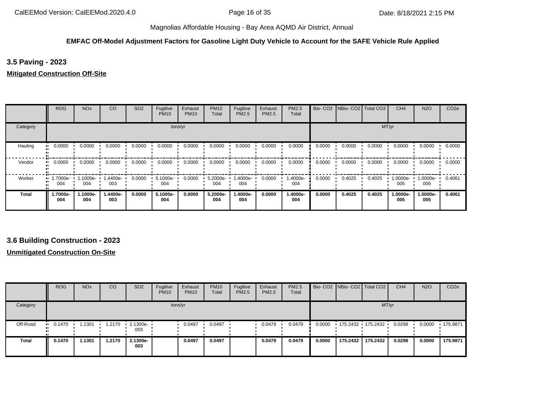#### **EMFAC Off-Model Adjustment Factors for Gasoline Light Duty Vehicle to Account for the SAFE Vehicle Rule Applied**

**3.5 Paving - 2023**

**Mitigated Construction Off-Site**

|              | <b>ROG</b>             | <b>NO<sub>x</sub></b> | CO              | SO <sub>2</sub> | Fugitive<br><b>PM10</b> | Exhaust<br><b>PM10</b> | <b>PM10</b><br>Total | Fugitive<br>PM2.5 | Exhaust<br>PM2.5 | PM2.5<br>Total  |        | Bio- CO <sub>2</sub> NBio- CO <sub>2</sub> | Total CO <sub>2</sub> | CH <sub>4</sub> | <b>N2O</b>      | CO <sub>2e</sub> |
|--------------|------------------------|-----------------------|-----------------|-----------------|-------------------------|------------------------|----------------------|-------------------|------------------|-----------------|--------|--------------------------------------------|-----------------------|-----------------|-----------------|------------------|
| Category     |                        |                       |                 |                 |                         | tons/yr                |                      |                   |                  |                 |        |                                            |                       | MT/yr           |                 |                  |
| Hauling      | 0.0000<br>             | 0.0000                | 0.0000          | 0.0000          | 0.0000                  | 0.0000                 | 0.0000               | 0.0000            | 0.0000           | 0.0000          | 0.0000 | 0.0000                                     | 0.0000                | 0.0000          | 0.0000          | 0.0000           |
| Vendor       | 0.0000<br>ш.           | 0.0000                | 0.0000          | 0.0000          | 0.0000                  | 0.0000                 | 0.0000               | 0.0000            | 0.0000           | 0.0000          | 0.0000 | 0.0000                                     | 0.0000                | 0.0000          | 0.0000          | 0.0000           |
| Worker       | 1.7000e-<br>. .<br>004 | 1.1000e-<br>004       | .4400e-<br>003  | 0.0000          | 5.1000e-<br>004         | 0.0000                 | 5.2000e-<br>004      | -.4000e<br>004    | 0.0000           | 1.4000e-<br>004 | 0.0000 | 0.4025                                     | 0.4025                | 1.0000e-<br>005 | 0000e- •<br>005 | 0.4061           |
| <b>Total</b> | 1.7000e-<br>004        | 1.1000e-<br>004       | 1.4400e-<br>003 | 0.0000          | 5.1000e-<br>004         | 0.0000                 | 5.2000e-<br>004      | -.4000e<br>004    | 0.0000           | 1.4000e-<br>004 | 0.0000 | 0.4025                                     | 0.4025                | 1.0000e-<br>005 | 1.0000e-<br>005 | 0.4061           |

### **3.6 Building Construction - 2023**

|          | <b>ROG</b>            | <b>NO<sub>x</sub></b> | CO     | SO <sub>2</sub> | Fugitive<br><b>PM10</b> | Exhaust<br><b>PM10</b> | <b>PM10</b><br><b>Total</b> | Fugitive<br>PM2.5 | Exhaust<br><b>PM2.5</b> | <b>PM2.5</b><br>Total |        | Bio- CO2   NBio- CO2   Total CO2 |                   | CH <sub>4</sub> | <b>N2O</b> | CO <sub>2e</sub> |
|----------|-----------------------|-----------------------|--------|-----------------|-------------------------|------------------------|-----------------------------|-------------------|-------------------------|-----------------------|--------|----------------------------------|-------------------|-----------------|------------|------------------|
| Category |                       |                       |        |                 | tons/yr                 |                        |                             |                   |                         |                       |        |                                  | MT/yr             |                 |            |                  |
| Off-Road | $\blacksquare$ 0.1470 | 1.1301                | 1.2170 | 2.1300e-<br>003 |                         | 0.0497                 | 0.0497                      |                   | 0.0479                  | 0.0479                | 0.0000 |                                  | 175.2432 175.2432 | 0.0298          | 0.0000     | .175.9871        |
| Total    | 0.1470                | 1.1301                | 1.2170 | 2.1300e-<br>003 |                         | 0.0497                 | 0.0497                      |                   | 0.0479                  | 0.0479                | 0.0000 | 175.2432                         | 175.2432          | 0.0298          | 0.0000     | 175.9871         |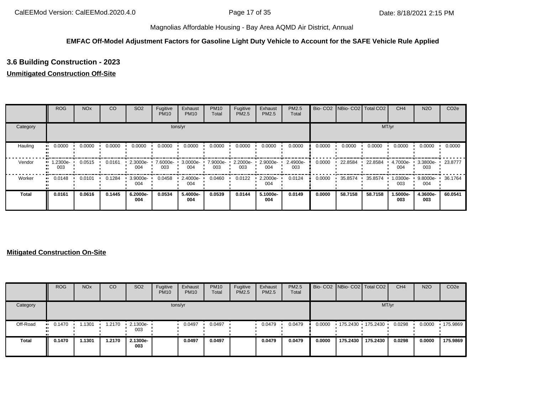#### **EMFAC Off-Model Adjustment Factors for Gasoline Light Duty Vehicle to Account for the SAFE Vehicle Rule Applied**

# **3.6 Building Construction - 2023**

### **Unmitigated Construction Off-Site**

|          | <b>ROG</b>                     | <b>NO<sub>x</sub></b> | CO     | SO <sub>2</sub> | Fugitive<br><b>PM10</b> | Exhaust<br><b>PM10</b> | <b>PM10</b><br>Total | Fugitive<br>PM2.5 | Exhaust<br>PM2.5 | <b>PM2.5</b><br>Total |        | Bio- CO2 NBio- CO2 Total CO2 |         | CH <sub>4</sub> | <b>N2O</b>      | CO <sub>2e</sub> |
|----------|--------------------------------|-----------------------|--------|-----------------|-------------------------|------------------------|----------------------|-------------------|------------------|-----------------------|--------|------------------------------|---------|-----------------|-----------------|------------------|
| Category |                                |                       |        |                 |                         | tons/yr                |                      |                   |                  |                       |        |                              |         | MT/yr           |                 |                  |
| Hauling  | 0.0000<br>                     | 0.0000                | 0.0000 | 0.0000          | 0.0000                  | 0.0000                 | 0.0000               | 0.0000            | 0.0000           | 0.0000                | 0.0000 | 0.0000                       | 0.0000  | 0.0000          | 0.0000          | 0.0000           |
| Vendor   | $\blacksquare$ 1.2300e-<br>003 | 0.0515                | 0.0161 | 2.3000e-<br>004 | 7.6000e-<br>003         | 3.0000e-<br>004        | 7.9000e-<br>003      | 2.2000e-<br>003   | 2.9000e-<br>004  | 2.4900e-<br>003       | 0.0000 | 22.8584                      | 22.8584 | 4.7000e-<br>004 | 3.3800e-<br>003 | 23.8777          |
| Worker   | 0.0148<br>. .                  | 0.0101                | 0.1284 | 3.9000e-<br>004 | 0.0458                  | 2.4000e-<br>004        | 0.0460               | 0.0122            | 2.2000e-<br>004  | 0.0124                | 0.0000 | 35.8574                      | 35.8574 | -.0300e<br>003  | 9.8000e-<br>004 | 36.1764          |
| Total    | 0.0161                         | 0.0616                | 0.1445 | 6.2000e-<br>004 | 0.0534                  | 5.4000e-<br>004        | 0.0539               | 0.0144            | 5.1000e-<br>004  | 0.0149                | 0.0000 | 58.7158                      | 58.7158 | 1.5000e-<br>003 | 4.3600e-<br>003 | 60.0541          |

|          | <b>ROG</b>            | <b>NO<sub>x</sub></b> | <sub>CO</sub> | SO <sub>2</sub>                 | Fugitive<br><b>PM10</b> | Exhaust<br><b>PM10</b> | <b>PM10</b><br>Total | Fugitive<br>PM2.5 | Exhaust<br><b>PM2.5</b> | PM2.5<br>Total |        | Bio- CO2   NBio- CO2   Total CO2 |          | CH <sub>4</sub> | <b>N2O</b> | CO <sub>2e</sub> |
|----------|-----------------------|-----------------------|---------------|---------------------------------|-------------------------|------------------------|----------------------|-------------------|-------------------------|----------------|--------|----------------------------------|----------|-----------------|------------|------------------|
| Category |                       |                       |               |                                 |                         | tons/yr                |                      |                   |                         |                |        |                                  |          | MT/yr           |            |                  |
| Off-Road | $\blacksquare$ 0.1470 | 1.1301                | 1.2170        | $\cdot$ 2.1300e- $\cdot$<br>003 |                         | 0.0497                 | 0.0497               |                   | 0.0479                  | 0.0479         | 0.0000 | 175.2430 175.2430                |          | 0.0298          | 0.0000     | $+175.9869$      |
| Total    | 0.1470                | 1301، ا               | 1.2170        | 2.1300e-<br>003                 |                         | 0.0497                 | 0.0497               |                   | 0.0479                  | 0.0479         | 0.0000 | 175.2430                         | 175.2430 | 0.0298          | 0.0000     | 175.9869         |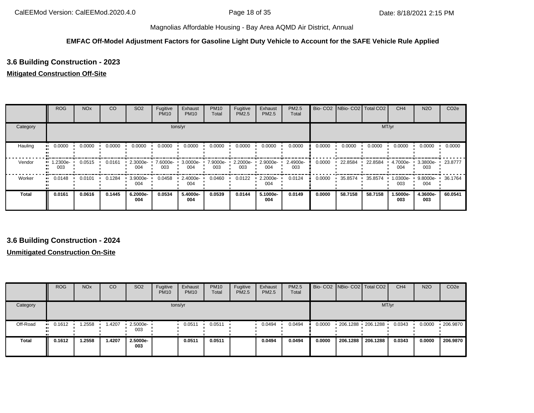#### **EMFAC Off-Model Adjustment Factors for Gasoline Light Duty Vehicle to Account for the SAFE Vehicle Rule Applied**

# **3.6 Building Construction - 2023**

### **Mitigated Construction Off-Site**

|              | <b>ROG</b>          | <b>NO<sub>x</sub></b> | CO     | SO <sub>2</sub> | Fugitive<br><b>PM10</b> | Exhaust<br><b>PM10</b> | <b>PM10</b><br>Total | Fugitive<br>PM2.5 | Exhaust<br>PM2.5 | PM2.5<br>Total  |        | Bio- CO2   NBio- CO2   Total CO2 |         | CH <sub>4</sub> | <b>N2O</b>         | CO <sub>2e</sub> |
|--------------|---------------------|-----------------------|--------|-----------------|-------------------------|------------------------|----------------------|-------------------|------------------|-----------------|--------|----------------------------------|---------|-----------------|--------------------|------------------|
| Category     |                     |                       |        |                 |                         | tons/yr                |                      |                   |                  |                 |        |                                  |         | MT/yr           |                    |                  |
| Hauling      | 0.0000              | 0.0000                | 0.0000 | 0.0000          | 0.0000                  | 0.0000                 | 0.0000               | 0.0000            | 0.0000           | 0.0000          | 0.0000 | 0.0000                           | 0.0000  | 0.0000          | 0.0000             | 0.0000           |
| Vendor       | 1.2300e-<br><br>003 | 0.0515                | 0.0161 | 2.3000e-<br>004 | 7.6000e-<br>003         | 3.0000e-<br>004        | 7.9000e-<br>003      | 2.2000e-<br>003   | 2.9000e-<br>004  | 2.4900e-<br>003 | 0.0000 | 22.8584                          | 22.8584 | 4.7000e-<br>004 | $3.3800e -$<br>003 | 23.8777          |
| Worker       | 0.0148<br>          | 0.0101                | 0.1284 | 3.9000e-<br>004 | 0.0458                  | 2.4000e-<br>004        | 0.0460               | 0.0122            | 2.2000e-<br>004  | 0.0124          | 0.0000 | 35.8574                          | 35.8574 | 1.0300e-<br>003 | 9.8000e-<br>004    | 36.1764          |
| <b>Total</b> | 0.0161              | 0.0616                | 0.1445 | 6.2000e-<br>004 | 0.0534                  | 5.4000e-<br>004        | 0.0539               | 0.0144            | 5.1000e-<br>004  | 0.0149          | 0.0000 | 58.7158                          | 58.7158 | 1.5000e-<br>003 | 4.3600e-<br>003    | 60.0541          |

### **3.6 Building Construction - 2024**

|              | <b>ROG</b> | <b>NO<sub>x</sub></b> | CO     | <b>SO2</b>         | Fugitive<br><b>PM10</b> | Exhaust<br><b>PM10</b> | <b>PM10</b><br>Total | Fugitive<br>PM2.5 | Exhaust<br><b>PM2.5</b> | <b>PM2.5</b><br>Total |        | Bio- CO2 NBio- CO2 Total CO2 |          | CH <sub>4</sub> | <b>N2O</b> | CO <sub>2e</sub> |
|--------------|------------|-----------------------|--------|--------------------|-------------------------|------------------------|----------------------|-------------------|-------------------------|-----------------------|--------|------------------------------|----------|-----------------|------------|------------------|
| Category     |            |                       |        |                    |                         | tons/yr                |                      |                   |                         |                       |        |                              | MT/yr    |                 |            |                  |
| Off-Road     | 0.1612<br> | .2558                 | 1.4207 | $2.5000e -$<br>003 |                         | 0.0511                 | 0.0511               |                   | 0.0494                  | 0.0494                | 0.0000 | $-206.1288 - 206.1288$       |          | 0.0343          | 0.0000     | $\cdot$ 206.9870 |
| <b>Total</b> | 0.1612     | 2558.،                | 1.4207 | 2.5000e-<br>003    |                         | 0.0511                 | 0.0511               |                   | 0.0494                  | 0.0494                | 0.0000 | 206.1288                     | 206.1288 | 0.0343          | 0.0000     | 206.9870         |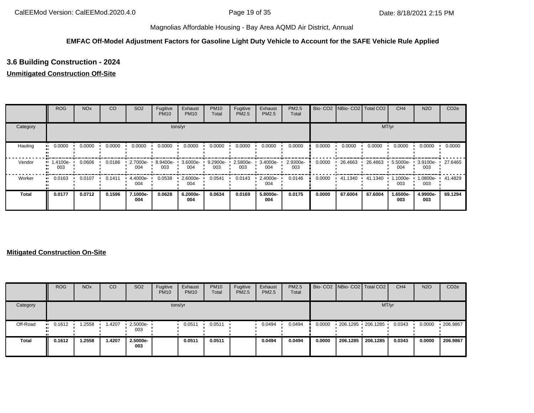#### **EMFAC Off-Model Adjustment Factors for Gasoline Light Duty Vehicle to Account for the SAFE Vehicle Rule Applied**

# **3.6 Building Construction - 2024**

### **Unmitigated Construction Off-Site**

|              | <b>ROG</b>          | <b>NO<sub>x</sub></b> | CO     | SO <sub>2</sub> | Fugitive<br><b>PM10</b> | Exhaust<br><b>PM10</b> | <b>PM10</b><br>Total | Fugitive<br><b>PM2.5</b> | Exhaust<br>PM2.5 | <b>PM2.5</b><br>Total |        | Bio- CO2 NBio- CO2 Total CO2 |         | CH <sub>4</sub> | <b>N2O</b>      | CO <sub>2e</sub> |
|--------------|---------------------|-----------------------|--------|-----------------|-------------------------|------------------------|----------------------|--------------------------|------------------|-----------------------|--------|------------------------------|---------|-----------------|-----------------|------------------|
| Category     |                     |                       |        |                 |                         | tons/yr                |                      |                          |                  |                       |        |                              |         | MT/yr           |                 |                  |
| Hauling      | 0.0000<br>          | 0.0000                | 0.0000 | 0.0000          | 0.0000                  | 0.0000                 | 0.0000               | 0.0000                   | 0.0000           | 0.0000                | 0.0000 | 0.0000                       | 0.0000  | 0.0000          | 0.0000          | 0.0000           |
| Vendor       | 1.4100e-<br><br>003 | 0.0606                | 0.0186 | 2.7000e-<br>004 | 8.9400e-<br>003         | 3.6000e-<br>004        | 9.2900e-<br>003      | 2.5800e-<br>003          | 3.4000e-<br>004  | 2.9300e-<br>003       | 0.0000 | 26.4663                      | 26.4663 | 5.5000e-<br>004 | 3.9100e-<br>003 | 27.6465          |
| Worker       | 0.0163<br>          | 0.0107                | 0.1411 | 4.4000e-<br>004 | 0.0538                  | 2.6000e-<br>004        | 0.0541               | 0.0143                   | 2.4000e-<br>004  | 0.0146                | 0.0000 | 41.1340                      | 41.1340 | 1.1000e-<br>003 | 1.0800e-<br>003 | 41.4829          |
| <b>Total</b> | 0.0177              | 0.0712                | 0.1596 | 7.1000e-<br>004 | 0.0628                  | 6.2000e-<br>004        | 0.0634               | 0.0169                   | 5.8000e-<br>004  | 0.0175                | 0.0000 | 67.6004                      | 67.6004 | 1.6500e-<br>003 | 4.9900e-<br>003 | 69.1294          |

|          | <b>ROG</b>            | <b>NO<sub>x</sub></b> | CO     | SO <sub>2</sub>    | Fugitive<br><b>PM10</b> | Exhaust<br><b>PM10</b> | <b>PM10</b><br>Total | Fugitive<br>PM2.5 | Exhaust<br><b>PM2.5</b> | PM2.5<br>Total |        | Bio- CO2   NBio- CO2   Total CO2 |          | CH <sub>4</sub> | <b>N2O</b> | CO <sub>2e</sub> |
|----------|-----------------------|-----------------------|--------|--------------------|-------------------------|------------------------|----------------------|-------------------|-------------------------|----------------|--------|----------------------------------|----------|-----------------|------------|------------------|
| Category |                       |                       |        |                    |                         | tons/yr                |                      |                   |                         |                |        |                                  |          | MT/yr           |            |                  |
| Off-Road | $\blacksquare$ 0.1612 | .2558                 | .4207  | $2.5000e -$<br>003 |                         | 0.0511                 | 0.0511               |                   | 0.0494                  | 0.0494         | 0.0000 | $206.1285$ 206.1285              |          | 0.0343          | 0.0000     | $\cdot$ 206.9867 |
| Total    | 0.1612                | .2558                 | 1.4207 | 2.5000e-<br>003    |                         | 0.0511                 | 0.0511               |                   | 0.0494                  | 0.0494         | 0.0000 | 206.1285                         | 206.1285 | 0.0343          | 0.0000     | 206.9867         |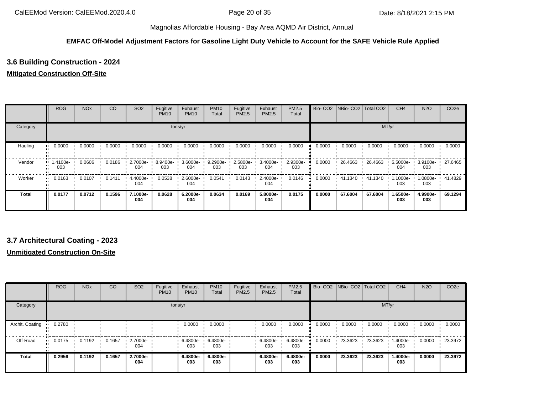#### **EMFAC Off-Model Adjustment Factors for Gasoline Light Duty Vehicle to Account for the SAFE Vehicle Rule Applied**

# **3.6 Building Construction - 2024**

### **Mitigated Construction Off-Site**

|              | <b>ROG</b>      | <b>NO<sub>x</sub></b> | CO     | SO <sub>2</sub>    | Fugitive<br><b>PM10</b> | Exhaust<br><b>PM10</b> | <b>PM10</b><br>Total | Fugitive<br><b>PM2.5</b> | Exhaust<br>PM2.5 | <b>PM2.5</b><br>Total |        | Bio- CO2   NBio- CO2   Total CO2 |         | CH <sub>4</sub>    | <b>N2O</b>         | CO <sub>2e</sub> |
|--------------|-----------------|-----------------------|--------|--------------------|-------------------------|------------------------|----------------------|--------------------------|------------------|-----------------------|--------|----------------------------------|---------|--------------------|--------------------|------------------|
| Category     |                 |                       |        |                    |                         | tons/yr                |                      |                          |                  |                       |        |                                  |         | MT/yr              |                    |                  |
| Hauling      | 0.0000          | 0.0000                | 0.0000 | 0.0000             | 0.0000                  | 0.0000                 | 0.0000               | 0.0000                   | 0.0000           | 0.0000                | 0.0000 | 0.0000                           | 0.0000  | 0.0000             | 0.0000             | 0.0000           |
| Vendor       | 1.4100e-<br>003 | 0.0606                | 0.0186 | $2.7000e -$<br>004 | 8.9400e-<br>003         | 3.6000e-<br>004        | 9.2900e-<br>003      | 2.5800e-<br>003          | 3.4000e-<br>004  | 2.9300e-<br>003       | 0.0000 | 26.4663                          | 26.4663 | $5.5000e -$<br>004 | $3.9100e -$<br>003 | 27.6465          |
| Worker       | 0.0163          | 0.0107                | 0.1411 | 4.4000e-<br>004    | 0.0538                  | 2.6000e-<br>004        | 0.0541               | 0.0143                   | 2.4000e-<br>004  | 0.0146                | 0.0000 | 41.1340                          | 41.1340 | 1.1000e-<br>003    | 1.0800e-<br>003    | 41.4829          |
| <b>Total</b> | 0.0177          | 0.0712                | 0.1596 | 7.1000e-<br>004    | 0.0628                  | 6.2000e-<br>004        | 0.0634               | 0.0169                   | 5.8000e-<br>004  | 0.0175                | 0.0000 | 67.6004                          | 67.6004 | 1.6500e-<br>003    | 4.9900e-<br>003    | 69.1294          |

### **3.7 Architectural Coating - 2023**

|                 | <b>ROG</b> | <b>NO<sub>x</sub></b> | CO     | SO <sub>2</sub> | Fugitive<br><b>PM10</b> | Exhaust<br><b>PM10</b> | <b>PM10</b><br>Total | Fugitive<br>PM2.5 | Exhaust<br>PM2.5  | <b>PM2.5</b><br>Total | Bio-CO <sub>2</sub> | NBio- CO2   Total CO2 |         | CH <sub>4</sub> | <b>N2O</b> | CO <sub>2e</sub> |
|-----------------|------------|-----------------------|--------|-----------------|-------------------------|------------------------|----------------------|-------------------|-------------------|-----------------------|---------------------|-----------------------|---------|-----------------|------------|------------------|
| Category        |            |                       |        |                 |                         | tons/yr                |                      |                   |                   |                       |                     |                       | MT/yr   |                 |            |                  |
| Archit. Coating | 0.2780     |                       |        |                 |                         | 0.0000                 | 0.0000               |                   | 0.0000            | 0.0000                | 0.0000              | 0.0000                | 0.0000  | 0.0000          | 0.0000     | 0.0000           |
| Off-Road        | 0.0175     | 0.1192                | 0.1657 | 2.7000e-<br>004 |                         | 6.4800e<br>003         | 6.4800e-<br>003      |                   | $6.4800e-$<br>003 | 6.4800e-<br>003       | 0.0000              | 23.3623               | 23.3623 | 1.4000e-<br>003 | 0.0000     | 23.3972          |
| <b>Total</b>    | 0.2956     | 0.1192                | 0.1657 | 2.7000e-<br>004 |                         | 6.4800e-<br>003        | 6.4800e-<br>003      |                   | 6.4800e-<br>003   | 6.4800e-<br>003       | 0.0000              | 23.3623               | 23.3623 | 1.4000e-<br>003 | 0.0000     | 23.3972          |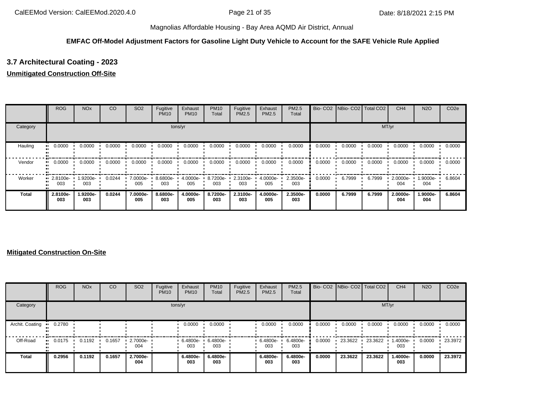### **EMFAC Off-Model Adjustment Factors for Gasoline Light Duty Vehicle to Account for the SAFE Vehicle Rule Applied**

# **3.7 Architectural Coating - 2023**

### **Unmitigated Construction Off-Site**

|          | <b>ROG</b>                     | <b>NO<sub>x</sub></b> | CO     | SO <sub>2</sub> | Fugitive<br><b>PM10</b> | Exhaust<br><b>PM10</b> | <b>PM10</b><br>Total | Fugitive<br>PM2.5 | Exhaust<br>PM2.5 | <b>PM2.5</b><br>Total | Bio-CO <sub>2</sub> | NBio-CO2 Total CO2 |        | CH <sub>4</sub> | <b>N2O</b>      | CO <sub>2e</sub> |
|----------|--------------------------------|-----------------------|--------|-----------------|-------------------------|------------------------|----------------------|-------------------|------------------|-----------------------|---------------------|--------------------|--------|-----------------|-----------------|------------------|
| Category |                                |                       |        |                 |                         | tons/yr                |                      |                   |                  |                       |                     |                    | MT/yr  |                 |                 |                  |
| Hauling  | 0.0000<br>                     | 0.0000                | 0.0000 | 0.0000          | 0.0000                  | 0.0000                 | 0.0000               | 0.0000            | 0.0000           | 0.0000                | 0.0000              | 0.0000             | 0.0000 | 0.0000          | 0.0000          | 0.0000           |
| Vendor   | 0.0000<br>                     | 0.0000                | 0.0000 | 0.0000          | 0.0000                  | 0.0000                 | 0.0000               | 0.0000            | 0.0000           | 0.0000                | 0.0000              | 0.0000             | 0.0000 | 0.0000          | 0.0000          | 0.0000           |
| Worker   | $\blacksquare$ 2.8100e-<br>003 | 1.9200e-<br>003       | 0.0244 | 7.0000e-<br>005 | 8.6800e-<br>003         | 4.0000e-<br>005        | 8.7200e-<br>003      | 2.3100e-<br>003   | 4.0000e-<br>005  | 2.3500e-<br>003       | 0.0000              | 6.7999             | 6.7999 | 2.0000e-<br>004 | 1.9000e-<br>004 | 6.8604           |
| Total    | 2.8100e-<br>003                | 1.9200e-<br>003       | 0.0244 | 7.0000e-<br>005 | 8.6800e-<br>003         | 4.0000e-<br>005        | 8.7200e-<br>003      | 2.3100e-<br>003   | 4.0000e-<br>005  | 2.3500e-<br>003       | 0.0000              | 6.7999             | 6.7999 | 2.0000e-<br>004 | 1.9000e-<br>004 | 6.8604           |

|                 | <b>ROG</b>            | <b>NO<sub>x</sub></b> | CO     | SO <sub>2</sub> | Fugitive<br><b>PM10</b> | Exhaust<br><b>PM10</b> | <b>PM10</b><br>Total | Fugitive<br>PM2.5 | Exhaust<br><b>PM2.5</b> | <b>PM2.5</b><br>Total |        | Bio- CO2   NBio- CO2   Total CO2 |         | CH <sub>4</sub> | <b>N2O</b> | CO <sub>2e</sub> |
|-----------------|-----------------------|-----------------------|--------|-----------------|-------------------------|------------------------|----------------------|-------------------|-------------------------|-----------------------|--------|----------------------------------|---------|-----------------|------------|------------------|
| Category        |                       |                       |        |                 | tons/yr                 |                        |                      |                   |                         |                       |        |                                  | MT/yr   |                 |            |                  |
| Archit. Coating | 0.2780<br>            |                       |        |                 |                         | 0.0000                 | 0.0000               |                   | 0.0000                  | 0.0000                | 0.0000 | 0.0000                           | 0.0000  | 0.0000          | 0.0000     | 0.0000           |
| Off-Road        | $\blacksquare$ 0.0175 | 0.1192                | 0.1657 | 2.7000e-<br>004 |                         | 6.4800e- •<br>003      | 6.4800e-<br>003      |                   | 6.4800e-<br>003         | 6.4800e-<br>003       | 0.0000 | 23.3622                          | 23.3622 | 1.4000e-<br>003 | 0.0000     | 23.3972          |
| Total           | 0.2956                | 0.1192                | 0.1657 | 2.7000e-<br>004 |                         | 6.4800e-<br>003        | 6.4800e-<br>003      |                   | 6.4800e-<br>003         | 6.4800e-<br>003       | 0.0000 | 23.3622                          | 23.3622 | 1.4000e-<br>003 | 0.0000     | 23.3972          |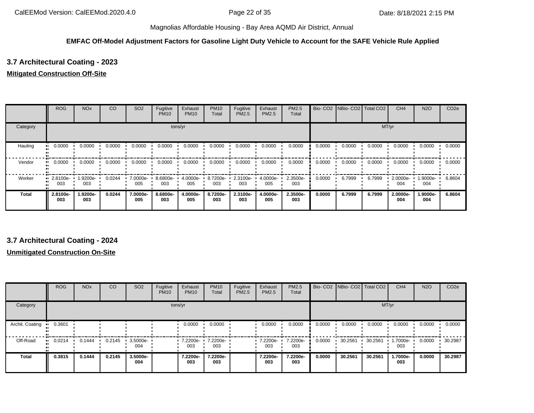### **EMFAC Off-Model Adjustment Factors for Gasoline Light Duty Vehicle to Account for the SAFE Vehicle Rule Applied**

# **3.7 Architectural Coating - 2023**

### **Mitigated Construction Off-Site**

|              | <b>ROG</b>                     | <b>NO<sub>x</sub></b> | CO     | SO <sub>2</sub> | Fugitive<br><b>PM10</b> | Exhaust<br><b>PM10</b> | <b>PM10</b><br>Total | Fugitive<br>PM2.5 | Exhaust<br>PM2.5 | PM2.5<br>Total  |        | Bio- CO2 NBio- CO2 Total CO2 |        | CH <sub>4</sub> | <b>N2O</b>      | CO <sub>2e</sub> |
|--------------|--------------------------------|-----------------------|--------|-----------------|-------------------------|------------------------|----------------------|-------------------|------------------|-----------------|--------|------------------------------|--------|-----------------|-----------------|------------------|
| Category     |                                |                       |        |                 |                         | tons/yr                |                      |                   |                  |                 |        |                              |        | MT/yr           |                 |                  |
| Hauling      | 0.0000                         | 0.0000                | 0.0000 | 0.0000          | 0.0000                  | 0.0000                 | 0.0000               | 0.0000            | 0.0000           | 0.0000          | 0.0000 | 0.0000                       | 0.0000 | 0.0000          | 0.0000          | 0.0000           |
| Vendor       | 0.0000                         | 0.0000                | 0.0000 | 0.0000          | 0.0000                  | 0.0000                 | 0.0000               | 0.0000            | 0.0000           | 0.0000          | 0.0000 | 0.0000                       | 0.0000 | 0.0000          | 0.0000          | 0.0000           |
| Worker       | $\blacksquare$ 2.8100e-<br>003 | 1.9200e-<br>003       | 0.0244 | 7.0000e-<br>005 | 8.6800e-<br>003         | 4.0000e-<br>005        | 8.7200e<br>003       | 2.3100e-<br>003   | 4.0000e-<br>005  | 2.3500e-<br>003 | 0.0000 | 6.7999                       | 6.7999 | 2.0000e-<br>004 | -9000e.<br>004  | 6.8604           |
| <b>Total</b> | 2.8100e-<br>003                | 1.9200e-<br>003       | 0.0244 | 7.0000e-<br>005 | 8.6800e-<br>003         | 4.0000e-<br>005        | 8.7200e-<br>003      | 2.3100e-<br>003   | 4.0000e-<br>005  | 2.3500e-<br>003 | 0.0000 | 6.7999                       | 6.7999 | 2.0000e-<br>004 | 1.9000e-<br>004 | 6.8604           |

### **3.7 Architectural Coating - 2024**

|                 | <b>ROG</b> | <b>NO<sub>x</sub></b> | CO     | SO <sub>2</sub>    | Fugitive<br><b>PM10</b> | Exhaust<br><b>PM10</b> | <b>PM10</b><br>Total | Fugitive<br>PM2.5 | Exhaust<br>PM2.5 | <b>PM2.5</b><br>Total | Bio-CO <sub>2</sub> | NBio- CO2   Total CO2 |         | CH <sub>4</sub> | <b>N2O</b> | CO <sub>2e</sub> |
|-----------------|------------|-----------------------|--------|--------------------|-------------------------|------------------------|----------------------|-------------------|------------------|-----------------------|---------------------|-----------------------|---------|-----------------|------------|------------------|
| Category        |            |                       |        |                    | tons/yr                 |                        |                      |                   |                  |                       |                     |                       | MT/yr   |                 |            |                  |
| Archit. Coating | 0.3601     |                       |        |                    |                         | 0.0000                 | 0.0000               |                   | 0.0000           | 0.0000                | 0.0000              | 0.0000                | 0.0000  | 0.0000          | 0.0000     | 0.0000           |
| Off-Road        | 0.0214     | 0.1444                | 0.2145 | $3.5000e -$<br>004 |                         | 7.2200e-<br>003        | 7.2200e-<br>003      |                   | 7.2200e-<br>003  | 7.2200e-<br>003       | 0.0000              | 30.2561               | 30.2561 | 1.7000e-<br>003 | 0.0000     | 30.2987          |
| <b>Total</b>    | 0.3815     | 0.1444                | 0.2145 | 3.5000e-<br>004    |                         | 7.2200e-<br>003        | 7.2200e-<br>003      |                   | 7.2200e-<br>003  | 7.2200e-<br>003       | 0.0000              | 30.2561               | 30.2561 | 1.7000e-<br>003 | 0.0000     | 30.2987          |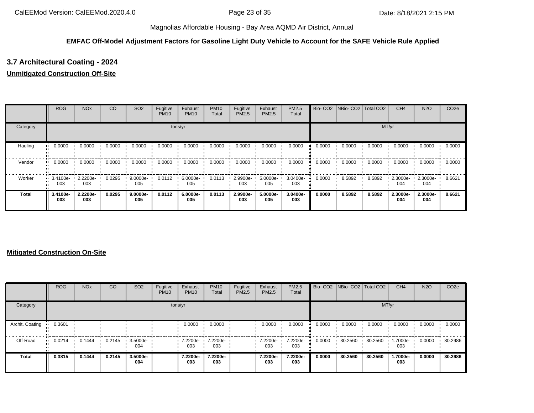### **EMFAC Off-Model Adjustment Factors for Gasoline Light Duty Vehicle to Account for the SAFE Vehicle Rule Applied**

# **3.7 Architectural Coating - 2024**

### **Unmitigated Construction Off-Site**

|              | <b>ROG</b>                     | <b>NO<sub>x</sub></b> | CO     | SO <sub>2</sub> | Fugitive<br><b>PM10</b> | Exhaust<br><b>PM10</b> | <b>PM10</b><br>Total | Fugitive<br>PM2.5 | Exhaust<br>PM2.5 | PM2.5<br>Total  | Bio-CO <sub>2</sub> | NBio-CO2 Total CO2 |        | CH <sub>4</sub> | <b>N2O</b>      | CO <sub>2e</sub> |
|--------------|--------------------------------|-----------------------|--------|-----------------|-------------------------|------------------------|----------------------|-------------------|------------------|-----------------|---------------------|--------------------|--------|-----------------|-----------------|------------------|
| Category     |                                |                       |        |                 |                         | tons/yr                |                      |                   |                  |                 |                     |                    | MT/yr  |                 |                 |                  |
| Hauling      | 0.0000                         | 0.0000                | 0.0000 | 0.0000          | 0.0000                  | 0.0000                 | 0.0000               | 0.0000            | 0.0000           | 0.0000          | 0.0000              | 0.0000             | 0.0000 | 0.0000          | 0.0000          | 0.0000           |
| Vendor       | 0.0000                         | 0.0000                | 0.0000 | 0.0000          | 0.0000                  | 0.0000                 | 0.0000               | 0.0000            | 0.0000           | 0.0000          | 0.0000              | 0.0000             | 0.0000 | 0.0000          | 0.0000          | 0.0000           |
| Worker       | $\blacksquare$ 3.4100e-<br>003 | 2.2200e-<br>003       | 0.0295 | 9.0000e-<br>005 | 0.0112                  | 6.0000e-<br>005        | 0.0113               | 2.9900e-<br>003   | 5.0000e-<br>005  | 3.0400e-<br>003 | 0.0000              | 8.5892             | 8.5892 | 2.3000e-<br>004 | 2.3000e-<br>004 | 8.6621           |
| <b>Total</b> | 3.4100e-<br>003                | 2.2200e-<br>003       | 0.0295 | 9.0000e-<br>005 | 0.0112                  | 6.0000e-<br>005        | 0.0113               | 2.9900e-<br>003   | 5.0000e-<br>005  | 3.0400e-<br>003 | 0.0000              | 8.5892             | 8.5892 | 2.3000e-<br>004 | 2.3000e-<br>004 | 8.6621           |

|                 | <b>ROG</b>            | <b>NO<sub>x</sub></b> | CO     | SO <sub>2</sub> | Fugitive<br><b>PM10</b> | Exhaust<br><b>PM10</b> | <b>PM10</b><br>Total | Fugitive<br>PM2.5 | Exhaust<br><b>PM2.5</b> | <b>PM2.5</b><br>Total |        | Bio- CO2   NBio- CO2   Total CO2 |         | CH <sub>4</sub> | <b>N2O</b> | CO <sub>2e</sub> |
|-----------------|-----------------------|-----------------------|--------|-----------------|-------------------------|------------------------|----------------------|-------------------|-------------------------|-----------------------|--------|----------------------------------|---------|-----------------|------------|------------------|
| Category        |                       |                       |        |                 |                         | tons/yr                |                      |                   |                         |                       |        |                                  | MT/yr   |                 |            |                  |
| Archit. Coating | 0.3601<br>            |                       |        |                 |                         | 0.0000                 | 0.0000               |                   | 0.0000                  | 0.0000                | 0.0000 | 0.0000                           | 0.0000  | 0.0000          | 0.0000     | 0.0000           |
| Off-Road        | $\blacksquare$ 0.0214 | 0.1444                | 0.2145 | 3.5000e-<br>004 |                         | 7.2200e-<br>003        | 7.2200e-<br>003      |                   | 7.2200e-<br>003         | 7.2200e-<br>003       | 0.0000 | 30.2560                          | 30.2560 | 1.7000e-<br>003 | 0.0000     | 30.2986          |
| Total           | 0.3815                | 0.1444                | 0.2145 | 3.5000e-<br>004 |                         | 7.2200e-<br>003        | 7.2200e-<br>003      |                   | 7.2200e-<br>003         | 7.2200e-<br>003       | 0.0000 | 30.2560                          | 30.2560 | 1.7000e-<br>003 | 0.0000     | 30.2986          |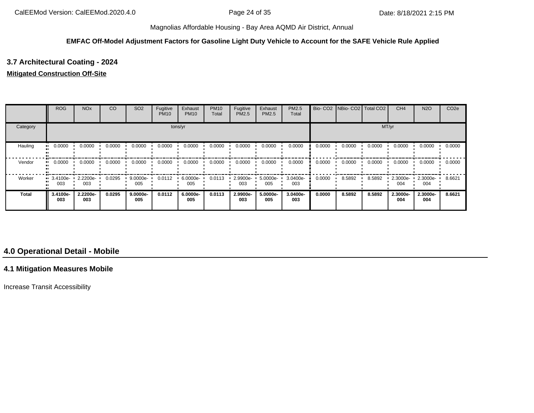#### **EMFAC Off-Model Adjustment Factors for Gasoline Light Duty Vehicle to Account for the SAFE Vehicle Rule Applied**

# **3.7 Architectural Coating - 2024**

### **Mitigated Construction Off-Site**

|              | <b>ROG</b>                     | <b>NO<sub>x</sub></b> | CO     | SO <sub>2</sub>   | Fugitive<br><b>PM10</b> | Exhaust<br><b>PM10</b> | <b>PM10</b><br>Total | Fugitive<br>PM2.5 | Exhaust<br><b>PM2.5</b> | PM2.5<br>Total  |        | Bio- CO2 NBio- CO2 Total CO2 |        | CH <sub>4</sub> | <b>N2O</b>      | CO <sub>2e</sub> |
|--------------|--------------------------------|-----------------------|--------|-------------------|-------------------------|------------------------|----------------------|-------------------|-------------------------|-----------------|--------|------------------------------|--------|-----------------|-----------------|------------------|
| Category     |                                |                       |        |                   |                         | tons/yr                |                      |                   |                         |                 |        |                              |        | MT/yr           |                 |                  |
| Hauling      | 0.0000                         | 0.0000                | 0.0000 | 0.0000            | 0.0000                  | 0.0000                 | 0.0000               | 0.0000            | 0.0000                  | 0.0000          | 0.0000 | 0.0000                       | 0.0000 | 0.0000          | 0.0000          | 0.0000           |
| Vendor       | 0.0000                         | 0.0000                | 0.0000 | 0.0000            | 0.0000                  | 0.0000                 | 0.0000               | 0.0000            | 0.0000                  | 0.0000          | 0.0000 | 0.0000                       | 0.0000 | 0.0000          | 0.0000          | 0.0000           |
| Worker       | $\blacksquare$ 3.4100e-<br>003 | 2.2200e-<br>003       | 0.0295 | 9.0000e-<br>005   | 0.0112                  | 6.0000e-<br>005        | 0.0113               | 2.9900e-<br>003   | 5.0000e-<br>005         | 3.0400e-<br>003 | 0.0000 | 8.5892                       | 8.5892 | 2.3000e-<br>004 | 2.3000e-<br>004 | 8.6621           |
| <b>Total</b> | 3.4100e-<br>003                | 2.2200e-<br>003       | 0.0295 | $9.0000e-$<br>005 | 0.0112                  | 6.0000e-<br>005        | 0.0113               | 2.9900e-<br>003   | 5.0000e-<br>005         | 3.0400e-<br>003 | 0.0000 | 8.5892                       | 8.5892 | 2.3000e-<br>004 | 2.3000e-<br>004 | 8.6621           |

# **4.0 Operational Detail - Mobile**

### **4.1 Mitigation Measures Mobile**

Increase Transit Accessibility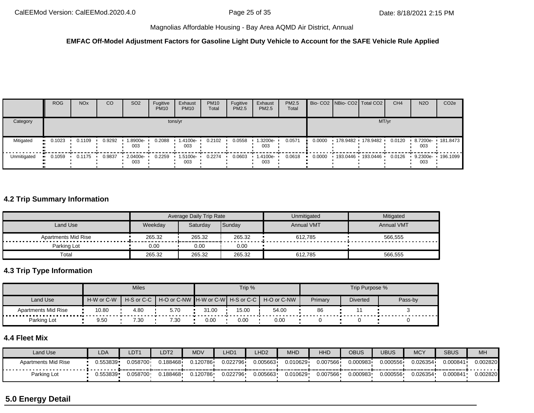#### **EMFAC Off-Model Adjustment Factors for Gasoline Light Duty Vehicle to Account for the SAFE Vehicle Rule Applied**

|             | <b>ROG</b> | <b>NO<sub>x</sub></b> | CO     | SO <sub>2</sub>                 | Fugitive<br><b>PM10</b> | Exhaust<br><b>PM10</b> | <b>PM10</b><br>Total | Fugitive<br><b>PM2.5</b> | Exhaust<br>PM2.5 | PM2.5<br>Total |        |                   | Bio- CO2 NBio- CO2 Total CO2 | CH <sub>4</sub> | <b>N2O</b>                  | CO <sub>2e</sub> |
|-------------|------------|-----------------------|--------|---------------------------------|-------------------------|------------------------|----------------------|--------------------------|------------------|----------------|--------|-------------------|------------------------------|-----------------|-----------------------------|------------------|
| Category    |            |                       |        |                                 |                         | tons/yr                |                      |                          |                  |                |        |                   | MT/yr                        |                 |                             |                  |
| Mitigated   | 0.1023     | 0.1109                | 0.9292 | 1.8900e-<br>003                 | 0.2088                  | 1.4100e-<br>003        | 0.2102               | 0.0558                   | 1.3200e-<br>003  | 0.0571         | 0.0000 | 178.9482 178.9482 |                              | 0.0120          | 8.7200e-<br>003             | 181.8473         |
| Unmitigated | 0.1059     | 0.1175                | 0.9837 | $\cdot$ 2.0400e- $\cdot$<br>003 | 0.2259                  | $1.5100e -$<br>003     | 0.2274               | 0.0603                   | --1.4100e<br>003 | 0.0618         | 0.0000 |                   | 193.0446 193.0446            | 0.0126          | $9.2300e - 196.1099$<br>003 |                  |

# **4.2 Trip Summary Information**

|                            |         | Average Daily Trip Rate |        | Unmitigated       | Mitigated         |
|----------------------------|---------|-------------------------|--------|-------------------|-------------------|
| Land Use                   | Weekday | Saturdav                | Sunday | <b>Annual VMT</b> | <b>Annual VMT</b> |
| <b>Apartments Mid Rise</b> | 265.32  | 265.32                  | 265.32 | 612.785           | 566.555           |
| Parking Lot                | 0.00    | 0.00                    | 0.00   |                   |                   |
| Total                      | 265.32  | 265.32                  | 265.32 | 612,785           | 566,555           |

# **4.3 Trip Type Information**

| 4.3 Trip Type Information |            |                |                                                    |       |        |             |         |                 |         |
|---------------------------|------------|----------------|----------------------------------------------------|-------|--------|-------------|---------|-----------------|---------|
|                           |            | <b>Miles</b>   |                                                    |       | Trip % |             |         | Trip Purpose %  |         |
| Land Use                  | H-W or C-W |                | H-S or C-C   H-O or C-NW   H-W or C-W   H-S or C-C |       |        | H-O or C-NW | Primary | <b>Diverted</b> | Pass-by |
| Apartments Mid Rise       | 10.80      | 4.80           | 5.70                                               | 31.00 | 15.00  | 54.00       | 86      |                 |         |
| Parking Lot               | 9.50       | $^{\prime}.30$ | 7.30                                               | 0.00  | 0.00   | 0.00        |         |                 |         |

# **4.4 Fleet Mix**

| Land Use                   | LDA       | LDT <sup>,</sup> | LDT2    | <b>MDV</b> | _HD1     | LHD <sub>2</sub> | <b>MHD</b> | HHD      | OBUS     | <b>UBUS</b> | <b>MCY</b> | <b>SBUS</b> | MH       |
|----------------------------|-----------|------------------|---------|------------|----------|------------------|------------|----------|----------|-------------|------------|-------------|----------|
| <b>Apartments Mid Rise</b> | ს.553839∙ | 0.058700         | 188468  | .120786    | 0.022796 | 0.005663         | 0.010629   | 0.007566 | 0.000983 | 0.000556    | 0.026354   | 0.000841    | 0.002820 |
| Parking Lot                | ∪.553839∙ | 058700. ل        | .188468 | .120786    | 0.022796 | 0.005663         | 0.010629   | 0.007566 | 0.000983 | 0.000556    | 0.026354   | 0.000841    | 0.002820 |

# **5.0 Energy Detail**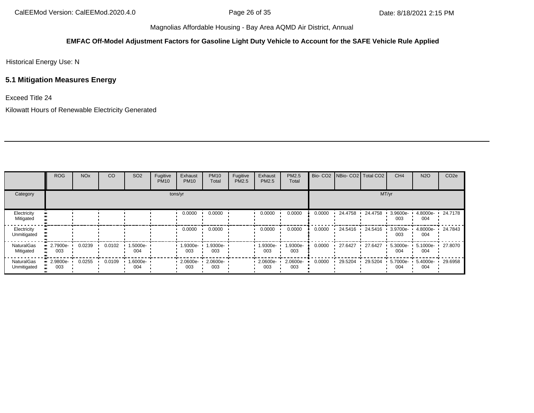#### **EMFAC Off-Model Adjustment Factors for Gasoline Light Duty Vehicle to Account for the SAFE Vehicle Rule Applied**

Historical Energy Use: N

### **5.1 Mitigation Measures Energy**

Exceed Title 24

Kilowatt Hours of Renewable Electricity Generated

|                            | ROG                            | <b>NO<sub>x</sub></b> | <b>CO</b> | SO <sub>2</sub> | Fugitive<br><b>PM10</b> | Exhaust<br><b>PM10</b> | <b>PM10</b><br>Total | Fugitive<br>PM2.5 | Exhaust<br>PM2.5 | PM2.5<br>Total  |        | Bio- CO2 NBio- CO2 Total CO2 |         | CH <sub>4</sub> | <b>N2O</b>                       | CO <sub>2e</sub> |
|----------------------------|--------------------------------|-----------------------|-----------|-----------------|-------------------------|------------------------|----------------------|-------------------|------------------|-----------------|--------|------------------------------|---------|-----------------|----------------------------------|------------------|
| Category                   | tons/yr                        |                       |           |                 |                         |                        |                      |                   |                  |                 |        |                              |         | MT/yr           |                                  |                  |
| Electricity<br>Mitigated   |                                |                       |           |                 |                         | 0.0000                 | 0.0000               |                   | 0.0000           | 0.0000          | 0.0000 | 24.4758                      | 24.4758 | 3.9600e-<br>003 | 4.8000e-<br>004                  | 24.7178          |
| Electricity<br>Unmitigated |                                |                       |           |                 |                         | 0.0000                 | 0.0000               |                   | 0.0000           | 0.0000          | 0.0000 | 24.5416                      | 24.5416 | 3.9700e-<br>003 | 4.8000e-<br>004                  | 24.7843          |
| NaturalGas<br>Mitigated    | $-2.7900e-$<br>003             | 0.0239                | 0.0102    | 1.5000e-<br>004 |                         | 1.9300e-<br>003        | 1.9300e- •<br>003    |                   | 1.9300e-<br>003  | 1.9300e-<br>003 | 0.0000 | 27.6427                      | 27.6427 | 5.3000e-<br>004 | 5.1000e- 27.8070<br>004          |                  |
| NaturalGas<br>Unmitigated  | $\blacksquare$ 2.9800e-<br>003 | 0.0255                | 0.0109    | 1.6000e-<br>004 |                         | $2.0600e -$<br>003     | $2.0600e -$<br>003   |                   | 2.0600e-<br>003  | 2.0600e-<br>003 | 0.0000 | $\cdot$ 29.5204 $\cdot$      | 29.5204 | 004             | 5.7000e- 5.4000e- 29.6958<br>004 |                  |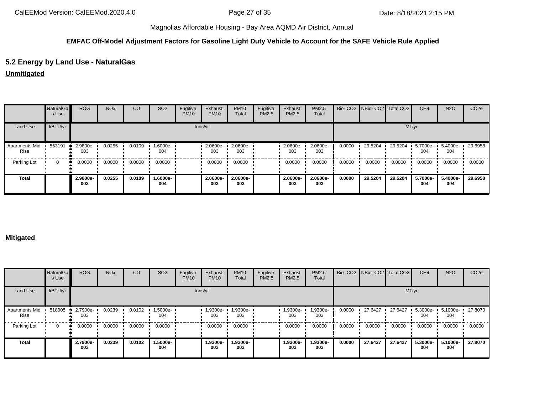### **EMFAC Off-Model Adjustment Factors for Gasoline Light Duty Vehicle to Account for the SAFE Vehicle Rule Applied**

# **5.2 Energy by Land Use - NaturalGas**

**Unmitigated**

|                               | NaturalGa<br>s Use | <b>ROG</b>      | <b>NO<sub>x</sub></b> | CO     | SO <sub>2</sub> | Fugitive<br><b>PM10</b> | Exhaust<br><b>PM10</b> | <b>PM10</b><br>Total | Fugitive<br>PM2.5 | Exhaust<br>PM2.5 | PM2.5<br>Total  |        | Bio- CO2   NBio- CO2   Total CO2 |         | CH <sub>4</sub> | <b>N2O</b>      | CO <sub>2e</sub> |
|-------------------------------|--------------------|-----------------|-----------------------|--------|-----------------|-------------------------|------------------------|----------------------|-------------------|------------------|-----------------|--------|----------------------------------|---------|-----------------|-----------------|------------------|
| Land Use                      | kBTU/yr            |                 |                       |        |                 |                         | tons/yr                |                      |                   |                  |                 |        |                                  | MT/yr   |                 |                 |                  |
| <b>Apartments Mid</b><br>Rise | 553191             | 2.9800e-<br>003 | 0.0255                | 0.0109 | 1.6000e-<br>004 |                         | $-2.0600e-$<br>003     | 2.0600e-<br>003      |                   | 2.0600e-<br>003  | 2.0600e-<br>003 | 0.0000 | 29.5204                          | 29.5204 | 5.7000e-<br>004 | 5.4000e-<br>004 | 29.6958          |
| Parking Lot                   | 0                  | 0.0000          | 0.0000                | 0.0000 | 0.0000          |                         | 0.0000                 | 0.0000               |                   | 0.0000           | 0.0000          | 0.0000 | 0.0000                           | 0.0000  | 0.0000          | 0.0000          | 0.0000           |
| <b>Total</b>                  |                    | 2.9800e-<br>003 | 0.0255                | 0.0109 | 1.6000e-<br>004 |                         | 2.0600e-<br>003        | 2.0600e-<br>003      |                   | 2.0600e-<br>003  | 2.0600e-<br>003 | 0.0000 | 29.5204                          | 29.5204 | 5.7000e-<br>004 | 5.4000e-<br>004 | 29.6958          |

#### **Mitigated**

|                               | NaturalGa<br>s Use | <b>ROG</b>      | <b>NO<sub>x</sub></b> | CO     | SO <sub>2</sub> | Fugitive<br><b>PM10</b> | Exhaust<br><b>PM10</b> | <b>PM10</b><br>Total | Fugitive<br>PM2.5 | Exhaust<br>PM2.5 | PM2.5<br>Total  |        | Bio- CO2 NBio- CO2   Total CO2 |         | CH <sub>4</sub> | <b>N2O</b>      | CO <sub>2e</sub> |
|-------------------------------|--------------------|-----------------|-----------------------|--------|-----------------|-------------------------|------------------------|----------------------|-------------------|------------------|-----------------|--------|--------------------------------|---------|-----------------|-----------------|------------------|
| Land Use                      | kBTU/yr            |                 |                       |        |                 | tons/yr                 |                        |                      |                   |                  |                 |        |                                | MT/yr   |                 |                 |                  |
| <b>Apartments Mid</b><br>Rise | 518005             | 2.7900e-<br>003 | 0.0239                | 0.0102 | 1.5000e-<br>004 |                         | 1.9300e-<br>003        | 1.9300e-<br>003      |                   | 1.9300e-<br>003  | 1.9300e-<br>003 | 0.0000 | 27.6427                        | 27.6427 | 5.3000e-<br>004 | 5.1000e-<br>004 | 27.8070          |
| Parking Lot                   |                    | 0.0000          | 0.0000                | 0.0000 | 0.0000          |                         | 0.0000                 | 0.0000               |                   | 0.0000           | 0.0000          | 0.0000 | 0.0000                         | 0.0000  | 0.0000          | 0.0000          | 0.0000           |
| <b>Total</b>                  |                    | 2.7900e-<br>003 | 0.0239                | 0.0102 | 1.5000e-<br>004 |                         | 1.9300e-<br>003        | 1.9300e-<br>003      |                   | 1.9300e-<br>003  | 1.9300e-<br>003 | 0.0000 | 27.6427                        | 27.6427 | 5.3000e-<br>004 | 5.1000e-<br>004 | 27,8070          |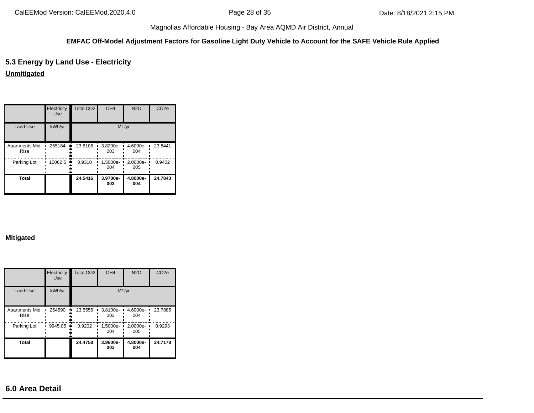#### **EMFAC Off-Model Adjustment Factors for Gasoline Light Duty Vehicle to Account for the SAFE Vehicle Rule Applied**

# **5.3 Energy by Land Use - Electricity**

**Unmitigated**

|                                      | Electricity<br>Use | Total CO <sub>2</sub> | CH <sub>4</sub> | <b>N2O</b>      | CO <sub>2e</sub> |
|--------------------------------------|--------------------|-----------------------|-----------------|-----------------|------------------|
| <b>Land Use</b>                      | kWh/yr             |                       |                 | MT/yr           |                  |
| <b>Apartments Mid</b><br><b>Rise</b> | 255184             | 23.6106<br>٠.         | 3.8200e-<br>003 | 4.6000e-<br>004 | 23.8441          |
| Parking Lot                          | 10062.5<br>ш.      | 0.9310                | 1.5000e-<br>004 | 2.0000e-<br>005 | 0.9402           |
| Total                                |                    | 24.5416               | 3.9700e-<br>003 | 4.8000e-<br>004 | 24.7843          |

#### **Mitigated**

|                               | Electricity<br>Use | Total CO <sub>2</sub> | CH <sub>4</sub> | <b>N2O</b>           | CO <sub>2e</sub> |
|-------------------------------|--------------------|-----------------------|-----------------|----------------------|------------------|
| <b>Land Use</b>               | kWh/yr             |                       | MT/yr           |                      |                  |
| <b>Apartments Mid</b><br>Rise | 254590             | 23.5556               | 3.8100e-<br>003 | 4.6000e-<br>٠<br>004 | 23.7885          |
| Parking Lot                   | 9945.05            | 0.9202                | 1.5000e-<br>004 | 2.0000e-<br>005      | 0.9293           |
| <b>Total</b>                  |                    | 24.4758               | 3.9600e-<br>003 | 4.8000e-<br>004      | 24.7178          |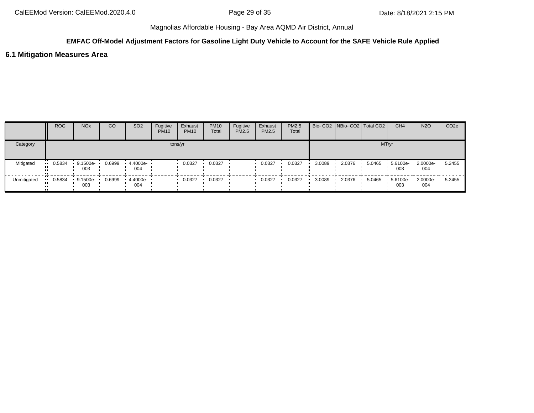### **EMFAC Off-Model Adjustment Factors for Gasoline Light Duty Vehicle to Account for the SAFE Vehicle Rule Applied**

### **6.1 Mitigation Measures Area**

|             | <b>ROG</b> | <b>NO<sub>x</sub></b> | CO     | SO <sub>2</sub>  | Fugitive<br><b>PM10</b> | Exhaust<br><b>PM10</b> | <b>PM10</b><br>Total | Fugitive<br>PM2.5 | Exhaust<br><b>PM2.5</b> | PM2.5<br>Total |        | Bio- CO2 NBio- CO2 Total CO2 |        | CH <sub>4</sub> | <b>N2O</b>      | CO <sub>2e</sub> |
|-------------|------------|-----------------------|--------|------------------|-------------------------|------------------------|----------------------|-------------------|-------------------------|----------------|--------|------------------------------|--------|-----------------|-----------------|------------------|
| Category    |            |                       |        |                  |                         | tons/yr                |                      |                   |                         |                |        |                              |        | MT/yr           |                 |                  |
| Mitigated   | 0.5834     | 9.1500e-<br>003       | 0.6999 | 4.4000e-<br>004  |                         | 0.0327                 | 0.0327               |                   | 0.0327                  | 0.0327         | 3.0089 | 2.0376                       | 5.0465 | 5.6100e-<br>003 | 2.0000e-<br>004 | 5.2455           |
| Unmitigated | 0.5834     | 9.1500e-<br>003       | 0.6999 | 4.4000e ·<br>004 |                         | 0.0327                 | 0.0327               |                   | 0.0327                  | 0.0327         | 3.0089 | 2.0376                       | 5.0465 | 5.6100e-<br>003 | 2.0000e-<br>004 | 5.2455           |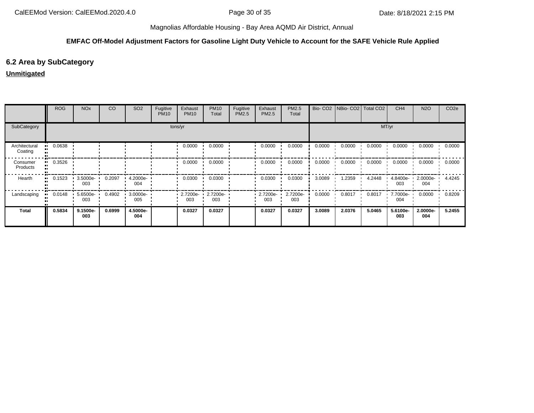### **EMFAC Off-Model Adjustment Factors for Gasoline Light Duty Vehicle to Account for the SAFE Vehicle Rule Applied**

# **6.2 Area by SubCategory**

### **Unmitigated**

|                          | <b>ROG</b> | <b>NO<sub>x</sub></b> | CO     | SO <sub>2</sub>    | Fugitive<br><b>PM10</b> | Exhaust<br><b>PM10</b> | <b>PM10</b><br>Total | Fugitive<br>PM2.5 | Exhaust<br>PM2.5 | PM2.5<br>Total  |        | Bio- CO2   NBio- CO2   Total CO2 |        | CH <sub>4</sub>    | <b>N2O</b>         | CO <sub>2e</sub> |
|--------------------------|------------|-----------------------|--------|--------------------|-------------------------|------------------------|----------------------|-------------------|------------------|-----------------|--------|----------------------------------|--------|--------------------|--------------------|------------------|
| SubCategory              |            | tons/yr               |        |                    |                         |                        |                      |                   |                  |                 |        |                                  | MT/yr  |                    |                    |                  |
| Architectural<br>Coating | 0.0638     |                       |        |                    |                         | 0.0000                 | 0.0000               |                   | 0.0000           | 0.0000          | 0.0000 | 0.0000                           | 0.0000 | 0.0000             | 0.0000             | 0.0000           |
| Consumer<br>Products     | 0.3526     |                       |        |                    |                         | 0.0000                 | 0.0000               |                   | 0.0000           | 0.0000          | 0.0000 | 0.0000                           | 0.0000 | 0.0000             | 0.0000             | 0.0000           |
| Hearth                   | 0.1523     | 3.5000e-<br>003       | 0.2097 | $4.2000e -$<br>004 |                         | 0.0300                 | 0.0300               |                   | 0.0300           | 0.0300          | 3.0089 | 1.2359                           | 4.2448 | $4.8400e -$<br>003 | $2.0000e -$<br>004 | 4.4245           |
| Landscaping              | 0.0148     | 5.6500e-<br>003       | 0.4902 | $3.0000e -$<br>005 |                         | 2.7200e-<br>003        | 2.7200e-<br>003      |                   | 2.7200e-<br>003  | 2.7200e-<br>003 | 0.0000 | 0.8017                           | 0.8017 | 7.7000e-<br>004    | 0.0000             | 0.8209           |
| <b>Total</b>             | 0.5834     | 9.1500e-<br>003       | 0.6999 | 4.5000e-<br>004    |                         | 0.0327                 | 0.0327               |                   | 0.0327           | 0.0327          | 3.0089 | 2.0376                           | 5.0465 | 5.6100e-<br>003    | 2.0000e-<br>004    | 5.2455           |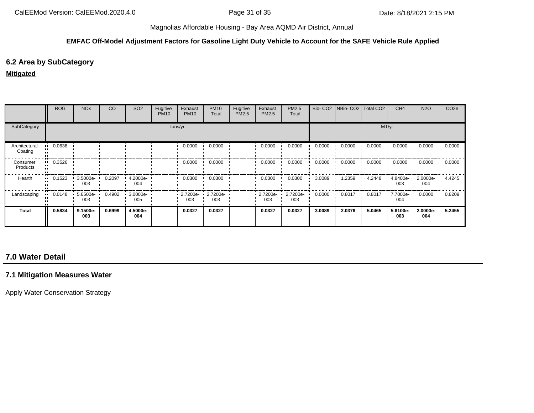#### **EMFAC Off-Model Adjustment Factors for Gasoline Light Duty Vehicle to Account for the SAFE Vehicle Rule Applied**

# **6.2 Area by SubCategory**

#### **Mitigated**

|                          | <b>ROG</b> | <b>NO<sub>x</sub></b> | CO     | SO <sub>2</sub>    | Fugitive<br><b>PM10</b> | Exhaust<br><b>PM10</b> | <b>PM10</b><br>Total | Fugitive<br>PM2.5 | Exhaust<br>PM2.5 | PM2.5<br>Total  |        | Bio- CO2   NBio- CO2   Total CO2 |        | CH <sub>4</sub>    | <b>N2O</b>         | CO <sub>2e</sub> |
|--------------------------|------------|-----------------------|--------|--------------------|-------------------------|------------------------|----------------------|-------------------|------------------|-----------------|--------|----------------------------------|--------|--------------------|--------------------|------------------|
| SubCategory              |            | tons/yr               |        |                    |                         |                        |                      |                   |                  |                 |        |                                  | MT/yr  |                    |                    |                  |
| Architectural<br>Coating | 0.0638     |                       |        |                    |                         | 0.0000                 | 0.0000               |                   | 0.0000           | 0.0000          | 0.0000 | 0.0000                           | 0.0000 | 0.0000             | 0.0000             | 0.0000           |
| Consumer<br>Products     | 0.3526     |                       |        |                    |                         | 0.0000                 | 0.0000               |                   | 0.0000           | 0.0000          | 0.0000 | 0.0000                           | 0.0000 | 0.0000             | 0.0000             | 0.0000           |
| Hearth                   | 0.1523     | $3.5000e -$<br>003    | 0.2097 | $4.2000e -$<br>004 |                         | 0.0300                 | 0.0300               |                   | 0.0300           | 0.0300          | 3.0089 | 1.2359                           | 4.2448 | $4.8400e -$<br>003 | $2.0000e -$<br>004 | 4.4245           |
| Landscaping              | 0.0148     | 5.6500e-<br>003       | 0.4902 | $3.0000e -$<br>005 |                         | 2.7200e-<br>003        | 2.7200e-<br>003      |                   | 2.7200e-<br>003  | 2.7200e-<br>003 | 0.0000 | 0.8017                           | 0.8017 | 7.7000e-<br>004    | 0.0000             | 0.8209           |
| <b>Total</b>             | 0.5834     | 9.1500e-<br>003       | 0.6999 | 4.5000e-<br>004    |                         | 0.0327                 | 0.0327               |                   | 0.0327           | 0.0327          | 3.0089 | 2.0376                           | 5.0465 | 5.6100e-<br>003    | 2.0000e-<br>004    | 5.2455           |

# **7.0 Water Detail**

### **7.1 Mitigation Measures Water**

Apply Water Conservation Strategy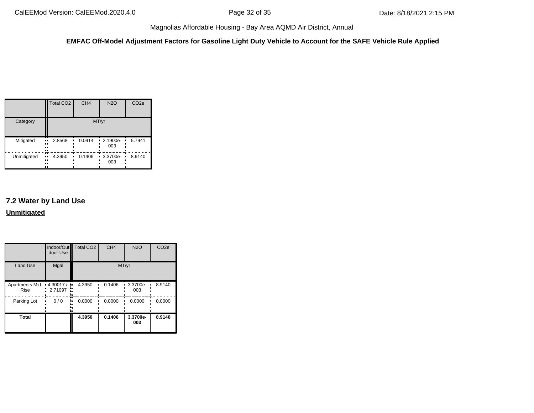**EMFAC Off-Model Adjustment Factors for Gasoline Light Duty Vehicle to Account for the SAFE Vehicle Rule Applied**

|             | <b>Total CO2</b>                 | CH <sub>4</sub> | <b>N2O</b>         | CO <sub>2e</sub> |
|-------------|----------------------------------|-----------------|--------------------|------------------|
| Category    |                                  |                 | MT/yr              |                  |
| Mitigated   | 2.8568<br>ш.<br><br>81<br>.,     | 0.0914          | $-2.1900e-$<br>003 | 5.7941           |
| Unmitigated | m<br>4.3950<br>ш.<br><br>81<br>ш | 0.1406          | 3.3700e-<br>003    | 8.9140           |

# **7.2 Water by Land Use Unmitigated**

|                               | Indoor/Out<br>door Use             | <b>Total CO2</b> | CH <sub>4</sub> | <b>N2O</b>      | CO <sub>2e</sub> |
|-------------------------------|------------------------------------|------------------|-----------------|-----------------|------------------|
| <b>Land Use</b>               | Mgal                               |                  | MT/yr           |                 |                  |
| Apartments Mid<br><b>Rise</b> | $\cdot$ 4.30017 /<br>۰.<br>2.71097 | 4.3950           | 0.1406          | 3.3700e-<br>003 | 8.9140           |
| Parking Lot                   | 0/0                                | 0.0000           | 0.0000          | 0.0000          | 0.0000           |
| Total                         |                                    | 4.3950           | 0.1406          | 3.3700e-<br>003 | 8.9140           |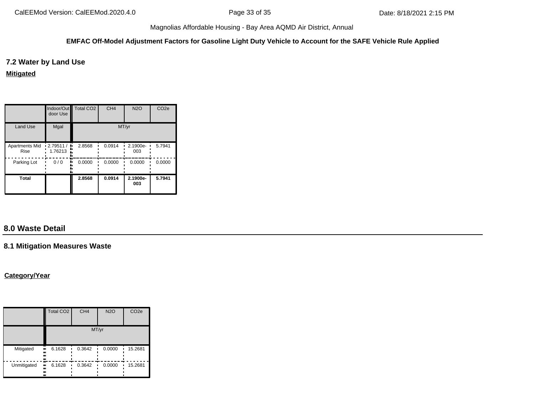#### **EMFAC Off-Model Adjustment Factors for Gasoline Light Duty Vehicle to Account for the SAFE Vehicle Rule Applied**

**7.2 Water by Land Use**

**Mitigated**

|                        | door Use                     | Indoor/Out   Total CO2 | CH <sub>4</sub> | <b>N2O</b>      | CO <sub>2e</sub> |
|------------------------|------------------------------|------------------------|-----------------|-----------------|------------------|
| <b>Land Use</b>        | Mgal                         |                        | MT/yr           |                 |                  |
| Apartments Mid<br>Rise | $-2.79511/$<br>٠.<br>1.76213 | 2.8568                 | 0.0914          | 2.1900e-<br>003 | 5.7941           |
| Parking Lot            | 0/0                          | 0.0000                 | 0.0000          | 0.0000          | 0.0000           |
| Total                  |                              | 2.8568                 | 0.0914          | 2.1900e-<br>003 | 5.7941           |

# **8.0 Waste Detail**

# **8.1 Mitigation Measures Waste**

### **Category/Year**

|             | <b>Total CO2</b>         | CH <sub>4</sub> | <b>N2O</b> | CO <sub>2e</sub> |  |  |
|-------------|--------------------------|-----------------|------------|------------------|--|--|
|             | MT/yr                    |                 |            |                  |  |  |
| Mitigated   | 6.1628<br><br><br><br>   | 0.3642          | 0.0000     | 15.2681          |  |  |
| Unmitigated | 6.1628<br>.,<br><br><br> | 0.3642          | 0.0000     | 15.2681          |  |  |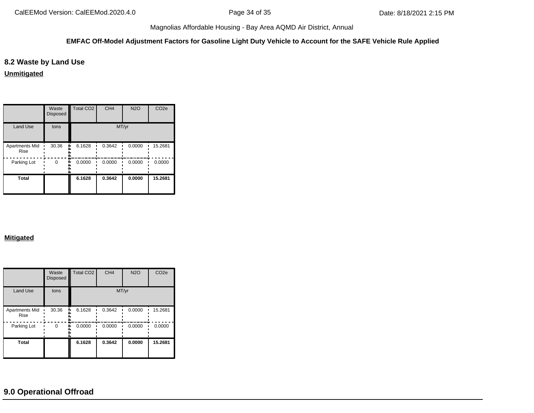#### **EMFAC Off-Model Adjustment Factors for Gasoline Light Duty Vehicle to Account for the SAFE Vehicle Rule Applied**

### **8.2 Waste by Land Use**

**Unmitigated**

|                               | Waste<br><b>Disposed</b> | Total CO <sub>2</sub> | CH <sub>4</sub> | <b>N2O</b> | CO <sub>2e</sub> |
|-------------------------------|--------------------------|-----------------------|-----------------|------------|------------------|
| <b>Land Use</b>               | tons                     |                       | MT/yr           |            |                  |
| <b>Apartments Mid</b><br>Rise | 30.36                    | 6.1628                | 0.3642          | 0.0000     | 15.2681          |
| Parking Lot                   | $\Omega$                 | 0.0000                | 0.0000          | 0.0000     | 0.0000           |
| <b>Total</b>                  |                          | 6.1628                | 0.3642          | 0.0000     | 15.2681          |

#### **Mitigated**

|                               | Waste<br><b>Disposed</b> | <b>Total CO2</b> | CH <sub>4</sub> | <b>N2O</b> | CO <sub>2e</sub> |
|-------------------------------|--------------------------|------------------|-----------------|------------|------------------|
| <b>Land Use</b>               | tons                     |                  | MT/yr           |            |                  |
| <b>Apartments Mid</b><br>Rise | 30.36<br>٠.              | 6.1628           | 0.3642          | 0.0000     | 15.2681          |
| Parking Lot                   | $\Omega$                 | 0.0000           | 0.0000          | 0.0000     | 0.0000           |
| <b>Total</b>                  |                          | 6.1628           | 0.3642          | 0.0000     | 15.2681          |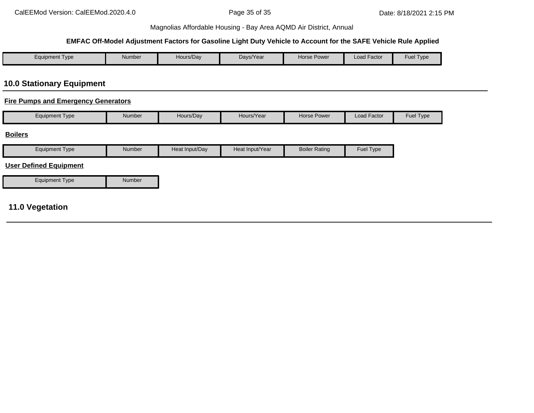#### **EMFAC Off-Model Adjustment Factors for Gasoline Light Duty Vehicle to Account for the SAFE Vehicle Rule Applied**

| Equipment Type | Number | Hours/Day | Days/Year | <b>Horse Power</b> | Load Factor | $-$<br>Fuel<br>Type |
|----------------|--------|-----------|-----------|--------------------|-------------|---------------------|

# **10.0 Stationary Equipment**

### **Fire Pumps and Emergency Generators**

| Hours/Day<br>Number<br>Equipment Type | Hours/Year | Horse Power | Load Factor | Fuel Type |
|---------------------------------------|------------|-------------|-------------|-----------|
|---------------------------------------|------------|-------------|-------------|-----------|

#### **Boilers**

| <b>Equipment Type</b>         | <b>Number</b> | Heat Input/Day | Heat Input/Year | <b>Boiler Rating</b> | Fuel Type |
|-------------------------------|---------------|----------------|-----------------|----------------------|-----------|
| <b>User Defined Equipment</b> |               |                |                 |                      |           |
| Equipment Type                | <b>Number</b> |                |                 |                      |           |

# **11.0 Vegetation**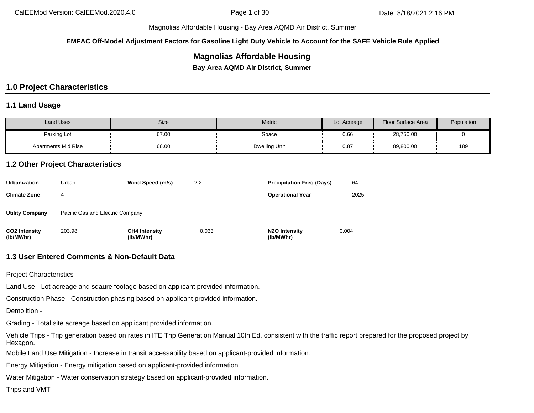**EMFAC Off-Model Adjustment Factors for Gasoline Light Duty Vehicle to Account for the SAFE Vehicle Rule Applied**

# **Magnolias Affordable Housing**

**Bay Area AQMD Air District, Summer**

# **1.0 Project Characteristics**

#### **1.1 Land Usage**

| Land Uses                  | Size  | Metric        | Lot Acreage | Floor Surface Area | Population |
|----------------------------|-------|---------------|-------------|--------------------|------------|
| Parking Lot                | 67.00 | Space         | 0.66        | 28,750.00          | .          |
| <b>Apartments Mid Rise</b> | 66.00 | Dwelling Unit | 0.87        | 89,800.00          | 189        |

#### **1.2 Other Project Characteristics**

| <b>Urbanization</b>               | Urban                            | Wind Speed (m/s)                  | 2.2   | <b>Precipitation Freg (Days)</b>        | 64    |
|-----------------------------------|----------------------------------|-----------------------------------|-------|-----------------------------------------|-------|
| <b>Climate Zone</b>               | 4                                |                                   |       | <b>Operational Year</b>                 | 2025  |
| <b>Utility Company</b>            | Pacific Gas and Electric Company |                                   |       |                                         |       |
| <b>CO2 Intensity</b><br>(lb/MWhr) | 203.98                           | <b>CH4 Intensity</b><br>(lb/MWhr) | 0.033 | N <sub>2</sub> O Intensity<br>(lb/MWhr) | 0.004 |

# **1.3 User Entered Comments & Non-Default Data**

Project Characteristics -

Land Use - Lot acreage and sqaure footage based on applicant provided information.

Construction Phase - Construction phasing based on applicant provided information.

Demolition -

Grading - Total site acreage based on applicant provided information.

Vehicle Trips - Trip generation based on rates in ITE Trip Generation Manual 10th Ed, consistent with the traffic report prepared for the proposed project by Hexagon.

Mobile Land Use Mitigation - Increase in transit accessability based on applicant-provided information.

Energy Mitigation - Energy mitigation based on applicant-provided information.

Water Mitigation - Water conservation strategy based on applicant-provided information.

Trips and VMT -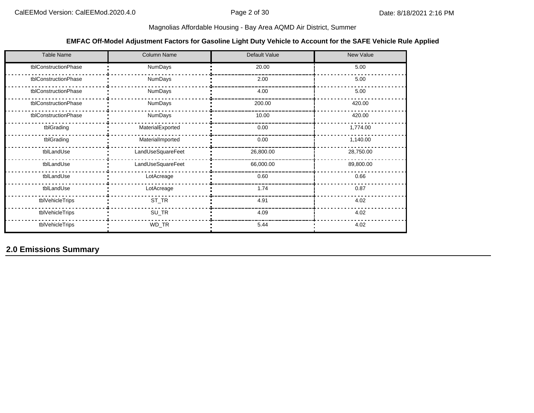#### **EMFAC Off-Model Adjustment Factors for Gasoline Light Duty Vehicle to Account for the SAFE Vehicle Rule Applied**

| <b>Table Name</b>    | <b>Column Name</b> | Default Value | <b>New Value</b> |
|----------------------|--------------------|---------------|------------------|
| tblConstructionPhase | NumDays            | 20.00         | 5.00             |
| tblConstructionPhase | <b>NumDays</b>     | 2.00          | 5.00             |
| tblConstructionPhase | NumDays            | 4.00          | 5.00             |
| tblConstructionPhase | <b>NumDays</b>     | 200.00        | 420.00           |
| tblConstructionPhase | NumDays            | 10.00         | 420.00           |
| tblGrading           | MaterialExported   | 0.00          | 1,774.00         |
| tblGrading           | MaterialImported   | 0.00          | 1,140.00         |
| tblLandUse           | LandUseSquareFeet  | 26,800.00     | 28,750.00        |
| tblLandUse           | LandUseSquareFeet  | 66,000.00     | 89,800.00        |
| tblLandUse           | LotAcreage         | 0.60          | 0.66             |
| tblLandUse           | LotAcreage         | 1.74          | 0.87             |
| tblVehicleTrips      | ST_TR              | 4.91          | 4.02             |
| tblVehicleTrips      | SU_TR              | 4.09          | 4.02             |
| tblVehicleTrips      | WD_TR              | 5.44          | 4.02             |

**2.0 Emissions Summary**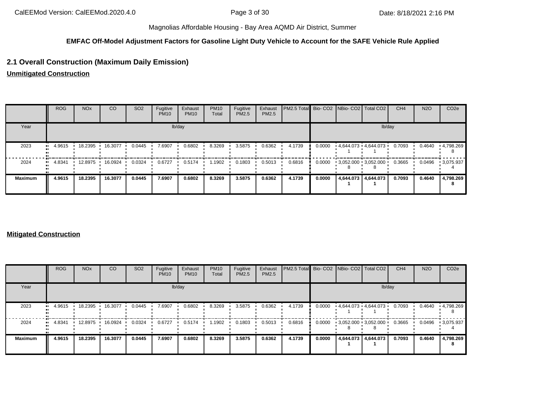#### **EMFAC Off-Model Adjustment Factors for Gasoline Light Duty Vehicle to Account for the SAFE Vehicle Rule Applied**

# **2.1 Overall Construction (Maximum Daily Emission)**

**Unmitigated Construction**

|                | <b>ROG</b> | <b>NO<sub>x</sub></b> | CO      | SO <sub>2</sub> | Fugitive<br><b>PM10</b> | Exhaust<br><b>PM10</b> | <b>PM10</b><br>Total | Fugitive<br>PM2.5 | Exhaust<br>PM2.5 | <b>PM2.5 Total</b> Bio- CO2 NBio- CO2   Total CO2 |        |                             | CH <sub>4</sub> | <b>N2O</b> | CO <sub>2e</sub>  |
|----------------|------------|-----------------------|---------|-----------------|-------------------------|------------------------|----------------------|-------------------|------------------|---------------------------------------------------|--------|-----------------------------|-----------------|------------|-------------------|
| Year           |            |                       |         |                 |                         | lb/day                 |                      |                   |                  |                                                   |        |                             | lb/day          |            |                   |
| 2023           | 4.9615     | 18.2395               | 16.3077 | 0.0445          | 7.6907                  | 0.6802                 | 8.3269               | 3.5875            | 0.6362           | 4.1739                                            | 0.0000 | $4.644.073 \cdot 4.644.073$ | 0.7093          | 0.4640     | 4,798.269         |
| 2024           | 4.8341     | 12.8975               | 16.0924 | 0.0324          | 0.6727                  | 0.5174                 | .1902                | 0.1803            | 0.5013           | 0.6816                                            | 0.0000 | $3,052.000$ $3,052.000$     | 0.3665          | 0.0496     | $\cdot$ 3,075.937 |
| <b>Maximum</b> | 4.9615     | 18.2395               | 16.3077 | 0.0445          | 7.6907                  | 0.6802                 | 8.3269               | 3.5875            | 0.6362           | 4.1739                                            | 0.0000 | 4,644.073 4,644.073         | 0.7093          | 0.4640     | 4,798.269<br>8    |

#### **Mitigated Construction**

|                          | <b>ROG</b> | <b>NO<sub>x</sub></b> | <b>CO</b> | SO <sub>2</sub> | Fugitive<br><b>PM10</b> | Exhaust<br><b>PM10</b> | <b>PM10</b><br>Total | Fugitive<br>PM2.5 | Exhaust<br>PM2.5 | PM2.5 Total Bio- CO2 NBio- CO2 Total CO2 |        |                             | CH <sub>4</sub> | <b>N2O</b> | CO <sub>2e</sub>  |
|--------------------------|------------|-----------------------|-----------|-----------------|-------------------------|------------------------|----------------------|-------------------|------------------|------------------------------------------|--------|-----------------------------|-----------------|------------|-------------------|
| Year                     |            |                       |           |                 |                         | lb/day                 |                      |                   |                  |                                          |        | lb/day                      |                 |            |                   |
| 2023<br>$\bullet\bullet$ | 4.9615     | 18.2395               | 16.3077   | 0.0445          | 7.6907                  | 0.6802                 | 8.3269               | 3.5875            | 0.6362           | 4.1739                                   | 0.0000 | 4,644.073 4,644.073         | 0.7093          | 0.4640     | $\cdot$ 4,798.269 |
| 2024<br>$\bullet$        | 4.8341     | 12.8975               | 16.0924   | 0.0324          | 0.6727                  | 0.5174                 | 1.1902               | 0.1803            | 0.5013           | 0.6816                                   | 0.0000 | $3,052.000 \cdot 3,052.000$ | 0.3665          | 0.0496     | $\cdot$ 3,075.937 |
| <b>Maximum</b>           | 4.9615     | 18.2395               | 16.3077   | 0.0445          | 7.6907                  | 0.6802                 | 8.3269               | 3.5875            | 0.6362           | 4.1739                                   | 0.0000 | 4,644.073 4,644.073         | 0.7093          | 0.4640     | 4,798.269         |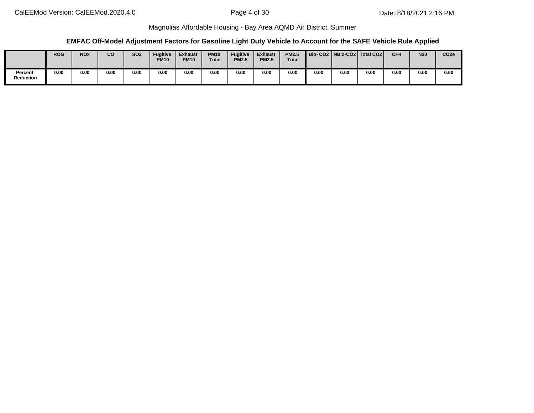#### **EMFAC Off-Model Adjustment Factors for Gasoline Light Duty Vehicle to Account for the SAFE Vehicle Rule Applied**

|                             | <b>ROG</b> | <b>NO<sub>x</sub></b> | co   | <b>SO2</b> | <b>Fugitive</b><br><b>PM10</b> | <b>Exhaust</b><br><b>PM10</b> | <b>PM10</b><br>Total | <b>Fugitive</b><br><b>PM2.5</b> | <b>Exhaust</b><br><b>PM2.5</b> | <b>PM2.5</b><br><b>Total</b> |      |      | Bio-CO2   NBio-CO2   Total CO2 | CH <sub>4</sub> | <b>N20</b> | CO <sub>2e</sub> |
|-----------------------------|------------|-----------------------|------|------------|--------------------------------|-------------------------------|----------------------|---------------------------------|--------------------------------|------------------------------|------|------|--------------------------------|-----------------|------------|------------------|
| Percent<br><b>Reduction</b> | 0.00       | 0.00                  | 0.00 | 0.00       | 0.00                           | 0.00                          | 0.00                 | 0.00                            | 0.00                           | 0.00                         | 0.00 | 0.00 | 0.00                           | 0.00            | 0.00       | 0.00             |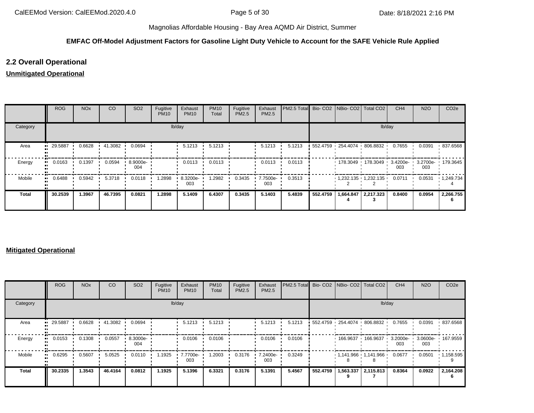## **EMFAC Off-Model Adjustment Factors for Gasoline Light Duty Vehicle to Account for the SAFE Vehicle Rule Applied**

# **2.2 Overall Operational**

# **Unmitigated Operational**

|              | <b>ROG</b> | <b>NO<sub>x</sub></b> | CO        | SO <sub>2</sub>     | Fugitive<br><b>PM10</b> | Exhaust<br><b>PM10</b> | <b>PM10</b><br>Total | Fugitive<br>PM2.5 | Exhaust<br>PM2.5 | PM2.5 Total Bio- CO2 NBio- CO2 Total CO2 |          |                                            |                      | CH <sub>4</sub> | <b>N2O</b> | CO <sub>2e</sub>  |
|--------------|------------|-----------------------|-----------|---------------------|-------------------------|------------------------|----------------------|-------------------|------------------|------------------------------------------|----------|--------------------------------------------|----------------------|-----------------|------------|-------------------|
| Category     |            |                       |           |                     |                         | lb/day                 |                      |                   |                  |                                          |          |                                            | lb/day               |                 |            |                   |
| Area         | 29.5887    | 0.6628                | 41.3082 • | 0.0694              |                         | 5.1213                 | 5.1213               |                   | 5.1213           | 5.1213                                   |          | 552.4759 254.4074 806.8832                 |                      | 0.7655          | 0.0391     | 837.6568          |
| Energy       | 0.0163     | 0.1397                | 0.0594    | $.8.9000e -$<br>004 |                         | 0.0113                 | 0.0113               |                   | 0.0113           | 0.0113                                   |          | 178.3049 178.3049 3.4200e 3.2700e 179.3645 |                      | 003             | 003        |                   |
| Mobile       | 0.6488     | 0.5942                | 5.3718    | 0.0118              | 1.2898                  | 8.3200e-<br>003        | .2982                | 0.3435            | 7.7500e-<br>003  | 0.3513                                   |          | $1,232.135$ $1,232.135$                    |                      | 0.0711          | 0.0531     | $\cdot$ 1,249.734 |
| <b>Total</b> | 30.2539    | 1.3967                | 46.7395   | 0.0821              | 1.2898                  | 5.1409                 | 6.4307               | 0.3435            | 5.1403           | 5.4839                                   | 552.4759 |                                            | 664.847   2,217.323. | 0.8400          | 0.0954     | 2,266.755         |

#### **Mitigated Operational**

|              | ROG     | <b>NO<sub>x</sub></b> | CO        | SO <sub>2</sub>   | Fugitive<br><b>PM10</b> | Exhaust<br><b>PM10</b> | <b>PM10</b><br>Total | Fugitive<br>PM2.5 | Exhaust<br>PM2.5 | PM2.5 Total Bio- CO2 NBio- CO2 Total CO2 |          |           |                            | CH <sub>4</sub> | <b>N2O</b>                          | CO <sub>2e</sub>  |
|--------------|---------|-----------------------|-----------|-------------------|-------------------------|------------------------|----------------------|-------------------|------------------|------------------------------------------|----------|-----------|----------------------------|-----------------|-------------------------------------|-------------------|
| Category     |         |                       |           |                   | lb/day                  |                        |                      |                   |                  |                                          |          |           | lb/day                     |                 |                                     |                   |
| Area         | 29.5887 | 0.6628                | 41.3082 • | 0.0694            |                         | 5.1213                 | 5.1213               |                   | 5.1213           | 5.1213                                   |          |           | 552.4759 254.4074 806.8832 | 0.7655          | 0.0391                              | 837.6568          |
| Energy       | 0.0153  | 0.1308                | 0.0557    | $.3000e -$<br>004 |                         | 0.0106                 | 0.0106               |                   | 0.0106           | 0.0106                                   |          | 166.9637  | 166.9637 ·                 | 003             | 3.2000e- 1 3.0600e- 167.9559<br>003 |                   |
| Mobile<br>ш. | 0.6295  | 0.5607                | 5.0525    | 0.0110            | 1.1925                  | 7.7700e-<br>003        | 1.2003               | 0.3176            | 7.2400e-<br>003  | 0.3249                                   |          |           | $1,141.966$ $1,141.966$    | 0.0677          | 0.0501                              | $\cdot$ 1,158.595 |
| Total        | 30.2335 | 1.3543                | 46.4164   | 0.0812            | 1.1925                  | 5.1396                 | 6.3321               | 0.3176            | 5.1391           | 5.4567                                   | 552.4759 | 1,563.337 | 2,115.813                  | 0.8364          | 0.0922                              | 2,164.208         |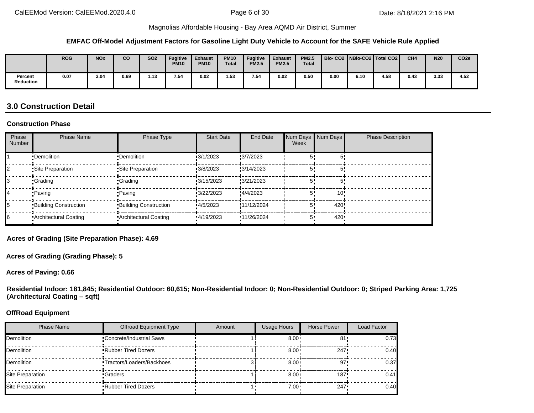#### **EMFAC Off-Model Adjustment Factors for Gasoline Light Duty Vehicle to Account for the SAFE Vehicle Rule Applied**

|                             | <b>ROG</b> | <b>NO<sub>x</sub></b> | co   | <b>SO2</b> | <b>Fugitive</b><br><b>PM10</b> | <b>Exhaust</b><br><b>PM10</b> | <b>PM10</b><br><b>Total</b> | <b>Fugitive</b><br><b>PM2.5</b> | <b>Exhaust</b><br><b>PM2.5</b> | <b>PM2.5</b><br><b>Total</b> |      |      | Bio-CO2   NBio-CO2   Total CO2 | CH <sub>4</sub> | <b>N20</b> | CO <sub>2e</sub> |
|-----------------------------|------------|-----------------------|------|------------|--------------------------------|-------------------------------|-----------------------------|---------------------------------|--------------------------------|------------------------------|------|------|--------------------------------|-----------------|------------|------------------|
| Percent<br><b>Reduction</b> | 0.07       | 3.04                  | 0.69 | 1.13       | 7.54                           | 0.02                          | 1.53                        | 7.54                            | 0.02                           | 0.50                         | 0.00 | 6.10 | 4.58                           | 0.43            | 3.33       | 4.52             |

# **3.0 Construction Detail**

#### **Construction Phase**

| Phase<br>Number | <b>Phase Name</b>            | Phase Type                   | <b>Start Date</b> | End Date    | Num Days Num Days<br>Week |      | <b>Phase Description</b> |
|-----------------|------------------------------|------------------------------|-------------------|-------------|---------------------------|------|--------------------------|
|                 | •Demolition                  | •Demolition                  | 3/1/2023          | :3/7/2023   |                           |      |                          |
|                 | Site Preparation             | Site Preparation             | 3/8/2023          | 3/14/2023   | 5'                        |      |                          |
|                 | •Grading                     | <b>Crading</b>               | 3/15/2023         | :3/21/2023  |                           |      |                          |
|                 | •Paving                      | •Paving                      | 3/22/2023         | :4/4/2023   | 5'                        | 10'  |                          |
|                 | <b>Building Construction</b> | <b>Building Construction</b> | 4/5/2023          | !11/12/2024 | 5                         | 420! |                          |
|                 | Architectural Coating        | Architectural Coating        | 4/19/2023         | 11/26/2024  | 5,                        | 420  |                          |

**Acres of Grading (Site Preparation Phase): 4.69**

**Acres of Grading (Grading Phase): 5**

**Acres of Paving: 0.66**

**Residential Indoor: 181,845; Residential Outdoor: 60,615; Non-Residential Indoor: 0; Non-Residential Outdoor: 0; Striped Parking Area: 1,725 (Architectural Coating – sqft)**

#### **OffRoad Equipment**

| <b>Phase Name</b> | <b>Offroad Equipment Type</b>   | Amount | <b>Usage Hours</b> | Horse Power | Load Factor |
|-------------------|---------------------------------|--------|--------------------|-------------|-------------|
| Demolition        | <b>Concrete/Industrial Saws</b> |        | 8.00               | 81          | 0.73        |
| Demolition        | <b>Rubber Tired Dozers</b>      |        | $8.00 \cdot$       | 247'        | 0.40        |
| Demolition        | ■Tractors/Loaders/Backhoes      |        | $8.00 \cdot$       | 97'         | 0.37        |
| Site Preparation  | •Graders                        |        | $8.00 \cdot$       | 187'        | 0.41        |
| Site Preparation  | <b>Rubber Tired Dozers</b>      |        | 7.00               | 247         | 0.40        |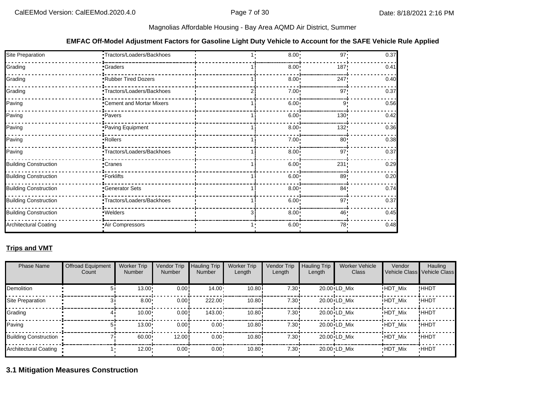#### **EMFAC Off-Model Adjustment Factors for Gasoline Light Duty Vehicle to Account for the SAFE Vehicle Rule Applied**

| Site Preparation             | Tractors/Loaders/Backhoes  | 8.00 <sub>1</sub> | 97 <sup>1</sup> | 0.37 |
|------------------------------|----------------------------|-------------------|-----------------|------|
| Grading                      | Graders                    | $8.00 \cdot$      | 187             | 0.41 |
| Grading                      | Rubber Tired Dozers        | $8.00 \div$       | 247             | 0.40 |
| Grading                      | Tractors/Loaders/Backhoes  | 7.00 <sub>1</sub> | 97              | 0.37 |
| Paving                       | Cement and Mortar Mixers   | $6.00 \cdot$      | 9               | 0.56 |
| Paving                       | ·Pavers                    | $6.00 \cdot$      | 130             | 0.42 |
| Paving                       | Paving Equipment           | 8.00              | 132             | 0.36 |
| Paving                       | Rollers                    | 7.00 <sub>1</sub> | 80 <sup>1</sup> | 0.38 |
| Paving                       | Tractors/Loaders/Backhoes  | $8.00 \div$       | 97 <sup>1</sup> | 0.37 |
| <b>Building Construction</b> | <b>Cranes</b>              | $6.00 \cdot$      | 231             | 0.29 |
| <b>Building Construction</b> | • Forklifts                | $6.00 \cdot$      | 89              | 0.20 |
| <b>Building Construction</b> | <b>Cenerator Sets</b>      | $8.00 \div$       | 84'             | 0.74 |
| <b>Building Construction</b> | "Tractors/Loaders/Backhoes | $6.00 \cdot$      | 97 <sup>1</sup> | 0.37 |
| <b>Building Construction</b> | · Welders                  | $8.00 \cdot$      | 46              | 0.45 |
| <b>Architectural Coating</b> | Air Compressors            | 6.00:             | 78'             | 0.48 |

## **Trips and VMT**

| <b>Phase Name</b>     | <b>Offroad Equipment</b><br>Count | <b>Worker Trip</b><br><b>Number</b> | Vendor Trip<br>Number | <b>Hauling Trip</b><br><b>Number</b> | <b>Worker Trip</b><br>Length | Vendor Trip<br>Length | <b>Hauling Trip</b><br>Length | <b>Worker Vehicle</b><br><b>Class</b> | Vendor         | Hauling<br>Vehicle Class Vehicle Class |
|-----------------------|-----------------------------------|-------------------------------------|-----------------------|--------------------------------------|------------------------------|-----------------------|-------------------------------|---------------------------------------|----------------|----------------------------------------|
| <b>Demolition</b>     |                                   | $13.00 \cdot$                       | 0.00                  | $14.00 \cdot$                        | 10.80i                       | 7.30:                 |                               | $20.00 \cdot LD$ Mix                  | <b>HDT Mix</b> | !HHDT                                  |
| Site Preparation      |                                   | $8.00 \cdot$                        | 0.00                  | 222.00                               | 10.80i                       | 7.30:                 |                               | 20.00 LD Mix                          | <b>HDT Mix</b> | !ННDТ                                  |
| Grading               |                                   | 10.00                               | 0.00                  | $143.00 \cdot$                       | 10.80i                       | 7.30:                 |                               | $20.00 \cdot LD$ Mix                  | <b>HDT Mix</b> | !HHDT                                  |
| Paving                | ו ה                               | 13.00                               | 0.00                  | $0.00 -$                             | 10.80i                       | 7.30:                 |                               | 20.00 LD Mix                          | <b>HDT Mix</b> | !ННDТ                                  |
| Building Construction |                                   | 60.00                               | 12.00                 | $0.00 -$                             | 10.80i                       | 7.30!                 |                               | $20.00 \cdot LD$ Mix                  | <b>HDT Mix</b> | !ННDТ                                  |
| Architectural Coating |                                   | $12.00 \cdot$                       | 0.00                  | $0.00 \cdot$                         | 10.80                        | $7.30 -$              |                               | 20.00 LD Mix                          | <b>HDT Mix</b> | <b>HHDT</b>                            |

**3.1 Mitigation Measures Construction**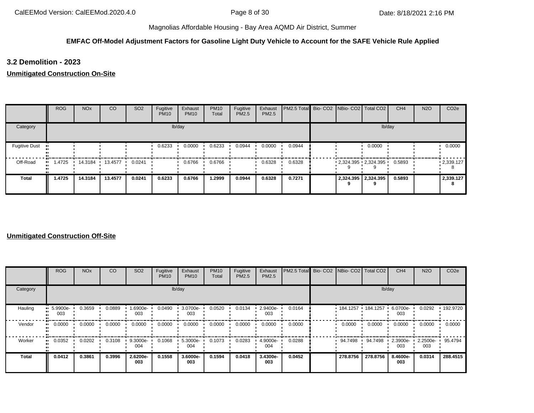#### **EMFAC Off-Model Adjustment Factors for Gasoline Light Duty Vehicle to Account for the SAFE Vehicle Rule Applied**

**3.2 Demolition - 2023**

**Unmitigated Construction On-Site**

|                      | <b>ROG</b>    | <b>NO<sub>x</sub></b> | CO              | SO <sub>2</sub> | Fugitive<br><b>PM10</b> | Exhaust<br><b>PM10</b> | <b>PM10</b><br>Total | Fugitive<br>PM2.5 | Exhaust<br>PM2.5 | <b>PM2.5 Total</b> Bio- CO2 NBio- CO2 Total CO2 |                           |                       | CH <sub>4</sub> | <b>N2O</b> | CO <sub>2e</sub>  |
|----------------------|---------------|-----------------------|-----------------|-----------------|-------------------------|------------------------|----------------------|-------------------|------------------|-------------------------------------------------|---------------------------|-----------------------|-----------------|------------|-------------------|
| Category             |               |                       |                 |                 |                         | lb/day                 |                      |                   |                  |                                                 |                           |                       | lb/day          |            |                   |
| <b>Fugitive Dust</b> |               |                       |                 |                 | 0.6233                  | 0.0000                 | 0.6233               | 0.0944            | 0.0000           | 0.0944                                          |                           | 0.0000                |                 |            | 0.0000            |
| Off-Road             | 1.4725<br>. . |                       | 14.3184 13.4577 | 0.0241          |                         | 0.6766                 | 0.6766               |                   | 0.6328           | 0.6328                                          | $-2,324.395$ $-2,324.395$ |                       | 0.5893          |            | $\cdot$ 2,339.127 |
| Total                | 1.4725        | 14.3184               | 13.4577         | 0.0241          | 0.6233                  | 0.6766                 | 1.2999               | 0.0944            | 0.6328           | 0.7271                                          |                           | 2,324.395   2,324.395 | 0.5893          |            | 2,339.127         |

|              | <b>ROG</b>                     | <b>NO<sub>x</sub></b> | CO     | SO <sub>2</sub> | Fugitive<br><b>PM10</b> | Exhaust<br><b>PM10</b> | <b>PM10</b><br>Total | Fugitive<br><b>PM2.5</b> | Exhaust<br>PM2.5 | PM2.5 Total Bio- CO2 NBio- CO2 Total CO2 |          |          | CH <sub>4</sub>    | <b>N2O</b>         | CO <sub>2e</sub> |
|--------------|--------------------------------|-----------------------|--------|-----------------|-------------------------|------------------------|----------------------|--------------------------|------------------|------------------------------------------|----------|----------|--------------------|--------------------|------------------|
| Category     |                                |                       |        |                 |                         | lb/day                 |                      |                          |                  |                                          |          | lb/day   |                    |                    |                  |
| Hauling      | $\blacksquare$ 5.9900e-<br>003 | 0.3659                | 0.0889 | -6900e-<br>003  | 0.0490                  | 3.0700e-<br>003        | 0.0520               | 0.0134                   | 2.9400e-<br>003  | 0.0164                                   | 184.1257 | 184.1257 | 6.0700e-<br>003    | 0.0292             | ■ 192.9720       |
| Vendor       | $\blacksquare$ 0.0000          | 0.0000                | 0.0000 | 0.0000          | 0.0000                  | 0.0000                 | 0.0000               | 0.0000                   | 0.0000           | 0.0000                                   | 0.0000   | 0.0000   | 0.0000             | 0.0000             | 0.0000           |
| Worker       | 0.0352<br>                     | 0.0202                | 0.3108 | 9.3000e-<br>004 | 0.1068                  | 5.3000e-<br>004        | 0.1073               | 0.0283                   | 4.9000e-<br>004  | 0.0288                                   | 94.7498  | 94.7498  | $2.3900e -$<br>003 | $2.2500e -$<br>003 | 95.4794          |
| <b>Total</b> | 0.0412                         | 0.3861                | 0.3996 | 2.6200e-<br>003 | 0.1558                  | 3.6000e-<br>003        | 0.1594               | 0.0418                   | 3.4300e-<br>003  | 0.0452                                   | 278,8756 | 278,8756 | 8.4600e-<br>003    | 0.0314             | 288.4515         |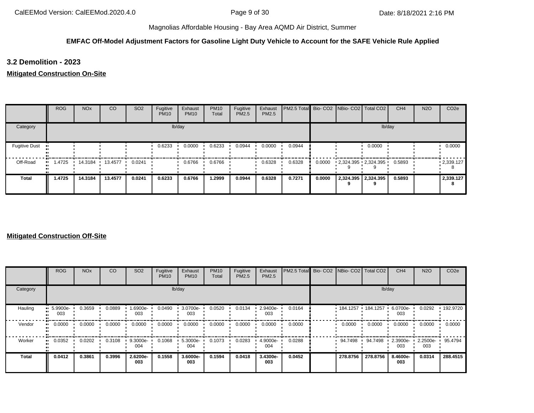## **EMFAC Off-Model Adjustment Factors for Gasoline Light Duty Vehicle to Account for the SAFE Vehicle Rule Applied**

**3.2 Demolition - 2023**

**Mitigated Construction On-Site**

|                      | ROG    | <b>NO<sub>x</sub></b> | CO      | <b>SO2</b> | Fugitive<br><b>PM10</b> | Exhaust<br><b>PM10</b> | <b>PM10</b><br>Total | Fugitive<br>PM2.5 | Exhaust<br>PM2.5 | <b>PM2.5 Total</b> Bio- CO2 NBio- CO2   Total CO2 |        |                           |                     | CH <sub>4</sub> | <b>N2O</b> | CO <sub>2e</sub>  |
|----------------------|--------|-----------------------|---------|------------|-------------------------|------------------------|----------------------|-------------------|------------------|---------------------------------------------------|--------|---------------------------|---------------------|-----------------|------------|-------------------|
| Category             |        |                       |         |            |                         | lb/day                 |                      |                   |                  |                                                   |        |                           | lb/day              |                 |            |                   |
| <b>Fugitive Dust</b> |        |                       |         |            | 0.6233                  | 0.0000                 | 0.6233               | 0.0944            | 0.0000           | 0.0944                                            |        |                           | 0.0000              |                 |            | 0.0000            |
| Off-Road             | 1.4725 | 14.3184               | 13.4577 | 0.0241     |                         | 0.6766                 | 0.6766               |                   | 0.6328           | 0.6328                                            | 0.0000 | $-2,324.395$ $-2,324.395$ |                     | 0.5893          |            | $\cdot$ 2,339.127 |
| <b>Total</b>         | 1.4725 | 14.3184               | 13.4577 | 0.0241     | 0.6233                  | 0.6766                 | 1.2999               | 0.0944            | 0.6328           | 0.7271                                            | 0.0000 |                           | 2,324.395 2,324.395 | 0.5893          |            | 2,339.127         |

|              | <b>ROG</b>         | <b>NO<sub>x</sub></b> | CO     | SO <sub>2</sub> | Fugitive<br><b>PM10</b> | Exhaust<br><b>PM10</b> | <b>PM10</b><br>Total | Fugitive<br><b>PM2.5</b> | Exhaust<br>PM2.5 | PM2.5 Total Bio- CO2 NBio- CO2 Total CO2 |                       |          | CH <sub>4</sub>    | <b>N2O</b>         | CO <sub>2e</sub> |
|--------------|--------------------|-----------------------|--------|-----------------|-------------------------|------------------------|----------------------|--------------------------|------------------|------------------------------------------|-----------------------|----------|--------------------|--------------------|------------------|
| Category     |                    |                       |        |                 |                         | lb/day                 |                      |                          |                  |                                          |                       | lb/day   |                    |                    |                  |
| Hauling      | $-5.9900e-$<br>003 | 0.3659                | 0.0889 | 1.6900e-<br>003 | 0.0490                  | 3.0700e-<br>003        | 0.0520               | 0.0134                   | 2.9400e-<br>003  | 0.0164                                   | $184.1257$ 184.1257 · |          | 6.0700e-<br>003    | 0.0292             | ■ 192.9720       |
| Vendor       | 0.0000             | 0.0000                | 0.0000 | 0.0000          | 0.0000                  | 0.0000                 | 0.0000               | 0.0000                   | 0.0000           | 0.0000                                   | 0.0000                | 0.0000   | 0.0000             | 0.0000             | 0.0000           |
| Worker       | 0.0352             | 0.0202                | 0.3108 | 9.3000e-<br>004 | 0.1068                  | 5.3000e-<br>004        | 0.1073               | 0.0283                   | 4.9000e-<br>004  | 0.0288                                   | 94.7498               | 94.7498  | $2.3900e -$<br>003 | $2.2500e -$<br>003 | 95.4794          |
| <b>Total</b> | 0.0412             | 0.3861                | 0.3996 | 2.6200e-<br>003 | 0.1558                  | 3.6000e-<br>003        | 0.1594               | 0.0418                   | 3.4300e-<br>003  | 0.0452                                   | 278.8756              | 278.8756 | 8.4600e-<br>003    | 0.0314             | 288.4515         |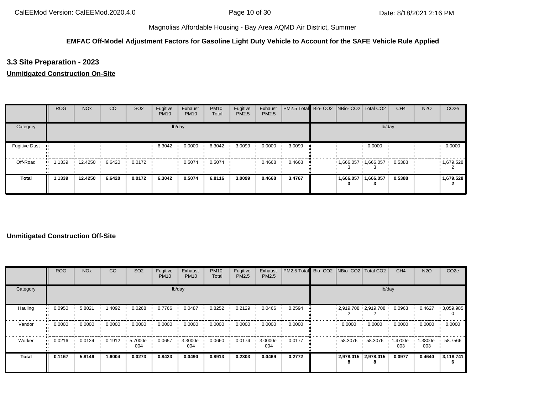## **EMFAC Off-Model Adjustment Factors for Gasoline Light Duty Vehicle to Account for the SAFE Vehicle Rule Applied**

**3.3 Site Preparation - 2023**

**Unmitigated Construction On-Site**

|                      | <b>ROG</b> | <b>NO<sub>x</sub></b> | CO     | SO <sub>2</sub> | Fugitive<br><b>PM10</b> | Exhaust<br><b>PM10</b> | <b>PM10</b><br>Total | Fugitive<br>PM2.5 | Exhaust<br>PM2.5 | PM2.5 Total   Bio- CO2   NBio- CO2   Total CO2 |                       |           | CH <sub>4</sub> | <b>N2O</b> | CO <sub>2e</sub>  |
|----------------------|------------|-----------------------|--------|-----------------|-------------------------|------------------------|----------------------|-------------------|------------------|------------------------------------------------|-----------------------|-----------|-----------------|------------|-------------------|
| Category             |            |                       |        |                 |                         | lb/day                 |                      |                   |                  |                                                |                       | lb/day    |                 |            |                   |
| <b>Fugitive Dust</b> |            |                       |        |                 | 6.3042                  | 0.0000                 | 6.3042               | 3.0099            | 0.0000           | 3.0099                                         |                       | 0.0000    |                 |            | 0.0000            |
| Off-Road             | 1.1339     | 12.4250               | 6.6420 | 0.0172          |                         | 0.5074                 | 0.5074               |                   | 0.4668           | 0.4668                                         | $1,666.057$ 1,666.057 |           | 0.5388          |            | $\cdot$ 1,679.528 |
| <b>Total</b>         | 1.1339     | 12.4250               | 6.6420 | 0.0172          | 6.3042                  | 0.5074                 | 6.8116               | 3.0099            | 0.4668           | 3.4767                                         | 1,666.057             | 1,666.057 | 0.5388          |            | 1,679.528         |

|              | <b>ROG</b>            | <b>NO<sub>x</sub></b> | CO     | SO <sub>2</sub> | Fugitive<br><b>PM10</b> | Exhaust<br><b>PM10</b> | <b>PM10</b><br>Total | Fugitive<br><b>PM2.5</b> | Exhaust<br>PM2.5 | <b>I PM2.5 Total Bio- CO2 INBio- CO2   Total CO2  </b> |         |                          | CH <sub>4</sub>    | <b>N2O</b>         | CO <sub>2e</sub> |
|--------------|-----------------------|-----------------------|--------|-----------------|-------------------------|------------------------|----------------------|--------------------------|------------------|--------------------------------------------------------|---------|--------------------------|--------------------|--------------------|------------------|
| Category     |                       |                       |        |                 |                         | lb/day                 |                      |                          |                  |                                                        |         | lb/day                   |                    |                    |                  |
| Hauling      | 0.0950<br>            | 5.8021                | 1.4092 | 0.0268          | 0.7766                  | 0.0487                 | 0.8252               | 0.2129                   | 0.0466           | 0.2594                                                 |         | $-2,919.708 - 2,919.708$ | 0.0963             | 0.4627             | $-3,059.985$     |
| Vendor       | $\blacksquare$ 0.0000 | 0.0000                | 0.0000 | 0.0000          | 0.0000                  | 0.0000                 | 0.0000               | 0.0000                   | 0.0000           | 0.0000                                                 | 0.0000  | 0.0000                   | 0.0000             | 0.0000             | 0.0000           |
| Worker       | 0.0216<br>            | 0.0124                | 0.1912 | 5.7000e-<br>004 | 0.0657                  | 3.3000e-<br>004        | 0.0660               | 0.0174                   | 3.0000e-<br>004  | 0.0177                                                 | 58.3076 | 58.3076                  | $1.4700e -$<br>003 | $1.3800e -$<br>003 | 58.7566          |
| <b>Total</b> | 0.1167                | 5.8146                | 1.6004 | 0.0273          | 0.8423                  | 0.0490                 | 0.8913               | 0.2303                   | 0.0469           | 0.2772                                                 | -8      | 2,978.015 2.978.015<br>8 | 0.0977             | 0.4640             | 3,118.741        |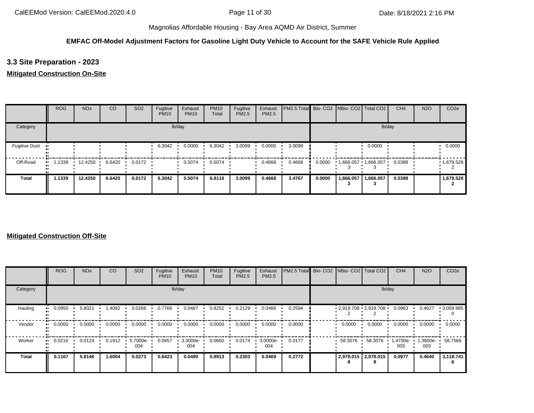## **EMFAC Off-Model Adjustment Factors for Gasoline Light Duty Vehicle to Account for the SAFE Vehicle Rule Applied**

**3.3 Site Preparation - 2023**

## **Mitigated Construction On-Site**

|                      | <b>ROG</b> | <b>NO<sub>x</sub></b> | CO     | SO <sub>2</sub> | Fugitive<br><b>PM10</b> | Exhaust<br><b>PM10</b> | <b>PM10</b><br>Total | Fugitive<br>PM2.5 | Exhaust<br>PM2.5 | PM2.5 Total Bio- CO2 NBio- CO2 Total CO2 |        |                       |           | CH <sub>4</sub> | <b>N2O</b> | CO <sub>2e</sub> |
|----------------------|------------|-----------------------|--------|-----------------|-------------------------|------------------------|----------------------|-------------------|------------------|------------------------------------------|--------|-----------------------|-----------|-----------------|------------|------------------|
| Category             |            |                       |        |                 |                         | lb/day                 |                      |                   |                  |                                          |        |                       |           | lb/day          |            |                  |
| <b>Fugitive Dust</b> |            |                       |        |                 | 6.3042                  | 0.0000                 | 6.3042               | 3.0099            | 0.0000           | 3.0099                                   |        |                       | 0.0000    |                 |            | 0.0000           |
| Off-Road             | 1.1339     | 12.4250               | 6.6420 | 0.0172          |                         | 0.5074                 | 0.5074               |                   | 0.4668           | 0.4668                                   | 0.0000 | $1,666.057$ 1,666.057 |           | 0.5388          |            | 1,679.528        |
| <b>Total</b>         | 1.1339     | 12.4250               | 6.6420 | 0.0172          | 6.3042                  | 0.5074                 | 6.8116               | 3.0099            | 0.4668           | 3.4767                                   | 0.0000 | 1,666.057             | 1,666.057 | 0.5388          |            | 1,679.528        |

|              | <b>ROG</b> | <b>NO<sub>x</sub></b> | <sub>CO</sub> | SO <sub>2</sub> | Fugitive<br><b>PM10</b> | Exhaust<br><b>PM10</b> | <b>PM10</b><br>Total | Fugitive<br><b>PM2.5</b> | Exhaust<br>PM2.5 | PM2.5 Total Bio- CO2 NBio- CO2 Total CO2 |                         |                          | CH <sub>4</sub> | <b>N2O</b>      | CO <sub>2e</sub>  |
|--------------|------------|-----------------------|---------------|-----------------|-------------------------|------------------------|----------------------|--------------------------|------------------|------------------------------------------|-------------------------|--------------------------|-----------------|-----------------|-------------------|
| Category     |            |                       |               |                 |                         | lb/day                 |                      |                          |                  |                                          |                         | lb/day                   |                 |                 |                   |
| Hauling      | 0.0950     | 5.8021                | .4092         | 0.0268          | 0.7766                  | 0.0487                 | 0.8252               | 0.2129                   | 0.0466           | 0.2594                                   | $2,919.708$ $2,919.708$ |                          | 0.0963          | 0.4627          | $\cdot$ 3,059.985 |
| Vendor       | 0.0000     | 0.0000                | 0.0000        | 0.0000          | 0.0000                  | 0.0000                 | 0.0000               | 0.0000                   | 0.0000           | 0.0000                                   | 0.0000                  | 0.0000                   | 0.0000          | 0.0000          | 0.0000            |
| Worker       | 0.0216     | 0.0124                | 0.1912        | 5.7000e-<br>004 | 0.0657                  | 3.3000e-<br>004        | 0.0660               | 0.0174                   | 3.0000e-<br>004  | 0.0177                                   | 58.3076                 | 58.3076                  | 1.4700e-<br>003 | 1.3800e-<br>003 | 58.7566           |
| <b>Total</b> | 0.1167     | 5.8146                | 1.6004        | 0.0273          | 0.8423                  | 0.0490                 | 0.8913               | 0.2303                   | 0.0469           | 0.2772                                   |                         | 2,978.015 2,978.015<br>8 | 0.0977          | 0.4640          | 3,118.741         |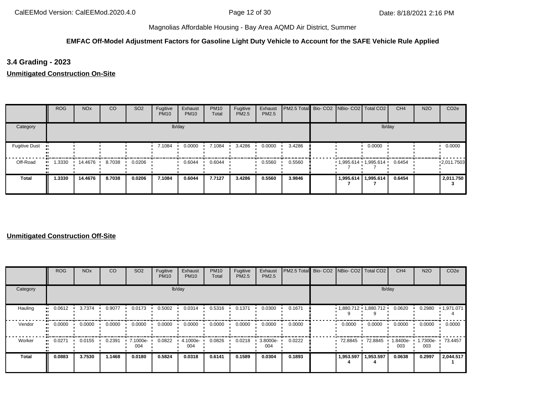## **EMFAC Off-Model Adjustment Factors for Gasoline Light Duty Vehicle to Account for the SAFE Vehicle Rule Applied**

**3.4 Grading - 2023**

**Unmitigated Construction On-Site**

|                      | <b>ROG</b> | <b>NO<sub>x</sub></b> | CO     | SO <sub>2</sub> | Fugitive<br><b>PM10</b> | Exhaust<br><b>PM10</b> | <b>PM10</b><br>Total | Fugitive<br>PM2.5 | Exhaust<br><b>PM2.5</b> | PM2.5 Total   Bio- CO2   NBio- CO2   Total CO2 |                       |           | CH <sub>4</sub> | <b>N2O</b> | CO <sub>2e</sub> |
|----------------------|------------|-----------------------|--------|-----------------|-------------------------|------------------------|----------------------|-------------------|-------------------------|------------------------------------------------|-----------------------|-----------|-----------------|------------|------------------|
| Category             |            |                       |        |                 |                         | lb/day                 |                      |                   |                         |                                                |                       | lb/day    |                 |            |                  |
| <b>Fugitive Dust</b> |            |                       |        |                 | 7.1084                  | 0.0000                 | 7.1084               | 3.4286            | 0.0000                  | 3.4286                                         |                       | 0.0000    |                 |            | 0.0000           |
| Off-Road             | 1.3330     | 14.4676               | 8.7038 | 0.0206          |                         | 0.6044                 | 0.6044               |                   | 0.5560                  | 0.5560                                         | $1,995.614$ 1,995.614 |           | 0.6454          |            | 12,011.7503      |
| <b>Total</b>         | 1.3330     | 14.4676               | 8.7038 | 0.0206          | 7.1084                  | 0.6044                 | 7.7127               | 3.4286            | 0.5560                  | 3.9846                                         | 1,995.614             | 1,995.614 | 0.6454          |            | 2,011.750        |

|              | <b>ROG</b>    | <b>NO<sub>x</sub></b> | CO     | SO <sub>2</sub> | Fugitive<br><b>PM10</b> | Exhaust<br><b>PM10</b> | <b>PM10</b><br>Total | Fugitive<br><b>PM2.5</b> | Exhaust<br>PM2.5 | PM2.5 Total Bio- CO2 NBio- CO2 Total CO2 |                         |           | CH <sub>4</sub> | <b>N2O</b>         | CO <sub>2e</sub>  |
|--------------|---------------|-----------------------|--------|-----------------|-------------------------|------------------------|----------------------|--------------------------|------------------|------------------------------------------|-------------------------|-----------|-----------------|--------------------|-------------------|
| Category     |               |                       |        |                 |                         | lb/day                 |                      |                          |                  |                                          |                         | lb/day    |                 |                    |                   |
| Hauling      | 0.0612<br>    | 3.7374                | 0.9077 | 0.0173          | 0.5002                  | 0.0314                 | 0.5316               | 0.1371                   | 0.0300           | 0.1671                                   | $1,880.712$ $1,880.712$ |           | 0.0620          | 0.2980             | $\cdot$ 1,971.071 |
| Vendor       | 0.0000<br>. . | 0.0000                | 0.0000 | 0.0000          | 0.0000                  | 0.0000                 | 0.0000               | 0.0000                   | 0.0000           | 0.0000                                   | 0.0000                  | 0.0000    | 0.0000          | 0.0000             | 0.0000            |
| Worker       | 0.0271<br>    | 0.0155                | 0.2391 | 7.1000e-<br>004 | 0.0822                  | 4.1000e-<br>004        | 0.0826               | 0.0218                   | 3.8000e-<br>004  | 0.0222                                   | 72.8845                 | 72.8845   | 1.8400e-<br>003 | $1.7300e -$<br>003 | 73.4457           |
| <b>Total</b> | 0.0883        | 3.7530                | 1.1468 | 0.0180          | 0.5824                  | 0.0318                 | 0.6141               | 0.1589                   | 0.0304           | 0.1893                                   | 1,953.597               | 1,953.597 | 0.0638          | 0.2997             | 2,044.517         |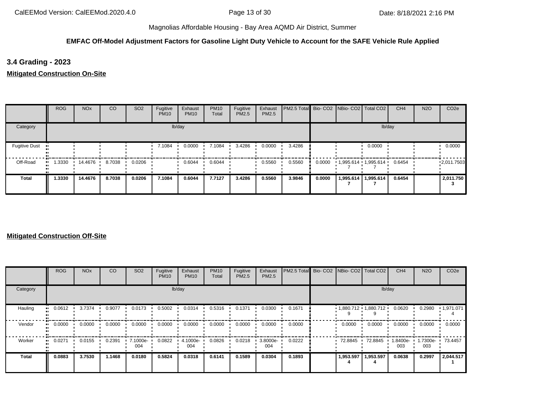## **EMFAC Off-Model Adjustment Factors for Gasoline Light Duty Vehicle to Account for the SAFE Vehicle Rule Applied**

**3.4 Grading - 2023**

**Mitigated Construction On-Site**

|                      | <b>ROG</b> | <b>NO<sub>x</sub></b> | CO     | SO <sub>2</sub> | Fugitive<br><b>PM10</b> | Exhaust<br><b>PM10</b> | <b>PM10</b><br>Total | Fugitive<br>PM2.5 | Exhaust<br>PM2.5 | <b>PM2.5 Total</b> Bio- CO2 NBio- CO2   Total CO2 |        |                         |                       | CH <sub>4</sub> | <b>N2O</b> | CO <sub>2e</sub> |
|----------------------|------------|-----------------------|--------|-----------------|-------------------------|------------------------|----------------------|-------------------|------------------|---------------------------------------------------|--------|-------------------------|-----------------------|-----------------|------------|------------------|
| Category             |            |                       |        |                 |                         | lb/day                 |                      |                   |                  |                                                   |        |                         |                       | lb/day          |            |                  |
| <b>Fugitive Dust</b> |            |                       |        |                 | 7.1084                  | 0.0000                 | 7.1084               | 3.4286            | 0.0000           | 3.4286                                            |        |                         | 0.0000                |                 |            | 0.0000           |
| Off-Road             | 1.3330     | 14.4676               | 8.7038 | 0.0206          |                         | 0.6044                 | 0.6044               |                   | 0.5560           | 0.5560                                            | 0.0000 | $1,995.614$ $1,995.614$ |                       | 0.6454          |            | 12,011.7503      |
| <b>Total</b>         | 1.3330     | 14.4676               | 8.7038 | 0.0206          | 7.1084                  | 0.6044                 | 7.7127               | 3.4286            | 0.5560           | 3.9846                                            | 0.0000 |                         | 1,995.614   1,995.614 | 0.6454          |            | 2,011.750        |

|              | <b>ROG</b>    | <b>NO<sub>x</sub></b> | CO     | SO <sub>2</sub> | Fugitive<br><b>PM10</b> | Exhaust<br><b>PM10</b> | <b>PM10</b><br>Total | Fugitive<br><b>PM2.5</b> | Exhaust<br>PM2.5 | PM2.5 Total Bio- CO2 NBio- CO2 Total CO2 |                         |           | CH <sub>4</sub> | <b>N2O</b>         | CO <sub>2e</sub>  |
|--------------|---------------|-----------------------|--------|-----------------|-------------------------|------------------------|----------------------|--------------------------|------------------|------------------------------------------|-------------------------|-----------|-----------------|--------------------|-------------------|
| Category     |               |                       |        |                 |                         | lb/day                 |                      |                          |                  |                                          |                         | lb/day    |                 |                    |                   |
| Hauling      | 0.0612<br>    | 3.7374                | 0.9077 | 0.0173          | 0.5002                  | 0.0314                 | 0.5316               | 0.1371                   | 0.0300           | 0.1671                                   | $1,880.712$ $1,880.712$ |           | 0.0620          | 0.2980             | $\cdot$ 1,971.071 |
| Vendor       | 0.0000<br>. . | 0.0000                | 0.0000 | 0.0000          | 0.0000                  | 0.0000                 | 0.0000               | 0.0000                   | 0.0000           | 0.0000                                   | 0.0000                  | 0.0000    | 0.0000          | 0.0000             | 0.0000            |
| Worker       | 0.0271<br>    | 0.0155                | 0.2391 | 7.1000e-<br>004 | 0.0822                  | 4.1000e-<br>004        | 0.0826               | 0.0218                   | 3.8000e-<br>004  | 0.0222                                   | 72.8845                 | 72.8845   | 1.8400e-<br>003 | $1.7300e -$<br>003 | 73.4457           |
| <b>Total</b> | 0.0883        | 3.7530                | 1.1468 | 0.0180          | 0.5824                  | 0.0318                 | 0.6141               | 0.1589                   | 0.0304           | 0.1893                                   | 1,953.597               | 1,953.597 | 0.0638          | 0.2997             | 2,044.517         |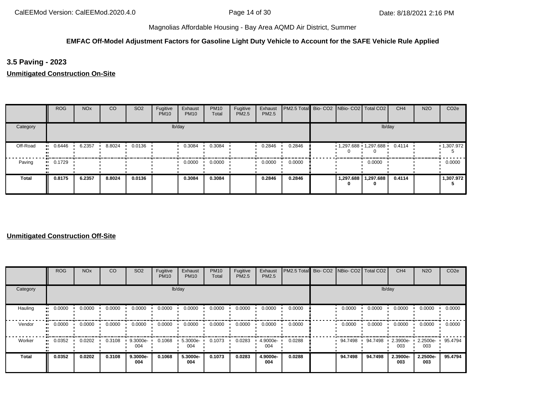## **EMFAC Off-Model Adjustment Factors for Gasoline Light Duty Vehicle to Account for the SAFE Vehicle Rule Applied**

**3.5 Paving - 2023**

**Unmitigated Construction On-Site**

|              | <b>ROG</b> | <b>NO<sub>x</sub></b> | CO     | SO <sub>2</sub> | Fugitive<br><b>PM10</b> | Exhaust<br><b>PM10</b> | <b>PM10</b><br>Total | Fugitive<br>PM2.5 | Exhaust<br>PM2.5 | PM2.5 Total Bio- CO2 NBio- CO2 Total CO2 |                         |                | CH <sub>4</sub> | <b>N2O</b> | CO <sub>2e</sub>  |
|--------------|------------|-----------------------|--------|-----------------|-------------------------|------------------------|----------------------|-------------------|------------------|------------------------------------------|-------------------------|----------------|-----------------|------------|-------------------|
| Category     |            |                       |        |                 |                         | lb/day                 |                      |                   |                  |                                          |                         |                | lb/day          |            |                   |
| Off-Road     | 0.6446     | 6.2357                | 8.8024 | 0.0136          |                         | 0.3084                 | 0.3084               |                   | 0.2846           | 0.2846                                   | $1,297.688$ $1,297.688$ |                | 0.4114          |            | $\cdot$ 1,307.972 |
| Paving       | 0.1729     |                       |        |                 |                         | 0.0000                 | 0.0000               |                   | 0.0000           | 0.0000                                   |                         | 0.0000         |                 |            | 0.0000            |
| <b>Total</b> | 0.8175     | 6.2357                | 8.8024 | 0.0136          |                         | 0.3084                 | 0.3084               |                   | 0.2846           | 0.2846                                   | 1,297.688<br>0          | 1,297.688<br>0 | 0.4114          |            | 1,307.972         |

|              | <b>ROG</b>            | <b>NO<sub>x</sub></b> | CO     | SO <sub>2</sub> | Fugitive<br><b>PM10</b> | Exhaust<br><b>PM10</b> | <b>PM10</b><br>Total | Fugitive<br><b>PM2.5</b> | Exhaust<br>PM2.5 | PM2.5 Total Bio- CO2 NBio- CO2 Total CO2 |         |         | CH <sub>4</sub> | <b>N2O</b>      | CO <sub>2e</sub> |
|--------------|-----------------------|-----------------------|--------|-----------------|-------------------------|------------------------|----------------------|--------------------------|------------------|------------------------------------------|---------|---------|-----------------|-----------------|------------------|
| Category     |                       |                       |        |                 |                         | lb/day                 |                      |                          |                  |                                          |         | lb/day  |                 |                 |                  |
| Hauling      | 0.0000<br>            | 0.0000                | 0.0000 | 0.0000          | 0.0000                  | 0.0000                 | 0.0000               | 0.0000                   | 0.0000           | 0.0000                                   | 0.0000  | 0.0000  | 0.0000          | 0.0000          | 0.0000           |
| Vendor       | $\blacksquare$ 0.0000 | 0.0000                | 0.0000 | 0.0000          | 0.0000                  | 0.0000                 | 0.0000               | 0.0000                   | 0.0000           | 0.0000                                   | 0.0000  | 0.0000  | 0.0000          | 0.0000          | 0.0000           |
| Worker       | 0.0352<br>            | 0.0202                | 0.3108 | 9.3000e-<br>004 | 0.1068                  | 5.3000e-<br>004        | 0.1073               | 0.0283                   | 4.9000e-<br>004  | 0.0288                                   | 94.7498 | 94.7498 | 2.3900e-<br>003 | 2.2500e-<br>003 | 95.4794          |
| <b>Total</b> | 0.0352                | 0.0202                | 0.3108 | 9.3000e-<br>004 | 0.1068                  | 5.3000e-<br>004        | 0.1073               | 0.0283                   | 4.9000e-<br>004  | 0.0288                                   | 94.7498 | 94.7498 | 2.3900e-<br>003 | 2.2500e-<br>003 | 95.4794          |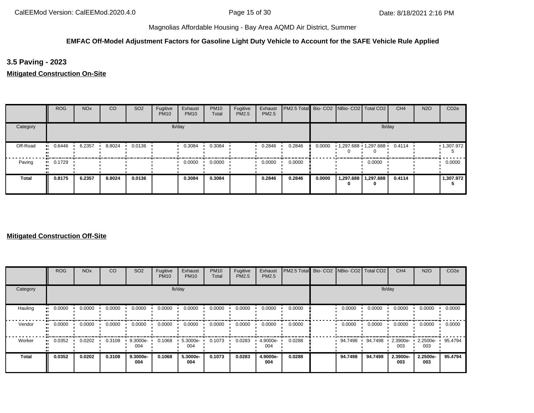## **EMFAC Off-Model Adjustment Factors for Gasoline Light Duty Vehicle to Account for the SAFE Vehicle Rule Applied**

**3.5 Paving - 2023**

**Mitigated Construction On-Site**

|              | <b>ROG</b>            | <b>NO<sub>x</sub></b> | <sub>CO</sub> | SO <sub>2</sub> | Fugitive<br><b>PM10</b> | Exhaust<br><b>PM10</b> | <b>PM10</b><br>Total | Fugitive<br>PM2.5 | Exhaust<br>PM2.5 | <b>PM2.5 Total</b> Bio- CO2 NBio- CO2 Total CO2 |        |                         |                          | CH <sub>4</sub> | <b>N2O</b> | CO <sub>2e</sub> |
|--------------|-----------------------|-----------------------|---------------|-----------------|-------------------------|------------------------|----------------------|-------------------|------------------|-------------------------------------------------|--------|-------------------------|--------------------------|-----------------|------------|------------------|
| Category     |                       |                       |               |                 |                         | lb/day                 |                      |                   |                  |                                                 |        |                         | lb/day                   |                 |            |                  |
| Off-Road     | $-0.6446$             | 6.2357                | 8.8024        | 0.0136          |                         | 0.3084                 | 0.3084               |                   | 0.2846           | 0.2846                                          | 0.0000 | $1,297.688$ $1,297.688$ |                          | 0.4114          |            | 1,307.972        |
| Paving       | $\blacksquare$ 0.1729 |                       |               |                 |                         | 0.0000                 | 0.0000               |                   | 0.0000           | 0.0000                                          |        |                         | 0.0000                   |                 |            | 0.0000           |
| <b>Total</b> | 0.8175                | 6.2357                | 8.8024        | 0.0136          |                         | 0.3084                 | 0.3084               |                   | 0.2846           | 0.2846                                          | 0.0000 | 0                       | 1,297.688 1,297.688<br>0 | 0.4114          |            | 1,307.972        |

|          | <b>ROG</b>            | <b>NO<sub>x</sub></b> | CO     | SO <sub>2</sub> | Fugitive<br><b>PM10</b> | Exhaust<br><b>PM10</b> | <b>PM10</b><br>Total | Fugitive<br><b>PM2.5</b> | Exhaust<br>PM2.5 | <b>I PM2.5 Total Bio- CO2 INBio- CO2   Total CO2  </b> |         |         | CH <sub>4</sub>   | <b>N2O</b>         | CO <sub>2e</sub> |
|----------|-----------------------|-----------------------|--------|-----------------|-------------------------|------------------------|----------------------|--------------------------|------------------|--------------------------------------------------------|---------|---------|-------------------|--------------------|------------------|
| Category |                       |                       |        |                 |                         | lb/day                 |                      |                          |                  |                                                        |         | lb/day  |                   |                    |                  |
| Hauling  | 0.0000<br>            | 0.0000                | 0.0000 | 0.0000          | 0.0000                  | 0.0000                 | 0.0000               | 0.0000                   | 0.0000           | 0.0000                                                 | 0.0000  | 0.0000  | 0.0000            | 0.0000             | 0.0000           |
| Vendor   | $\blacksquare$ 0.0000 | 0.0000                | 0.0000 | 0.0000          | 0.0000                  | 0.0000                 | 0.0000               | 0.0000                   | 0.0000           | 0.0000                                                 | 0.0000  | 0.0000  | 0.0000            | 0.0000             | 0.0000           |
| Worker   | 0.0352<br>            | 0.0202                | 0.3108 | 9.3000e-<br>004 | 0.1068                  | 5.3000e-<br>004        | 0.1073               | 0.0283                   | 4.9000e-<br>004  | 0.0288                                                 | 94.7498 | 94.7498 | $2.3900e-$<br>003 | $2.2500e -$<br>003 | 95.4794          |
| Total    | 0.0352                | 0.0202                | 0.3108 | 9.3000e-<br>004 | 0.1068                  | 5.3000e-<br>004        | 0.1073               | 0.0283                   | 4.9000e-<br>004  | 0.0288                                                 | 94.7498 | 94.7498 | 2.3900e-<br>003   | 2.2500e-<br>003    | 95.4794          |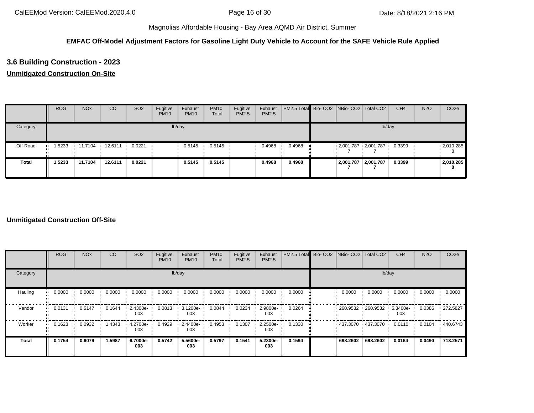## **EMFAC Off-Model Adjustment Factors for Gasoline Light Duty Vehicle to Account for the SAFE Vehicle Rule Applied**

# **3.6 Building Construction - 2023**

# **Unmitigated Construction On-Site**

|              | <b>ROG</b> | <b>NO<sub>x</sub></b> | CO                | SO <sub>2</sub> | Fugitive<br><b>PM10</b> | Exhaust<br><b>PM10</b> | <b>PM10</b><br>Total | Fugitive<br>PM2.5 | Exhaust<br>PM2.5 | PM2.5 Total Bio- CO2 NBio- CO2 Total CO2 |  |                         | CH <sub>4</sub> | <b>N2O</b> | CO <sub>2e</sub>  |
|--------------|------------|-----------------------|-------------------|-----------------|-------------------------|------------------------|----------------------|-------------------|------------------|------------------------------------------|--|-------------------------|-----------------|------------|-------------------|
| Category     |            |                       |                   |                 |                         | lb/day                 |                      |                   |                  |                                          |  | lb/day                  |                 |            |                   |
| Off-Road     | .5233      |                       | 11.7104 12.6111 ' | 0.0221          |                         | 0.5145                 | 0.5145               |                   | 0.4968           | 0.4968                                   |  | $2,001.787$ $2,001.787$ | 0.3399          |            | $\cdot$ 2,010.285 |
| <b>Total</b> | 1.5233     | 11.7104               | 12.6111           | 0.0221          |                         | 0.5145                 | 0.5145               |                   | 0.4968           | 0.4968                                   |  | 2,001.787 2,001.787     | 0.3399          |            | 2,010.285         |

|              | <b>ROG</b>          | <b>NO<sub>x</sub></b> | CO     | SO <sub>2</sub> | Fugitive<br><b>PM10</b> | Exhaust<br><b>PM10</b> | <b>PM10</b><br>Total | Fugitive<br>PM2.5 | Exhaust<br>PM2.5 | PM2.5 Total | Bio- CO2 NBio- CO2 Total CO2 |                   | CH <sub>4</sub> | <b>N2O</b> | CO <sub>2e</sub> |
|--------------|---------------------|-----------------------|--------|-----------------|-------------------------|------------------------|----------------------|-------------------|------------------|-------------|------------------------------|-------------------|-----------------|------------|------------------|
| Category     |                     |                       |        |                 |                         | lb/day                 |                      |                   |                  |             |                              | lb/day            |                 |            |                  |
| Hauling      | 0.0000<br>ш.        | 0.0000                | 0.0000 | 0.0000          | 0.0000                  | 0.0000                 | 0.0000               | 0.0000            | 0.0000           | 0.0000      | 0.0000                       | 0.0000            | 0.0000          | 0.0000     | 0.0000           |
| Vendor       | 0.0131<br>$\bullet$ | 0.5147                | 0.1644 | 2.4300e-<br>003 | 0.0813                  | 3.1200e-<br>003        | 0.0844               | 0.0234            | 2.9800e-<br>003  | 0.0264      |                              | 260.9532 260.9532 | 5.3400e-<br>003 | 0.0386     | $\cdot$ 272.5827 |
| Worker       | 0.1623              | 0.0932                | 1.4343 | 4.2700e-<br>003 | 0.4929                  | 2.4400e-<br>003        | 0.4953               | 0.1307            | 2.2500e-<br>003  | 0.1330      | 437.3070 437.3070            |                   | 0.0110          | 0.0104     | .440.6743        |
| <b>Total</b> | 0.1754              | 0.6079                | 1.5987 | 6.7000e-<br>003 | 0.5742                  | 5.5600e-<br>003        | 0.5797               | 0.1541            | 5.2300e-<br>003  | 0.1594      | 698.2602                     | 698.2602          | 0.0164          | 0.0490     | 713.2571         |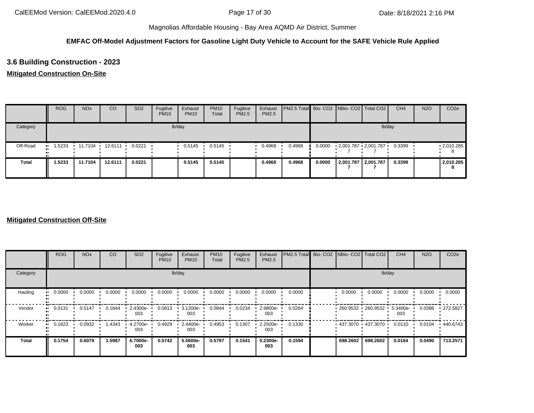## **EMFAC Off-Model Adjustment Factors for Gasoline Light Duty Vehicle to Account for the SAFE Vehicle Rule Applied**

# **3.6 Building Construction - 2023**

# **Mitigated Construction On-Site**

|              | <b>ROG</b> | <b>NO<sub>x</sub></b> | CO                | SO <sub>2</sub> | Fugitive<br><b>PM10</b> | Exhaust<br><b>PM10</b> | <b>PM10</b><br>Total | Fugitive<br>PM2.5 | Exhaust<br>PM2.5 | PM2.5 Total Bio- CO2 NBio- CO2 Total CO2 |        |                         | CH <sub>4</sub> | <b>N2O</b> | CO <sub>2e</sub>  |
|--------------|------------|-----------------------|-------------------|-----------------|-------------------------|------------------------|----------------------|-------------------|------------------|------------------------------------------|--------|-------------------------|-----------------|------------|-------------------|
| Category     |            |                       |                   |                 |                         | lb/day                 |                      |                   |                  |                                          |        |                         | lb/day          |            |                   |
| Off-Road     | 1.5233     | 11.7104               | $12.6111$ $\cdot$ | 0.0221          |                         | 0.5145                 | 0.5145               |                   | 0.4968           | 0.4968                                   | 0.0000 | $2,001.787$ $2,001.787$ | 0.3399          |            | $\cdot$ 2,010.285 |
| <b>Total</b> | 1.5233     | 11.7104               | 12.6111           | 0.0221          |                         | 0.5145                 | 0.5145               |                   | 0.4968           | 0.4968                                   | 0.0000 | 2,001.787 2,001.787     | 0.3399          |            | 2,010.285<br>o    |

|                        | <b>ROG</b>          | <b>NO<sub>x</sub></b> | CO     | SO <sub>2</sub> | Fugitive<br><b>PM10</b> | Exhaust<br><b>PM10</b> | <b>PM10</b><br>Total | Fugitive<br>PM2.5 | Exhaust<br>PM2.5 | PM2.5 Total Bio- CO2 NBio- CO2 Total CO2 |                     |                   | CH <sub>4</sub> | <b>N2O</b> | CO <sub>2e</sub> |
|------------------------|---------------------|-----------------------|--------|-----------------|-------------------------|------------------------|----------------------|-------------------|------------------|------------------------------------------|---------------------|-------------------|-----------------|------------|------------------|
| Category               |                     |                       |        |                 |                         | lb/day                 |                      |                   |                  |                                          |                     | lb/day            |                 |            |                  |
| Hauling                | 0.0000<br>$\bullet$ | 0.0000                | 0.0000 | 0.0000          | 0.0000                  | 0.0000                 | 0.0000               | 0.0000            | 0.0000           | 0.0000                                   | 0.0000              | 0.0000            | 0.0000          | 0.0000     | 0.0000           |
| Vendor<br>$\mathbf{u}$ | 0.0131              | 0.5147                | 0.1644 | 2.4300e-<br>003 | 0.0813                  | 3.1200e-<br>003        | 0.0844               | 0.0234            | 2.9800e-<br>003  | 0.0264                                   |                     | 260.9532 260.9532 | 5.3400e-<br>003 | 0.0386     | .272.5827        |
| Worker<br>$\bullet$    | 0.1623              | 0.0932                | 1.4343 | 4.2700e-<br>003 | 0.4929                  | 2.4400e-<br>003        | 0.4953               | 0.1307            | 2.2500e-<br>003  | 0.1330                                   | 437.3070 437.3070 ' |                   | 0.0110          | 0.0104     | .440.6743        |
| <b>Total</b>           | 0.1754              | 0.6079                | 1.5987 | 6.7000e-<br>003 | 0.5742                  | 5.5600e-<br>003        | 0.5797               | 0.1541            | 5.2300e-<br>003  | 0.1594                                   | 698.2602            | 698.2602          | 0.0164          | 0.0490     | 713.2571         |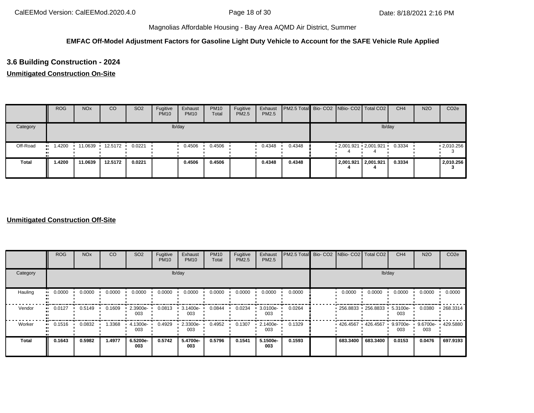## **EMFAC Off-Model Adjustment Factors for Gasoline Light Duty Vehicle to Account for the SAFE Vehicle Rule Applied**

# **3.6 Building Construction - 2024**

# **Unmitigated Construction On-Site**

|              | <b>ROG</b> | <b>NO<sub>x</sub></b> | CO                | SO <sub>2</sub> | Fugitive<br><b>PM10</b> | Exhaust<br><b>PM10</b> | <b>PM10</b><br>Total | Fugitive<br>PM2.5 | Exhaust<br><b>PM2.5</b> | PM2.5 Total Bio- CO2 NBio- CO2 Total CO2 |  |                     | CH <sub>4</sub> | <b>N2O</b> | CO <sub>2e</sub>  |
|--------------|------------|-----------------------|-------------------|-----------------|-------------------------|------------------------|----------------------|-------------------|-------------------------|------------------------------------------|--|---------------------|-----------------|------------|-------------------|
| Category     |            |                       |                   |                 |                         | lb/day                 |                      |                   |                         |                                          |  | lb/day              |                 |            |                   |
| Off-Road     | .4200<br>  |                       | 11.0639 12.5172 ' | 0.0221          |                         | 0.4506                 | 0.4506               |                   | 0.4348                  | 0.4348                                   |  | 2,001.921 2,001.921 | 0.3334          |            | $\cdot$ 2,010.256 |
| <b>Total</b> | 1.4200     | 11.0639               | 12.5172           | 0.0221          |                         | 0.4506                 | 0.4506               |                   | 0.4348                  | 0.4348                                   |  | 2,001.921 2,001.921 | 0.3334          |            | 2,010.256         |

|                      | <b>ROG</b> | <b>NO<sub>x</sub></b> | CO     | SO <sub>2</sub> | Fugitive<br><b>PM10</b> | Exhaust<br><b>PM10</b> | <b>PM10</b><br>Total | Fugitive<br>PM2.5 | Exhaust<br>PM2.5 | PM2.5 Total | Bio- CO2 NBio- CO2 Total CO2 |                   | CH <sub>4</sub>    | <b>N2O</b>                | CO <sub>2e</sub> |
|----------------------|------------|-----------------------|--------|-----------------|-------------------------|------------------------|----------------------|-------------------|------------------|-------------|------------------------------|-------------------|--------------------|---------------------------|------------------|
| Category             |            |                       |        |                 |                         | lb/day                 |                      |                   |                  |             |                              | lb/day            |                    |                           |                  |
| Hauling<br>$\bullet$ | 0.0000     | 0.0000                | 0.0000 | 0.0000          | 0.0000                  | 0.0000                 | 0.0000               | 0.0000            | 0.0000           | 0.0000      | 0.0000                       | 0.0000            | 0.0000             | 0.0000                    | 0.0000           |
| Vendor<br>$\bullet$  | 0.0127     | 0.5149                | 0.1609 | 2.3900e-<br>003 | 0.0813                  | 3.1400e-<br>003        | 0.0844               | 0.0234            | 3.0100e-<br>003  | 0.0264      |                              | 256.8833 256.8833 | 5.3100e-<br>003    | 0.0380                    | .268.3314        |
| Worker<br>$\bullet$  | 0.1516     | 0.0832                | 1.3368 | 4.1300e-<br>003 | 0.4929                  | 2.3300e-<br>003        | 0.4952               | 0.1307            | 2.1400e-<br>003  | 0.1329      | 426.4567 426.4567            |                   | $9.9700e -$<br>003 | 9.6700e- 1429.5880<br>003 |                  |
| <b>Total</b>         | 0.1643     | 0.5982                | 1.4977 | 6.5200e-<br>003 | 0.5742                  | 5.4700e-<br>003        | 0.5796               | 0.1541            | 5.1500e-<br>003  | 0.1593      | 683.3400                     | 683.3400          | 0.0153             | 0.0476                    | 697.9193         |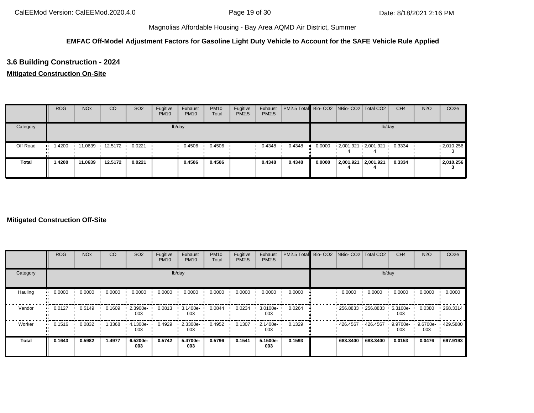## **EMFAC Off-Model Adjustment Factors for Gasoline Light Duty Vehicle to Account for the SAFE Vehicle Rule Applied**

# **3.6 Building Construction - 2024**

# **Mitigated Construction On-Site**

|              | <b>ROG</b> | <b>NO<sub>x</sub></b> | CO        | SO <sub>2</sub> | Fugitive<br><b>PM10</b> | Exhaust<br><b>PM10</b> | <b>PM10</b><br>Total | Fugitive<br>PM2.5 | Exhaust<br>PM2.5 | PM2.5 Total Bio- CO2 NBio- CO2 Total CO2 |        |                         | CH <sub>4</sub> | <b>N2O</b> | CO <sub>2e</sub> |
|--------------|------------|-----------------------|-----------|-----------------|-------------------------|------------------------|----------------------|-------------------|------------------|------------------------------------------|--------|-------------------------|-----------------|------------|------------------|
| Category     |            |                       |           |                 |                         | lb/day                 |                      |                   |                  |                                          |        | lb/day                  |                 |            |                  |
| Off-Road     | .4200      | 11.0639               | 12.5172 • | 0.0221          |                         | 0.4506                 | 0.4506               |                   | 0.4348           | 0.4348                                   | 0.0000 | $2,001.921$ $2,001.921$ | 0.3334          |            | .2010.256        |
| <b>Total</b> | 1.4200     | 11.0639               | 12.5172   | 0.0221          |                         | 0.4506                 | 0.4506               |                   | 0.4348           | 0.4348                                   | 0.0000 | 2,001.921 2,001.921     | 0.3334          |            | 2,010.256        |

|                        | <b>ROG</b>                 | <b>NO<sub>x</sub></b> | CO     | SO <sub>2</sub> | Fugitive<br><b>PM10</b> | Exhaust<br><b>PM10</b> | <b>PM10</b><br>Total | Fugitive<br>PM2.5 | Exhaust<br>PM2.5 | PM2.5 Total Bio- CO2 NBio- CO2 Total CO2 |                        |          | CH <sub>4</sub>    | <b>N2O</b>                | CO <sub>2e</sub> |
|------------------------|----------------------------|-----------------------|--------|-----------------|-------------------------|------------------------|----------------------|-------------------|------------------|------------------------------------------|------------------------|----------|--------------------|---------------------------|------------------|
| Category               |                            |                       |        |                 |                         | lb/day                 |                      |                   |                  |                                          |                        | lb/day   |                    |                           |                  |
| Hauling                | 0.0000<br>$\bullet\bullet$ | 0.0000                | 0.0000 | 0.0000          | 0.0000                  | 0.0000                 | 0.0000               | 0.0000            | 0.0000           | 0.0000                                   | 0.0000                 | 0.0000   | 0.0000             | 0.0000                    | 0.0000           |
| Vendor<br>$\mathbf{u}$ | 0.0127                     | 0.5149                | 0.1609 | 2.3900e-<br>003 | 0.0813                  | 3.1400e-<br>003        | 0.0844               | 0.0234            | 3.0100e-<br>003  | 0.0264                                   | $-256.8833 - 256.8833$ |          | 5.3100e-<br>003    | 0.0380                    | $-268.3314$      |
| Worker<br>$\bullet$    | 0.1516                     | 0.0832                | 1.3368 | 4.1300e-<br>003 | 0.4929                  | 2.3300e-<br>003        | 0.4952               | 0.1307            | 2.1400e-<br>003  | 0.1329                                   | 426.4567               | 426.4567 | $9.9700e -$<br>003 | 9.6700e- 1429.5880<br>003 |                  |
| <b>Total</b>           | 0.1643                     | 0.5982                | 1.4977 | 6.5200e-<br>003 | 0.5742                  | 5.4700e-<br>003        | 0.5796               | 0.1541            | 5.1500e-<br>003  | 0.1593                                   | 683.3400               | 683.3400 | 0.0153             | 0.0476                    | 697.9193         |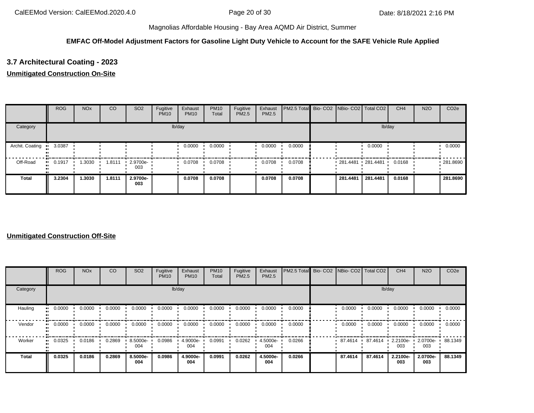## **EMFAC Off-Model Adjustment Factors for Gasoline Light Duty Vehicle to Account for the SAFE Vehicle Rule Applied**

# **3.7 Architectural Coating - 2023**

### **Unmitigated Construction On-Site**

|                 | <b>ROG</b> | <b>NO<sub>x</sub></b> | <sub>CO</sub> | SO <sub>2</sub>         | Fugitive<br><b>PM10</b> | Exhaust<br><b>PM10</b> | <b>PM10</b><br>Total | Fugitive<br>PM2.5 | Exhaust<br>PM2.5 | PM2.5 Total Bio- CO2 NBio- CO2 Total CO2 |                        |          | CH <sub>4</sub> | <b>N2O</b> | CO <sub>2e</sub> |
|-----------------|------------|-----------------------|---------------|-------------------------|-------------------------|------------------------|----------------------|-------------------|------------------|------------------------------------------|------------------------|----------|-----------------|------------|------------------|
| Category        |            |                       |               |                         |                         | lb/day                 |                      |                   |                  |                                          |                        | lb/day   |                 |            |                  |
| Archit. Coating | 3.0387     |                       |               |                         |                         | 0.0000                 | 0.0000               |                   | 0.0000           | 0.0000                                   |                        | 0.0000   |                 |            | 0.0000           |
| Off-Road        | 0.1917     | 1.3030                | 1.8111        | $\cdot$ 2.9700e-<br>003 |                         | 0.0708                 | 0.0708               |                   | 0.0708           | 0.0708                                   | $-281.4481 - 281.4481$ |          | 0.0168          |            | .281.8690        |
| <b>Total</b>    | 3.2304     | 1.3030                | 1.8111        | 2.9700e-<br>003         |                         | 0.0708                 | 0.0708               |                   | 0.0708           | 0.0708                                   | 281.4481               | 281.4481 | 0.0168          |            | 281.8690         |

|              | <b>ROG</b>    | <b>NO<sub>x</sub></b> | CO     | SO <sub>2</sub> | Fugitive<br><b>PM10</b> | Exhaust<br><b>PM10</b> | <b>PM10</b><br>Total | Fugitive<br><b>PM2.5</b> | Exhaust<br>PM2.5 | PM2.5 Total Bio- CO2 NBio- CO2 Total CO2 |         |         | CH <sub>4</sub> | <b>N2O</b>      | CO <sub>2e</sub> |
|--------------|---------------|-----------------------|--------|-----------------|-------------------------|------------------------|----------------------|--------------------------|------------------|------------------------------------------|---------|---------|-----------------|-----------------|------------------|
| Category     |               |                       |        |                 |                         | lb/day                 |                      |                          |                  |                                          |         | lb/day  |                 |                 |                  |
| Hauling      | 0.0000<br>    | 0.0000                | 0.0000 | 0.0000          | 0.0000                  | 0.0000                 | 0.0000               | 0.0000                   | 0.0000           | 0.0000                                   | 0.0000  | 0.0000  | 0.0000          | 0.0000          | 0.0000           |
| Vendor       | 0.0000<br>. . | 0.0000                | 0.0000 | 0.0000          | 0.0000                  | 0.0000                 | 0.0000               | 0.0000                   | 0.0000           | 0.0000                                   | 0.0000  | 0.0000  | 0.0000          | 0.0000          | 0.0000           |
| Worker       | 0.0325<br>    | 0.0186                | 0.2869 | 8.5000e-<br>004 | 0.0986                  | 4.9000e-<br>004        | 0.0991               | 0.0262                   | 4.5000e-<br>004  | 0.0266                                   | 87.4614 | 87.4614 | 2.2100e-<br>003 | 2.0700e-<br>003 | 88.1349          |
| <b>Total</b> | 0.0325        | 0.0186                | 0.2869 | 8.5000e-<br>004 | 0.0986                  | 4.9000e-<br>004        | 0.0991               | 0.0262                   | 4.5000e-<br>004  | 0.0266                                   | 87.4614 | 87.4614 | 2.2100e-<br>003 | 2.0700e-<br>003 | 88.1349          |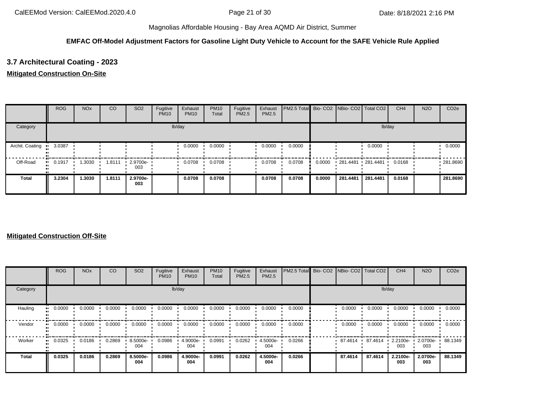## **EMFAC Off-Model Adjustment Factors for Gasoline Light Duty Vehicle to Account for the SAFE Vehicle Rule Applied**

# **3.7 Architectural Coating - 2023**

### **Mitigated Construction On-Site**

|                 | <b>ROG</b>            | <b>NO<sub>x</sub></b> | CO     | SO <sub>2</sub> | Fugitive<br><b>PM10</b> | Exhaust<br><b>PM10</b> | <b>PM10</b><br>Total | Fugitive<br><b>PM2.5</b> | Exhaust<br><b>PM2.5</b> | PM2.5 Total Bio- CO2 NBio- CO2 Total CO2 |        |                     |          | CH <sub>4</sub> | <b>N2O</b> | CO <sub>2e</sub> |
|-----------------|-----------------------|-----------------------|--------|-----------------|-------------------------|------------------------|----------------------|--------------------------|-------------------------|------------------------------------------|--------|---------------------|----------|-----------------|------------|------------------|
| Category        |                       |                       |        |                 |                         | lb/day                 |                      |                          |                         |                                          |        |                     | lb/day   |                 |            |                  |
| Archit. Coating | 3.0387<br>            |                       |        |                 |                         | 0.0000                 | 0.0000               |                          | 0.0000                  | 0.0000                                   |        |                     | 0.0000   |                 |            | 0.0000           |
| Off-Road        | $\blacksquare$ 0.1917 | 1.3030                | 1.8111 | 2.9700e-<br>003 |                         | 0.0708                 | 0.0708               |                          | 0.0708                  | 0.0708                                   | 0.0000 | $281.4481$ 281.4481 |          | 0.0168          |            | .281.8690        |
| <b>Total</b>    | 3.2304                | 1.3030                | 1.8111 | 2.9700e-<br>003 |                         | 0.0708                 | 0.0708               |                          | 0.0708                  | 0.0708                                   | 0.0000 | 281.4481            | 281.4481 | 0.0168          |            | 281.8690         |

|              | <b>ROG</b>            | <b>NO<sub>x</sub></b> | CO     | SO <sub>2</sub> | Fugitive<br><b>PM10</b> | Exhaust<br><b>PM10</b> | <b>PM10</b><br>Total | Fugitive<br><b>PM2.5</b> | Exhaust<br>PM2.5 | PM2.5 Total Bio- CO2 NBio- CO2 Total CO2 |         |         | CH <sub>4</sub>    | <b>N2O</b>      | CO <sub>2e</sub> |
|--------------|-----------------------|-----------------------|--------|-----------------|-------------------------|------------------------|----------------------|--------------------------|------------------|------------------------------------------|---------|---------|--------------------|-----------------|------------------|
| Category     |                       |                       |        |                 |                         | lb/day                 |                      |                          |                  |                                          |         | lb/day  |                    |                 |                  |
| Hauling      | 0.0000<br>            | 0.0000                | 0.0000 | 0.0000          | 0.0000                  | 0.0000                 | 0.0000               | 0.0000                   | 0.0000           | 0.0000                                   | 0.0000  | 0.0000  | 0.0000             | 0.0000          | 0.0000           |
| Vendor       | $\blacksquare$ 0.0000 | 0.0000                | 0.0000 | 0.0000          | 0.0000                  | 0.0000                 | 0.0000               | 0.0000                   | 0.0000           | 0.0000                                   | 0.0000  | 0.0000  | 0.0000             | 0.0000          | 0.0000           |
| Worker       | 0.0325<br>            | 0.0186                | 0.2869 | 8.5000e-<br>004 | 0.0986                  | 4.9000e-<br>004        | 0.0991               | 0.0262                   | 4.5000e-<br>004  | 0.0266                                   | 87.4614 | 87.4614 | $2.2100e -$<br>003 | 2.0700e-<br>003 | 88.1349          |
| <b>Total</b> | 0.0325                | 0.0186                | 0.2869 | 8.5000e-<br>004 | 0.0986                  | 4.9000e-<br>004        | 0.0991               | 0.0262                   | 4.5000e-<br>004  | 0.0266                                   | 87.4614 | 87.4614 | 2.2100e-<br>003    | 2.0700e-<br>003 | 88.1349          |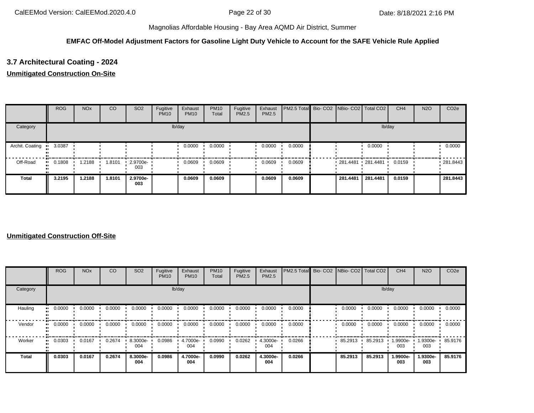## **EMFAC Off-Model Adjustment Factors for Gasoline Light Duty Vehicle to Account for the SAFE Vehicle Rule Applied**

# **3.7 Architectural Coating - 2024**

### **Unmitigated Construction On-Site**

|                 | <b>ROG</b>            | <b>NO<sub>x</sub></b> | CO     | SO <sub>2</sub>    | Fugitive<br><b>PM10</b> | Exhaust<br><b>PM10</b> | <b>PM10</b><br>Total | Fugitive<br><b>PM2.5</b> | Exhaust<br><b>PM2.5</b> | PM2.5 Total Bio- CO2 NBio- CO2 Total CO2 |                        |          | CH <sub>4</sub> | <b>N2O</b> | CO <sub>2e</sub> |
|-----------------|-----------------------|-----------------------|--------|--------------------|-------------------------|------------------------|----------------------|--------------------------|-------------------------|------------------------------------------|------------------------|----------|-----------------|------------|------------------|
| Category        |                       |                       |        |                    |                         | lb/day                 |                      |                          |                         |                                          |                        | lb/day   |                 |            |                  |
| Archit. Coating | 3.0387<br>. .         |                       |        |                    |                         | 0.0000                 | 0.0000               |                          | 0.0000                  | 0.0000                                   |                        | 0.0000   |                 |            | 0.0000           |
| Off-Road        | $\blacksquare$ 0.1808 | 1.2188                | 1.8101 | $-2.9700e-$<br>003 |                         | 0.0609                 | 0.0609               |                          | 0.0609                  | 0.0609                                   | $-281.4481 - 281.4481$ |          | 0.0159          |            | .281.8443        |
| <b>Total</b>    | 3.2195                | 1.2188                | 1.8101 | 2.9700e-<br>003    |                         | 0.0609                 | 0.0609               |                          | 0.0609                  | 0.0609                                   | 281.4481               | 281.4481 | 0.0159          |            | 281.8443         |

|              | ROG    | <b>NO<sub>x</sub></b> | <sub>CO</sub> | SO <sub>2</sub> | Fugitive<br><b>PM10</b> | Exhaust<br><b>PM10</b> | <b>PM10</b><br>Total | Fugitive<br>PM2.5 | Exhaust<br>PM2.5 | PM2.5 Total Bio- CO2 NBio- CO2 Total CO2 |         |         | CH <sub>4</sub> | <b>N2O</b>      | CO <sub>2e</sub> |
|--------------|--------|-----------------------|---------------|-----------------|-------------------------|------------------------|----------------------|-------------------|------------------|------------------------------------------|---------|---------|-----------------|-----------------|------------------|
| Category     |        |                       |               |                 |                         | lb/day                 |                      |                   |                  |                                          |         | lb/day  |                 |                 |                  |
| Hauling      | 0.0000 | 0.0000                | 0.0000        | 0.0000          | 0.0000                  | 0.0000                 | 0.0000               | 0.0000            | 0.0000           | 0.0000                                   | 0.0000  | 0.0000  | 0.0000          | 0.0000          | 0.0000           |
| Vendor       | 0.0000 | 0.0000                | 0.0000        | 0.0000          | 0.0000                  | 0.0000                 | 0.0000               | 0.0000            | 0.0000           | 0.0000                                   | 0.0000  | 0.0000  | 0.0000          | 0.0000          | 0.0000           |
| Worker       | 0.0303 | 0.0167                | 0.2674        | 8.3000e-<br>004 | 0.0986                  | 4.7000e-<br>004        | 0.0990               | 0.0262            | 4.3000e-<br>004  | 0.0266                                   | 85.2913 | 85.2913 | 1.9900e-<br>003 | 1.9300e-<br>003 | 85.9176          |
| <b>Total</b> | 0.0303 | 0.0167                | 0.2674        | 8.3000e-<br>004 | 0.0986                  | 4.7000e-<br>004        | 0.0990               | 0.0262            | 4.3000e-<br>004  | 0.0266                                   | 85.2913 | 85.2913 | 1.9900e-<br>003 | 1.9300e-<br>003 | 85.9176          |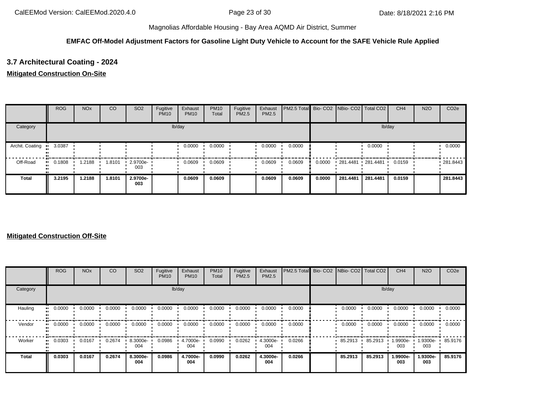## **EMFAC Off-Model Adjustment Factors for Gasoline Light Duty Vehicle to Account for the SAFE Vehicle Rule Applied**

# **3.7 Architectural Coating - 2024**

### **Mitigated Construction On-Site**

|                 | <b>ROG</b>            | <b>NO<sub>x</sub></b> | CO     | SO <sub>2</sub> | Fugitive<br><b>PM10</b> | Exhaust<br><b>PM10</b> | <b>PM10</b><br>Total | Fugitive<br><b>PM2.5</b> | Exhaust<br><b>PM2.5</b> | PM2.5 Total Bio- CO2 NBio- CO2 Total CO2 |        |                     |          | CH <sub>4</sub> | <b>N2O</b> | CO <sub>2e</sub> |
|-----------------|-----------------------|-----------------------|--------|-----------------|-------------------------|------------------------|----------------------|--------------------------|-------------------------|------------------------------------------|--------|---------------------|----------|-----------------|------------|------------------|
| Category        |                       |                       |        |                 |                         | lb/day                 |                      |                          |                         |                                          |        |                     | lb/day   |                 |            |                  |
| Archit. Coating | 3.0387<br>            |                       |        |                 |                         | 0.0000                 | 0.0000               |                          | 0.0000                  | 0.0000                                   |        |                     | 0.0000   |                 |            | 0.0000           |
| Off-Road        | $\blacksquare$ 0.1808 | 1.2188                | 1.8101 | 2.9700e-<br>003 |                         | 0.0609                 | 0.0609               |                          | 0.0609                  | 0.0609                                   | 0.0000 | $281.4481$ 281.4481 |          | 0.0159          |            | .281.8443        |
| <b>Total</b>    | 3.2195                | 1.2188                | 1.8101 | 2.9700e-<br>003 |                         | 0.0609                 | 0.0609               |                          | 0.0609                  | 0.0609                                   | 0.0000 | 281.4481            | 281.4481 | 0.0159          |            | 281.8443         |

|              | <b>ROG</b>            | <b>NO<sub>x</sub></b> | CO     | SO <sub>2</sub> | Fugitive<br><b>PM10</b> | Exhaust<br><b>PM10</b> | <b>PM10</b><br>Total | Fugitive<br><b>PM2.5</b> | Exhaust<br>PM2.5 | PM2.5 Total Bio- CO2 NBio- CO2 Total CO2 |           |         | CH <sub>4</sub> | <b>N2O</b>      | CO <sub>2e</sub> |
|--------------|-----------------------|-----------------------|--------|-----------------|-------------------------|------------------------|----------------------|--------------------------|------------------|------------------------------------------|-----------|---------|-----------------|-----------------|------------------|
| Category     |                       |                       |        |                 |                         | lb/day                 |                      |                          |                  |                                          |           | lb/day  |                 |                 |                  |
| Hauling      | 0.0000<br>            | 0.0000                | 0.0000 | 0.0000          | 0.0000                  | 0.0000                 | 0.0000               | 0.0000                   | 0.0000           | 0.0000                                   | 0.0000    | 0.0000  | 0.0000          | 0.0000          | 0.0000           |
| Vendor       | $\blacksquare$ 0.0000 | 0.0000                | 0.0000 | 0.0000          | 0.0000                  | 0.0000                 | 0.0000               | 0.0000                   | 0.0000           | 0.0000                                   | 0.0000    | 0.0000  | 0.0000          | 0.0000          | 0.0000           |
| Worker       | 0.0303<br>            | 0.0167                | 0.2674 | 8.3000e-<br>004 | 0.0986                  | 4.7000e-<br>004        | 0.0990               | 0.0262                   | 4.3000e-<br>004  | 0.0266                                   | 85.2913 · | 85.2913 | 1.9900e-<br>003 | 1.9300e-<br>003 | 85.9176          |
| <b>Total</b> | 0.0303                | 0.0167                | 0.2674 | 8.3000e-<br>004 | 0.0986                  | 4.7000e-<br>004        | 0.0990               | 0.0262                   | 4.3000e-<br>004  | 0.0266                                   | 85.2913   | 85.2913 | 1.9900e-<br>003 | 1.9300e-<br>003 | 85.9176          |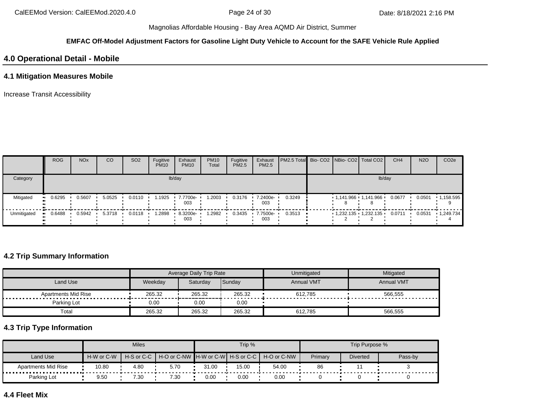#### **EMFAC Off-Model Adjustment Factors for Gasoline Light Duty Vehicle to Account for the SAFE Vehicle Rule Applied**

# **4.0 Operational Detail - Mobile**

### **4.1 Mitigation Measures Mobile**

Increase Transit Accessibility

|             | <b>ROG</b> | NO <sub>x</sub> | CO     | SO <sub>2</sub> | Fugitive<br><b>PM10</b> | Exhaust<br><b>PM10</b> | <b>PM10</b><br>Total | Fugitive<br>PM2.5 | Exhaust<br>PM2.5   | PM2.5 Total  Bio- CO2   NBio- CO2   Total CO2 |  |                                 | CH <sub>4</sub> | <b>N2O</b> | CO <sub>2e</sub>  |
|-------------|------------|-----------------|--------|-----------------|-------------------------|------------------------|----------------------|-------------------|--------------------|-----------------------------------------------|--|---------------------------------|-----------------|------------|-------------------|
| Category    |            |                 |        |                 |                         | lb/day                 |                      |                   |                    |                                               |  | lb/day                          |                 |            |                   |
| Mitigated   | 0.6295     | 0.5607          | 5.0525 | 0.0110          | 1.1925                  | 7.7700e-<br>003        | 1.2003               | 0.3176            | $-7.2400e-$<br>003 | 0.3249                                        |  | $1,141.966$ $1,141.966$ $\cdot$ | 0.0677          | 0.0501     | $\cdot$ 1,158.595 |
| Unmitigated | 0.6488     | 0.5942          | 5.3718 | 0.0118          | 1.2898                  | 8.3200e-<br>003        | 1.2982               | 0.3435            | $-7.7500e-$<br>003 | 0.3513                                        |  | 1,232.135 1,232.135             | 0.0711          | 0.0531     | 1,249.734         |

## **4.2 Trip Summary Information**

|                     |         | Average Daily Trip Rate |        | Unmitigated       | Mitigated         |
|---------------------|---------|-------------------------|--------|-------------------|-------------------|
| Land Use            | Weekdav | Saturdav                | Sunday | <b>Annual VMT</b> | <b>Annual VMT</b> |
| Apartments Mid Rise | 265.32  | 265.32                  | 265.32 | 612.785           | 566.555           |
| Parking Lot         | 0.00    | 0.00                    | 0.00   |                   |                   |
| Total               | 265.32  | 265.32                  | 265.32 | 612.785           | 566.555           |

# **4.3 Trip Type Information**

|                            |            | <b>Miles</b> |                                                    |       | Trip % |             |         | Trip Purpose %  |         |
|----------------------------|------------|--------------|----------------------------------------------------|-------|--------|-------------|---------|-----------------|---------|
| Land Use                   | H-W or C-W |              | H-S or C-C   H-O or C-NW   H-W or C-W   H-S or C-C |       |        | H-O or C-NW | Primary | <b>Diverted</b> | Pass-by |
| <b>Apartments Mid Rise</b> | 10.80      | 4.80         | 5.70                                               | 31.00 | 15.00  | 54.00       | 86      |                 |         |
| Parking Lot                | 9.50       | 7.30         | 7.30                                               | 0.00  | 0.00   | 0.00        |         |                 |         |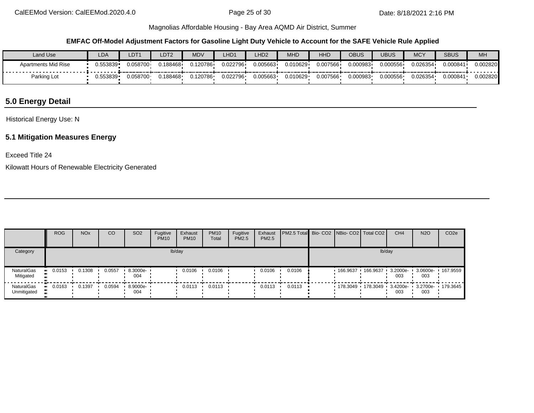#### **EMFAC Off-Model Adjustment Factors for Gasoline Light Duty Vehicle to Account for the SAFE Vehicle Rule Applied**

| Land Use                   | LDA          | DT1      | LDT2     | <b>MDV</b> | LHD1     | LHD <sub>2</sub> | <b>MHD</b> | <b>HHD</b> | <b>OBUS</b> | <b>UBUS</b> | <b>MCY</b> | <b>SBUS</b> | MH       |
|----------------------------|--------------|----------|----------|------------|----------|------------------|------------|------------|-------------|-------------|------------|-------------|----------|
| <b>Apartments Mid Rise</b> | $J.553839 -$ | 0.058700 | 0.188468 | 1.120786   | 0.022796 | 0.005663         | 0.010629+  | 0.007566   | 0.000983    | 0.000556    | 0.026354   | 0.000841    | 0.002820 |
| Parking Lot                | ህ.553839•    | 0.058700 | 0.188468 | 120786.    | 0.022796 | 0.005663         | 0.010629   | 0.007566   | 0.000983    | 0.000556    | 0.026354   | 0.000841    | 0.002820 |

# **5.0 Energy Detail**

Historical Energy Use: N

# **5.1 Mitigation Measures Energy**

#### Exceed Title 24

Kilowatt Hours of Renewable Electricity Generated

|                           | <b>ROG</b> | <b>NO<sub>x</sub></b> | CO     | SO <sub>2</sub>        | Fugitive<br><b>PM10</b> | Exhaust<br><b>PM10</b> | <b>PM10</b><br>Total | Fugitive<br>PM2.5 | Exhaust<br>PM2.5 | <b>PM2.5 Total</b> Bio- CO2 NBio- CO2 Total CO2 |  |                                     | CH <sub>4</sub> | <b>N2O</b>      | CO <sub>2e</sub> |
|---------------------------|------------|-----------------------|--------|------------------------|-------------------------|------------------------|----------------------|-------------------|------------------|-------------------------------------------------|--|-------------------------------------|-----------------|-----------------|------------------|
| Category                  |            |                       |        |                        |                         | lb/day                 |                      |                   |                  |                                                 |  | lb/day                              |                 |                 |                  |
| NaturalGas<br>Mitigated   | 0.0153     | 0.1308                | 0.0557 | 8.3000e-<br>004        |                         | 0.0106                 | 0.0106               |                   | 0.0106           | 0.0106                                          |  | 166.9637 · 166.9637 · 3.2000e- ·    | 003             | 3.0600e-<br>003 | 167.9559         |
| NaturalGas<br>Unmitigated | 0.0163     | 0.1397                |        | 0.0594 8.9000e-<br>004 |                         | 0.0113                 | 0.0113               |                   | 0.0113           | 0.0113                                          |  | 178.3049 178.3049 3.4200e- 3.2700e- | 003             | 003             | ▪ 179.3645       |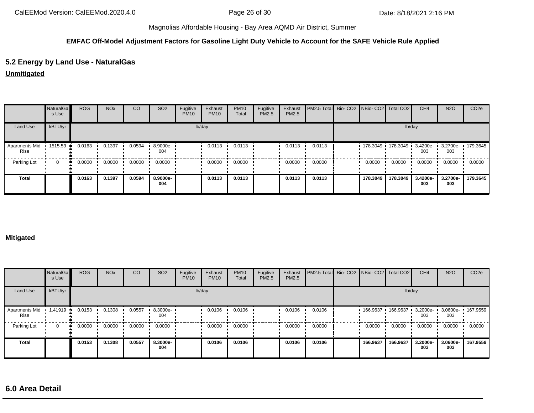#### **EMFAC Off-Model Adjustment Factors for Gasoline Light Duty Vehicle to Account for the SAFE Vehicle Rule Applied**

# **5.2 Energy by Land Use - NaturalGas**

**Unmitigated**

|                        | NaturalGa<br>s Use | <b>ROG</b>   | <b>NO<sub>x</sub></b> | CO     | SO <sub>2</sub> | Fugitive<br><b>PM10</b> | Exhaust<br><b>PM10</b> | <b>PM10</b><br>Total | Fugitive<br>PM2.5 | Exhaust<br>PM2.5 | PM2.5 Total Bio- CO2 NBio- CO2 Total CO2 |                                              |          | CH <sub>4</sub> | <b>N2O</b>      | CO <sub>2e</sub> |
|------------------------|--------------------|--------------|-----------------------|--------|-----------------|-------------------------|------------------------|----------------------|-------------------|------------------|------------------------------------------|----------------------------------------------|----------|-----------------|-----------------|------------------|
| Land Use               | kBTU/yr            |              |                       |        |                 |                         | lb/day                 |                      |                   |                  |                                          |                                              | lb/day   |                 |                 |                  |
| Apartments Mid<br>Rise | 1515.59<br>.       | 0.0163       | 0.1397                | 0.0594 | 8.9000e-<br>004 |                         | 0.0113                 | 0.0113               |                   | 0.0113           | 0.0113                                   | $178.3049$ $\cdot$ 178.3049 $\cdot$ 3.4200e- |          | 003             | 3.2700e-<br>003 | 179.3645         |
| Parking Lot            | 0                  | 0.0000<br>ш. | 0.0000                | 0.0000 | 0.0000          |                         | 0.0000                 | 0.0000               |                   | 0.0000           | 0.0000                                   | 0.0000                                       | 0.0000   | 0.0000          | 0.0000          | 0.0000           |
| <b>Total</b>           |                    | 0.0163       | 0.1397                | 0.0594 | 8.9000e-<br>004 |                         | 0.0113                 | 0.0113               |                   | 0.0113           | 0.0113                                   | 178.3049                                     | 178.3049 | 3.4200e-<br>003 | 3.2700e-<br>003 | 179.3645         |

#### **Mitigated**

|                        | NaturalGa<br>s Use | <b>ROG</b> | <b>NO<sub>x</sub></b> | CO     | SO <sub>2</sub> | Fugitive<br><b>PM10</b> | Exhaust<br><b>PM10</b> | <b>PM10</b><br>Total | Fugitive<br>PM2.5 | Exhaust<br>PM2.5 | PM2.5 Total Bio- CO2 NBio- CO2 Total CO2 |                   |          | CH <sub>4</sub> | <b>N2O</b>      | CO <sub>2e</sub> |
|------------------------|--------------------|------------|-----------------------|--------|-----------------|-------------------------|------------------------|----------------------|-------------------|------------------|------------------------------------------|-------------------|----------|-----------------|-----------------|------------------|
| Land Use               | kBTU/yr            |            |                       |        |                 |                         | lb/day                 |                      |                   |                  |                                          |                   | lb/day   |                 |                 |                  |
| Apartments Mid<br>Rise | 1.41919<br>-91     | 0.0153     | 0.1308                | 0.0557 | 8.3000e-<br>004 |                         | 0.0106                 | 0.0106               |                   | 0.0106           | 0.0106                                   | 166.9637 166.9637 |          | 3.2000e-<br>003 | 3.0600e-<br>003 | 167.9559         |
| Parking Lot            |                    | 0.0000     | 0.0000                | 0.0000 | 0.0000          |                         | 0.0000                 | 0.0000               |                   | 0.0000           | 0.0000                                   | 0.0000            | 0.0000   | 0.0000          | 0.0000          | 0.0000           |
| <b>Total</b>           |                    | 0.0153     | 0.1308                | 0.0557 | 8.3000e-<br>004 |                         | 0.0106                 | 0.0106               |                   | 0.0106           | 0.0106                                   | 166.9637          | 166.9637 | 3.2000e-<br>003 | 3.0600e-<br>003 | 167.9559         |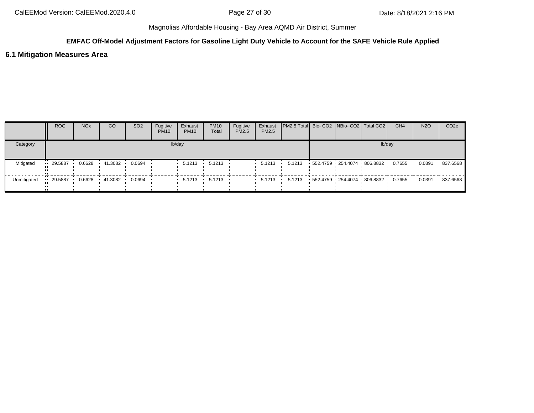## **EMFAC Off-Model Adjustment Factors for Gasoline Light Duty Vehicle to Account for the SAFE Vehicle Rule Applied**

### **6.1 Mitigation Measures Area**

|             | <b>ROG</b> | <b>NO<sub>x</sub></b> | CO                      | SO <sub>2</sub> | Fugitive<br><b>PM10</b> | Exhaust<br><b>PM10</b> | <b>PM10</b><br>Total | Fugitive<br><b>PM2.5</b> | Exhaust<br>PM2.5 | <b>PM2.5 Total Bio- CO2 NBio- CO2 Total CO2</b> |  |                                          | CH <sub>4</sub> | <b>N2O</b> | CO <sub>2</sub> e |
|-------------|------------|-----------------------|-------------------------|-----------------|-------------------------|------------------------|----------------------|--------------------------|------------------|-------------------------------------------------|--|------------------------------------------|-----------------|------------|-------------------|
| Category    |            |                       |                         |                 |                         | lb/day                 |                      |                          |                  |                                                 |  | lb/day                                   |                 |            |                   |
| Mitigated   | $-29.5887$ | 0.6628                | $\cdot$ 41.3082 $\cdot$ | 0.0694          |                         | 5.1213                 | 5.1213               |                          | 5.1213           | 5.1213                                          |  | $\frac{1}{2}$ 552.4759 254.4074 806.8832 | 0.7655          | 0.0391     | ▪ 837.6568        |
| Unmitigated | 29.5887    | 0.6628                | 41.3082 •               | 0.0694          |                         | 5.1213                 | 5.1213               |                          | 5.1213           | 5.1213                                          |  | $\bullet$ 552.4759 254.4074 806.8832     | 0.7655          | 0.0391     | ▪ 837.6568        |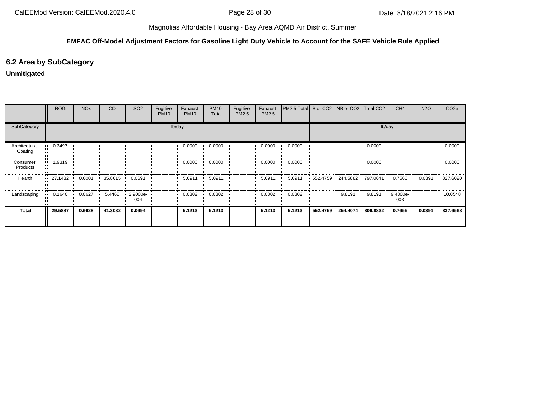## **EMFAC Off-Model Adjustment Factors for Gasoline Light Duty Vehicle to Account for the SAFE Vehicle Rule Applied**

# **6.2 Area by SubCategory**

# **Unmitigated**

|                          | <b>ROG</b> | <b>NO<sub>x</sub></b> | CO        | SO <sub>2</sub>                 | Fugitive<br><b>PM10</b> | Exhaust<br><b>PM10</b> | <b>PM10</b><br>Total | Fugitive<br>PM2.5 | Exhaust<br>PM2.5 | PM2.5 Total Bio- CO2 NBio- CO2 Total CO2 |          |                            |          | CH <sub>4</sub> | <b>N2O</b> | CO <sub>2e</sub> |
|--------------------------|------------|-----------------------|-----------|---------------------------------|-------------------------|------------------------|----------------------|-------------------|------------------|------------------------------------------|----------|----------------------------|----------|-----------------|------------|------------------|
| SubCategory              |            |                       |           |                                 |                         | lb/day                 |                      |                   |                  |                                          |          |                            | lb/day   |                 |            |                  |
| Architectural<br>Coating | 0.3497     |                       |           |                                 |                         | 0.0000                 | 0.0000               |                   | 0.0000           | 0.0000                                   |          |                            | 0.0000   |                 |            | 0.0000           |
| Consumer<br>Products     | 1.9319     |                       |           |                                 |                         | 0.0000                 | 0.0000               |                   | 0.0000           | 0.0000                                   |          |                            | 0.0000   |                 |            | 0.0000           |
| Hearth                   | 27.1432    | 0.6001                | 35.8615 . | 0.0691                          |                         | 5.0911                 | 5.0911               |                   | 5.0911           | 5.0911                                   |          | 552.4759 244.5882 797.0641 |          | 0.7560          | 0.0391     | .827.6020        |
| Landscaping              | 0.1640     | 0.0627                | 5.4468    | $\cdot$ 2.9000e- $\cdot$<br>004 |                         | 0.0302                 | 0.0302               |                   | 0.0302           | 0.0302                                   |          | 9.8191                     | 9.8191   | 9.4300e-<br>003 |            | 10.0548          |
| <b>Total</b>             | 29.5887    | 0.6628                | 41.3082   | 0.0694                          |                         | 5.1213                 | 5.1213               |                   | 5.1213           | 5.1213                                   | 552.4759 | 254.4074                   | 806.8832 | 0.7655          | 0.0391     | 837.6568         |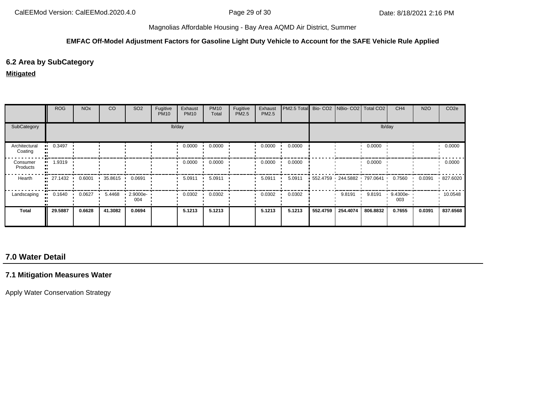#### **EMFAC Off-Model Adjustment Factors for Gasoline Light Duty Vehicle to Account for the SAFE Vehicle Rule Applied**

# **6.2 Area by SubCategory**

#### **Mitigated**

|                          | <b>ROG</b>    | <b>NO<sub>x</sub></b> | CO      | SO <sub>2</sub>    | Fugitive<br><b>PM10</b> | Exhaust<br><b>PM10</b> | <b>PM10</b><br>Total | Fugitive<br>PM2.5 | Exhaust<br>PM2.5 | PM2.5 Total Bio- CO2 NBio- CO2 Total CO2 |          |                            |          | CH <sub>4</sub> | <b>N2O</b> | CO <sub>2e</sub> |
|--------------------------|---------------|-----------------------|---------|--------------------|-------------------------|------------------------|----------------------|-------------------|------------------|------------------------------------------|----------|----------------------------|----------|-----------------|------------|------------------|
| SubCategory              |               |                       |         |                    |                         | lb/day                 |                      |                   |                  |                                          |          |                            | lb/day   |                 |            |                  |
| Architectural<br>Coating | 0.3497        |                       |         |                    |                         | 0.0000                 | 0.0000               |                   | 0.0000           | 0.0000                                   |          |                            | 0.0000   |                 |            | 0.0000           |
| Consumer<br>Products     | 1.9319        |                       |         |                    |                         | 0.0000                 | 0.0000               |                   | 0.0000           | 0.0000                                   |          |                            | 0.0000   |                 |            | 0.0000           |
| Hearth                   | 27.1432 ·<br> | 0.6001                | 35.8615 | 0.0691             |                         | 5.0911                 | 5.0911               |                   | 5.0911           | 5.0911                                   |          | 552.4759 244.5882 797.0641 |          | 0.7560          | 0.0391     | .827.6020        |
| Landscaping              | 0.1640        | 0.0627                | 5.4468  | $2.9000e -$<br>004 |                         | 0.0302                 | 0.0302               |                   | 0.0302           | 0.0302                                   |          | 9.8191                     | 9.8191   | 9.4300e-<br>003 |            | 10.0548          |
| Total                    | 29.5887       | 0.6628                | 41.3082 | 0.0694             |                         | 5.1213                 | 5.1213               |                   | 5.1213           | 5.1213                                   | 552.4759 | 254.4074                   | 806.8832 | 0.7655          | 0.0391     | 837.6568         |

# **7.0 Water Detail**

#### **7.1 Mitigation Measures Water**

Apply Water Conservation Strategy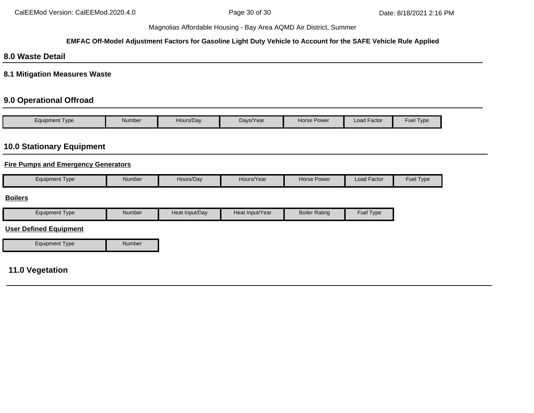#### **EMFAC Off-Model Adjustment Factors for Gasoline Light Duty Vehicle to Account for the SAFE Vehicle Rule Applied**

# **8.0 Waste Detail**

**8.1 Mitigation Measures Waste**

# **9.0 Operational Offroad**

| Equipment Type | Number | Hours/Day | Days/Year | Horse Power | Load Factor | <b>Fuel Type</b> |
|----------------|--------|-----------|-----------|-------------|-------------|------------------|

# **10.0 Stationary Equipment**

## **Fire Pumps and Emergency Generators**

|  | Equipment Type | Number | Hours/Day | Hours/Year | Horse Power | $\cdot$ $-$<br>Load Factor | Fuel Type |
|--|----------------|--------|-----------|------------|-------------|----------------------------|-----------|
|--|----------------|--------|-----------|------------|-------------|----------------------------|-----------|

#### **Boilers**

| Equipment Type | Number | Heat Input/Dav | Heat Input/Year | <b>Boiler Rating</b> | <b>Fuel Type</b> |
|----------------|--------|----------------|-----------------|----------------------|------------------|
|                |        |                |                 |                      |                  |

### **User Defined Equipment**

Equipment Type Number

# **11.0 Vegetation**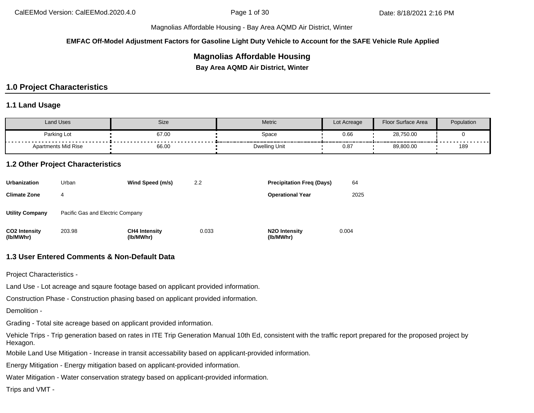**EMFAC Off-Model Adjustment Factors for Gasoline Light Duty Vehicle to Account for the SAFE Vehicle Rule Applied**

## **Magnolias Affordable Housing**

**Bay Area AQMD Air District, Winter**

# **1.0 Project Characteristics**

#### **1.1 Land Usage**

| Land Uses                  | Size                  | <b>Metric</b> | Lot Acreage | <b>Floor Surface Area</b> | Population |
|----------------------------|-----------------------|---------------|-------------|---------------------------|------------|
| Parking Lot                | 67.00<br>------------ | Space         | 0.66        | 28,750.00                 | .          |
| <b>Apartments Mid Rise</b> | 66.00                 | Dwelling Unit | 0.87        | 89,800.00                 | 189        |

#### **1.2 Other Project Characteristics**

| <b>Urbanization</b>               | Urban                            | Wind Speed (m/s)                  | 2.2   | <b>Precipitation Freg (Days)</b>        | 64    |
|-----------------------------------|----------------------------------|-----------------------------------|-------|-----------------------------------------|-------|
| <b>Climate Zone</b>               | 4                                |                                   |       | <b>Operational Year</b>                 | 2025  |
| <b>Utility Company</b>            | Pacific Gas and Electric Company |                                   |       |                                         |       |
| <b>CO2 Intensity</b><br>(lb/MWhr) | 203.98                           | <b>CH4 Intensity</b><br>(lb/MWhr) | 0.033 | N <sub>2</sub> O Intensity<br>(lb/MWhr) | 0.004 |

# **1.3 User Entered Comments & Non-Default Data**

Project Characteristics -

Land Use - Lot acreage and sqaure footage based on applicant provided information.

Construction Phase - Construction phasing based on applicant provided information.

Demolition -

Grading - Total site acreage based on applicant provided information.

Vehicle Trips - Trip generation based on rates in ITE Trip Generation Manual 10th Ed, consistent with the traffic report prepared for the proposed project by Hexagon.

Mobile Land Use Mitigation - Increase in transit accessability based on applicant-provided information.

Energy Mitigation - Energy mitigation based on applicant-provided information.

Water Mitigation - Water conservation strategy based on applicant-provided information.

Trips and VMT -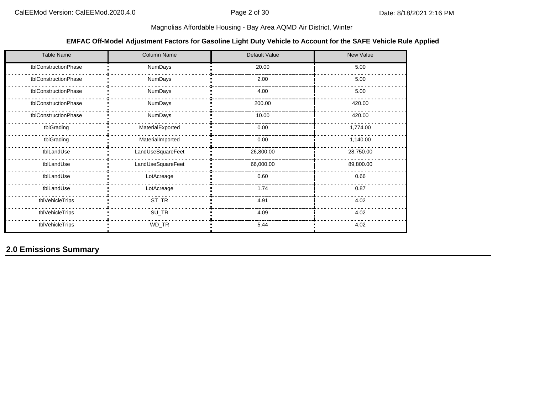#### **EMFAC Off-Model Adjustment Factors for Gasoline Light Duty Vehicle to Account for the SAFE Vehicle Rule Applied**

| <b>Table Name</b>    | Column Name       | Default Value | <b>New Value</b> |
|----------------------|-------------------|---------------|------------------|
| tblConstructionPhase | <b>NumDays</b>    | 20.00         | 5.00             |
| tblConstructionPhase | <b>NumDays</b>    | 2.00          | 5.00             |
| tblConstructionPhase | NumDays           | 4.00          | 5.00             |
| tblConstructionPhase | NumDays           | 200.00        | 420.00           |
| tblConstructionPhase | NumDays           | 10.00         | 420.00           |
| tblGrading           | MaterialExported  | 0.00          | 1,774.00         |
| tblGrading           | MaterialImported  | 0.00          | 1,140.00         |
| tblLandUse           | LandUseSquareFeet | 26,800.00     | 28,750.00        |
| tblLandUse           | LandUseSquareFeet | 66,000.00     | 89,800.00        |
| tblLandUse           | LotAcreage        | 0.60          | 0.66             |
| tblLandUse           | LotAcreage        | 1.74          | 0.87             |
| tblVehicleTrips      | ST_TR             | 4.91          | 4.02             |
| tblVehicleTrips      | SU_TR             | 4.09          | 4.02             |
| tblVehicleTrips      | WD_TR             | 5.44          | 4.02             |

**2.0 Emissions Summary**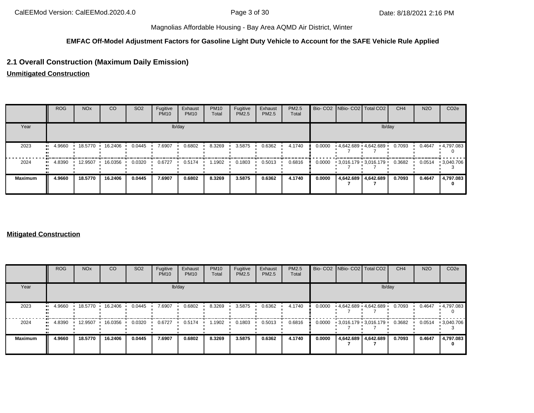#### **EMFAC Off-Model Adjustment Factors for Gasoline Light Duty Vehicle to Account for the SAFE Vehicle Rule Applied**

# **2.1 Overall Construction (Maximum Daily Emission)**

**Unmitigated Construction**

|                | <b>ROG</b> | <b>NO<sub>x</sub></b> | <sub>CO</sub>    | SO <sub>2</sub> | Fugitive<br><b>PM10</b> | Exhaust<br><b>PM10</b> | <b>PM10</b><br>Total | Fugitive<br>PM2.5 | Exhaust<br><b>PM2.5</b> | PM2.5<br>Total |        | Bio- CO2   NBio- CO2   Total CO2 |        | CH <sub>4</sub> | <b>N2O</b> | CO <sub>2e</sub>      |
|----------------|------------|-----------------------|------------------|-----------------|-------------------------|------------------------|----------------------|-------------------|-------------------------|----------------|--------|----------------------------------|--------|-----------------|------------|-----------------------|
| Year           |            |                       |                  |                 |                         | lb/day                 |                      |                   |                         |                |        |                                  | lb/day |                 |            |                       |
| 2023           | 4.9660     |                       | 18.5770  16.2406 | 0.0445          | 7.6907                  | 0.6802                 | 8.3269               | 3.5875            | 0.6362                  | 4.1740         | 0.0000 | $4.642.689$ $4.642.689$          |        | 0.7093          | 0.4647     | $\cdot$ 4,797.083     |
| 2024           | $-4.8390$  | 12.9507               | 16.0356          | 0.0320          | 0.6727                  | 0.5174                 | 1.1902               | 0.1803            | 0.5013                  | 0.6816         | 0.0000 | $3.016.179 - 3.016.179$          |        | 0.3682          | 0.0514     | $\cdot$ 3,040.706     |
| <b>Maximum</b> | 4.9660     | 18.5770               | 16.2406          | 0.0445          | 7.6907                  | 0.6802                 | 8.3269               | 3.5875            | 0.6362                  | 4.1740         | 0.0000 | 4,642.689 4,642.689              |        | 0.7093          | 0.4647     | 4,797.083<br>$\Omega$ |

#### **Mitigated Construction**

|                      | <b>ROG</b> | <b>NO<sub>x</sub></b> | <b>CO</b> | SO <sub>2</sub> | Fugitive<br><b>PM10</b> | Exhaust<br><b>PM10</b> | <b>PM10</b><br>Total | Fugitive<br>PM2.5 | Exhaust<br>PM2.5 | PM2.5<br>Total |        | Bio- CO2   NBio- CO2   Total CO2 |                       | CH <sub>4</sub> | <b>N2O</b> | CO <sub>2e</sub>  |
|----------------------|------------|-----------------------|-----------|-----------------|-------------------------|------------------------|----------------------|-------------------|------------------|----------------|--------|----------------------------------|-----------------------|-----------------|------------|-------------------|
| Year                 |            |                       |           |                 |                         | lb/day                 |                      |                   |                  |                |        |                                  | lb/day                |                 |            |                   |
| 2023<br>$\mathbf{u}$ | 4.9660     | 18.5770               | 16.2406   | 0.0445          | 7.6907                  | 0.6802                 | 8.3269               | 3.5875            | 0.6362           | 4.1740         | 0.0000 |                                  | 4,642.689 4,642.689   | 0.7093          | 0.4647     | $\cdot$ 4,797.083 |
| 2024<br>$\bullet$    | 4.8390     | 12.9507               | 16.0356   | 0.0320          | 0.6727                  | 0.5174                 | 1.1902               | 0.1803            | 0.5013           | 0.6816         | 0.0000 |                                  | $3,016.179$ 3,016.179 | 0.3682          | 0.0514     | $\cdot$ 3,040.706 |
| <b>Maximum</b>       | 4.9660     | 18.5770               | 16.2406   | 0.0445          | 7.6907                  | 0.6802                 | 8.3269               | 3.5875            | 0.6362           | 4.1740         | 0.0000 |                                  | 4,642.689 4,642.689   | 0.7093          | 0.4647     | 4,797.083<br>0    |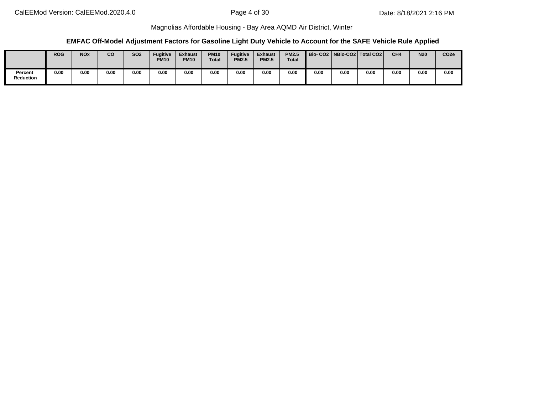#### **EMFAC Off-Model Adjustment Factors for Gasoline Light Duty Vehicle to Account for the SAFE Vehicle Rule Applied**

|                             | <b>ROG</b> | <b>NO<sub>x</sub></b> | <b>CO</b> | SO <sub>2</sub> | <b>Fugitive</b><br><b>PM10</b> | <b>Exhaust</b><br><b>PM10</b> | <b>PM10</b><br><b>Total</b> | Fugitive<br><b>PM2.5</b> | <b>Exhaust</b><br><b>PM2.5</b> | <b>PM2.5</b><br><b>Total</b> |      |      | Bio- CO2   NBio-CO2   Total CO2 | CH <sub>4</sub> | <b>N20</b> | CO <sub>2e</sub> |
|-----------------------------|------------|-----------------------|-----------|-----------------|--------------------------------|-------------------------------|-----------------------------|--------------------------|--------------------------------|------------------------------|------|------|---------------------------------|-----------------|------------|------------------|
| Percent<br><b>Reduction</b> | 0.00       | 0.00                  | 0.00      | 0.00            | 0.00                           | 0.00                          | 0.00                        | 0.00                     | 0.00                           | 0.00                         | 0.00 | 0.00 | 0.00                            | 0.00            | 0.00       | 0.00             |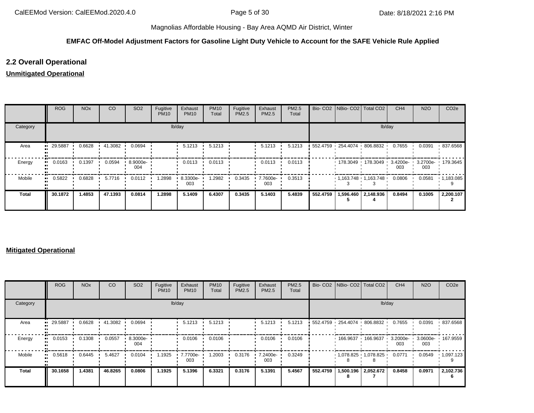## **EMFAC Off-Model Adjustment Factors for Gasoline Light Duty Vehicle to Account for the SAFE Vehicle Rule Applied**

# **2.2 Overall Operational**

# **Unmitigated Operational**

|              | <b>ROG</b> | <b>NO<sub>x</sub></b> | CO        | SO <sub>2</sub>   | Fugitive<br><b>PM10</b> | Exhaust<br><b>PM10</b> | <b>PM10</b><br>Total | Fugitive<br>PM2.5 | Exhaust<br>PM2.5 | PM2.5<br>Total |          | Bio- CO2   NBio- CO2   Total CO2             |                        | CH <sub>4</sub> | <b>N2O</b> | CO <sub>2e</sub>  |
|--------------|------------|-----------------------|-----------|-------------------|-------------------------|------------------------|----------------------|-------------------|------------------|----------------|----------|----------------------------------------------|------------------------|-----------------|------------|-------------------|
| Category     |            |                       |           |                   | lb/day                  |                        |                      |                   |                  |                |          |                                              | lb/day                 |                 |            |                   |
| Area         | 29.5887    | 0.6628                | 41.3082 • | 0.0694            |                         | 5.1213                 | 5.1213               |                   | 5.1213           | 5.1213         |          | 552.4759 254.4074 806.8832                   |                        | 0.7655          | 0.0391     | 837.6568          |
| Energy       | 0.0163     | 0.1397                | 0.0594    | $.89000e-$<br>004 |                         | 0.0113                 | 0.0113               |                   | 0.0113           | 0.0113         |          | 178.3049 178.3049 3.4200e- 3.2700e- 179.3645 |                        | 003             | 003        |                   |
| Mobile       | 0.5822<br> | 0.6828                | 5.7716    | 0.0112            | 1.2898                  | 8.3300e-<br>003        | 1.2982               | 0.3435            | 7.7600e-<br>003  | 0.3513         |          | $1.163.748$ $1.163.748$                      |                        | 0.0806          | 0.0581     | $\cdot$ 1,183.085 |
| <b>Total</b> | 30.1872    | 1.4853                | 47.1393   | 0.0814            | 1.2898                  | 5.1409                 | 6.4307               | 0.3435            | 5.1403           | 5.4839         | 552.4759 |                                              | ا 2,148.936   596.460. | 0.8494          | 0.1005     | 2,200.107         |

#### **Mitigated Operational**

|          | <b>ROG</b>   | <b>NO<sub>x</sub></b> | CO        | SO <sub>2</sub>     | Fugitive<br><b>PM10</b> | Exhaust<br><b>PM10</b> | <b>PM10</b><br>Total | Fugitive<br>PM2.5 | Exhaust<br>PM2.5 | PM2.5<br>Total |          | Bio- CO2   NBio- CO2   Total CO2 |                       | CH <sub>4</sub> | <b>N2O</b>                          | CO <sub>2e</sub>  |
|----------|--------------|-----------------------|-----------|---------------------|-------------------------|------------------------|----------------------|-------------------|------------------|----------------|----------|----------------------------------|-----------------------|-----------------|-------------------------------------|-------------------|
| Category |              |                       |           |                     |                         | lb/day                 |                      |                   |                  |                |          |                                  | lb/day                |                 |                                     |                   |
| Area     | 29.5887      | 0.6628                | 41.3082 • | 0.0694              |                         | 5.1213                 | 5.1213               |                   | 5.1213           | 5.1213         |          | 552.4759 254.4074 806.8832       |                       | 0.7655          | 0.0391                              | 837.6568          |
| Energy   | 0.0153       | 0.1308                | 0.0557    | $.3000e - 1$<br>004 |                         | 0.0106                 | 0.0106               |                   | 0.0106           | 0.0106         |          |                                  | 166.9637 166.9637 '   | 003             | 3.2000e- 1 3.0600e- 167.9559<br>003 |                   |
| Mobile   | 0.5618<br>ш. | 0.6445                | 5.4627    | 0.0104              | 1.1925                  | 7.7700e-<br>003        | 1.2003               | 0.3176            | 7.2400e-<br>003  | 0.3249         |          | $1,078.825$ $1,078.825$          |                       | 0.0771          | 0.0549                              | $\cdot$ 1,097.123 |
| Total    | 30.1658      | 1.4381                | 46.8265   | 0.0806              | 1.1925                  | 5.1396                 | 6.3321               | 0.3176            | 5.1391           | 5.4567         | 552.4759 | 8                                | 500.196   2,052.672.∣ | 0.8458          | 0.0971                              | 2,102.736         |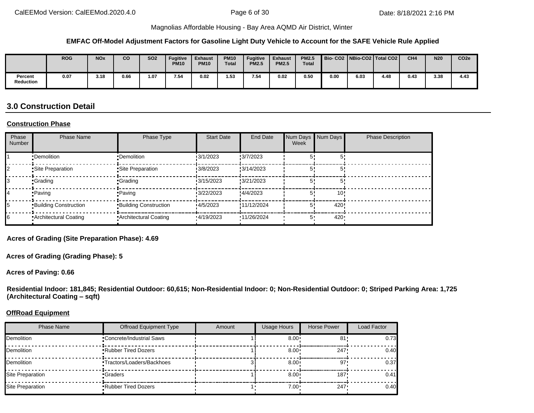#### **EMFAC Off-Model Adjustment Factors for Gasoline Light Duty Vehicle to Account for the SAFE Vehicle Rule Applied**

|                             | <b>ROG</b> | <b>NOx</b> | <b>CO</b> | <b>SO2</b> | <b>Fugitive</b><br><b>PM10</b> | <b>Exhaust</b><br><b>PM10</b> | <b>PM10</b><br><b>Total</b> | <b>Fugitive</b><br><b>PM2.5</b> | <b>Exhaust</b><br><b>PM2.5</b> | <b>PM2.5</b><br><b>Total</b> | Bio- CO2   NBio-CO2   Total CO2 |      |      | CH <sub>4</sub> | <b>N20</b> | CO <sub>2e</sub> |
|-----------------------------|------------|------------|-----------|------------|--------------------------------|-------------------------------|-----------------------------|---------------------------------|--------------------------------|------------------------------|---------------------------------|------|------|-----------------|------------|------------------|
| Percent<br><b>Reduction</b> | 0.07       | 3.18       | 0.66      | 1.07       | 7.54                           | 0.02                          | 1.53                        | 7.54                            | 0.02                           | 0.50                         | 0.00                            | 6.03 | 4.48 | 0.43            | 3.38       | 4.43             |

# **3.0 Construction Detail**

#### **Construction Phase**

| Phase<br>Number | <b>Phase Name</b>            | Phase Type                   | <b>Start Date</b> | End Date    | Num Days Num Days<br>Week |                  | <b>Phase Description</b> |
|-----------------|------------------------------|------------------------------|-------------------|-------------|---------------------------|------------------|--------------------------|
|                 | •Demolition                  | •Demolition                  | 3/1/2023          | :3/7/2023   |                           |                  |                          |
|                 | Site Preparation             | Site Preparation             | 3/8/2023          | .3/14/2023  |                           |                  |                          |
|                 | •Grading                     | <b>Crading</b>               | 13/15/2023        | 3/21/2023   |                           |                  |                          |
|                 | •Paving                      | • Paving                     | 3/22/2023         | 4/4/2023    |                           | 10 <sup>1</sup>  |                          |
|                 | <b>Building Construction</b> | <b>Building Construction</b> | 4/5/2023          | !11/12/2024 |                           | 420              |                          |
|                 | Architectural Coating        | Architectural Coating        | 4/19/2023         | 11/26/2024  | 5'                        | 420 <sup>1</sup> |                          |

**Acres of Grading (Site Preparation Phase): 4.69**

**Acres of Grading (Grading Phase): 5**

**Acres of Paving: 0.66**

**Residential Indoor: 181,845; Residential Outdoor: 60,615; Non-Residential Indoor: 0; Non-Residential Outdoor: 0; Striped Parking Area: 1,725 (Architectural Coating – sqft)**

#### **OffRoad Equipment**

| Phase Name         | <b>Offroad Equipment Type</b>   | Amount | <b>Usage Hours</b> | Horse Power | Load Factor |
|--------------------|---------------------------------|--------|--------------------|-------------|-------------|
| Demolition         | <b>Concrete/Industrial Saws</b> |        | $8.00 \div$        | 81          | 0.73        |
| <b>IDemolition</b> | <b>Rubber Tired Dozers</b>      |        | $8.00 \cdot$       | 247         | 0.40        |
| Demolition         | •Tractors/Loaders/Backhoes      |        | $8.00^{\circ}$     | 97.         | 0.37        |
| Site Preparation   | •Graders                        |        | $8.00 \cdot$       | 187'        | 0.41        |
| Site Preparation   | <b>Rubber Tired Dozers</b>      |        | 7.00               | 247         | 0.40        |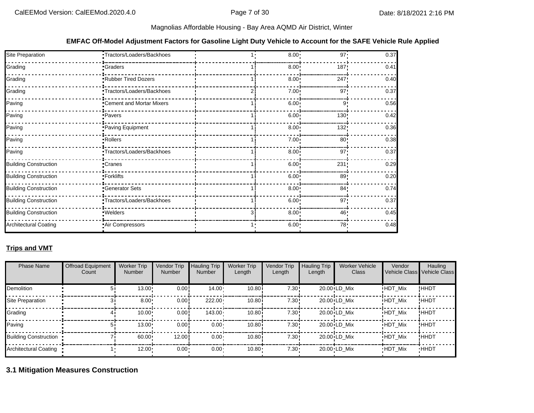#### **EMFAC Off-Model Adjustment Factors for Gasoline Light Duty Vehicle to Account for the SAFE Vehicle Rule Applied**

| Site Preparation             | ·Tractors/Loaders/Backhoes |   | 8.00         | 97 <sup>1</sup> | 0.37 |
|------------------------------|----------------------------|---|--------------|-----------------|------|
| Grading                      | <b>Graders</b>             |   | $8.00 \div$  | 187             | 0.41 |
| Grading                      | Rubber Tired Dozers        |   | $8.00 \div$  | 247             | 0.40 |
| Grading                      | Tractors/Loaders/Backhoes  |   | $7.00 \div$  | 97              | 0.37 |
| Paving                       | Cement and Mortar Mixers   |   | $6.00 \cdot$ | 9               | 0.56 |
| Paving                       | ·Pavers                    |   | $6.00 \cdot$ | 130             | 0.42 |
| Paving                       | Paving Equipment           |   | $8.00 \div$  | 132:            | 0.36 |
| Paving                       | Rollers                    |   | $7.00 \div$  | 80 <sup>1</sup> | 0.38 |
| Paving                       | Tractors/Loaders/Backhoes  |   | $8.00 \div$  | 97'             | 0.37 |
| <b>Building Construction</b> | <b>Cranes</b>              |   | $6.00 \cdot$ | 231             | 0.29 |
| <b>Building Construction</b> | · Forklifts                |   | $6.00 \cdot$ | 89              | 0.20 |
| <b>Building Construction</b> | Generator Sets             |   | $8.00 \div$  | 84'             | 0.74 |
| <b>Building Construction</b> | Tractors/Loaders/Backhoes  |   | $6.00 \cdot$ | 97'             | 0.37 |
| <b>Building Construction</b> | · Welders                  | 3 | $8.00 \cdot$ | 46              | 0.45 |
| <b>Architectural Coating</b> | Air Compressors            |   | $6.00 \cdot$ | 78'             | 0.48 |

#### **Trips and VMT**

| <b>Phase Name</b>     | <b>Offroad Equipment</b><br>Count | <b>Worker Trip</b><br><b>Number</b> | Vendor Trip<br><b>Number</b> | <b>Hauling Trip</b><br><b>Number</b> | <b>Worker Trip</b><br>Length | Vendor Trip<br>Length | <b>Hauling Trip</b><br>Length | <b>Worker Vehicle</b><br>Class | Vendor         | Hauling<br>Vehicle Class Vehicle Class |
|-----------------------|-----------------------------------|-------------------------------------|------------------------------|--------------------------------------|------------------------------|-----------------------|-------------------------------|--------------------------------|----------------|----------------------------------------|
| <b>Demolition</b>     |                                   | 13.00                               | 0.00                         | $14.00 -$                            | 10.80i                       | 7.30:                 |                               | $20.00 \cdot LD$ Mix           | <b>HDT Mix</b> | !HHDT                                  |
| Site Preparation      |                                   | 8.00                                | 0.00                         | 222.00                               | 10.80i                       | 7.30:                 |                               | $20.00 \cdot LD$ Mix           | <b>HDT Mix</b> | !HHDT                                  |
| Grading               |                                   | 10.00                               | 0.00                         | 143.00                               | 10.80i                       | 7.30:                 |                               | $20.00 \cdot LD$ Mix           | <b>HDT Mix</b> | !HHDT                                  |
| Paving                | ו ה                               | 13.00                               | 0.00                         | $0.00 -$                             | 10.80i                       | 7.30:                 |                               | $20.00 \cdot LD$ Mix           | <b>HDT Mix</b> | !HHDT                                  |
| Building Construction |                                   | 60.00                               | 12.00                        | $0.00 \cdot$                         | 10.80i                       | 7.30:                 |                               | $20.00 \cdot LD$ Mix           | <b>HDT Mix</b> | !HHDT                                  |
| Architectural Coating |                                   | $12.00 \cdot$                       | $0.00 \cdot$                 | 0.00 <sub>1</sub>                    | 10.80                        | 7.30 <sub>1</sub>     |                               | 20.00 LD Mix                   | <b>HDT Mix</b> | <b>HHDT</b>                            |

**3.1 Mitigation Measures Construction**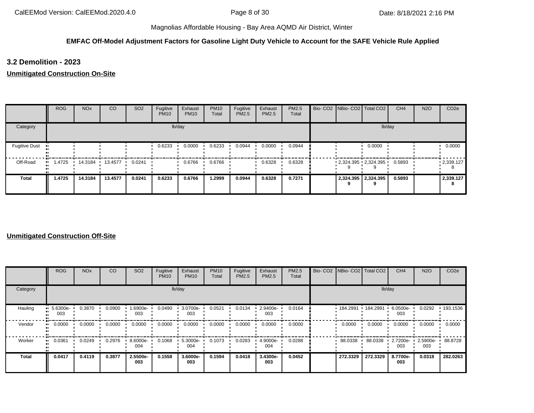#### **EMFAC Off-Model Adjustment Factors for Gasoline Light Duty Vehicle to Account for the SAFE Vehicle Rule Applied**

**3.2 Demolition - 2023**

**Unmitigated Construction On-Site**

|                      | <b>ROG</b>    | <b>NO<sub>x</sub></b> | CO              | SO <sub>2</sub> | Fugitive<br><b>PM10</b> | Exhaust<br><b>PM10</b> | <b>PM10</b><br>Total | Fugitive<br>PM2.5 | Exhaust<br><b>PM2.5</b> | PM2.5<br>Total |  | Bio- CO2   NBio- CO2   Total CO2 | CH <sub>4</sub> | <b>N2O</b> | CO <sub>2e</sub>  |
|----------------------|---------------|-----------------------|-----------------|-----------------|-------------------------|------------------------|----------------------|-------------------|-------------------------|----------------|--|----------------------------------|-----------------|------------|-------------------|
| Category             |               |                       |                 |                 |                         | lb/day                 |                      |                   |                         |                |  |                                  | lb/day          |            |                   |
| <b>Fugitive Dust</b> |               |                       |                 |                 | 0.6233                  | 0.0000                 | 0.6233               | 0.0944            | 0.0000                  | 0.0944         |  | 0.0000                           |                 |            | 0.0000            |
| Off-Road             | 1.4725<br>. . |                       | 14.3184 13.4577 | 0.0241          |                         | 0.6766                 | 0.6766               |                   | 0.6328                  | 0.6328         |  | $-2,324.395$ $-2,324.395$        | 0.5893          |            | $\cdot$ 2,339.127 |
| Total                | 1.4725        | 14.3184               | 13.4577         | 0.0241          | 0.6233                  | 0.6766                 | 1.2999               | 0.0944            | 0.6328                  | 0.7271         |  | 2,324.395   2,324.395            | 0.5893          |            | 2,339.127         |

|              | <b>ROG</b>         | <b>NO<sub>x</sub></b> | <sub>CO</sub> | SO <sub>2</sub> | Fugitive<br><b>PM10</b> | Exhaust<br><b>PM10</b> | <b>PM10</b><br>Total | Fugitive<br><b>PM2.5</b> | Exhaust<br>PM2.5 | <b>PM2.5</b><br>Total | Bio- CO2   NBio- CO2   Total CO2 |          | CH <sub>4</sub> | <b>N2O</b>         | CO <sub>2e</sub> |
|--------------|--------------------|-----------------------|---------------|-----------------|-------------------------|------------------------|----------------------|--------------------------|------------------|-----------------------|----------------------------------|----------|-----------------|--------------------|------------------|
| Category     |                    |                       |               |                 |                         | lb/day                 |                      |                          |                  |                       |                                  | lb/day   |                 |                    |                  |
| Hauling      | $-5.6300e-$<br>003 | 0.3870                | 0.0900        | 1.6900e-<br>003 | 0.0490                  | 3.0700e-<br>003        | 0.0521               | 0.0134                   | 2.9400e-<br>003  | 0.0164                | 184.2991                         | 184.2991 | 6.0500e-<br>003 | 0.0292             | 193.1536         |
| Vendor       | 0.0000             | 0.0000                | 0.0000        | 0.0000          | 0.0000                  | 0.0000                 | 0.0000               | 0.0000                   | 0.0000           | 0.0000                | 0.0000                           | 0.0000   | 0.0000          | 0.0000             | 0.0000           |
| Worker       | 0.0361             | 0.0249                | 0.2976        | 8.6000e-<br>004 | 0.1068                  | 5.3000e-<br>004        | 0.1073               | 0.0283                   | 4.9000e-<br>004  | 0.0288                | 88.0338                          | 88.0338  | 2.7200e-<br>003 | $2.5900e -$<br>003 | 88.8728          |
| <b>Total</b> | 0.0417             | 0.4119                | 0.3877        | 2.5500e-<br>003 | 0.1558                  | 3.6000e-<br>003        | 0.1594               | 0.0418                   | 3.4300e-<br>003  | 0.0452                | 272.3329                         | 272.3329 | 8.7700e-<br>003 | 0.0318             | 282.0263         |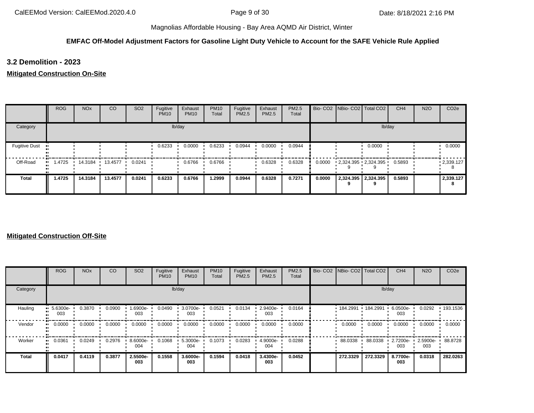#### **EMFAC Off-Model Adjustment Factors for Gasoline Light Duty Vehicle to Account for the SAFE Vehicle Rule Applied**

**3.2 Demolition - 2023**

**Mitigated Construction On-Site**

|                      | <b>ROG</b> | <b>NO<sub>x</sub></b> | CO      | SO <sub>2</sub> | Fugitive<br><b>PM10</b> | Exhaust<br><b>PM10</b> | <b>PM10</b><br>Total | Fugitive<br>PM2.5 | Exhaust<br>PM2.5 | PM2.5<br>Total |        | Bio- CO2 NBio- CO2 Total CO2 |                     | CH <sub>4</sub> | <b>N2O</b> | CO <sub>2e</sub>  |
|----------------------|------------|-----------------------|---------|-----------------|-------------------------|------------------------|----------------------|-------------------|------------------|----------------|--------|------------------------------|---------------------|-----------------|------------|-------------------|
| Category             |            |                       |         |                 |                         | lb/day                 |                      |                   |                  |                |        |                              | lb/day              |                 |            |                   |
| <b>Fugitive Dust</b> |            |                       |         |                 | 0.6233                  | 0.0000                 | 0.6233               | 0.0944            | 0.0000           | 0.0944         |        |                              | 0.0000              |                 |            | 0.0000            |
| Off-Road             | 1.4725     | 14.3184               | 13.4577 | 0.0241          |                         | 0.6766                 | 0.6766               |                   | 0.6328           | 0.6328         | 0.0000 | 2,324.395 2,324.395 0.5893   |                     |                 |            | $\cdot$ 2,339.127 |
| <b>Total</b>         | 1.4725     | 14.3184               | 13.4577 | 0.0241          | 0.6233                  | 0.6766                 | 1.2999               | 0.0944            | 0.6328           | 0.7271         | 0.0000 |                              | 2,324.395 2,324.395 | 0.5893          |            | 2,339.127         |

|              | <b>ROG</b>         | <b>NO<sub>x</sub></b> | CO     | SO <sub>2</sub> | Fugitive<br><b>PM10</b> | Exhaust<br><b>PM10</b> | <b>PM10</b><br>Total | Fugitive<br>PM2.5 | Exhaust<br>PM2.5 | <b>PM2.5</b><br>Total | Bio- CO2 NBio- CO2 Total CO2 |          | CH <sub>4</sub>    | <b>N2O</b>         | CO <sub>2e</sub> |
|--------------|--------------------|-----------------------|--------|-----------------|-------------------------|------------------------|----------------------|-------------------|------------------|-----------------------|------------------------------|----------|--------------------|--------------------|------------------|
| Category     |                    |                       |        |                 |                         | lb/day                 |                      |                   |                  |                       |                              | lb/day   |                    |                    |                  |
| Hauling      | $-5.6300e-$<br>003 | 0.3870                | 0.0900 | 1.6900e-<br>003 | 0.0490                  | 3.0700e-<br>003        | 0.0521               | 0.0134            | 2.9400e-<br>003  | 0.0164                | 184.2991                     | 184.2991 | 6.0500e-<br>003    | 0.0292             | 193.1536         |
| Vendor       | 0.0000             | 0.0000                | 0.0000 | 0.0000          | 0.0000                  | 0.0000                 | 0.0000               | 0.0000            | 0.0000           | 0.0000                | 0.0000                       | 0.0000   | 0.0000             | 0.0000             | 0.0000           |
| Worker       | 0.0361             | 0.0249                | 0.2976 | 8.6000e-<br>004 | 0.1068                  | 5.3000e-<br>004        | 0.1073               | 0.0283            | 4.9000e-<br>004  | 0.0288                | 88.0338                      | 88.0338  | $2.7200e -$<br>003 | $2.5900e -$<br>003 | 88.8728          |
| <b>Total</b> | 0.0417             | 0.4119                | 0.3877 | 2.5500e-<br>003 | 0.1558                  | 3.6000e-<br>003        | 0.1594               | 0.0418            | 3.4300e-<br>003  | 0.0452                | 272.3329                     | 272.3329 | 8.7700e-<br>003    | 0.0318             | 282.0263         |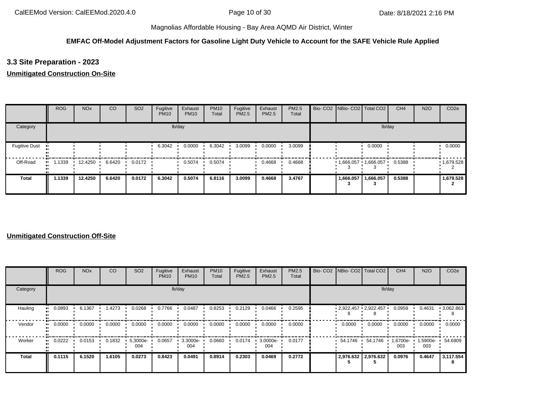#### **EMFAC Off-Model Adjustment Factors for Gasoline Light Duty Vehicle to Account for the SAFE Vehicle Rule Applied**

#### **3.3 Site Preparation - 2023**

#### **Unmitigated Construction On-Site**

|                      | <b>ROG</b> | <b>NO<sub>x</sub></b> | CO     | SO <sub>2</sub> | Fugitive<br><b>PM10</b> | Exhaust<br><b>PM10</b> | <b>PM10</b><br>Total | Fugitive<br>PM2.5 | Exhaust<br>PM2.5 | PM2.5<br>Total | Bio- CO2   NBio- CO2   Total CO2 |                       | CH <sub>4</sub> | <b>N2O</b> | CO <sub>2e</sub> |
|----------------------|------------|-----------------------|--------|-----------------|-------------------------|------------------------|----------------------|-------------------|------------------|----------------|----------------------------------|-----------------------|-----------------|------------|------------------|
| Category             |            |                       |        |                 |                         | lb/day                 |                      |                   |                  |                |                                  |                       | lb/day          |            |                  |
| <b>Fugitive Dust</b> |            |                       |        |                 | 6.3042                  | 0.0000                 | 6.3042               | 3.0099            | 0.0000           | 3.0099         |                                  | 0.0000                |                 |            | 0.0000           |
| Off-Road             | 1.1339     | 12.4250               | 6.6420 | 0.0172          |                         | 0.5074                 | 0.5074               |                   | 0.4668           | 0.4668         |                                  | 1,666.057 1,666.057 ' | 0.5388          |            | 1,679.528        |
| <b>Total</b>         | 1.1339     | 12.4250               | 6.6420 | 0.0172          | 6.3042                  | 0.5074                 | 6.8116               | 3.0099            | 0.4668           | 3.4767         | 1,666.057                        | 1,666.057             | 0.5388          |            | 1,679.528        |

|          | ROG    | <b>NO<sub>x</sub></b> | <sub>CO</sub> | SO <sub>2</sub> | Fugitive<br><b>PM10</b> | Exhaust<br><b>PM10</b> | <b>PM10</b><br>Total | Fugitive<br>PM2.5 | Exhaust<br>PM2.5 | <b>PM2.5</b><br>Total |         | Bio- CO2 NBio- CO2 Total CO2 | CH <sub>4</sub> | <b>N2O</b>      | CO <sub>2e</sub> |
|----------|--------|-----------------------|---------------|-----------------|-------------------------|------------------------|----------------------|-------------------|------------------|-----------------------|---------|------------------------------|-----------------|-----------------|------------------|
| Category |        |                       |               |                 |                         | lb/day                 |                      |                   |                  |                       |         | lb/day                       |                 |                 |                  |
| Hauling  | 0.0893 | 6.1367                | 1.4273        | 0.0268          | 0.7766                  | 0.0487                 | 0.8253               | 0.2129            | 0.0466           | 0.2595                |         | $2,922.457$ $2,922.457$      | 0.0959          | 0.4631          | $-3,062.863$     |
| Vendor   | 0.0000 | 0.0000                | 0.0000        | 0.0000          | 0.0000                  | 0.0000                 | 0.0000               | 0.0000            | 0.0000           | 0.0000                | 0.0000  | 0.0000                       | 0.0000          | 0.0000          | 0.0000           |
| Worker   | 0.0222 | 0.0153                | 0.1832        | 5.3000e-<br>004 | 0.0657                  | 3.3000e-<br>004        | 0.0660               | 0.0174            | 3.0000e-<br>004  | 0.0177                | 54.1746 | 54.1746                      | 1.6700e-<br>003 | 1.5900e-<br>003 | 54.6909          |
| Total    | 0.1115 | 6.1520                | 1.6105        | 0.0273          | 0.8423                  | 0.0491                 | 0.8914               | 0.2303            | 0.0469           | 0.2772                |         | 2,976.632 2,976.632          | 0.0976          | 0.4647          | 3,117.554        |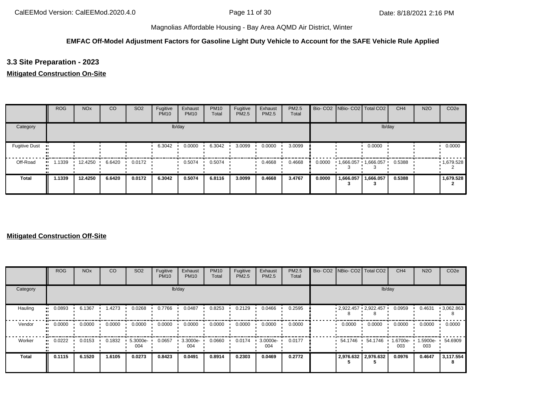#### **EMFAC Off-Model Adjustment Factors for Gasoline Light Duty Vehicle to Account for the SAFE Vehicle Rule Applied**

**3.3 Site Preparation - 2023**

#### **Mitigated Construction On-Site**

|                      | <b>ROG</b>           | <b>NO<sub>x</sub></b> | CO     | SO <sub>2</sub> | Fugitive<br><b>PM10</b> | Exhaust<br><b>PM10</b> | <b>PM10</b><br>Total | Fugitive<br>PM2.5 | Exhaust<br>PM2.5 | PM2.5<br>Total |        | Bio- CO2   NBio- CO2   Total CO2 |           | CH <sub>4</sub> | <b>N2O</b> | CO <sub>2e</sub> |
|----------------------|----------------------|-----------------------|--------|-----------------|-------------------------|------------------------|----------------------|-------------------|------------------|----------------|--------|----------------------------------|-----------|-----------------|------------|------------------|
| Category             |                      |                       |        |                 |                         | lb/day                 |                      |                   |                  |                |        |                                  | lb/day    |                 |            |                  |
| <b>Fugitive Dust</b> |                      |                       |        |                 | 6.3042                  | 0.0000                 | 6.3042               | 3.0099            | 0.0000           | 3.0099         |        |                                  | 0.0000    |                 |            | 0.0000           |
| Off-Road             | 1.1339<br><b>ALC</b> | 12.4250               | 6.6420 | 0.0172          |                         | 0.5074                 | 0.5074               |                   | 0.4668           | 0.4668         | 0.0000 | $1,666.057$ 1,666.057            |           | 0.5388          |            | 1,679.528        |
| Total                | 1.1339               | 12.4250               | 6.6420 | 0.0172          | 6.3042                  | 0.5074                 | 6.8116               | 3.0099            | 0.4668           | 3.4767         | 0.0000 | 1,666.057                        | 1,666.057 | 0.5388          |            | 1,679.528        |

|              | <b>ROG</b>    | <b>NO<sub>x</sub></b> | CO     | SO <sub>2</sub> | Fugitive<br><b>PM10</b> | Exhaust<br><b>PM10</b> | <b>PM10</b><br>Total | Fugitive<br>PM2.5 | Exhaust<br><b>PM2.5</b> | PM2.5<br>Total |         | Bio- CO2 NBio- CO2 Total CO2 | CH <sub>4</sub> | <b>N2O</b>      | CO <sub>2e</sub> |
|--------------|---------------|-----------------------|--------|-----------------|-------------------------|------------------------|----------------------|-------------------|-------------------------|----------------|---------|------------------------------|-----------------|-----------------|------------------|
| Category     |               |                       |        |                 |                         | lb/day                 |                      |                   |                         |                |         | lb/day                       |                 |                 |                  |
| Hauling      | 0.0893<br>    | 6.1367                | 1.4273 | 0.0268          | 0.7766                  | 0.0487                 | 0.8253               | 0.2129            | 0.0466                  | 0.2595         |         | $2,922.457$ $2,922.457$      | 0.0959          | 0.4631          | $-3,062.863$     |
| Vendor       | 0.0000<br>. . | 0.0000                | 0.0000 | 0.0000          | 0.0000                  | 0.0000                 | 0.0000               | 0.0000            | 0.0000                  | 0.0000         | 0.0000  | 0.0000                       | 0.0000          | 0.0000          | 0.0000           |
| Worker       | 0.0222<br>    | 0.0153                | 0.1832 | 5.3000e-<br>004 | 0.0657                  | 3.3000e-<br>004        | 0.0660               | 0.0174            | 3.0000e-<br>004         | 0.0177         | 54.1746 | 54.1746                      | 1.6700e-<br>003 | 1.5900e-<br>003 | 54.6909          |
| <b>Total</b> | 0.1115        | 6.1520                | 1.6105 | 0.0273          | 0.8423                  | 0.0491                 | 0.8914               | 0.2303            | 0.0469                  | 0.2772         |         | 2,976.632 2,976.632          | 0.0976          | 0.4647          | 3,117.554        |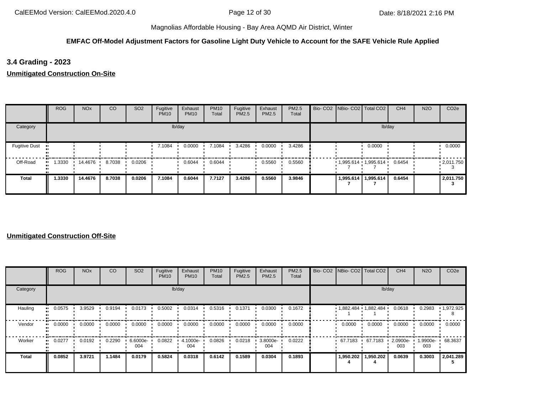#### **EMFAC Off-Model Adjustment Factors for Gasoline Light Duty Vehicle to Account for the SAFE Vehicle Rule Applied**

**3.4 Grading - 2023**

**Unmitigated Construction On-Site**

|                      | <b>ROG</b>    | <b>NO<sub>x</sub></b> | CO     | SO <sub>2</sub> | Fugitive<br><b>PM10</b> | Exhaust<br><b>PM10</b> | <b>PM10</b><br>Total | Fugitive<br>PM2.5 | Exhaust<br>PM2.5 | PM2.5<br>Total | Bio- CO2   NBio- CO2   Total CO2 |           | CH <sub>4</sub> | <b>N2O</b> | CO <sub>2e</sub>  |
|----------------------|---------------|-----------------------|--------|-----------------|-------------------------|------------------------|----------------------|-------------------|------------------|----------------|----------------------------------|-----------|-----------------|------------|-------------------|
| Category             |               |                       |        |                 |                         | lb/day                 |                      |                   |                  |                |                                  |           | lb/day          |            |                   |
| <b>Fugitive Dust</b> |               |                       |        |                 | 7.1084                  | 0.0000                 | 7.1084               | 3.4286            | 0.0000           | 3.4286         |                                  | 0.0000    |                 |            | 0.0000            |
| Off-Road             | 1.3330<br>. . | 14.4676               | 8.7038 | 0.0206          |                         | 0.6044                 | 0.6044               |                   | 0.5560           | 0.5560         | $1,995.614$ 1,995.614            |           | 0.6454          |            | $\cdot$ 2,011.750 |
| Total                | 1.3330        | 14.4676               | 8.7038 | 0.0206          | 7.1084                  | 0.6044                 | 7.7127               | 3.4286            | 0.5560           | 3.9846         | 1,995.614                        | 1,995.614 | 0.6454          |            | 2,011.750         |

|          | <b>ROG</b>            | <b>NO<sub>x</sub></b> | CO     | SO <sub>2</sub> | Fugitive<br><b>PM10</b> | Exhaust<br><b>PM10</b> | <b>PM10</b><br>Total | Fugitive<br>PM2.5 | Exhaust<br>PM2.5 | PM2.5<br>Total |           | Bio- CO2 NBio- CO2 Total CO2 | CH <sub>4</sub>    | <b>N2O</b>         | CO <sub>2e</sub> |
|----------|-----------------------|-----------------------|--------|-----------------|-------------------------|------------------------|----------------------|-------------------|------------------|----------------|-----------|------------------------------|--------------------|--------------------|------------------|
| Category |                       |                       |        |                 |                         | lb/day                 |                      |                   |                  |                |           | lb/day                       |                    |                    |                  |
| Hauling  | 0.0575<br>            | 3.9529                | 0.9194 | 0.0173          | 0.5002                  | 0.0314                 | 0.5316               | 0.1371            | 0.0300           | 0.1672         |           | $1,882.484$ 1,882.484        | 0.0618             | 0.2983             | 1,972.925        |
| Vendor   | $\blacksquare$ 0.0000 | 0.0000                | 0.0000 | 0.0000          | 0.0000                  | 0.0000                 | 0.0000               | 0.0000            | 0.0000           | 0.0000         | 0.0000    | 0.0000                       | 0.0000             | 0.0000             | 0.0000           |
| Worker   | 0.0277<br>            | 0.0192                | 0.2290 | 6.6000e-<br>004 | 0.0822                  | 4.1000e-<br>004        | 0.0826               | 0.0218            | 3.8000e-<br>004  | 0.0222         | 67.7183   | 67.7183                      | $2.0900e -$<br>003 | $1.9900e -$<br>003 | 68.3637          |
| Total    | 0.0852                | 3.9721                | 1.1484 | 0.0179          | 0.5824                  | 0.0318                 | 0.6142               | 0.1589            | 0.0304           | 0.1893         | 1,950.202 | 1,950.202                    | 0.0639             | 0.3003             | 2,041.289        |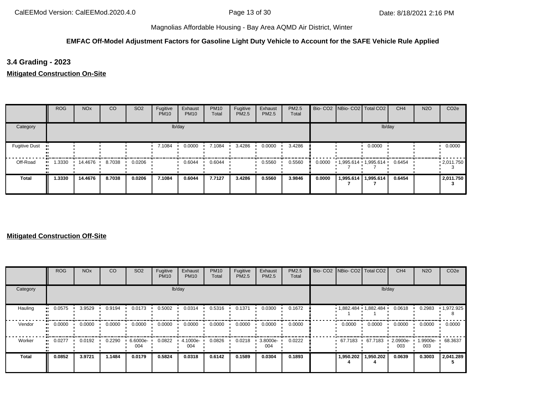#### **EMFAC Off-Model Adjustment Factors for Gasoline Light Duty Vehicle to Account for the SAFE Vehicle Rule Applied**

**3.4 Grading - 2023**

**Mitigated Construction On-Site**

|                      | <b>ROG</b>    | <b>NO<sub>x</sub></b> | CO     | SO <sub>2</sub> | Fugitive<br><b>PM10</b> | Exhaust<br><b>PM10</b> | <b>PM10</b><br>Total | Fugitive<br>PM2.5 | Exhaust<br>PM2.5 | PM2.5<br>Total |        | Bio- CO2   NBio- CO2   Total CO2 |                       | CH <sub>4</sub> | <b>N2O</b> | CO <sub>2e</sub>  |
|----------------------|---------------|-----------------------|--------|-----------------|-------------------------|------------------------|----------------------|-------------------|------------------|----------------|--------|----------------------------------|-----------------------|-----------------|------------|-------------------|
| Category             |               |                       |        |                 |                         | lb/day                 |                      |                   |                  |                |        |                                  | lb/day                |                 |            |                   |
| <b>Fugitive Dust</b> |               |                       |        |                 | 7.1084                  | 0.0000                 | 7.1084               | 3.4286            | 0.0000           | 3.4286         |        |                                  | 0.0000                |                 |            | 0.0000            |
| Off-Road             | 1.3330<br>. . | 14.4676               | 8.7038 | 0.0206          |                         | 0.6044                 | 0.6044               |                   | 0.5560           | 0.5560         | 0.0000 | $1,995.614$ $1,995.614$ 0.6454   |                       |                 |            | $\cdot$ 2,011.750 |
| Total                | 1.3330        | 14.4676               | 8.7038 | 0.0206          | 7.1084                  | 0.6044                 | 7.7127               | 3.4286            | 0.5560           | 3.9846         | 0.0000 |                                  | 1,995.614   1,995.614 | 0.6454          |            | 2,011.750         |

|              | ROG    | <b>NO<sub>x</sub></b> | <sub>CO</sub> | SO <sub>2</sub> | Fugitive<br><b>PM10</b> | Exhaust<br><b>PM10</b> | <b>PM10</b><br>Total | Fugitive<br>PM2.5 | Exhaust<br>PM2.5 | PM2.5<br>Total | Bio- CO2   NBio- CO2   Total CO2 |           | CH <sub>4</sub> | <b>N2O</b>      | CO <sub>2e</sub> |
|--------------|--------|-----------------------|---------------|-----------------|-------------------------|------------------------|----------------------|-------------------|------------------|----------------|----------------------------------|-----------|-----------------|-----------------|------------------|
| Category     |        |                       |               |                 |                         | lb/day                 |                      |                   |                  |                |                                  | lb/day    |                 |                 |                  |
| Hauling      | 0.0575 | 3.9529                | 0.9194        | 0.0173          | 0.5002                  | 0.0314                 | 0.5316               | 0.1371            | 0.0300           | 0.1672         | $1,882.484$ $1,882.484$          |           | 0.0618          | 0.2983          | 1,972.925        |
| Vendor       | 0.0000 | 0.0000                | 0.0000        | 0.0000          | 0.0000                  | 0.0000                 | 0.0000               | 0.0000            | 0.0000           | 0.0000         | 0.0000                           | 0.0000    | 0.0000          | 0.0000          | 0.0000           |
| Worker       | 0.0277 | 0.0192                | 0.2290        | 6.6000e-<br>004 | 0.0822                  | 4.1000e-<br>004        | 0.0826               | 0.0218            | 3.8000e-<br>004  | 0.0222         | 67.7183                          | 67.7183   | 2.0900e-<br>003 | 1.9900e-<br>003 | 68.3637          |
| <b>Total</b> | 0.0852 | 3.9721                | 1.1484        | 0.0179          | 0.5824                  | 0.0318                 | 0.6142               | 0.1589            | 0.0304           | 0.1893         | 1,950.202                        | 1,950.202 | 0.0639          | 0.3003          | 2,041.289        |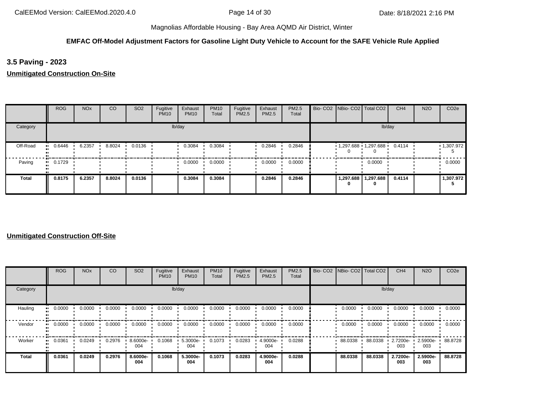#### **EMFAC Off-Model Adjustment Factors for Gasoline Light Duty Vehicle to Account for the SAFE Vehicle Rule Applied**

**3.5 Paving - 2023**

**Unmitigated Construction On-Site**

|          | <b>ROG</b>            | <b>NO<sub>x</sub></b> | CO     | SO <sub>2</sub> | Fugitive<br><b>PM10</b> | Exhaust<br><b>PM10</b> | <b>PM10</b><br>Total | Fugitive<br>PM2.5 | Exhaust<br>PM2.5 | PM2.5<br>Total | Bio- CO2   NBio- CO2   Total CO2 |                              | CH <sub>4</sub> | <b>N2O</b> | CO <sub>2e</sub>  |
|----------|-----------------------|-----------------------|--------|-----------------|-------------------------|------------------------|----------------------|-------------------|------------------|----------------|----------------------------------|------------------------------|-----------------|------------|-------------------|
| Category |                       |                       |        |                 |                         | lb/day                 |                      |                   |                  |                |                                  |                              | lb/day          |            |                   |
| Off-Road | $\blacksquare$ 0.6446 | 6.2357                | 8.8024 | 0.0136          |                         | 0.3084                 | 0.3084               |                   | 0.2846           | 0.2846         | $1,297.688$ 1,297.688            |                              | 0.4114          |            | $\cdot$ 1,307.972 |
| Paving   | $\blacksquare$ 0.1729 |                       |        |                 |                         | 0.0000                 | 0.0000               |                   | 0.0000           | 0.0000         |                                  | 0.0000                       |                 |            | 0.0000            |
| Total    | 0.8175                | 6.2357                | 8.8024 | 0.0136          |                         | 0.3084                 | 0.3084               |                   | 0.2846           | 0.2846         | 0                                | 1,297.688   1,297.688  <br>0 | 0.4114          |            | 1,307.972         |

|              | <b>ROG</b> | <b>NO<sub>x</sub></b> | CO     | SO <sub>2</sub> | Fugitive<br><b>PM10</b> | Exhaust<br><b>PM10</b> | <b>PM10</b><br>Total | Fugitive<br>PM2.5 | Exhaust<br>PM2.5 | <b>PM2.5</b><br>Total | Bio- CO2 NBio- CO2 Total CO2 |         | CH <sub>4</sub> | <b>N2O</b>         | CO <sub>2e</sub> |
|--------------|------------|-----------------------|--------|-----------------|-------------------------|------------------------|----------------------|-------------------|------------------|-----------------------|------------------------------|---------|-----------------|--------------------|------------------|
| Category     |            |                       |        |                 |                         | lb/day                 |                      |                   |                  |                       |                              | lb/day  |                 |                    |                  |
| Hauling      | 0.0000     | 0.0000                | 0.0000 | 0.0000          | 0.0000                  | 0.0000                 | 0.0000               | 0.0000            | 0.0000           | 0.0000                | 0.0000                       | 0.0000  | 0.0000          | 0.0000             | 0.0000           |
| Vendor       | 0.0000     | 0.0000                | 0.0000 | 0.0000          | 0.0000                  | 0.0000                 | 0.0000               | 0.0000            | 0.0000           | 0.0000                | 0.0000                       | 0.0000  | 0.0000          | 0.0000             | 0.0000           |
| Worker       | 0.0361     | 0.0249                | 0.2976 | 8.6000e-<br>004 | 0.1068                  | 5.3000e-<br>004        | 0.1073               | 0.0283            | 4.9000e-<br>004  | 0.0288                | 88.0338                      | 88.0338 | 2.7200e-<br>003 | $2.5900e -$<br>003 | 88.8728          |
| <b>Total</b> | 0.0361     | 0.0249                | 0.2976 | 8.6000e-<br>004 | 0.1068                  | 5.3000e-<br>004        | 0.1073               | 0.0283            | 4.9000e-<br>004  | 0.0288                | 88.0338                      | 88.0338 | 2.7200e-<br>003 | 2.5900e-<br>003    | 88,8728          |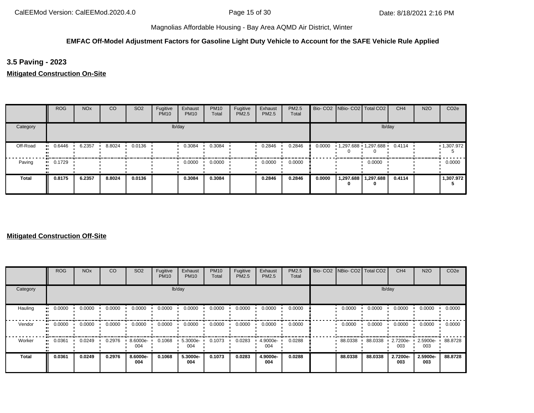#### **EMFAC Off-Model Adjustment Factors for Gasoline Light Duty Vehicle to Account for the SAFE Vehicle Rule Applied**

**3.5 Paving - 2023**

**Mitigated Construction On-Site**

|          | <b>ROG</b>           | <b>NO<sub>x</sub></b> | CO     | SO <sub>2</sub> | Fugitive<br><b>PM10</b> | Exhaust<br><b>PM10</b> | <b>PM10</b><br>Total | Fugitive<br>PM2.5 | Exhaust<br>PM2.5 | PM2.5<br>Total |        | Bio- CO2   NBio- CO2   Total CO2 |                          | CH <sub>4</sub> | <b>N2O</b> | CO <sub>2e</sub> |
|----------|----------------------|-----------------------|--------|-----------------|-------------------------|------------------------|----------------------|-------------------|------------------|----------------|--------|----------------------------------|--------------------------|-----------------|------------|------------------|
| Category |                      |                       |        |                 |                         | lb/day                 |                      |                   |                  |                |        |                                  | lb/day                   |                 |            |                  |
| Off-Road | 0.6446<br>           | 6.2357                | 8.8024 | 0.0136          |                         | 0.3084                 | 0.3084               |                   | 0.2846           | 0.2846         | 0.0000 | 1,297.688 1,297.688              |                          | 0.4114          |            | 1,307.972        |
| Paving   | 0.1729<br><b>ALC</b> |                       |        |                 |                         | 0.0000                 | 0.0000               |                   | 0.0000           | 0.0000         |        |                                  | 0.0000                   |                 |            | 0.0000           |
| Total    | 0.8175               | 6.2357                | 8.8024 | 0.0136          |                         | 0.3084                 | 0.3084               |                   | 0.2846           | 0.2846         | 0.0000 | o                                | 1,297.688 1,297.688<br>0 | 0.4114          |            | 1,307.972        |

|          | <b>ROG</b>            | <b>NO<sub>x</sub></b> | <b>CO</b> | SO <sub>2</sub> | Fugitive<br><b>PM10</b> | Exhaust<br><b>PM10</b> | <b>PM10</b><br>Total | Fugitive<br>PM2.5 | Exhaust<br>PM2.5 | PM2.5<br>Total |         | Bio- CO2   NBio- CO2   Total CO2 | CH <sub>4</sub> | <b>N2O</b>         | CO <sub>2e</sub> |
|----------|-----------------------|-----------------------|-----------|-----------------|-------------------------|------------------------|----------------------|-------------------|------------------|----------------|---------|----------------------------------|-----------------|--------------------|------------------|
| Category |                       |                       |           |                 |                         | lb/day                 |                      |                   |                  |                |         | lb/day                           |                 |                    |                  |
| Hauling  | 0.0000<br>            | 0.0000                | 0.0000    | 0.0000          | 0.0000                  | 0.0000                 | 0.0000               | 0.0000            | 0.0000           | 0.0000         | 0.0000  | 0.0000                           | 0.0000          | 0.0000             | 0.0000           |
| Vendor   | $\blacksquare$ 0.0000 | 0.0000                | 0.0000    | 0.0000          | 0.0000                  | 0.0000                 | 0.0000               | 0.0000            | 0.0000           | 0.0000         | 0.0000  | 0.0000                           | 0.0000          | 0.0000             | 0.0000           |
| Worker   | 0.0361<br>            | 0.0249                | 0.2976    | 8.6000e-<br>004 | 0.1068                  | 5.3000e-<br>004        | 0.1073               | 0.0283            | 4.9000e-<br>004  | 0.0288         | 88.0338 | 88.0338                          | 2.7200e-<br>003 | $2.5900e -$<br>003 | 88.8728          |
| Total    | 0.0361                | 0.0249                | 0.2976    | 8.6000e-<br>004 | 0.1068                  | 5.3000e-<br>004        | 0.1073               | 0.0283            | 4.9000e-<br>004  | 0.0288         | 88.0338 | 88.0338                          | 2.7200e-<br>003 | 2.5900e-<br>003    | 88.8728          |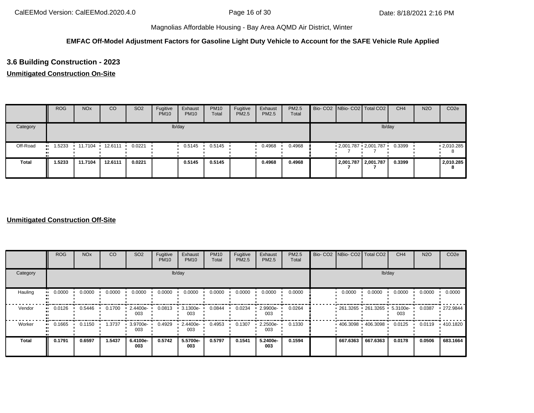#### **EMFAC Off-Model Adjustment Factors for Gasoline Light Duty Vehicle to Account for the SAFE Vehicle Rule Applied**

#### **3.6 Building Construction - 2023**

#### **Unmitigated Construction On-Site**

|              | <b>ROG</b> | <b>NO<sub>x</sub></b> | CO                | SO <sub>2</sub> | Fugitive<br><b>PM10</b> | Exhaust<br><b>PM10</b> | <b>PM10</b><br>Total | Fugitive<br>PM2.5 | Exhaust<br>PM2.5 | PM2.5<br>Total |  | Bio- CO2 NBio- CO2 Total CO2 | CH <sub>4</sub> | <b>N2O</b> | CO <sub>2e</sub>  |
|--------------|------------|-----------------------|-------------------|-----------------|-------------------------|------------------------|----------------------|-------------------|------------------|----------------|--|------------------------------|-----------------|------------|-------------------|
| Category     |            |                       |                   |                 |                         | lb/day                 |                      |                   |                  |                |  | lb/day                       |                 |            |                   |
| Off-Road     | .5233      |                       | 11.7104 12.6111 ' | 0.0221          |                         | 0.5145                 | 0.5145               |                   | 0.4968           | 0.4968         |  | $2,001.787$ $2,001.787$      | 0.3399          |            | $\cdot$ 2,010.285 |
| <b>Total</b> | 1.5233     | 11.7104               | 12.6111           | 0.0221          |                         | 0.5145                 | 0.5145               |                   | 0.4968           | 0.4968         |  | 2,001.787 2,001.787          | 0.3399          |            | 2,010.285         |

|                      | <b>ROG</b> | <b>NO<sub>x</sub></b> | CO     | SO <sub>2</sub> | Fugitive<br><b>PM10</b> | Exhaust<br><b>PM10</b> | <b>PM10</b><br>Total | Fugitive<br>PM2.5 | Exhaust<br>PM2.5 | PM2.5<br>Total | Bio- CO2 NBio- CO2 Total CO2 |          | CH <sub>4</sub> | <b>N2O</b> | CO <sub>2e</sub> |
|----------------------|------------|-----------------------|--------|-----------------|-------------------------|------------------------|----------------------|-------------------|------------------|----------------|------------------------------|----------|-----------------|------------|------------------|
| Category             |            |                       |        |                 |                         | lb/day                 |                      |                   |                  |                |                              | lb/day   |                 |            |                  |
| Hauling<br>$\bullet$ | 0.0000     | 0.0000                | 0.0000 | 0.0000          | 0.0000                  | 0.0000                 | 0.0000               | 0.0000            | 0.0000           | 0.0000         | 0.0000                       | 0.0000   | 0.0000          | 0.0000     | 0.0000           |
| Vendor<br>$\bullet$  | 0.0126     | 0.5446                | 0.1700 | 2.4400e-<br>003 | 0.0813                  | 3.1300e-<br>003        | 0.0844               | 0.0234            | 2.9900e-<br>003  | 0.0264         | $-261.3265 - 261.3265$       |          | 5.3100e-<br>003 | 0.0387     | .272.9844        |
| Worker<br>$\bullet$  | 0.1665     | 0.1150                | 1.3737 | 3.9700e-<br>003 | 0.4929                  | 2.4400e-<br>003        | 0.4953               | 0.1307            | 2.2500e-<br>003  | 0.1330         | $1406.3098$ $406.3098$       |          | 0.0125          | 0.0119     | $+410.1820$      |
| <b>Total</b>         | 0.1791     | 0.6597                | 1.5437 | 6.4100e-<br>003 | 0.5742                  | 5.5700e-<br>003        | 0.5797               | 0.1541            | 5.2400e-<br>003  | 0.1594         | 667.6363                     | 667.6363 | 0.0178          | 0.0506     | 683.1664         |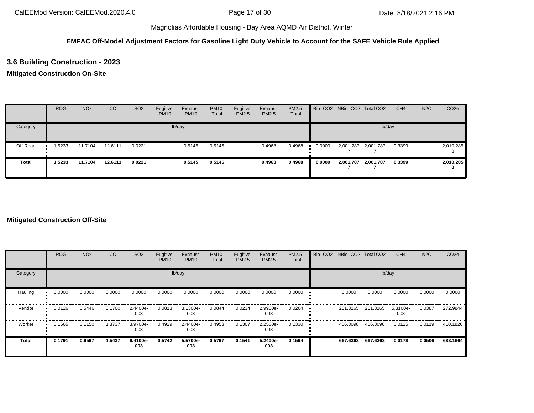#### **EMFAC Off-Model Adjustment Factors for Gasoline Light Duty Vehicle to Account for the SAFE Vehicle Rule Applied**

#### **3.6 Building Construction - 2023**

#### **Mitigated Construction On-Site**

|              | <b>ROG</b> | <b>NO<sub>x</sub></b> | CO                | SO <sub>2</sub> | Fugitive<br><b>PM10</b> | Exhaust<br><b>PM10</b> | <b>PM10</b><br>Total | Fugitive<br>PM2.5 | Exhaust<br>PM2.5 | PM2.5<br>Total |        | Bio- CO2 NBio- CO2 Total CO2 | CH <sub>4</sub> | <b>N2O</b> | CO <sub>2e</sub>  |
|--------------|------------|-----------------------|-------------------|-----------------|-------------------------|------------------------|----------------------|-------------------|------------------|----------------|--------|------------------------------|-----------------|------------|-------------------|
| Category     |            |                       |                   |                 |                         | lb/day                 |                      |                   |                  |                |        | lb/day                       |                 |            |                   |
| Off-Road     | .5233      |                       | 11.7104 12.6111 ' | 0.0221          |                         | 0.5145                 | 0.5145               |                   | 0.4968           | 0.4968         | 0.0000 | $2,001.787$ $2,001.787$      | 0.3399          |            | $\cdot$ 2,010.285 |
| <b>Total</b> | 1.5233     | 11.7104               | 12.6111           | 0.0221          |                         | 0.5145                 | 0.5145               |                   | 0.4968           | 0.4968         | 0.0000 | 2,001.787 2,001.787          | 0.3399          |            | 2,010.285         |

|                      | <b>ROG</b> | <b>NO<sub>x</sub></b> | CO     | SO <sub>2</sub> | Fugitive<br><b>PM10</b> | Exhaust<br><b>PM10</b> | <b>PM10</b><br>Total | Fugitive<br>PM2.5 | Exhaust<br>PM2.5 | PM2.5<br>Total | Bio- CO2 NBio- CO2 Total CO2 |          | CH <sub>4</sub> | <b>N2O</b> | CO <sub>2e</sub> |
|----------------------|------------|-----------------------|--------|-----------------|-------------------------|------------------------|----------------------|-------------------|------------------|----------------|------------------------------|----------|-----------------|------------|------------------|
| Category             |            |                       |        |                 |                         | lb/day                 |                      |                   |                  |                |                              | lb/day   |                 |            |                  |
| Hauling<br>$\bullet$ | 0.0000     | 0.0000                | 0.0000 | 0.0000          | 0.0000                  | 0.0000                 | 0.0000               | 0.0000            | 0.0000           | 0.0000         | 0.0000                       | 0.0000   | 0.0000          | 0.0000     | 0.0000           |
| Vendor<br>$\bullet$  | 0.0126     | 0.5446                | 0.1700 | 2.4400e-<br>003 | 0.0813                  | 3.1300e-<br>003        | 0.0844               | 0.0234            | 2.9900e-<br>003  | 0.0264         | $-261.3265 - 261.3265$       |          | 5.3100e-<br>003 | 0.0387     | .272.9844        |
| Worker<br>$\bullet$  | 0.1665     | 0.1150                | 1.3737 | 3.9700e-<br>003 | 0.4929                  | 2.4400e-<br>003        | 0.4953               | 0.1307            | 2.2500e-<br>003  | 0.1330         | $1406.3098$ $406.3098$       |          | 0.0125          | 0.0119     | $+410.1820$      |
| <b>Total</b>         | 0.1791     | 0.6597                | 1.5437 | 6.4100e-<br>003 | 0.5742                  | 5.5700e-<br>003        | 0.5797               | 0.1541            | 5.2400e-<br>003  | 0.1594         | 667.6363                     | 667.6363 | 0.0178          | 0.0506     | 683.1664         |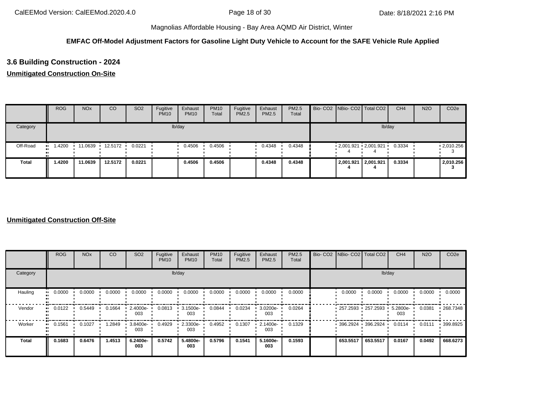#### **EMFAC Off-Model Adjustment Factors for Gasoline Light Duty Vehicle to Account for the SAFE Vehicle Rule Applied**

#### **3.6 Building Construction - 2024**

#### **Unmitigated Construction On-Site**

|              | <b>ROG</b> | <b>NO<sub>x</sub></b> | CO                | SO <sub>2</sub> | Fugitive<br><b>PM10</b> | Exhaust<br><b>PM10</b> | <b>PM10</b><br>Total | Fugitive<br>PM2.5 | Exhaust<br>PM2.5 | PM2.5<br>Total |  | Bio- CO2 NBio- CO2 Total CO2 | CH <sub>4</sub> | <b>N2O</b> | CO <sub>2e</sub>  |
|--------------|------------|-----------------------|-------------------|-----------------|-------------------------|------------------------|----------------------|-------------------|------------------|----------------|--|------------------------------|-----------------|------------|-------------------|
| Category     |            |                       |                   |                 |                         | lb/day                 |                      |                   |                  |                |  | lb/day                       |                 |            |                   |
| Off-Road     | .4200      |                       | 11.0639 12.5172 1 | 0.0221          |                         | 0.4506                 | 0.4506               |                   | 0.4348           | 0.4348         |  | 2,001.921 2,001.921          | 0.3334          |            | $\cdot$ 2,010.256 |
| <b>Total</b> | 1.4200     | 11.0639               | 12.5172           | 0.0221          |                         | 0.4506                 | 0.4506               |                   | 0.4348           | 0.4348         |  | 2,001.921 2,001.921          | 0.3334          |            | 2,010.256         |

|                      | <b>ROG</b> | <b>NO<sub>x</sub></b> | CO     | SO <sub>2</sub> | Fugitive<br><b>PM10</b> | Exhaust<br><b>PM10</b> | <b>PM10</b><br>Total | Fugitive<br>PM2.5 | Exhaust<br><b>PM2.5</b> | PM2.5<br>Total | Bio- CO2   NBio- CO2   Total CO2 |          | CH <sub>4</sub> | <b>N2O</b> | CO <sub>2e</sub> |
|----------------------|------------|-----------------------|--------|-----------------|-------------------------|------------------------|----------------------|-------------------|-------------------------|----------------|----------------------------------|----------|-----------------|------------|------------------|
| Category             |            |                       |        |                 |                         | lb/day                 |                      |                   |                         |                |                                  | lb/day   |                 |            |                  |
| Hauling<br>$\bullet$ | 0.0000     | 0.0000                | 0.0000 | 0.0000          | 0.0000                  | 0.0000                 | 0.0000               | 0.0000            | 0.0000                  | 0.0000         | 0.0000                           | 0.0000   | 0.0000          | 0.0000     | 0.0000           |
| Vendor<br>$\bullet$  | 0.0122     | 0.5449                | 0.1664 | 2.4000e-<br>003 | 0.0813                  | 3.1500e-<br>003        | 0.0844               | 0.0234            | 3.0200e-<br>003         | 0.0264         | 257.2593 257.2593                |          | 5.2800e-<br>003 | 0.0381     | $-268.7348$      |
| Worker               | 0.1561     | 0.1027                | 1.2849 | 3.8400e-<br>003 | 0.4929                  | 2.3300e-<br>003        | 0.4952               | 0.1307            | 2.1400e-<br>003         | 0.1329         | 396.2924 396.2924                |          | 0.0114          | 0.0111     | 939.8925         |
| <b>Total</b>         | 0.1683     | 0.6476                | 1.4513 | 6.2400e-<br>003 | 0.5742                  | 5.4800e-<br>003        | 0.5796               | 0.1541            | 5.1600e-<br>003         | 0.1593         | 653.5517                         | 653.5517 | 0.0167          | 0.0492     | 668.6273         |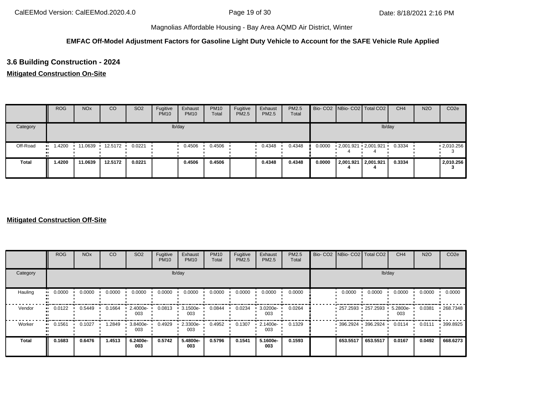#### **EMFAC Off-Model Adjustment Factors for Gasoline Light Duty Vehicle to Account for the SAFE Vehicle Rule Applied**

#### **3.6 Building Construction - 2024**

#### **Mitigated Construction On-Site**

|          | <b>ROG</b> | <b>NO<sub>x</sub></b> | CO                | SO <sub>2</sub> | Fugitive<br><b>PM10</b> | Exhaust<br><b>PM10</b> | <b>PM10</b><br>Total | Fugitive<br>PM2.5 | Exhaust<br>PM2.5 | PM2.5<br>Total |        | Bio- CO2 NBio- CO2 Total CO2 | CH <sub>4</sub> | <b>N2O</b> | CO <sub>2e</sub> |
|----------|------------|-----------------------|-------------------|-----------------|-------------------------|------------------------|----------------------|-------------------|------------------|----------------|--------|------------------------------|-----------------|------------|------------------|
| Category |            |                       |                   |                 |                         | lb/day                 |                      |                   |                  |                |        |                              | lb/day          |            |                  |
| Off-Road | .4200      |                       | $11.0639$ 12.5172 | 0.0221          |                         | 0.4506                 | 0.4506               |                   | 0.4348           | 0.4348         | 0.0000 | $-2,001.921 - 2,001.921$     | 0.3334          |            | .2010.256        |
| Total    | 1.4200     | 11.0639               | 12.5172           | 0.0221          |                         | 0.4506                 | 0.4506               |                   | 0.4348           | 0.4348         | 0.0000 | 2,001.921 2,001.921          | 0.3334          |            | 2,010.256        |

|                     | <b>ROG</b>                 | <b>NO<sub>x</sub></b> | CO     | SO <sub>2</sub> | Fugitive<br><b>PM10</b> | Exhaust<br><b>PM10</b> | <b>PM10</b><br>Total | Fugitive<br>PM2.5 | Exhaust<br>PM2.5 | PM2.5<br>Total | Bio- CO2   NBio- CO2   Total CO2 |          | CH <sub>4</sub> | <b>N2O</b> | CO <sub>2e</sub> |
|---------------------|----------------------------|-----------------------|--------|-----------------|-------------------------|------------------------|----------------------|-------------------|------------------|----------------|----------------------------------|----------|-----------------|------------|------------------|
| Category            |                            |                       |        |                 |                         | lb/day                 |                      |                   |                  |                |                                  | lb/day   |                 |            |                  |
| Hauling             | 0.0000<br>$\bullet\bullet$ | 0.0000                | 0.0000 | 0.0000          | 0.0000                  | 0.0000                 | 0.0000               | 0.0000            | 0.0000           | 0.0000         | 0.0000                           | 0.0000   | 0.0000          | 0.0000     | 0.0000           |
| Vendor              | 0.0122<br>$\bullet\bullet$ | 0.5449                | 0.1664 | 2.4000e-<br>003 | 0.0813                  | 3.1500e-<br>003        | 0.0844               | 0.0234            | 3.0200e-<br>003  | 0.0264         | 257.2593 257.2593                |          | 5.2800e-<br>003 | 0.0381     | .268.7348        |
| Worker<br>$\bullet$ | 0.1561                     | 0.1027                | .2849  | 3.8400e-<br>003 | 0.4929                  | 2.3300e-<br>003        | 0.4952               | 0.1307            | 2.1400e-<br>003  | 0.1329         | 396.2924 396.2924                |          | 0.0114          | 0.0111     | 939.8925         |
| <b>Total</b>        | 0.1683                     | 0.6476                | 1.4513 | 6.2400e-<br>003 | 0.5742                  | 5.4800e-<br>003        | 0.5796               | 0.1541            | 5.1600e-<br>003  | 0.1593         | 653.5517                         | 653.5517 | 0.0167          | 0.0492     | 668.6273         |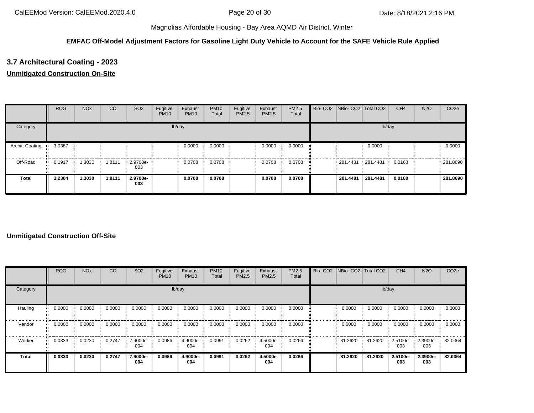#### **EMFAC Off-Model Adjustment Factors for Gasoline Light Duty Vehicle to Account for the SAFE Vehicle Rule Applied**

#### **3.7 Architectural Coating - 2023**

#### **Unmitigated Construction On-Site**

|                 | <b>ROG</b> | <b>NO<sub>x</sub></b> | <sub>CO</sub> | SO <sub>2</sub>    | Fugitive<br><b>PM10</b> | Exhaust<br><b>PM10</b> | <b>PM10</b><br>Total | Fugitive<br>PM2.5 | Exhaust<br>PM2.5 | PM2.5<br>Total | Bio- CO2 NBio- CO2 Total CO2 |          | CH <sub>4</sub> | <b>N2O</b> | CO <sub>2e</sub> |
|-----------------|------------|-----------------------|---------------|--------------------|-------------------------|------------------------|----------------------|-------------------|------------------|----------------|------------------------------|----------|-----------------|------------|------------------|
| Category        |            |                       |               |                    |                         | lb/day                 |                      |                   |                  |                |                              | lb/day   |                 |            |                  |
| Archit. Coating | 3.0387     |                       |               |                    |                         | 0.0000                 | 0.0000               |                   | 0.0000           | 0.0000         |                              | 0.0000   |                 |            | 0.0000           |
| Off-Road        | 0.1917     | 1.3030                | 1.8111        | $-2.9700e-$<br>003 |                         | 0.0708                 | 0.0708               |                   | 0.0708           | 0.0708         | $-281.4481 - 281.4481$       |          | 0.0168          |            | .281.8690        |
| <b>Total</b>    | 3.2304     | 1.3030                | 1.8111        | 2.9700e-<br>003    |                         | 0.0708                 | 0.0708               |                   | 0.0708           | 0.0708         | 281.4481                     | 281.4481 | 0.0168          |            | 281.8690         |

|              | <b>ROG</b>            | <b>NO<sub>x</sub></b> | CO     | SO <sub>2</sub> | Fugitive<br><b>PM10</b> | Exhaust<br><b>PM10</b> | <b>PM10</b><br>Total | Fugitive<br>PM2.5 | Exhaust<br>PM2.5 | PM2.5<br>Total | Bio- CO2   NBio- CO2   Total CO2 |         | CH <sub>4</sub> | <b>N2O</b>      | CO <sub>2e</sub> |
|--------------|-----------------------|-----------------------|--------|-----------------|-------------------------|------------------------|----------------------|-------------------|------------------|----------------|----------------------------------|---------|-----------------|-----------------|------------------|
| Category     |                       |                       |        |                 |                         | lb/day                 |                      |                   |                  |                |                                  | lb/day  |                 |                 |                  |
| Hauling      | 0.0000<br>            | 0.0000                | 0.0000 | 0.0000          | 0.0000                  | 0.0000                 | 0.0000               | 0.0000            | 0.0000           | 0.0000         | 0.0000                           | 0.0000  | 0.0000          | 0.0000          | 0.0000           |
| Vendor       | $\blacksquare$ 0.0000 | 0.0000                | 0.0000 | 0.0000          | 0.0000                  | 0.0000                 | 0.0000               | 0.0000            | 0.0000           | 0.0000         | 0.0000                           | 0.0000  | 0.0000          | 0.0000          | 0.0000           |
| Worker       | 0.0333<br>            | 0.0230                | 0.2747 | 7.9000e-<br>004 | 0.0986                  | 4.9000e-<br>004        | 0.0991               | 0.0262            | 4.5000e-<br>004  | 0.0266         | 81.2620                          | 81.2620 | 2.5100e-<br>003 | 2.3900e-<br>003 | 82.0364          |
| <b>Total</b> | 0.0333                | 0.0230                | 0.2747 | 7.9000e-<br>004 | 0.0986                  | 4.9000e-<br>004        | 0.0991               | 0.0262            | 4.5000e-<br>004  | 0.0266         | 81.2620                          | 81.2620 | 2.5100e-<br>003 | 2.3900e-<br>003 | 82.0364          |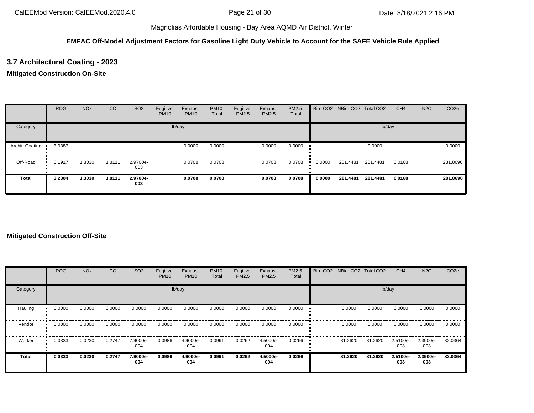#### **EMFAC Off-Model Adjustment Factors for Gasoline Light Duty Vehicle to Account for the SAFE Vehicle Rule Applied**

#### **3.7 Architectural Coating - 2023**

#### **Mitigated Construction On-Site**

|                 | <b>ROG</b>            | <b>NO<sub>x</sub></b> | CO     | SO <sub>2</sub> | Fugitive<br><b>PM10</b> | Exhaust<br><b>PM10</b> | <b>PM10</b><br>Total | Fugitive<br>PM2.5 | Exhaust<br><b>PM2.5</b> | <b>PM2.5</b><br>Total |        | Bio- CO2   NBio- CO2   Total CO2 |          | CH <sub>4</sub> | <b>N2O</b> | CO <sub>2e</sub> |
|-----------------|-----------------------|-----------------------|--------|-----------------|-------------------------|------------------------|----------------------|-------------------|-------------------------|-----------------------|--------|----------------------------------|----------|-----------------|------------|------------------|
| Category        |                       |                       |        |                 |                         | lb/day                 |                      |                   |                         |                       |        |                                  | lb/day   |                 |            |                  |
| Archit. Coating | 3.0387<br>            |                       |        |                 |                         | 0.0000                 | 0.0000               |                   | 0.0000                  | 0.0000                |        |                                  | 0.0000   |                 |            | 0.0000           |
| Off-Road        | $\blacksquare$ 0.1917 | 1.3030                | 1.8111 | 2.9700e-<br>003 |                         | 0.0708                 | 0.0708               |                   | 0.0708                  | 0.0708                | 0.0000 | $281.4481$ 281.4481              |          | 0.0168          |            | .281.8690        |
| <b>Total</b>    | 3.2304                | 1.3030                | 1.8111 | 2.9700e-<br>003 |                         | 0.0708                 | 0.0708               |                   | 0.0708                  | 0.0708                | 0.0000 | 281.4481                         | 281.4481 | 0.0168          |            | 281.8690         |

|          | <b>ROG</b>            | <b>NO<sub>x</sub></b> | CO     | SO <sub>2</sub> | Fugitive<br><b>PM10</b> | Exhaust<br><b>PM10</b> | <b>PM10</b><br>Total | Fugitive<br>PM2.5 | Exhaust<br><b>PM2.5</b> | <b>PM2.5</b><br>Total | Bio- CO2 NBio- CO2 Total CO2 |         | CH <sub>4</sub>    | <b>N2O</b>      | CO <sub>2e</sub> |
|----------|-----------------------|-----------------------|--------|-----------------|-------------------------|------------------------|----------------------|-------------------|-------------------------|-----------------------|------------------------------|---------|--------------------|-----------------|------------------|
| Category |                       |                       |        |                 |                         | lb/day                 |                      |                   |                         |                       |                              |         | lb/day             |                 |                  |
| Hauling  | 0.0000<br>            | 0.0000                | 0.0000 | 0.0000          | 0.0000                  | 0.0000                 | 0.0000               | 0.0000            | 0.0000                  | 0.0000                | 0.0000                       | 0.0000  | 0.0000             | 0.0000          | 0.0000           |
| Vendor   | $\blacksquare$ 0.0000 | 0.0000                | 0.0000 | 0.0000          | 0.0000                  | 0.0000                 | 0.0000               | 0.0000            | 0.0000                  | 0.0000                | 0.0000                       | 0.0000  | 0.0000             | 0.0000          | 0.0000           |
| Worker   | 0.0333<br>            | 0.0230                | 0.2747 | 7.9000e-<br>004 | 0.0986                  | 4.9000e-<br>004        | 0.0991               | 0.0262            | 4.5000e-<br>004         | 0.0266                | 81.2620                      | 81.2620 | $2.5100e -$<br>003 | 2.3900e-<br>003 | 82.0364          |
| Total    | 0.0333                | 0.0230                | 0.2747 | 7.9000e-<br>004 | 0.0986                  | 4.9000e-<br>004        | 0.0991               | 0.0262            | 4.5000e-<br>004         | 0.0266                | 81.2620                      | 81.2620 | 2.5100e-<br>003    | 2.3900e-<br>003 | 82.0364          |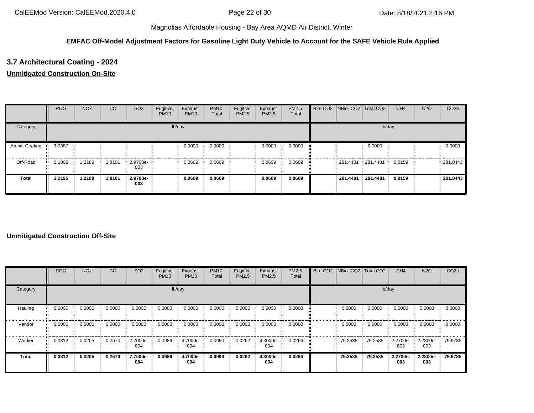#### **EMFAC Off-Model Adjustment Factors for Gasoline Light Duty Vehicle to Account for the SAFE Vehicle Rule Applied**

#### **3.7 Architectural Coating - 2024**

#### **Unmitigated Construction On-Site**

|                 | <b>ROG</b>            | <b>NO<sub>x</sub></b> | CO     | SO <sub>2</sub>    | Fugitive<br><b>PM10</b> | Exhaust<br><b>PM10</b> | <b>PM10</b><br>Total | Fugitive<br>PM2.5 | Exhaust<br><b>PM2.5</b> | PM2.5<br>Total | Bio- CO2   NBio- CO2   Total CO2 |          | CH <sub>4</sub> | <b>N2O</b> | CO <sub>2e</sub> |
|-----------------|-----------------------|-----------------------|--------|--------------------|-------------------------|------------------------|----------------------|-------------------|-------------------------|----------------|----------------------------------|----------|-----------------|------------|------------------|
| Category        |                       |                       |        |                    |                         | lb/day                 |                      |                   |                         |                |                                  | lb/day   |                 |            |                  |
| Archit. Coating | 3.0387<br>.           |                       |        |                    |                         | 0.0000                 | 0.0000               |                   | 0.0000                  | 0.0000         |                                  | 0.0000   |                 |            | 0.0000           |
| Off-Road        | $\blacksquare$ 0.1808 | 1.2188                | 1.8101 | $-2.9700e-$<br>003 |                         | 0.0609                 | 0.0609               |                   | 0.0609                  | 0.0609         | $-281.4481 - 281.4481$           |          | 0.0159          |            | 281.8443         |
| Total           | 3.2195                | 1.2188                | 1.8101 | 2.9700e-<br>003    |                         | 0.0609                 | 0.0609               |                   | 0.0609                  | 0.0609         | 281.4481                         | 281.4481 | 0.0159          |            | 281.8443         |

|              | ROG    | <b>NO<sub>x</sub></b> | <sub>CO</sub> | SO <sub>2</sub> | Fugitive<br><b>PM10</b> | Exhaust<br><b>PM10</b> | <b>PM10</b><br>Total | Fugitive<br>PM2.5 | Exhaust<br>PM2.5 | <b>PM2.5</b><br>Total |         | Bio- CO2   NBio- CO2   Total CO2 | CH <sub>4</sub> | <b>N2O</b>      | CO <sub>2e</sub> |
|--------------|--------|-----------------------|---------------|-----------------|-------------------------|------------------------|----------------------|-------------------|------------------|-----------------------|---------|----------------------------------|-----------------|-----------------|------------------|
| Category     |        |                       |               |                 |                         | lb/day                 |                      |                   |                  |                       |         |                                  | lb/day          |                 |                  |
| Hauling      | 0.0000 | 0.0000                | 0.0000        | 0.0000          | 0.0000                  | 0.0000                 | 0.0000               | 0.0000            | 0.0000           | 0.0000                | 0.0000  | 0.0000                           | 0.0000          | 0.0000          | 0.0000           |
| Vendor       | 0.0000 | 0.0000                | 0.0000        | 0.0000          | 0.0000                  | 0.0000                 | 0.0000               | 0.0000            | 0.0000           | 0.0000                | 0.0000  | 0.0000                           | 0.0000          | 0.0000          | 0.0000           |
| Worker       | 0.0312 | 0.0205                | 0.2570        | 7.7000e-<br>004 | 0.0986                  | 4.7000e-<br>004        | 0.0990               | 0.0262            | 4.3000e-<br>004  | 0.0266                | 79.2585 | 79.2585                          | 2.2700e-<br>003 | 2.2300e-<br>003 | 79.9785          |
| <b>Total</b> | 0.0312 | 0.0205                | 0.2570        | 7.7000e-<br>004 | 0.0986                  | 4.7000e-<br>004        | 0.0990               | 0.0262            | 4.3000e-<br>004  | 0.0266                | 79.2585 | 79.2585                          | 2.2700e-<br>003 | 2.2300e-<br>003 | 79.9785          |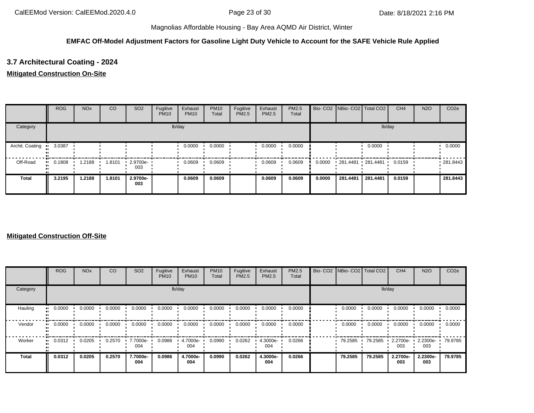#### **EMFAC Off-Model Adjustment Factors for Gasoline Light Duty Vehicle to Account for the SAFE Vehicle Rule Applied**

#### **3.7 Architectural Coating - 2024**

#### **Mitigated Construction On-Site**

|                 | <b>ROG</b>            | <b>NO<sub>x</sub></b> | CO     | SO <sub>2</sub> | Fugitive<br><b>PM10</b> | Exhaust<br><b>PM10</b> | <b>PM10</b><br>Total | Fugitive<br>PM2.5 | Exhaust<br><b>PM2.5</b> | <b>PM2.5</b><br>Total |        | Bio- CO2   NBio- CO2   Total CO2 |          | CH <sub>4</sub> | <b>N2O</b> | CO <sub>2e</sub> |
|-----------------|-----------------------|-----------------------|--------|-----------------|-------------------------|------------------------|----------------------|-------------------|-------------------------|-----------------------|--------|----------------------------------|----------|-----------------|------------|------------------|
| Category        |                       |                       |        |                 |                         | lb/day                 |                      |                   |                         |                       |        |                                  | lb/day   |                 |            |                  |
| Archit. Coating | 3.0387<br>            |                       |        |                 |                         | 0.0000                 | 0.0000               |                   | 0.0000                  | 0.0000                |        |                                  | 0.0000   |                 |            | 0.0000           |
| Off-Road        | $\blacksquare$ 0.1808 | 1.2188                | 1.8101 | 2.9700e-<br>003 |                         | 0.0609                 | 0.0609               |                   | 0.0609                  | 0.0609                | 0.0000 | $281.4481$ 281.4481              |          | 0.0159          |            | .281.8443        |
| <b>Total</b>    | 3.2195                | 1.2188                | 1.8101 | 2.9700e-<br>003 |                         | 0.0609                 | 0.0609               |                   | 0.0609                  | 0.0609                | 0.0000 | 281.4481                         | 281.4481 | 0.0159          |            | 281.8443         |

|              | <b>ROG</b> | <b>NO<sub>x</sub></b> | CO     | SO <sub>2</sub> | Fugitive<br><b>PM10</b> | Exhaust<br><b>PM10</b> | <b>PM10</b><br>Total | Fugitive<br>PM2.5 | Exhaust<br>PM2.5 | <b>PM2.5</b><br>Total | Bio- CO2   NBio- CO2   Total CO2 |         | CH <sub>4</sub> | <b>N2O</b>      | CO <sub>2e</sub> |
|--------------|------------|-----------------------|--------|-----------------|-------------------------|------------------------|----------------------|-------------------|------------------|-----------------------|----------------------------------|---------|-----------------|-----------------|------------------|
| Category     |            |                       |        |                 |                         | lb/day                 |                      |                   |                  |                       |                                  | lb/day  |                 |                 |                  |
| Hauling      | 0.0000     | 0.0000                | 0.0000 | 0.0000          | 0.0000                  | 0.0000                 | 0.0000               | 0.0000            | 0.0000           | 0.0000                | 0.0000                           | 0.0000  | 0.0000          | 0.0000          | 0.0000           |
| Vendor       | 0.0000     | 0.0000                | 0.0000 | 0.0000          | 0.0000                  | 0.0000                 | 0.0000               | 0.0000            | 0.0000           | 0.0000                | 0.0000                           | 0.0000  | 0.0000          | 0.0000          | 0.0000           |
| Worker       | 0.0312     | 0.0205                | 0.2570 | 7.7000e-<br>004 | 0.0986                  | 4.7000e-<br>004        | 0.0990               | 0.0262            | 4.3000e-<br>004  | 0.0266                | 79.2585                          | 79.2585 | 2.2700e-<br>003 | 2.2300e-<br>003 | 79.9785          |
| <b>Total</b> | 0.0312     | 0.0205                | 0.2570 | 7.7000e-<br>004 | 0.0986                  | 4.7000e-<br>004        | 0.0990               | 0.0262            | 4.3000e-<br>004  | 0.0266                | 79.2585                          | 79.2585 | 2.2700e-<br>003 | 2.2300e-<br>003 | 79.9785          |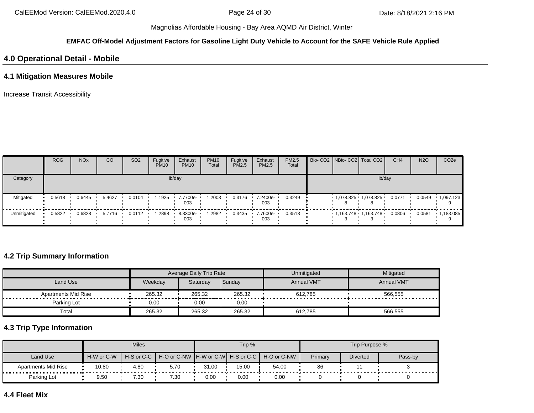#### **EMFAC Off-Model Adjustment Factors for Gasoline Light Duty Vehicle to Account for the SAFE Vehicle Rule Applied**

#### **4.0 Operational Detail - Mobile**

#### **4.1 Mitigation Measures Mobile**

Increase Transit Accessibility

|             | <b>ROG</b> | <b>NO<sub>x</sub></b> | CO     | SO <sub>2</sub> | Fugitive<br><b>PM10</b> | Exhaust<br><b>PM10</b> | <b>PM10</b><br>Total | Fugitive<br>PM2.5 | Exhaust<br><b>PM2.5</b> | PM2.5<br>Total |  | Bio- CO2 NBio- CO2 Total CO2 | CH <sub>4</sub> | <b>N2O</b> | CO <sub>2e</sub> |
|-------------|------------|-----------------------|--------|-----------------|-------------------------|------------------------|----------------------|-------------------|-------------------------|----------------|--|------------------------------|-----------------|------------|------------------|
| Category    |            |                       |        |                 |                         | lb/day                 |                      |                   |                         |                |  | lb/day                       |                 |            |                  |
| Mitigated   | 0.5618     | 0.6445                | 5.4627 | 0.0104          | 1.1925                  | 7.7700e-<br>003        | .2003                | 0.3176            | 7.2400e-<br>003         | 0.3249         |  | $1,078.825$ 1,078.825<br>8   | 0.0771          | 0.0549     | 1,097.123        |
| Unmitigated | 0.5822     | 0.6828                | 5.7716 | 0.0112          | 1.2898                  | 8.3300e-<br>003        | .2982                | 0.3435            | ▪ 7.7600e-<br>003       | 0.3513         |  | $1,163.748$ $1,163.748$      | 0.0806          | 0.0581     | 1,183.085        |

#### **4.2 Trip Summary Information**

|                     |         | Average Daily Trip Rate |        | Unmitigated       | Mitigated         |
|---------------------|---------|-------------------------|--------|-------------------|-------------------|
| Land Use            | Weekdav | Saturdav                | Sunday | <b>Annual VMT</b> | <b>Annual VMT</b> |
| Apartments Mid Rise | 265.32  | 265.32                  | 265.32 | 612.785           | 566.555           |
| Parking Lot         | 0.00    | 0.00                    | 0.00   |                   |                   |
| Total               | 265.32  | 265.32                  | 265.32 | 612.785           | 566.555           |

#### **4.3 Trip Type Information**

|                            |            | <b>Miles</b> |      |       | Trip % |                                                                |         | Trip Purpose %  |         |
|----------------------------|------------|--------------|------|-------|--------|----------------------------------------------------------------|---------|-----------------|---------|
| Land Use                   | H-W or C-W |              |      |       |        | H-S or C-C I H-O or C-NW IH-W or C-WI H-S or C-C I H-O or C-NW | Primary | <b>Diverted</b> | Pass-by |
| <b>Apartments Mid Rise</b> | 10.80      | 4.80         | 5.70 | 31.00 | 15.00  | 54.00                                                          | 86      |                 |         |
| Parking Lot                | 9.50       | 7.30         | 7.30 | 0.00  | 0.00   | 0.00                                                           |         |                 |         |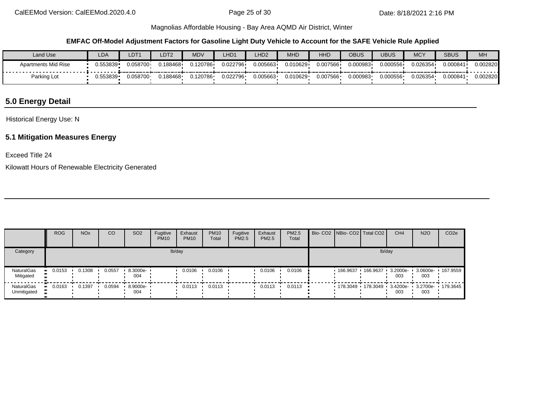#### **EMFAC Off-Model Adjustment Factors for Gasoline Light Duty Vehicle to Account for the SAFE Vehicle Rule Applied**

| Land Use                   | LDA         | DT <sub>1</sub> | LDT <sub>2</sub> | <b>MDV</b> | LHD <sub>1</sub> | LHD <sub>2</sub> | <b>MHD</b> | HHD      | OBUS     | <b>UBUS</b> | <b>MCY</b> | <b>SBUS</b>          | MH       |
|----------------------------|-------------|-----------------|------------------|------------|------------------|------------------|------------|----------|----------|-------------|------------|----------------------|----------|
| <b>Apartments Mid Rise</b> | J.553839 ·  | 0.058700        | 0.188468         | 1.120786   | 0.022796+        | 0.005663         | 0.010629   | 0.007566 | 0.000983 | 0.000556    | 0.026354   | 0.00084 <sup>4</sup> | 0.002820 |
| Parking Lot                | - 553839. ل | 0.058700        | 0.188468         | 0.120786   | 0.022796         | 0.005663         | 0.010629   | 0.007566 | 0.000983 | 0.000556    | 0.026354   | 0.000841             | 0.002820 |

#### **5.0 Energy Detail**

Historical Energy Use: N

#### **5.1 Mitigation Measures Energy**

#### Exceed Title 24

Kilowatt Hours of Renewable Electricity Generated

|                           | <b>ROG</b> | <b>NO<sub>x</sub></b> | CO     | SO <sub>2</sub>        | Fugitive<br><b>PM10</b> | Exhaust<br><b>PM10</b> | <b>PM10</b><br>Total | Fugitive<br>PM2.5 | Exhaust<br><b>PM2.5</b> | PM2.5<br>Total | Bio- CO2   NBio- CO2   Total CO2        |                                | CH <sub>4</sub> | <b>N2O</b>      | CO <sub>2e</sub> |
|---------------------------|------------|-----------------------|--------|------------------------|-------------------------|------------------------|----------------------|-------------------|-------------------------|----------------|-----------------------------------------|--------------------------------|-----------------|-----------------|------------------|
| Category                  |            |                       |        |                        |                         | lb/day                 |                      |                   |                         |                |                                         | lb/day                         |                 |                 |                  |
| NaturalGas<br>Mitigated   | 0.0153     | 0.1308                | 0.0557 | 8.3000e-<br>004        |                         | 0.0106                 | 0.0106               |                   | 0.0106                  | 0.0106         |                                         | 166.9637 · 166.9637 · 3.2000e- | 003             | 3.0600e-<br>003 | 167.9559         |
| NaturalGas<br>Unmitigated | 0.0163     | 0.1397                |        | 0.0594 8.9000e-<br>004 |                         | 0.0113                 | 0.0113               |                   | 0.0113                  | 0.0113         | 178.3049 · 178.3049 · 3.4200e- 3.2700e- |                                | 003             | 003             | 179.3645         |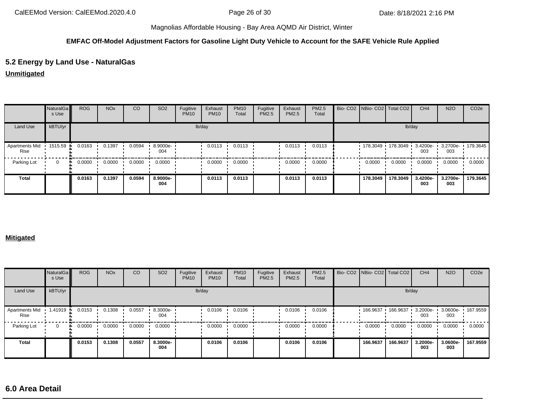#### **EMFAC Off-Model Adjustment Factors for Gasoline Light Duty Vehicle to Account for the SAFE Vehicle Rule Applied**

#### **5.2 Energy by Land Use - NaturalGas**

**Unmitigated**

|                        | NaturalGa<br>s Use | <b>ROG</b> | <b>NO<sub>x</sub></b> | CO     | SO <sub>2</sub> | Fugitive<br><b>PM10</b> | Exhaust<br><b>PM10</b> | <b>PM10</b><br>Total | Fugitive<br>PM2.5 | Exhaust<br>PM2.5 | PM2.5<br>Total | Bio- CO2   NBio- CO2   Total CO2             |          | CH <sub>4</sub> | <b>N2O</b>      | CO <sub>2e</sub> |
|------------------------|--------------------|------------|-----------------------|--------|-----------------|-------------------------|------------------------|----------------------|-------------------|------------------|----------------|----------------------------------------------|----------|-----------------|-----------------|------------------|
| Land Use               | kBTU/yr            |            |                       |        |                 | lb/day                  |                        |                      |                   |                  |                |                                              | lb/day   |                 |                 |                  |
| Apartments Mid<br>Rise | 1515.59            | 0.0163     | 0.1397                | 0.0594 | 8.9000e-<br>004 |                         | 0.0113                 | 0.0113               |                   | 0.0113           | 0.0113         | $178.3049$ $\cdot$ 178.3049 $\cdot$ 3.4200e- |          | 003             | 3.2700e-<br>003 | 179.3645         |
| Parking Lot            | $\mathbf 0$        | 0.0000     | 0.0000                | 0.0000 | 0.0000          |                         | 0.0000                 | 0.0000               |                   | 0.0000           | 0.0000         | 0.0000                                       | 0.0000   | 0.0000          | 0.0000          | 0.0000           |
| <b>Total</b>           |                    | 0.0163     | 0.1397                | 0.0594 | 8.9000e-<br>004 |                         | 0.0113                 | 0.0113               |                   | 0.0113           | 0.0113         | 178.3049                                     | 178.3049 | 3.4200e-<br>003 | 3.2700e-<br>003 | 179.3645         |

#### **Mitigated**

|                        | NaturalGa<br>s Use | <b>ROG</b> | <b>NO<sub>x</sub></b> | CO     | SO <sub>2</sub> | Fugitive<br><b>PM10</b> | Exhaust<br><b>PM10</b> | <b>PM10</b><br>Total | Fugitive<br>PM2.5 | Exhaust<br>PM2.5 | PM2.5<br>Total |            | Bio- CO2 NBio- CO2 Total CO2 | CH <sub>4</sub> | <b>N2O</b>      | CO <sub>2e</sub> |
|------------------------|--------------------|------------|-----------------------|--------|-----------------|-------------------------|------------------------|----------------------|-------------------|------------------|----------------|------------|------------------------------|-----------------|-----------------|------------------|
| Land Use               | kBTU/yr            |            |                       |        |                 |                         | lb/day                 |                      |                   |                  |                |            | lb/day                       |                 |                 |                  |
| Apartments Mid<br>Rise | 1.41919<br>-91     | 0.0153     | 0.1308                | 0.0557 | 8.3000e-<br>004 |                         | 0.0106                 | 0.0106               |                   | 0.0106           | 0.0106         | 166.9637 · | 166.9637                     | 3.2000e-<br>003 | 3.0600e-<br>003 | 167.9559         |
| Parking Lot            |                    | 0.0000     | 0.0000                | 0.0000 | 0.0000          |                         | 0.0000                 | 0.0000               |                   | 0.0000           | 0.0000         | 0.0000     | 0.0000                       | 0.0000          | 0.0000          | 0.0000           |
| <b>Total</b>           |                    | 0.0153     | 0.1308                | 0.0557 | 8.3000e-<br>004 |                         | 0.0106                 | 0.0106               |                   | 0.0106           | 0.0106         | 166.9637   | 166.9637                     | 3.2000e-<br>003 | 3.0600e-<br>003 | 167.9559         |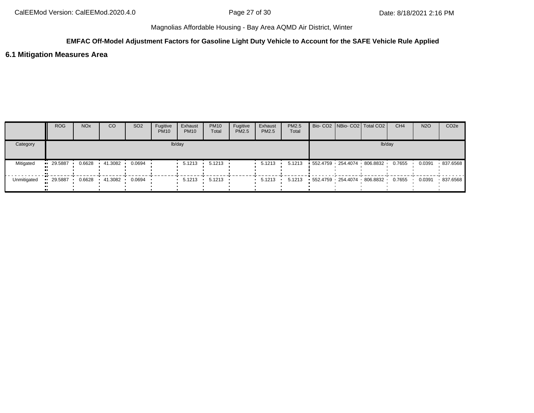#### **EMFAC Off-Model Adjustment Factors for Gasoline Light Duty Vehicle to Account for the SAFE Vehicle Rule Applied**

#### **6.1 Mitigation Measures Area**

|             | <b>ROG</b> | <b>NO<sub>x</sub></b> | CO        | SO <sub>2</sub> | Fugitive<br><b>PM10</b> | Exhaust<br><b>PM10</b> | <b>PM10</b><br>Total | Fugitive<br><b>PM2.5</b> | Exhaust<br><b>PM2.5</b> | PM2.5<br>Total |                                                 | Bio- CO2 NBio- CO2   Total CO2 |        | CH <sub>4</sub> | <b>N2O</b> | CO <sub>2</sub> e |
|-------------|------------|-----------------------|-----------|-----------------|-------------------------|------------------------|----------------------|--------------------------|-------------------------|----------------|-------------------------------------------------|--------------------------------|--------|-----------------|------------|-------------------|
| Category    |            |                       |           |                 |                         | lb/day                 |                      |                          |                         |                |                                                 |                                | lb/day |                 |            |                   |
| Mitigated   | 29.5887    | 0.6628                | 41.3082 • | 0.0694          |                         | 5.1213                 | 5.1213               |                          | 5.1213                  | 5.1213         | $\frac{1}{2}$ 552.4759 254.4074 806.8832 0.7655 |                                |        |                 | 0.0391     | 837.6568          |
| Unmitigated | 29.5887    | 0.6628                | 41.3082 • | 0.0694          |                         | 5.1213                 | 5.1213               |                          | 5.1213                  | 5.1213         | $\cdot$ 552.4759 254.4074 806.8832 0.7655       |                                |        |                 | 0.0391     | .837.6568         |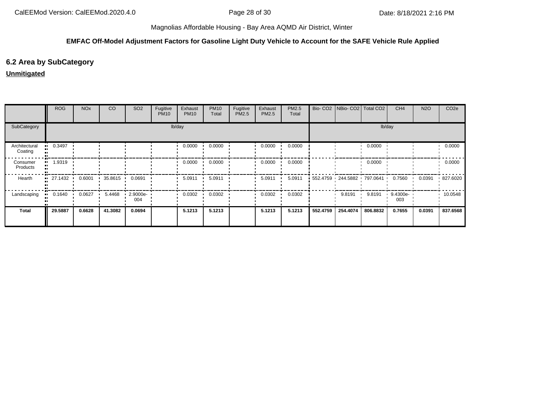#### **EMFAC Off-Model Adjustment Factors for Gasoline Light Duty Vehicle to Account for the SAFE Vehicle Rule Applied**

#### **6.2 Area by SubCategory**

#### **Unmitigated**

|                          | <b>ROG</b> | <b>NO<sub>x</sub></b> | CO        | SO <sub>2</sub>                 | Fugitive<br><b>PM10</b> | Exhaust<br><b>PM10</b> | <b>PM10</b><br>Total | Fugitive<br>PM2.5 | Exhaust<br>PM2.5 | PM2.5<br>Total |          | Bio- CO2   NBio- CO2   Total CO2 |          | CH <sub>4</sub> | <b>N2O</b> | CO <sub>2e</sub> |
|--------------------------|------------|-----------------------|-----------|---------------------------------|-------------------------|------------------------|----------------------|-------------------|------------------|----------------|----------|----------------------------------|----------|-----------------|------------|------------------|
| SubCategory              |            |                       |           |                                 |                         | lb/day                 |                      |                   |                  |                |          |                                  | lb/day   |                 |            |                  |
| Architectural<br>Coating | 0.3497     |                       |           |                                 |                         | 0.0000                 | 0.0000               |                   | 0.0000           | 0.0000         |          |                                  | 0.0000   |                 |            | 0.0000           |
| Consumer<br>Products     | 1.9319     |                       |           |                                 |                         | 0.0000                 | 0.0000               |                   | 0.0000           | 0.0000         |          |                                  | 0.0000   |                 |            | 0.0000           |
| Hearth                   | 27.1432    | 0.6001                | 35.8615 . | 0.0691                          |                         | 5.0911                 | 5.0911               |                   | 5.0911           | 5.0911         |          | 552.4759 244.5882 797.0641       |          | 0.7560          | 0.0391     | .827.6020        |
| Landscaping              | 0.1640     | 0.0627                | 5.4468    | $\cdot$ 2.9000e- $\cdot$<br>004 |                         | 0.0302                 | 0.0302               |                   | 0.0302           | 0.0302         |          | 9.8191                           | 9.8191   | 9.4300e-<br>003 |            | 10.0548          |
| Total                    | 29.5887    | 0.6628                | 41.3082   | 0.0694                          |                         | 5.1213                 | 5.1213               |                   | 5.1213           | 5.1213         | 552.4759 | 254.4074                         | 806.8832 | 0.7655          | 0.0391     | 837.6568         |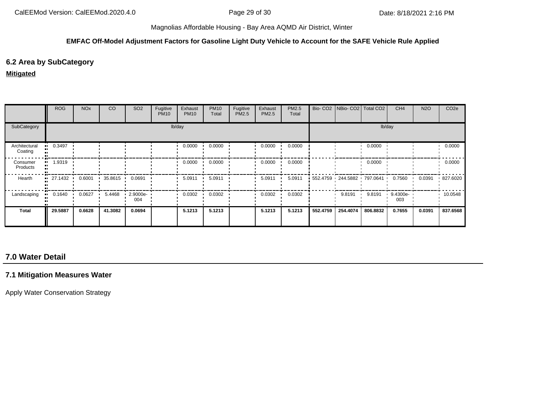#### **EMFAC Off-Model Adjustment Factors for Gasoline Light Duty Vehicle to Account for the SAFE Vehicle Rule Applied**

#### **6.2 Area by SubCategory**

#### **Mitigated**

|                          | <b>ROG</b> | <b>NO<sub>x</sub></b> | CO      | SO <sub>2</sub>                 | Fugitive<br><b>PM10</b> | Exhaust<br><b>PM10</b> | <b>PM10</b><br>Total | Fugitive<br>PM2.5 | Exhaust<br>PM2.5 | PM2.5<br>Total |          | Bio- CO2   NBio- CO2   Total CO2 |          | CH <sub>4</sub> | <b>N2O</b> | CO <sub>2e</sub> |
|--------------------------|------------|-----------------------|---------|---------------------------------|-------------------------|------------------------|----------------------|-------------------|------------------|----------------|----------|----------------------------------|----------|-----------------|------------|------------------|
| SubCategory              |            |                       |         |                                 |                         | lb/day                 |                      |                   |                  |                |          |                                  | lb/day   |                 |            |                  |
| Architectural<br>Coating | 0.3497     |                       |         |                                 |                         | 0.0000                 | 0.0000               |                   | 0.0000           | 0.0000         |          |                                  | 0.0000   |                 |            | 0.0000           |
| Consumer<br>Products     | 1.9319     |                       |         |                                 |                         | 0.0000                 | 0.0000               |                   | 0.0000           | 0.0000         |          |                                  | 0.0000   |                 |            | 0.0000           |
| Hearth                   | 27.1432    | 0.6001                | 35.8615 | 0.0691                          |                         | 5.0911                 | 5.0911               |                   | 5.0911           | 5.0911         |          | 552.4759 244.5882 797.0641       |          | 0.7560          | 0.0391     | .827.6020        |
| Landscaping              | 0.1640     | 0.0627                | 5.4468  | $\cdot$ 2.9000e- $\cdot$<br>004 |                         | 0.0302                 | 0.0302               |                   | 0.0302           | 0.0302         |          | 9.8191                           | 9.8191   | 9.4300e-<br>003 |            | 10.0548          |
| <b>Total</b>             | 29.5887    | 0.6628                | 41.3082 | 0.0694                          |                         | 5.1213                 | 5.1213               |                   | 5.1213           | 5.1213         | 552.4759 | 254.4074                         | 806.8832 | 0.7655          | 0.0391     | 837.6568         |

#### **7.0 Water Detail**

#### **7.1 Mitigation Measures Water**

Apply Water Conservation Strategy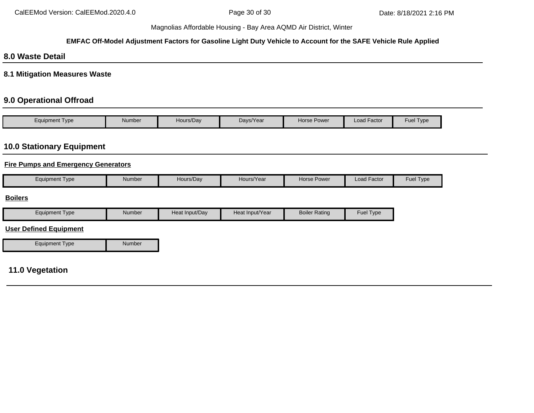#### **EMFAC Off-Model Adjustment Factors for Gasoline Light Duty Vehicle to Account for the SAFE Vehicle Rule Applied**

#### **8.0 Waste Detail**

**8.1 Mitigation Measures Waste**

#### **9.0 Operational Offroad**

| Type<br>Equipment | Number | Hours/Day | Days/Year | Horse Power | $\cdot$ $-$<br>Load Factor | Fuel $\tau$<br>Type |
|-------------------|--------|-----------|-----------|-------------|----------------------------|---------------------|

#### **10.0 Stationary Equipment**

#### **Fire Pumps and Emergency Generators**

|  | Number<br>Equipment Type | Hours/Dav | Hours/Year | <b>Horse Power</b> | $\cdot$ $-$<br>Load Factor | Fuel<br>l I ype |
|--|--------------------------|-----------|------------|--------------------|----------------------------|-----------------|
|--|--------------------------|-----------|------------|--------------------|----------------------------|-----------------|

#### **Boilers**

| Equipment Type | Number | Heat Input/Dav | Heat Input/Year | <b>Boiler Rating</b> | <b>Fuel Type</b> |
|----------------|--------|----------------|-----------------|----------------------|------------------|
|                |        |                |                 |                      |                  |

#### **User Defined Equipment**

Equipment Type Number

#### **11.0 Vegetation**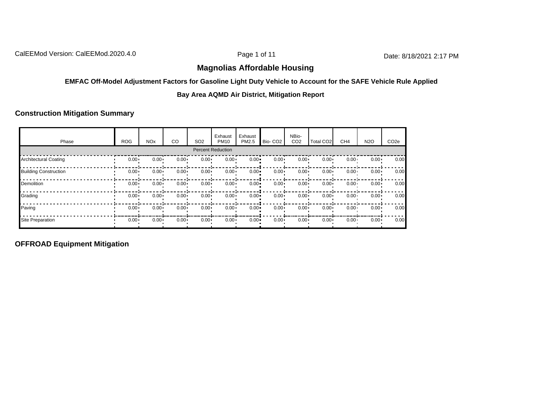CalEEMod Version: CalEEMod.2020.4.0 **Page 1 of 11** Page 1 of 11 Date: 8/18/2021 2:17 PM

#### **Magnolias Affordable Housing**

#### **EMFAC Off-Model Adjustment Factors for Gasoline Light Duty Vehicle to Account for the SAFE Vehicle Rule Applied**

**Bay Area AQMD Air District, Mitigation Report**

#### **Construction Mitigation Summary**

| Phase                        | <b>ROG</b>   | <b>NO<sub>x</sub></b> | CO       | SO <sub>2</sub> | Exhaust<br><b>PM10</b>   | Exhaust<br>PM2.5 | Bio-CO <sub>2</sub> | NBio-<br>CO <sub>2</sub> | Total CO <sub>2</sub> | CH <sub>4</sub> | <b>N2O</b>   | CO <sub>2e</sub> |
|------------------------------|--------------|-----------------------|----------|-----------------|--------------------------|------------------|---------------------|--------------------------|-----------------------|-----------------|--------------|------------------|
|                              |              |                       |          |                 | <b>Percent Reduction</b> |                  |                     |                          |                       |                 |              |                  |
| Architectural Coating        | $0.00 -$     | $0.00 -$              | $0.00 -$ | $0.00 \cdot$    | $0.00 -$                 | $0.00 -$         | $0.00 \cdot$        | $0.00 -$                 | $0.00 \cdot$          | $0.00 -$        | $0.00 \cdot$ | 0.00             |
| <b>Building Construction</b> | $0.00 -$     | $0.00 -$              | $0.00 -$ | $0.00 \cdot$    | $0.00 -$                 | $0.00 -$         | $0.00 \cdot$        | $0.00 -$                 | $0.00 \cdot$          | $0.00 -$        | $0.00 \cdot$ | 0.00             |
| Demolition                   | $0.00 -$     | $0.00 -$              | $0.00 -$ | $0.00 \cdot$    | $0.00 -$                 | $0.00 -$         | $0.00 \cdot$        | $0.00 -$                 | $0.00 \cdot$          | $0.00 -$        | $0.00 \cdot$ | 0.00             |
| Grading                      | $0.00 -$     | $0.00 -$              | $0.00 -$ | $0.00 \cdot$    | $0.00 -$                 | $0.00 -$         | $0.00 \cdot$        | $0.00 -$                 | $0.00 \cdot$          | $0.00 -$        | $0.00 \cdot$ | 0.00             |
| Paving                       | $0.00 \cdot$ | $0.00 -$              | $0.00 -$ | $0.00 \cdot$    | $0.00 -$                 | $0.00 -$         | $0.00 \cdot$        | $0.00 -$                 | $0.00 \cdot$          | $0.00 -$        | $0.00 \cdot$ | 0.00             |
| <b>Site Preparation</b>      | $0.00 \cdot$ | $0.00 \cdot$          | $0.00 -$ | $0.00 \cdot$    | $0.00 \cdot$             | $0.00 -$         | $0.00 \cdot$        | $0.00 \cdot$             | $0.00 \cdot$          | $0.00 -$        | $0.00 \cdot$ | 0.00             |

**OFFROAD Equipment Mitigation**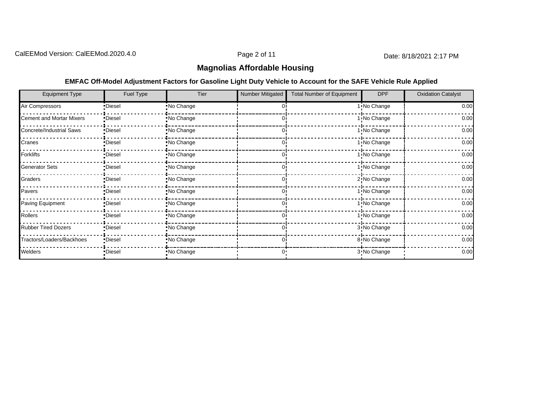#### **Magnolias Affordable Housing**

| <b>Equipment Type</b>           | Fuel Type | Tier        | Number Mitigated | <b>Total Number of Equipment</b> | <b>DPF</b>   | <b>Oxidation Catalyst</b> |
|---------------------------------|-----------|-------------|------------------|----------------------------------|--------------|---------------------------|
| Air Compressors                 | ·Diesel   | No Change   |                  |                                  | 1: No Change | 0.00                      |
| <b>Cement and Mortar Mixers</b> | •Diesel   | No Change   |                  |                                  | 1: No Change | 0.00                      |
| Concrete/Industrial Saws        | •Diesel   | No Change   |                  |                                  | 1: No Change | 0.00                      |
| Cranes                          | •Diesel   | .No Change  |                  |                                  | 1: No Change | 0.00                      |
| <b>Forklifts</b>                | •Diesel   | No Change   |                  |                                  | 1: No Change | 0.00                      |
| <b>Generator Sets</b>           | •Diesel   | No Change   |                  |                                  | 1 No Change  | 0.00                      |
| Graders                         | ·Diesel   | No Change   |                  |                                  | 2: No Change | 0.00                      |
| Pavers                          | •Diesel   | . No Change |                  |                                  | 1 No Change  | 0.00                      |
| Paving Equipment                | •Diesel   | . No Change |                  |                                  | 1: No Change | 0.00                      |
| Rollers                         | •Diesel   | No Change   |                  |                                  | 1: No Change | 0.00                      |
| <b>Rubber Tired Dozers</b>      | •Diesel   | No Change   |                  |                                  | 3 No Change  | 0.00                      |
| Tractors/Loaders/Backhoes       | •Diesel   | No Change   | 01               |                                  | 8 No Change  | 0.00                      |
| Welders                         | ·Diesel   | No Change   | 0٠               |                                  | 3 No Change  | 0.00                      |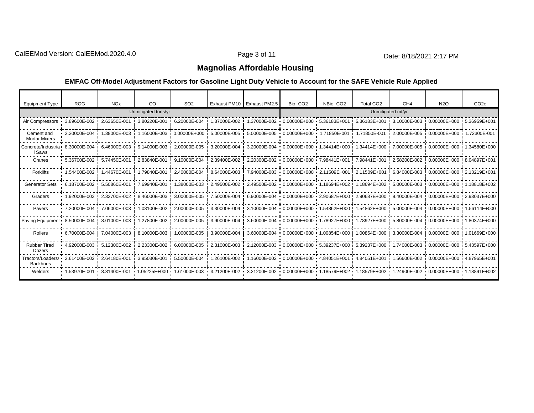#### **Magnolias Affordable Housing**

| <b>Equipment Type</b>                | <b>ROG</b>      | <b>NO<sub>x</sub></b> | CO.                                                                                                                                                                                                                            | SO <sub>2</sub> |                                                                                                                                                     | Exhaust PM10 Exhaust PM2.5 | Bio-CO <sub>2</sub>                                                | NBio-CO <sub>2</sub> | Total CO <sub>2</sub>       | CH <sub>4</sub>            | <b>N2O</b>                                                                                 | CO <sub>2e</sub>                                                                                                                                      |
|--------------------------------------|-----------------|-----------------------|--------------------------------------------------------------------------------------------------------------------------------------------------------------------------------------------------------------------------------|-----------------|-----------------------------------------------------------------------------------------------------------------------------------------------------|----------------------------|--------------------------------------------------------------------|----------------------|-----------------------------|----------------------------|--------------------------------------------------------------------------------------------|-------------------------------------------------------------------------------------------------------------------------------------------------------|
|                                      |                 |                       | Unmitigated tons/yr                                                                                                                                                                                                            |                 |                                                                                                                                                     |                            |                                                                    |                      |                             | Unmitigated mt/yr          |                                                                                            |                                                                                                                                                       |
| Air Compressors 3.89600E-002         |                 |                       | 2.63650E-001   3.80220E-001                                                                                                                                                                                                    | 6.20000E-004 !  | 1.37000E-002 !                                                                                                                                      |                            |                                                                    |                      |                             |                            | 1.37000E-002 0.00000E+000 5.36183E+001 5.36183E+001 3.10000E-003 0.00000E+000 5.36959E+001 |                                                                                                                                                       |
| Cement and<br><b>Mortar Mixers</b>   | $-2.20000E-004$ | i 1.38000E-003 i      |                                                                                                                                                                                                                                |                 | 1.16000E-003 i 0.00000E+000 i 5.00000E-005 i 5.00000E-005 i 0.00000E+000 i 1.71850E-001 i 1.71850E-001 i 2.00000E-005 i 0.00000E+000 i 1.72300E-001 |                            |                                                                    |                      |                             |                            |                                                                                            |                                                                                                                                                       |
| Concrete/Industria<br>I Saws         | 8.30000E-004    | 6.46000E-003          |                                                                                                                                                                                                                                |                 |                                                                                                                                                     |                            |                                                                    |                      |                             |                            |                                                                                            | 9.14000E-003 i 2.00000E-005 i 3.20000E-004 i 3.20000E-004 i 0.00000E+000 i 1.34414E+000 i 1.34414E+000 i 7.00000E-005 i 0.00000E+000 i 1.34580E+000 i |
| Cranes                               | $-5.36700E-002$ | 5.74450E-001          | 2.83840E-001                                                                                                                                                                                                                   | 9.10000E-004    | 2.39400E-002                                                                                                                                        |                            | 2.20300E-002 0.00000E+000 7.98441E+001 7.98441E+001                |                      |                             |                            | 2.58200E-002 0.00000E+000 3.04897E+001                                                     |                                                                                                                                                       |
| Forklifts                            | $1.54400E-002$  | 1.44670E-001          | 1.79840E-001                                                                                                                                                                                                                   | 2.40000E-004    | 8.64000E-003                                                                                                                                        |                            | 7.94000E-003 0.00000E+000 2.11509E+001 2.11509E+001                |                      |                             | $\frac{1}{2}$ 6.84000E-003 |                                                                                            | 0.00000E+000 ! 2.13219E+001                                                                                                                           |
| <b>Generator Sets</b>                | 6.18700E-002    | 5.50860E-001          | 7.69940E-001                                                                                                                                                                                                                   | 1.38000E-003    | 2.49500E-002                                                                                                                                        |                            | 2.49500E-002 0.00000E+000 1.18694E+002 1.18694E+002 5.00000E-003 9 |                      |                             |                            | 0.00000E+000!1.18818E+002                                                                  |                                                                                                                                                       |
| Graders                              | $1.92000E-003$  | 2.32700E-002          | 8.46000E-003                                                                                                                                                                                                                   | 3.00000E-005    | 7.50000E-004                                                                                                                                        |                            | 6.90000E-004 0.00000E+000 2.90687E+000 2.90687E+000 9.40000E-004   |                      |                             |                            | $\mid$ 0.00000E+000 $\mid$ 2.93037E+000                                                    |                                                                                                                                                       |
| Pavers                               | $-7.20000E-004$ | 7.06000E-003          | 1.08100E-002                                                                                                                                                                                                                   | 2.00000E-005    | 3.30000E-004                                                                                                                                        |                            | 3.10000E-004 0.00000E+000 1.54862E+000 1.54862E+000 5.00000E-004   |                      |                             |                            | $0.00000E + 000$ !                                                                         | 1.56114E+000                                                                                                                                          |
| Paving Equipment 8.50000E-004        |                 | 8.01000E-003          | 1.27800E-002                                                                                                                                                                                                                   | 2.00000E-005    | 3.90000E-004                                                                                                                                        |                            | 3.60000E-004 0.00000E+000 1.78927E+000 !                           |                      | 1.78927E+000 ! 5.80000E-004 |                            | $0.00000E + 000$                                                                           | 1.80374E+000                                                                                                                                          |
| Rollers                              | $-6.70000E-004$ | 7.04000E-003          | 8.10000E-003                                                                                                                                                                                                                   | 1.00000E-005!   | 3.90000E-004                                                                                                                                        |                            | 3.60000E-004 0.00000E+000 1.00854E+000 1.00854E+000 3.30000E-004   |                      |                             |                            |                                                                                            | 0.00000E+000 ! 1.01669E+000 l                                                                                                                         |
| <b>Rubber Tired</b><br>Dozers        |                 |                       | +4.92000E-003 i 5.12300E-002 i 2.23300E-002 i 6.00000E-005 i 2.31000E-003 i 2.12000E-003 i 0.00000E+000 i 5.39237E+000 i 5.39237E+000 i 1.74000E-003 i 0.00000E+000 i 5.43597E+000 i                                           |                 |                                                                                                                                                     |                            |                                                                    |                      |                             |                            |                                                                                            |                                                                                                                                                       |
| Tractors/Loaders/<br><b>Backhoes</b> |                 |                       | 1.87965E+001 1.56600E-002 1.264180E-000 1.3.95030E-001 1.5.50000E-004 1.26100E-002 1.16000E-002 0.00000E+000 1.84051E+001 1.84051E+001 1.56600E-002 1.0.00000E+000 1.87965E+001 1.56600E-002 1.87965E+001 1.55600E-002 1.87965 |                 |                                                                                                                                                     |                            |                                                                    |                      |                             |                            |                                                                                            |                                                                                                                                                       |
| Welders                              |                 |                       | 1.53970E-001 8.81400E-001 1.05225E+000 1.61000E-003 3.21200E-002 3.21200E-002 0.00000E+000 1.18579E+002 1.18579E+002 1.24900E-002 0.00000E+000 1.18891E+002                                                                    |                 |                                                                                                                                                     |                            |                                                                    |                      |                             |                            |                                                                                            |                                                                                                                                                       |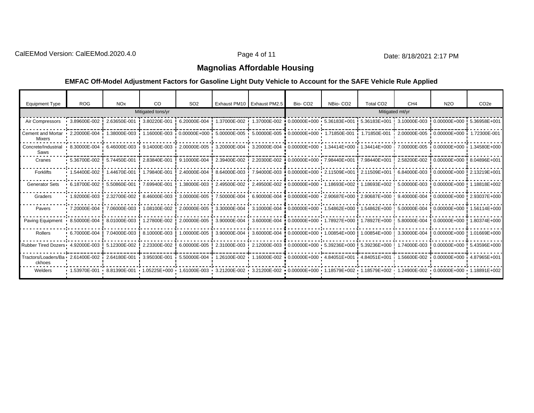#### **Magnolias Affordable Housing**

| <b>Equipment Type</b>                                       | <b>ROG</b>        | <b>NO<sub>x</sub></b> | CO.                        | SO <sub>2</sub> |              | Exhaust PM10   Exhaust PM2.5 | Bio-CO <sub>2</sub>                                                                                                                                         | NBio-CO <sub>2</sub> | Total CO <sub>2</sub>       | CH <sub>4</sub> | <b>N2O</b>                                                                                                  | CO <sub>2e</sub> |
|-------------------------------------------------------------|-------------------|-----------------------|----------------------------|-----------------|--------------|------------------------------|-------------------------------------------------------------------------------------------------------------------------------------------------------------|----------------------|-----------------------------|-----------------|-------------------------------------------------------------------------------------------------------------|------------------|
|                                                             |                   |                       | Mitigated tons/yr          |                 |              |                              |                                                                                                                                                             |                      |                             | Mitigated mt/yr |                                                                                                             |                  |
| Air Compressors                                             | 3.89600E-002      | 2.63650E-001          | $\frac{1}{2}$ 3.80220E-001 | 6.20000E-004 !  | 1.37000E-002 |                              | 1.37000E-002 0.00000E+000 5.36183E+001                                                                                                                      |                      | 5.36183E+001 ! 3.10000E-003 |                 | $!0.00000E+000$ $!5.36958E+001$                                                                             |                  |
| <b>Cement and Mortar</b><br>Mixers                          | 2.20000E-004      |                       |                            |                 |              |                              | $1.38000E-003$ $1.16000E-003$ $0.00000E+000$ $1.5.00000E-005$ $1.5.00000E-005$ $0.00000E+000$ $1.71850E-001$                                                |                      |                             |                 | $\frac{1}{2}$ 1.71850E-001 $\frac{1}{2}$ 2.00000E-005 $\frac{1}{2}$ 0.00000E+000 $\frac{1}{2}$ 1.72300E-001 |                  |
| Concrete/Industrial<br>Saws                                 | 8.30000E-004      | 6.46000E-003          | $\frac{1}{2}$ 9.14000E-003 | 2.00000E-005 i  |              |                              | 3.20000E-004 i 3.20000E-004 i 0.00000E+000 i 1.34414E+000 i 1.34414E+000 i 7.00000E-005 i 0.00000E+000 i 1.34580E+000                                       |                      |                             |                 |                                                                                                             |                  |
| Cranes                                                      | $-5.36700E-002$   | 5.74450E-001          | 2.83840E-001               | 9.10000E-004    | 2.39400E-002 |                              | 2.20300E-002 0.00000E+000 7.98440E+001                                                                                                                      |                      | 7.98440E+001                |                 | 2.58200E-002   0.00000E+000   8.04896E+001                                                                  |                  |
| Forklifts                                                   | $-1.54400E-002$   | 1.44670E-001          | 1.79840E-001               | 2.40000E-004    | 8.64000E-003 |                              | 7.94000E-003 0.00000E+000 2.11509E+001 !                                                                                                                    |                      | 2.11509E+001!               | 6.84000E-003    | 0.00000E+000 12.13219E+001                                                                                  |                  |
| <b>Generator Sets</b>                                       | 6.18700E-002      | 5.50860E-001          | 7.69940E-001               | 1.38000E-003    | 2.49500E-002 |                              | 2.49500E-002 0.00000E+000 1.18693E+002 !                                                                                                                    |                      | 1.18693E+002 !              | 5.00000E-003    | ! 0.00000E+000                                                                                              | 1.18818E+002     |
| Graders                                                     | $1.92000E-003$    | 2.32700E-002          | 8.46000E-003               | 3.00000E-005    | 7.50000E-004 |                              | 6.90000E-004 0.00000E+000 2.90687E+000 2.90687E+000 !                                                                                                       |                      |                             | 9.40000E-004    | $!0.00000E+000$ $!2.93037E+000$                                                                             |                  |
| Pavers                                                      | $-7.20000E-004$   | 7.06000E-003          | 1.08100E-002               | 2.00000E-005    | 3.30000E-004 |                              | 3.10000E-004 0.00000E+000 1.54862E+000 1.54862E+000 !                                                                                                       |                      |                             | 5.00000E-004    | $!0.00000E+000$                                                                                             | 1.56114E+000     |
| Paving Equipment                                            | $-8.50000E - 004$ | 8.01000E-003          | 1.27800E-002               | 2.00000E-005    |              |                              | 3.90000E-004 3.60000E-004 0.00000E+000 1.78927E+000                                                                                                         |                      | 1.78927E+000!               | 5.80000E-004    | $!0.00000E+000$                                                                                             | 1.80374E+000     |
| Rollers                                                     | $6.70000E-004$    | 7.04000E-003          | 8.10000E-003               | 1.00000E-005    |              |                              | 3.90000E-004 3.60000E-004 0.00000E+000 1.00854E+000 1.00854E+000 !                                                                                          |                      |                             | 3.30000E-004    | $!0.00000E+000$                                                                                             | 1.01669E+000     |
| Rubber Tired Dozers 4.92000E-003                            |                   | 5.12300E-002          | 2.23300E-002               | 6.00000E-005 !  |              |                              | 2.31000E-003 2.12000E-003 0.00000E+000 5.39236E+000 5.39236E+000 !                                                                                          |                      |                             |                 | 1.74000E-003 0.00000E+000 5.43596E+000                                                                      |                  |
| Tractors/Loaders/Ba · 2.61400E-002 : 2.64180E-001<br>ckhoes |                   |                       | $-13.95030E-001$           |                 |              |                              | i 5.50000E-004 i 1.26100E-002 i 1.16000E-002 i 0.00000E+000 i 4.84051E+001 i 4.84051E+001 i 1.56600E-002 i 0.00000E+000 i 4.87965E+001                      |                      |                             |                 |                                                                                                             |                  |
| Welders                                                     |                   |                       |                            |                 |              |                              | 1.53970E-001 8.81390E-001 1.05225E+000 1.61000E-003 3.21200E-002 3.21200E-002 0.00000E+000 1.18579E+002 1.18579E+002 1.24900E-002 0.00000E+000 1.18891E+002 |                      |                             |                 |                                                                                                             |                  |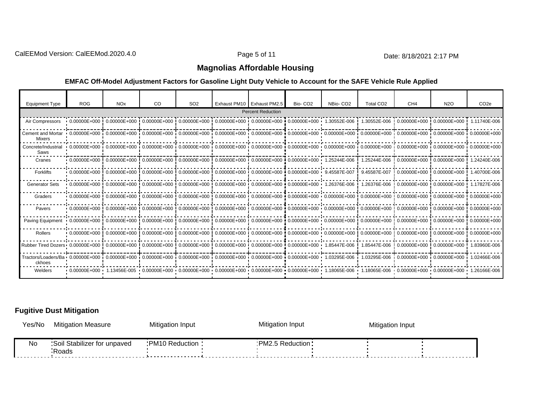CalEEMod Version: CalEEMod.2020.4.0 **Page 5 of 11** Page 5 of 11 Date: 8/18/2021 2:17 PM

#### **Magnolias Affordable Housing**

#### **EMFAC Off-Model Adjustment Factors for Gasoline Light Duty Vehicle to Account for the SAFE Vehicle Rule Applied**

| <b>Equipment Type</b>                                                                                                                                                                                                                    | <b>ROG</b> | <b>NO<sub>x</sub></b> | CO | SO <sub>2</sub>                                                                                                                                                                                                                    | Exhaust PM10 Exhaust PM2.5 | Bio-CO <sub>2</sub> | NBio-CO <sub>2</sub> | Total CO <sub>2</sub> | CH <sub>4</sub>                            | <b>N2O</b> | CO <sub>2e</sub> |
|------------------------------------------------------------------------------------------------------------------------------------------------------------------------------------------------------------------------------------------|------------|-----------------------|----|------------------------------------------------------------------------------------------------------------------------------------------------------------------------------------------------------------------------------------|----------------------------|---------------------|----------------------|-----------------------|--------------------------------------------|------------|------------------|
|                                                                                                                                                                                                                                          |            |                       |    |                                                                                                                                                                                                                                    | <b>Percent Reduction</b>   |                     |                      |                       |                                            |            |                  |
| Air Compressors                                                                                                                                                                                                                          |            |                       |    | $+0.000000E+000$ $0.000000E+000$ $0.000000E+000$ $0.00000E+000$ $0.00000E+000$ $0.00000E+000$ $0.00000E+000$ $1.30552E-006$ $1.30552E-006$ $0.00000E+000$ $0.00000E+000$ $1.11740E-006$                                            |                            |                     |                      |                       |                                            |            |                  |
| Cement and Mortar<br>Mixers                                                                                                                                                                                                              |            |                       |    | $+0.000000E+000$ $+0.000000E+000$ $+0.000000E+000$ $+0.000000E+000$ $+0.00000E+000$ $+0.00000E+000$ $+0.000000E+000$ $+0.000000E+000$ $+0.000000E+000$ $+0.000000E+000$ $+0.000000E+000$                                           |                            |                     |                      |                       |                                            |            |                  |
| Concrete/Industrial<br>Saws                                                                                                                                                                                                              |            |                       |    |                                                                                                                                                                                                                                    |                            |                     |                      |                       |                                            |            |                  |
| Cranes                                                                                                                                                                                                                                   |            |                       |    | $+0.00000E + 000$ $+0.00000E + 000$ $+0.00000E + 000$ $+0.00000E + 000$ $+0.00000E + 000$ $+0.00000E + 000$ $+0.00000E + 000$ $+1.25244E - 006$                                                                                    |                            |                     |                      |                       | 1.25244E-006 ! 0.00000E+000 ! 0.00000E+000 |            | 1.24240E-006     |
| Forklifts                                                                                                                                                                                                                                |            |                       |    | 0.000000E+000!0.00000E+000!0.00000E+000!0.00000E+000!0.00000E+000!0.00000E+000!0.00000E+000 9.45587E-007 •                                                                                                                         |                            |                     |                      |                       | 9.45587E-007 ! 0.00000E+000 ! 0.00000E+000 |            | 1.40700E-006     |
| <b>Generator Sets</b>                                                                                                                                                                                                                    |            |                       |    | $0.00000\text{E} + 000$ , $0.00000\text{E} + 000$ , $0.00000\text{E} + 000$ , $0.00000\text{E} + 000$ , $0.00000\text{E} + 000$ , $0.00000\text{E} + 000$ , $1.26376\text{E}$                                                      |                            |                     |                      |                       | 1.26376E-006   0.00000E+000   0.00000E+000 |            | 1.17827E-006     |
| Graders                                                                                                                                                                                                                                  |            |                       |    |                                                                                                                                                                                                                                    |                            |                     |                      |                       |                                            |            |                  |
| Pavers                                                                                                                                                                                                                                   |            |                       |    | 0.00000E+000 !0.00000E+000 !0.00000E+000 !0.00000E+000 !0.00000E+000 !0.00000E+000 !0.00000E+000 !0.00000E+000 !0.00000E+000 !0.00000E+000 !0.00000E+000 !0.00000E+000 !0.00000E+000 !0.00000E+000 !0.00000E+000 !0.00000E+000     |                            |                     |                      |                       |                                            |            |                  |
| Paving Equipment                                                                                                                                                                                                                         |            |                       |    | $+0.000000E + 000$ $+0.000000E + 000$ $+0.000000E + 000$ $+0.00000E + 000$ $+0.00000E + 000$ $+0.00000E + 000$ $+0.00000E + 000$ $+0.00000E + 000$ $+0.00000E + 000$ $+0.00000E + 000$ $+0.00000E + 000$ $+0.00000E + 000$         |                            |                     |                      |                       |                                            |            |                  |
| Rollers                                                                                                                                                                                                                                  |            |                       |    | $+0.000000E + 000$ $+0.000000E + 000$ $+0.000000E + 000$ $+0.00000E + 000$ $+0.000000E + 000$ $+0.000000E + 000$ $+0.000000E + 000$ $+0.000000E + 000$ $+0.000000E + 000$ $+0.000000E + 000$ $+0.000000E + 000$ $+0.000000E + 000$ |                            |                     |                      |                       |                                            |            |                  |
| Rubber Tired Dozers · 0.00000E+000 ! 0.00000E+000 ! 0.00000E+000 ! 0.00000E+000 ! 0.00000E+000 ! 0.00000E+000 + 0.00000E+000 · 1.85447E-006                                                                                              |            |                       |    |                                                                                                                                                                                                                                    |                            |                     |                      |                       | 1.85447E-006   0.00000E+000   0.00000E+000 |            | 1.83960E-006     |
| Tractors/Loaders/Ba  0.00000E+000 i 0.00000E+000 i 0.00000E+000 i 0.00000E+000 i 0.00000E+000 i 0.00000E+000 i 0.00000E+000 i 0.0295E-006 i 0.03295E-006 i 0.00000E+000 i 0.00000E+000 i 0.00000E+000 i 0.00000E+000 i 0.00000<br>ckhoes |            |                       |    |                                                                                                                                                                                                                                    |                            |                     |                      |                       |                                            |            |                  |
| Welders                                                                                                                                                                                                                                  |            |                       |    | $0.00000E + 000$ $1.13456E - 005$ $0.00000E + 000$ $0.00000E + 000$ $0.00000E + 000$ $0.00000E + 000$ $0.00000E + 000$ $1.18065E - 006$ $1.18065E - 006$ $0.00000E + 000$ $0.00000E + 000$ $1.26166E - 006$                        |                            |                     |                      |                       |                                            |            |                  |

#### **Fugitive Dust Mitigation**

| Yes/No | <b>Mitigation Measure</b>             | Mitigation<br><b>Input</b> | Mitigation Input   | <b>Mitigation Input</b> |
|--------|---------------------------------------|----------------------------|--------------------|-------------------------|
| No     | Soil Stabilizer for unpaved<br>'Roads | :PM10 Reduction            | : PM2.5 Reduction: |                         |
|        |                                       | .                          |                    |                         |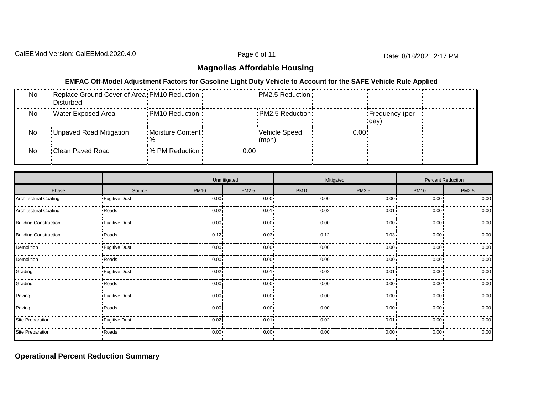CalEEMod Version: CalEEMod.2020.4.0 **Page 6 of 11** Page 6 of 11 Date: 8/18/2021 2:17 PM

#### **Magnolias Affordable Housing**

#### **EMFAC Off-Model Adjustment Factors for Gasoline Light Duty Vehicle to Account for the SAFE Vehicle Rule Applied**

| No. | : Replace Ground Cover of Area: PM10 Reduction:<br>:Disturbed: |                                           |      | : PM2.5 Reduction:     |       |                          |  |
|-----|----------------------------------------------------------------|-------------------------------------------|------|------------------------|-------|--------------------------|--|
| No  | : Water Exposed Area                                           | : PM10 Reduction:                         |      | :PM2.5 Reduction:      |       | :Frequency (per<br>:day) |  |
| No  | : Unpaved Road Mitigation                                      | : Moisture Content:<br>∕ ∩י<br>$\sqrt{0}$ |      | Vehicle Speed<br>(mph) | 0.00: |                          |  |
| No  | : Clean Paved Road                                             | :% PM Reduction:                          | 0.00 |                        |       |                          |  |

|                              |                 |                   | Unmitigated  |              | Mitigated |             | Percent Reduction |
|------------------------------|-----------------|-------------------|--------------|--------------|-----------|-------------|-------------------|
| Phase                        | Source          | <b>PM10</b>       | PM2.5        | <b>PM10</b>  | PM2.5     | <b>PM10</b> | PM2.5             |
| <b>Architectural Coating</b> | · Fugitive Dust | 0.001             | $0.00 \cdot$ | 0.00         | 0.00      | $0.00$ !    | 0.00              |
| <b>Architectural Coating</b> | Roads           | 0.02              | $0.01 -$     | 0.02         | 0.01      | 0.00        | 0.00              |
| <b>Building Construction</b> | • Fugitive Dust | 0.00              | $0.00 \cdot$ | 0.00         | 0.00      | 0.00        | 0.00              |
| <b>Building Construction</b> | Roads           | 0.12i             | $0.03 -$     | 0.12         | $0.03 -$  | 0.00        | 0.00              |
| Demolition                   | Fugitive Dust   | 0.00 <sub>1</sub> | $0.00 \cdot$ | 0.00         | 0.00      | 0.00        | 0.00              |
| Demolition                   | Roads           | 0.001             | $0.00 \cdot$ | 0.00         | 0.00      | 0.00        | 0.00              |
| Grading                      | Fugitive Dust   | 0.02 <sub>1</sub> | $0.01 -$     | 0.02         | 0.01      | 0.00        | 0.00              |
| Grading                      | Roads           | 0.00i             | $0.00 \cdot$ | 0.00         | $0.00 -$  | 0.00        | 0.00              |
| Paving                       | Fugitive Dust   | 0.001             | $0.00 -$     | 0.00         | $0.00 -$  | 0.00        | 0.00              |
| Paving                       | Roads           | 0.00 <sub>1</sub> | $0.00 \cdot$ | 0.00         | 0.00      | 0.00        | 0.00              |
| Site Preparation             | Fugitive Dust   | 0.02 <sub>1</sub> | 0.01         | 0.02         | 0.01      | 0.00        | 0.00              |
| Site Preparation             | Roads           | $0.00 -$          | $0.00 -$     | $0.00 \cdot$ | $0.00 -$  | $0.00 -$    | 0.00              |

#### **Operational Percent Reduction Summary**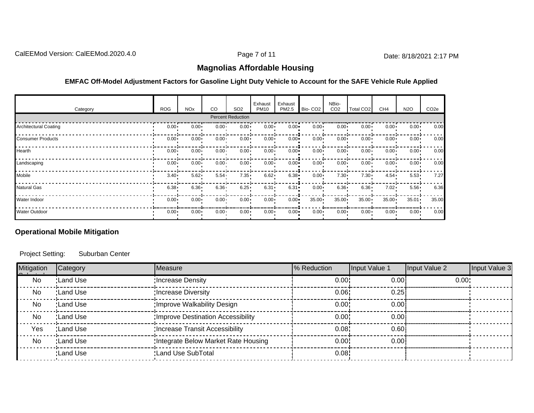CalEEMod Version: CalEEMod.2020.4.0 **Page 7 of 11** Page 7 of 11 Date: 8/18/2021 2:17 PM

#### **Magnolias Affordable Housing**

#### **EMFAC Off-Model Adjustment Factors for Gasoline Light Duty Vehicle to Account for the SAFE Vehicle Rule Applied**

| Category                     | <b>ROG</b>   | <b>NO<sub>x</sub></b> | <b>CO</b>    | SO <sub>2</sub>          | Exhaust<br><b>PM10</b> | Exhaust<br>PM2.5 | Bio-CO <sub>2</sub> | NBio-<br>CO <sub>2</sub> | Total CO <sub>2</sub> | CH <sub>4</sub> | N <sub>2</sub> O | CO <sub>2e</sub> |
|------------------------------|--------------|-----------------------|--------------|--------------------------|------------------------|------------------|---------------------|--------------------------|-----------------------|-----------------|------------------|------------------|
|                              |              |                       |              | <b>Percent Reduction</b> |                        |                  |                     |                          |                       |                 |                  |                  |
| <b>Architectural Coating</b> | $0.00 -$     | $0.00 \cdot$          | $0.00 -$     | $0.00 -$                 | $0.00 -$               | $0.00 -$         | $0.00 \cdot$        | $0.00 -$                 | $0.00 \cdot$          | $0.00 -$        | $0.00 \cdot$     | 0.00             |
| Consumer Products            | $0.00 \cdot$ | $0.00 \cdot$          | $0.00 -$     | $0.00 -$                 | $0.00 -$               | $0.00 -$         | $0.00 \cdot$        | $0.00 \cdot$             | $0.00 \cdot$          | $0.00 -$        | $0.00 \cdot$     | 0.00             |
| Hearth                       | $0.00 -$     | $0.00 -$              | $0.00 -$     | $0.00 -$                 | $0.00 -$               | $0.00 -$         | $0.00 \cdot$        | $0.00 -$                 | $0.00 -$              | $0.00 -$        | $0.00 \cdot$     | 0.00             |
| Landscaping                  | $0.00 -$     | $0.00 -$              | $0.00 -$     | $0.00 -$                 | $0.00 -$               | $0.00 -$         | $0.00 \cdot$        | $0.00 -$                 | $0.00 -$              | $0.00 -$        | $0.00 \cdot$     | 0.00             |
| Mobile                       | $3.40 -$     | $5.62 -$              | $5.54 -$     | $7.35 -$                 | $6.62 -$               | $6.38 -$         | $0.00 \cdot$        | $7.30 -$                 | $7.30 -$              | $4.54 -$        | $5.53 -$         | 7.27             |
| Natural Gas                  | $6.38 -$     | $6.36 -$              | $6.36 -$     | $6.25 -$                 | $6.31 -$               | $6.31 -$         | $0.00 \cdot$        | $6.36 -$                 | $6.36 -$              | $7.02 -$        | $5.56 -$         | 6.36             |
| <b>Water Indoor</b>          | $0.00 -$     | $0.00 -$              | $0.00 -$     | $0.00 -$                 | $0.00 -$               | $0.00 -$         | $35.00 \cdot$       | $35.00 -$                | $35.00 -$             | $35.00 -$       | $35.01 -$        | 35.00            |
| <b>Water Outdoor</b>         | $0.00 \cdot$ | $0.00 \cdot$          | $0.00 \cdot$ | $0.00 \cdot$             | $0.00 \cdot$           | $0.00 -$         | $0.00 \cdot$        | $0.00 \cdot$             | $0.00 -$              | $0.00 -$        | $0.00 \cdot$     | 0.00             |

#### **Operational Mobile Mitigation**

Project Setting: Suburban Center

| Mitigation | Category  | Measure                                  | % Reduction | Input Value 1 | Input Value 2 | Input Value 3 |
|------------|-----------|------------------------------------------|-------------|---------------|---------------|---------------|
| No         | :Land Use | Increase Density                         | 0.00        | 0.00          | 0.00          |               |
| No         | :Land Use | Increase Diversity                       | 0.06        | 0.25          |               |               |
| No         | :Land Use | Improve Walkability Design               | 0.00        | 0.00          |               |               |
| No         | :Land Use | <b>Improve Destination Accessibility</b> | 0.00        | 0.00          |               |               |
| Yes        | :Land Use | Increase Transit Accessibility           | 0.08        | 0.60          |               |               |
| No         | :Land Use | Integrate Below Market Rate Housing      | 0.00        | 0.00          |               |               |
|            | :Land Use | 'Land Use SubTotal                       | 0.08        |               |               |               |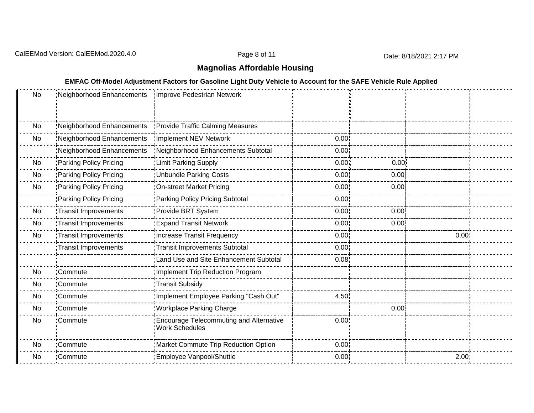CalEEMod Version: CalEEMod.2020.4.0

Page 8 of 11

#### **Magnolias Affordable Housing**

| No  | :Neighborhood Enhancements | Improve Pedestrian Network                                |       |       |      |  |
|-----|----------------------------|-----------------------------------------------------------|-------|-------|------|--|
| No  | Neighborhood Enhancements  | 'Provide Traffic Calming Measures                         |       |       |      |  |
| No. | Neighborhood Enhancements  | Implement NEV Network                                     | 0.00  |       |      |  |
|     | Neighborhood Enhancements  | 'Neighborhood Enhancements Subtotal                       | 0.00  |       |      |  |
| No  | Parking Policy Pricing     | <b>Limit Parking Supply</b>                               | 0.00: | 0.00; |      |  |
| No. | Parking Policy Pricing     | Unbundle Parking Costs                                    | 0.00  | 0.00  |      |  |
| No  | Parking Policy Pricing     | <b>On-street Market Pricing</b>                           | 0.00  | 0.00  |      |  |
|     | Parking Policy Pricing     | Parking Policy Pricing Subtotal                           | 0.00  |       |      |  |
| No  | :Transit Improvements      | Provide BRT System                                        | 0.00  | 0.00  |      |  |
| No  | :Transit Improvements      | <b>Expand Transit Network</b>                             | 0.00  | 0.00  |      |  |
| No  | :Transit Improvements      | Increase Transit Frequency                                | 0.00  |       | 0.00 |  |
|     | Transit Improvements       | Transit Improvements Subtotal                             | 0.00  |       |      |  |
|     |                            | 'Land Use and Site Enhancement Subtotal                   | 0.08  |       |      |  |
| No  | :Commute                   | Implement Trip Reduction Program                          |       |       |      |  |
| No  | :Commute                   | Transit Subsidy                                           |       |       |      |  |
| No. | :Commute                   | Implement Employee Parking "Cash Out"                     | 4.50  |       |      |  |
| No  | :Commute                   | Workplace Parking Charge                                  |       | 0.00  |      |  |
| No  | :Commute                   | Encourage Telecommuting and Alternative<br>Work Schedules | 0.00: |       |      |  |
| No  | :Commute                   | Market Commute Trip Reduction Option                      | 0.00  |       |      |  |
| No  | :Commute                   | <b>Employee Vanpool/Shuttle</b>                           | 0.00  |       | 2.00 |  |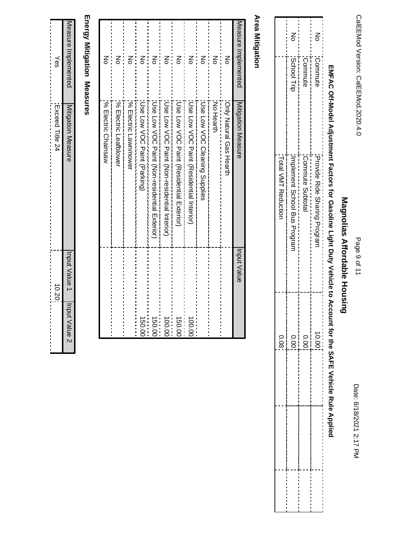CalEEMod Version: CalEEMod.2020.4.0 CalEEMod Version: CalEEMod.2020.4.0

Page 9 of 11

Date: 8/18/2021 2:17 PM Page 9 of 11 Date: 8/18/2021 2:17 PM

# **Magnolias Affordable Housing Magnolias Affordable Housing**

# EMFAC Off-Model Adjustment Factors for Gasoline Light Duty Vehicle to Account for the SAFE Vehicle Rule Applied **EMFAC Off-Model Adjustment Factors for Gasoline Light Duty Vehicle to Account for the SAFE Vehicle Rule Applied**

|                      | 중<br>                        |                                |                                             |
|----------------------|------------------------------|--------------------------------|---------------------------------------------|
|                      | School Trip                  | Commute                        | No<br>Schmmute                              |
| .Total VMH Reduction | Inplement Scrool Bus Program | Commute Subtotal               | Provide Ride Sharing Program<br>:<br>:<br>: |
| 0.08                 | 0.00                         | it is in the search of<br>0.00 | 10.00                                       |
|                      |                              |                                |                                             |

## **Area Mitigation Area Mitigation**

|             | ".So Electric Chainsax                                         | 종                   |
|-------------|----------------------------------------------------------------|---------------------|
|             | : % Electric Leafplower                                        | ξ                   |
|             | : % Electric Lawnmower                                         | Ko                  |
| 00.031      | .Com NOC Daint (Parking)                                       | ξ                   |
| 150.00      | I Jose Low VOC Paint (Non-residential Exterior)<br>きんきん きんきんきん | Ko                  |
| 100.00      | I J se Low VOC Paint (Non-residential Interior)                | Ko                  |
| 150.00      | I J se Low VOC Paint (Residential Exterior)                    | Ko                  |
| 100.00      | ,Use Low VOC Paint (Residential Interior).                     | ξ                   |
|             | :Use Low VOC Cleaning Supplies                                 | ξ                   |
|             | :No Hearth                                                     | ξ                   |
|             | <b>Colly Natural Gas Hearth</b>                                | š                   |
| Input Value | Mitigation Measure                                             | Measure Implemented |

## Energy Mitigation Measures **Energy Mitigation Measures**

| Measure Implemented<br>n Measure<br>ייאות אחומה<br>י |        | ווואמו אמומק |
|------------------------------------------------------|--------|--------------|
| α<br>α<br>- List - List -                            | ؟<br>آ |              |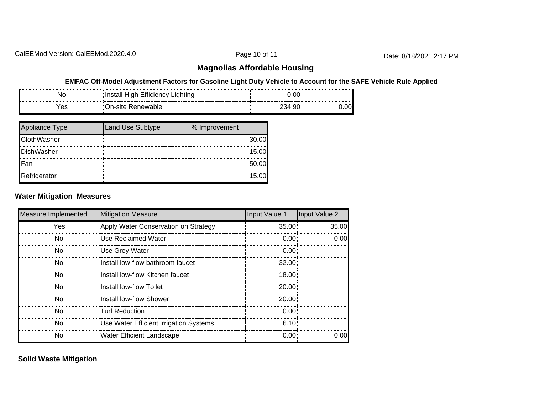CalEEMod Version: CalEEMod.2020.4.0 **Page 10 of 11** Page 10 of 11 Date: 8/18/2021 2:17 PM

#### **Magnolias Affordable Housing**

### **EMFAC Off-Model Adjustment Factors for Gasoline Light Duty Vehicle to Account for the SAFE Vehicle Rule Applied** ,------------------------~- -----------------------------------------I --------------I -------------· 1

| No  | .<br>Efficiency<br>:Install<br>Liahtina<br>High.<br>------------------------ | 0.00   | .     |
|-----|------------------------------------------------------------------------------|--------|-------|
| Yes | 'On-site<br>Renewable                                                        | 234.90 | 0.001 |

| Appliance Type | <b>Land Use Subtype</b> | % Improvement |
|----------------|-------------------------|---------------|
| ClothWasher    |                         | 30.00         |
| DishWasher     |                         | 15.00         |
| Fan            |                         | 50.00         |
| Refrigerator   |                         | 15.00         |

#### **Water Mitigation Measures**

| Measure Implemented | Mitigation Measure                      | Input Value 1 | Input Value 2 |
|---------------------|-----------------------------------------|---------------|---------------|
| Yes                 | 'Apply Water Conservation on Strategy   | 35.00         | 35.00         |
| No                  | :Use Reclaimed Water                    | 0.00          | 0.00          |
| No.                 | :Use Grey Water                         | 0.00          |               |
| No.                 | : Install low-flow bathroom faucet      | 32.00         |               |
| No                  | : Install low-flow Kitchen faucet       | 18.00         |               |
| <b>No</b>           | : Install low-flow Toilet               | 20.00         |               |
| No                  | :Install low-flow Shower                | 20.00         |               |
| No.                 | :Turf Reduction                         | 0.00          |               |
| <b>No</b>           | 'Use Water Efficient Irrigation Systems | 6.10          |               |
| No.                 | Water Efficient Landscape               | 0.00"         | 0.00          |

#### **Solid Waste Mitigation**